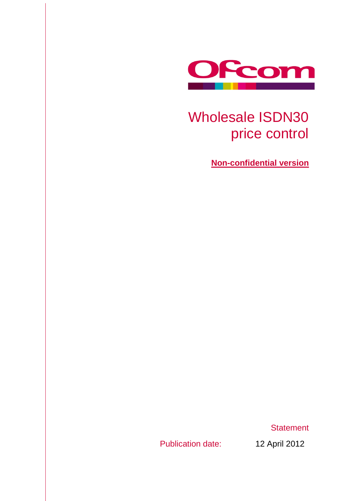

# Wholesale ISDN30 price control

**Non-confidential version**

**Statement** 

<span id="page-0-0"></span>Publication date: 12 April 2012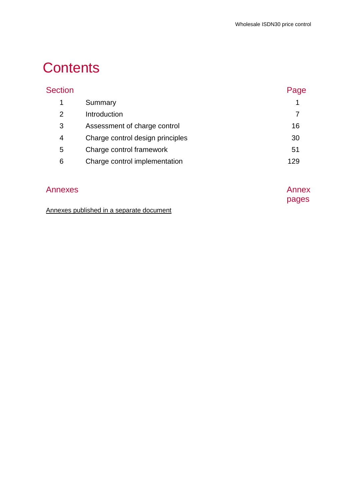# **Contents**

|                                  | Page  |
|----------------------------------|-------|
| Summary                          | 1     |
| Introduction                     | 7     |
| Assessment of charge control     | 16    |
| Charge control design principles | 30    |
| Charge control framework         | 51    |
| Charge control implementation    | 129   |
| Annexes                          | Annex |
|                                  |       |

pages

## Annexes published in a separate document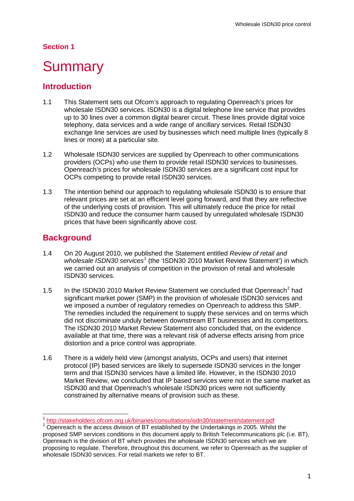## **Section 1**

# <span id="page-3-0"></span>**Summary**

## **Introduction**

- 1.1 This Statement sets out Ofcom's approach to regulating Openreach's prices for wholesale ISDN30 services. ISDN30 is a digital telephone line service that provides up to 30 lines over a common digital bearer circuit. These lines provide digital voice telephony, data services and a wide range of ancillary services. Retail ISDN30 exchange line services are used by businesses which need multiple lines (typically 8 lines or more) at a particular site.
- 1.2 Wholesale ISDN30 services are supplied by Openreach to other communications providers (OCPs) who use them to provide retail ISDN30 services to businesses. Openreach's prices for wholesale ISDN30 services are a significant cost input for OCPs competing to provide retail ISDN30 services.
- 1.3 The intention behind our approach to regulating wholesale ISDN30 is to ensure that relevant prices are set at an efficient level going forward, and that they are reflective of the underlying costs of provision. This will ultimately reduce the price for retail ISDN30 and reduce the consumer harm caused by unregulated wholesale ISDN30 prices that have been significantly above cost.

## **Background**

- 1.4 On 20 August 2010, we published the Statement entitled *Review of retail and*  wholesale ISDN30 services<sup>[1](#page-0-0)</sup> (the 'ISDN30 2010 Market Review Statement') in which we carried out an analysis of competition in the provision of retail and wholesale ISDN30 services.
- 1.5 In the ISDN30 [2](#page-3-1)010 Market Review Statement we concluded that Openreach<sup>2</sup> had significant market power (SMP) in the provision of wholesale ISDN30 services and we imposed a number of regulatory remedies on Openreach to address this SMP. The remedies included the requirement to supply these services and on terms which did not discriminate unduly between downstream BT businesses and its competitors. The ISDN30 2010 Market Review Statement also concluded that, on the evidence available at that time, there was a relevant risk of adverse effects arising from price distortion and a price control was appropriate.
- <span id="page-3-2"></span>1.6 There is a widely held view (amongst analysts, OCPs and users) that internet protocol (IP) based services are likely to supersede ISDN30 services in the longer term and that ISDN30 services have a limited life. However, in the ISDN30 2010 Market Review, we concluded that IP based services were not in the same market as ISDN30 and that Openreach's wholesale ISDN30 prices were not sufficiently constrained by alternative means of provision such as these.

 <sup>1</sup> <http://stakeholders.ofcom.org.uk/binaries/consultations/isdn30/statement/statement.pdf>

<span id="page-3-1"></span><sup>&</sup>lt;sup>2</sup> Openreach is the access division of BT established by the Undertakings in 2005. Whilst the proposed SMP services conditions in this document apply to British Telecommunications plc (i.e. BT), Openreach is the division of BT which provides the wholesale ISDN30 services which we are proposing to regulate. Therefore, throughout this document, we refer to Openreach as the supplier of wholesale ISDN30 services. For retail markets we refer to BT.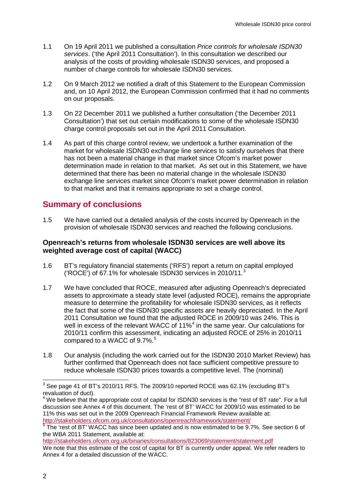- 1.1 On 19 April 2011 we published a consultation *Price controls for wholesale ISDN30 services*. ('the April 2011 Consultation'). In this consultation we described our analysis of the costs of providing wholesale ISDN30 services, and proposed a number of charge controls for wholesale ISDN30 services.
- 1.2 On 9 March 2012 we notified a draft of this Statement to the European Commission and, on 10 April 2012, the European Commission confirmed that it had no comments on our proposals.
- 1.3 On 22 December 2011 we published a further consultation ('the December 2011 Consultation') that set out certain modifications to some of the wholesale ISDN30 charge control proposals set out in the April 2011 Consultation.
- 1.4 As part of this charge control review, we undertook a further examination of the market for wholesale ISDN30 exchange line services to satisfy ourselves that there has not been a material change in that market since Ofcom's market power determination made in relation to that market. As set out in this Statement, we have determined that there has been no material change in the wholesale ISDN30 exchange line services market since Ofcom's market power determination in relation to that market and that it remains appropriate to set a charge control.

## **Summary of conclusions**

1.5 We have carried out a detailed analysis of the costs incurred by Openreach in the provision of wholesale ISDN30 services and reached the following conclusions.

#### **Openreach's returns from wholesale ISDN30 services are well above its weighted average cost of capital (WACC)**

- 1.6 BT's regulatory financial statements ('RFS') report a return on capital employed ('ROCE') of 67.1% for wholesale ISDN30 services in 2010/11.[3](#page-3-2)
- 1.7 We have concluded that ROCE, measured after adjusting Openreach's depreciated assets to approximate a steady state level (adjusted ROCE), remains the appropriate measure to determine the profitability for wholesale ISDN30 services, as it reflects the fact that some of the ISDN30 specific assets are heavily depreciated. In the April 2011 Consultation we found that the adjusted ROCE in 2009/10 was 24%. This is well in excess of the relevant WACC of 11%<sup>[4](#page-4-0)</sup> in the same year. Our calculations for 2010/11 confirm this assessment, indicating an adjusted ROCE of 25% in 2010/11 compared to a WACC of  $9.7\%$ .<sup>[5](#page-4-0)</sup>
- 1.8 Our analysis (including the work carried out for the ISDN30 2010 Market Review) has further confirmed that Openreach does not face sufficient competitive pressure to reduce wholesale ISDN30 prices towards a competitive level. The (nominal)

<span id="page-4-1"></span><http://stakeholders.ofcom.org.uk/binaries/consultations/823069/statement/statement.pdf> We note that this estimate of the cost of capital for BT is currently under appeal. We refer readers to Annex 4 for a detailed discussion of the WACC.

<span id="page-4-0"></span><sup>&</sup>lt;sup>3</sup> See page 41 of BT's 2010/11 RFS. The 2009/10 reported ROCE was 62.1% (excluding BT's revaluation of duct).

<sup>&</sup>lt;sup>4</sup> We believe that the appropriate cost of capital for ISDN30 services is the "rest of BT rate". For a full discussion see Annex 4 of this document. The 'rest of BT' WACC for 2009/10 was estimated to be 11% this was set out in the 2009 Openreach Financial Framework Review available at: <http://stakeholders.ofcom.org.uk/consultations/openreachframework/statement/>

<sup>&</sup>lt;sup>5</sup>The 'rest of BT' WACC has since been updated and is now estimated to be 9.7%. See section 6 of the WBA 2011 Statement, available at: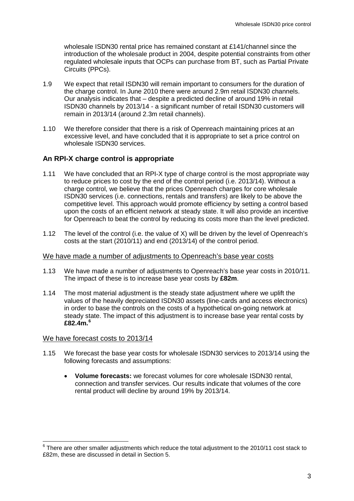wholesale ISDN30 rental price has remained constant at £141/channel since the introduction of the wholesale product in 2004, despite potential constraints from other regulated wholesale inputs that OCPs can purchase from BT, such as Partial Private Circuits (PPCs).

- 1.9 We expect that retail ISDN30 will remain important to consumers for the duration of the charge control. In June 2010 there were around 2.9m retail ISDN30 channels. Our analysis indicates that – despite a predicted decline of around 19% in retail ISDN30 channels by 2013/14 - a significant number of retail ISDN30 customers will remain in 2013/14 (around 2.3m retail channels).
- 1.10 We therefore consider that there is a risk of Openreach maintaining prices at an excessive level, and have concluded that it is appropriate to set a price control on wholesale ISDN30 services.

### **An RPI-X charge control is appropriate**

- 1.11 We have concluded that an RPI-X type of charge control is the most appropriate way to reduce prices to cost by the end of the control period (i.e. 2013/14). Without a charge control, we believe that the prices Openreach charges for core wholesale ISDN30 services (i.e. connections, rentals and transfers) are likely to be above the competitive level. This approach would promote efficiency by setting a control based upon the costs of an efficient network at steady state. It will also provide an incentive for Openreach to beat the control by reducing its costs more than the level predicted.
- 1.12 The level of the control (i.e. the value of X) will be driven by the level of Openreach's costs at the start (2010/11) and end (2013/14) of the control period.

#### We have made a number of adjustments to Openreach's base year costs

- 1.13 We have made a number of adjustments to Openreach's base year costs in 2010/11. The impact of these is to increase base year costs by **£82m**.
- 1.14 The most material adjustment is the steady state adjustment where we uplift the values of the heavily depreciated ISDN30 assets (line-cards and access electronics) in order to base the controls on the costs of a hypothetical on-going network at steady state. The impact of this adjustment is to increase base year rental costs by **£82.4m. [6](#page-4-1)**

#### We have forecast costs to 2013/14

- 1.15 We forecast the base year costs for wholesale ISDN30 services to 2013/14 using the following forecasts and assumptions:
	- **Volume forecasts:** we forecast volumes for core wholesale ISDN30 rental, connection and transfer services. Our results indicate that volumes of the core rental product will decline by around 19% by 2013/14.

<span id="page-5-0"></span> $6$  There are other smaller adjustments which reduce the total adjustment to the 2010/11 cost stack to £82m, these are discussed in detail in Section 5.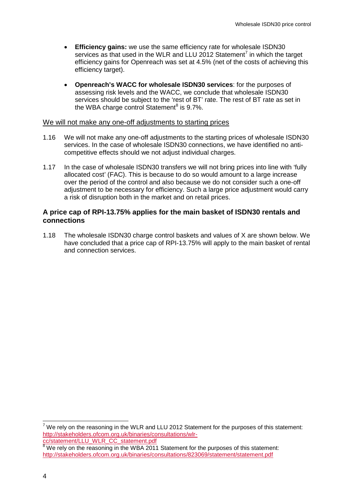- **Efficiency gains:** we use the same efficiency rate for wholesale ISDN30 services as that used in the WLR and LLU 2012 Statement<sup>[7](#page-5-0)</sup> in which the target efficiency gains for Openreach was set at 4.5% (net of the costs of achieving this efficiency target).
- **Openreach's WACC for wholesale ISDN30 services**: for the purposes of assessing risk levels and the WACC, we conclude that wholesale ISDN30 services should be subject to the 'rest of BT' rate. The rest of BT rate as set in the WBA charge control Statement<sup>[8](#page-6-0)</sup> is  $9.7\%$ .

#### We will not make any one-off adjustments to starting prices

- 1.16 We will not make any one-off adjustments to the starting prices of wholesale ISDN30 services. In the case of wholesale ISDN30 connections, we have identified no anticompetitive effects should we not adjust individual charges.
- 1.17 In the case of wholesale ISDN30 transfers we will not bring prices into line with 'fully allocated cost' (FAC). This is because to do so would amount to a large increase over the period of the control and also because we do not consider such a one-off adjustment to be necessary for efficiency. Such a large price adjustment would carry a risk of disruption both in the market and on retail prices.

#### **A price cap of RPI-13.75% applies for the main basket of ISDN30 rentals and connections**

1.18 The wholesale ISDN30 charge control baskets and values of X are shown below. We have concluded that a price cap of RPI-13.75% will apply to the main basket of rental and connection services.

<span id="page-6-0"></span> $7$  We rely on the reasoning in the WLR and LLU 2012 Statement for the purposes of this statement: [http://stakeholders.ofcom.org.uk/binaries/consultations/wlr](http://stakeholders.ofcom.org.uk/binaries/consultations/wlr-cc/statement/LLU_WLR_CC_statement.pdf)[cc/statement/LLU\\_WLR\\_CC\\_statement.pdf](http://stakeholders.ofcom.org.uk/binaries/consultations/wlr-cc/statement/LLU_WLR_CC_statement.pdf)

<span id="page-6-1"></span><sup>8</sup> We rely on the reasoning in the WBA 2011 Statement for the purposes of this statement: <http://stakeholders.ofcom.org.uk/binaries/consultations/823069/statement/statement.pdf>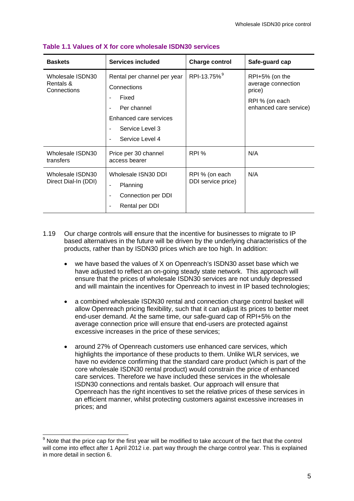| <b>Baskets</b>                               | Services included                                                                                                                            | <b>Charge control</b>                | Safe-guard cap                                                                             |
|----------------------------------------------|----------------------------------------------------------------------------------------------------------------------------------------------|--------------------------------------|--------------------------------------------------------------------------------------------|
| Wholesale ISDN30<br>Rentals &<br>Connections | Rental per channel per year<br>Connections<br>Fixed<br>Per channel<br>Enhanced care services<br>Service Level 3<br>٠<br>Service Level 4<br>٠ | RPI-13.75% <sup>9</sup>              | RPI+5% (on the<br>average connection<br>price)<br>RPI % (on each<br>enhanced care service) |
| Wholesale ISDN30<br>transfers                | Price per 30 channel<br>access bearer                                                                                                        | RPI %                                | N/A                                                                                        |
| Wholesale ISDN30<br>Direct Dial-In (DDI)     | Wholesale ISN30 DDI<br>Planning<br>$\blacksquare$<br>Connection per DDI<br>٠<br>Rental per DDI                                               | RPI % (on each<br>DDI service price) | N/A                                                                                        |

#### **Table 1.1 Values of X for core wholesale ISDN30 services**

- 1.19 Our charge controls will ensure that the incentive for businesses to migrate to IP based alternatives in the future will be driven by the underlying characteristics of the products, rather than by ISDN30 prices which are too high. In addition:
	- we have based the values of X on Openreach's ISDN30 asset base which we have adjusted to reflect an on-going steady state network. This approach will ensure that the prices of wholesale ISDN30 services are not unduly depressed and will maintain the incentives for Openreach to invest in IP based technologies;
	- a combined wholesale ISDN30 rental and connection charge control basket will allow Openreach pricing flexibility, such that it can adjust its prices to better meet end-user demand. At the same time, our safe-guard cap of RPI+5% on the average connection price will ensure that end-users are protected against excessive increases in the price of these services;
	- around 27% of Openreach customers use enhanced care services, which highlights the importance of these products to them. Unlike WLR services, we have no evidence confirming that the standard care product (which is part of the core wholesale ISDN30 rental product) would constrain the price of enhanced care services. Therefore we have included these services in the wholesale ISDN30 connections and rentals basket. Our approach will ensure that Openreach has the right incentives to set the relative prices of these services in an efficient manner, whilst protecting customers against excessive increases in prices; and

<span id="page-7-0"></span> $9$  Note that the price cap for the first year will be modified to take account of the fact that the control will come into effect after 1 April 2012 i.e. part way through the charge control year. This is explained in more detail in section 6.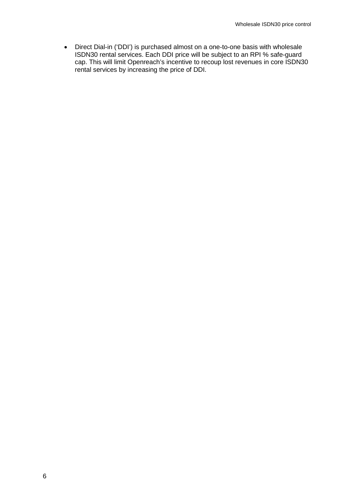• Direct Dial-in ('DDI') is purchased almost on a one-to-one basis with wholesale ISDN30 rental services. Each DDI price will be subject to an RPI % safe-guard cap. This will limit Openreach's incentive to recoup lost revenues in core ISDN30 rental services by increasing the price of DDI.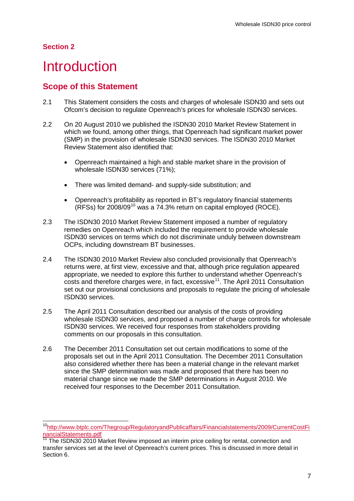### **Section 2**

# <span id="page-9-0"></span>**Introduction**

## **Scope of this Statement**

- 2.1 This Statement considers the costs and charges of wholesale ISDN30 and sets out Ofcom's decision to regulate Openreach's prices for wholesale ISDN30 services.
- 2.2 On 20 August 2010 we published the ISDN30 2010 Market Review Statement in which we found, among other things, that Openreach had significant market power (SMP) in the provision of wholesale ISDN30 services. The ISDN30 2010 Market Review Statement also identified that:
	- Openreach maintained a high and stable market share in the provision of wholesale ISDN30 services (71%);
	- There was limited demand- and supply-side substitution; and
	- Openreach's profitability as reported in BT's regulatory financial statements (RFSs) for 2008/09[10](#page-7-0) was a 74.3% return on capital employed (ROCE).
- 2.3 The ISDN30 2010 Market Review Statement imposed a number of regulatory remedies on Openreach which included the requirement to provide wholesale ISDN30 services on terms which do not discriminate unduly between downstream OCPs, including downstream BT businesses.
- 2.4 The ISDN30 2010 Market Review also concluded provisionally that Openreach's returns were, at first view, excessive and that, although price regulation appeared appropriate, we needed to explore this further to understand whether Openreach's  $costs$  and therefore charges were, in fact, excessive<sup>[11](#page-9-1)</sup>. The April 2011 Consultation set out our provisional conclusions and proposals to regulate the pricing of wholesale ISDN30 services.
- 2.5 The April 2011 Consultation described our analysis of the costs of providing wholesale ISDN30 services, and proposed a number of charge controls for wholesale ISDN30 services. We received four responses from stakeholders providing comments on our proposals in this consultation.
- 2.6 The December 2011 Consultation set out certain modifications to some of the proposals set out in the April 2011 Consultation. The December 2011 Consultation also considered whether there has been a material change in the relevant market since the SMP determination was made and proposed that there has been no material change since we made the SMP determinations in August 2010. We received four responses to the December 2011 Consultation.

<span id="page-9-1"></span> [<sup>10</sup>http://www.btplc.com/Thegroup/RegulatoryandPublicaffairs/Financialstatements/2009/CurrentCostFi](http://www.btplc.com/Thegroup/RegulatoryandPublicaffairs/Financialstatements/2009/CurrentCostFinancialStatements.pdf) [nancialStatements.pdf](http://www.btplc.com/Thegroup/RegulatoryandPublicaffairs/Financialstatements/2009/CurrentCostFinancialStatements.pdf)<br>11 The Contract of

<span id="page-9-2"></span><sup>11</sup> The ISDN30 2010 Market Review imposed an interim price ceiling for rental, connection and transfer services set at the level of Openreach's current prices. This is discussed in more detail in Section 6.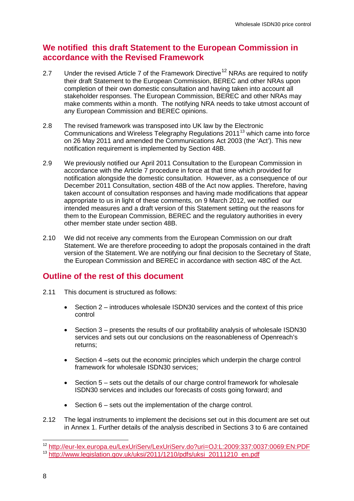# **We notified this draft Statement to the European Commission in accordance with the Revised Framework**

- 2.7 Under the revised Article 7 of the Framework Directive<sup>[12](#page-9-2)</sup> NRAs are required to notify their draft Statement to the European Commission, BEREC and other NRAs upon completion of their own domestic consultation and having taken into account all stakeholder responses. The European Commission, BEREC and other NRAs may make comments within a month. The notifying NRA needs to take utmost account of any European Commission and BEREC opinions.
- 2.8 The revised framework was transposed into UK law by the Electronic Communications and Wireless Telegraphy Regulations  $2011<sup>13</sup>$  $2011<sup>13</sup>$  $2011<sup>13</sup>$  which came into force on 26 May 2011 and amended the Communications Act 2003 (the 'Act'). This new notification requirement is implemented by Section 48B.
- 2.9 We previously notified our April 2011 Consultation to the European Commission in accordance with the Article 7 procedure in force at that time which provided for notification alongside the domestic consultation. However, as a consequence of our December 2011 Consultation, section 48B of the Act now applies. Therefore, having taken account of consultation responses and having made modifications that appear appropriate to us in light of these comments, on 9 March 2012, we notified our intended measures and a draft version of this Statement setting out the reasons for them to the European Commission, BEREC and the regulatory authorities in every other member state under section 48B.
- 2.10 We did not receive any comments from the European Commission on our draft Statement. We are therefore proceeding to adopt the proposals contained in the draft version of the Statement. We are notifying our final decision to the Secretary of State, the European Commission and BEREC in accordance with section 48C of the Act.

# **Outline of the rest of this document**

- 2.11 This document is structured as follows:
	- Section 2 introduces wholesale ISDN30 services and the context of this price control
	- Section 3 presents the results of our profitability analysis of wholesale ISDN30 services and sets out our conclusions on the reasonableness of Openreach's returns;
	- Section 4 –sets out the economic principles which underpin the charge control framework for wholesale ISDN30 services;
	- Section 5 sets out the details of our charge control framework for wholesale ISDN30 services and includes our forecasts of costs going forward; and
	- Section 6 sets out the implementation of the charge control.
- 2.12 The legal instruments to implement the decisions set out in this document are set out in Annex 1. Further details of the analysis described in Sections 3 to 6 are contained

<span id="page-10-1"></span><span id="page-10-0"></span> <sup>12</sup> <http://eur-lex.europa.eu/LexUriServ/LexUriServ.do?uri=OJ:L:2009:337:0037:0069:EN:PDF> <sup>13</sup> [http://www.legislation.gov.uk/uksi/2011/1210/pdfs/uksi\\_20111210\\_en.pdf](http://www.legislation.gov.uk/uksi/2011/1210/pdfs/uksi_20111210_en.pdf)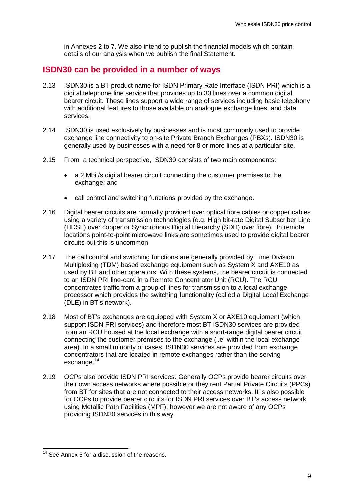in Annexes 2 to 7. We also intend to publish the financial models which contain details of our analysis when we publish the final Statement.

## **ISDN30 can be provided in a number of ways**

- 2.13 ISDN30 is a BT product name for ISDN Primary Rate Interface (ISDN PRI) which is a digital telephone line service that provides up to 30 lines over a common digital bearer circuit. These lines support a wide range of services including basic telephony with additional features to those available on analogue exchange lines, and data services.
- 2.14 ISDN30 is used exclusively by businesses and is most commonly used to provide exchange line connectivity to on-site Private Branch Exchanges (PBXs). ISDN30 is generally used by businesses with a need for 8 or more lines at a particular site.
- 2.15 From a technical perspective, ISDN30 consists of two main components:
	- a 2 Mbit/s digital bearer circuit connecting the customer premises to the exchange; and
	- call control and switching functions provided by the exchange.
- 2.16 Digital bearer circuits are normally provided over optical fibre cables or copper cables using a variety of transmission technologies (e.g. High bit-rate Digital Subscriber Line (HDSL) over copper or Synchronous Digital Hierarchy (SDH) over fibre). In remote locations point-to-point microwave links are sometimes used to provide digital bearer circuits but this is uncommon.
- 2.17 The call control and switching functions are generally provided by Time Division Multiplexing (TDM) based exchange equipment such as System X and AXE10 as used by BT and other operators. With these systems, the bearer circuit is connected to an ISDN PRI line-card in a Remote Concentrator Unit (RCU). The RCU concentrates traffic from a group of lines for transmission to a local exchange processor which provides the switching functionality (called a Digital Local Exchange (DLE) in BT's network).
- 2.18 Most of BT's exchanges are equipped with System X or AXE10 equipment (which support ISDN PRI services) and therefore most BT ISDN30 services are provided from an RCU housed at the local exchange with a short-range digital bearer circuit connecting the customer premises to the exchange (i.e. within the local exchange area). In a small minority of cases, ISDN30 services are provided from exchange concentrators that are located in remote exchanges rather than the serving exchange.<sup>[14](#page-10-1)</sup>
- 2.19 OCPs also provide ISDN PRI services. Generally OCPs provide bearer circuits over their own access networks where possible or they rent Partial Private Circuits (PPCs) from BT for sites that are not connected to their access networks. It is also possible for OCPs to provide bearer circuits for ISDN PRI services over BT's access network using Metallic Path Facilities (MPF); however we are not aware of any OCPs providing ISDN30 services in this way.

<span id="page-11-0"></span><sup>&</sup>lt;sup>14</sup> See Annex 5 for a discussion of the reasons.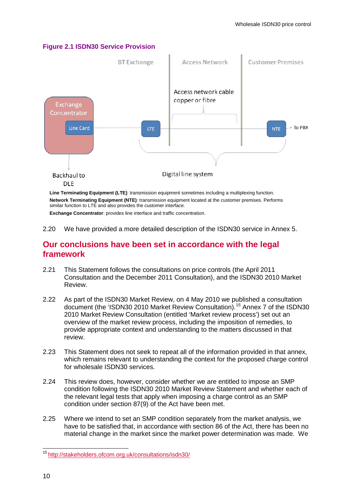#### **Figure 2.1 ISDN30 Service Provision**



**Network Terminating Equipment (NTE)**: transmission equipment located at the customer premises. Performs similar function to LTE and also provides the customer interface. **Exchange Concentrator**: provides line interface and traffic concentration.

2.20 We have provided a more detailed description of the ISDN30 service in Annex 5.

## **Our conclusions have been set in accordance with the legal framework**

- 2.21 This Statement follows the consultations on price controls (the April 2011 Consultation and the December 2011 Consultation), and the ISDN30 2010 Market Review.
- 2.22 As part of the ISDN30 Market Review, on 4 May 2010 we published a consultation document (the 'ISDN30 2010 Market Review Consultation).[15](#page-11-0) Annex 7 of the ISDN30 2010 Market Review Consultation (entitled 'Market review process') set out an overview of the market review process, including the imposition of remedies, to provide appropriate context and understanding to the matters discussed in that review.
- 2.23 This Statement does not seek to repeat all of the information provided in that annex, which remains relevant to understanding the context for the proposed charge control for wholesale ISDN30 services.
- 2.24 This review does, however, consider whether we are entitled to impose an SMP condition following the ISDN30 2010 Market Review Statement and whether each of the relevant legal tests that apply when imposing a charge control as an SMP condition under section 87(9) of the Act have been met.
- 2.25 Where we intend to set an SMP condition separately from the market analysis, we have to be satisfied that, in accordance with section 86 of the Act, there has been no material change in the market since the market power determination was made. We

<span id="page-12-0"></span> <sup>15</sup> <http://stakeholders.ofcom.org.uk/consultations/isdn30/>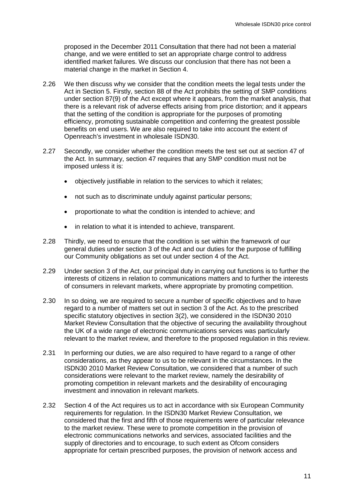proposed in the December 2011 Consultation that there had not been a material change, and we were entitled to set an appropriate charge control to address identified market failures. We discuss our conclusion that there has not been a material change in the market in Section 4.

- 2.26 We then discuss why we consider that the condition meets the legal tests under the Act in Section 5. Firstly, section 88 of the Act prohibits the setting of SMP conditions under section 87(9) of the Act except where it appears, from the market analysis, that there is a relevant risk of adverse effects arising from price distortion; and it appears that the setting of the condition is appropriate for the purposes of promoting efficiency, promoting sustainable competition and conferring the greatest possible benefits on end users. We are also required to take into account the extent of Openreach's investment in wholesale ISDN30.
- 2.27 Secondly, we consider whether the condition meets the test set out at section 47 of the Act. In summary, section 47 requires that any SMP condition must not be imposed unless it is:
	- objectively justifiable in relation to the services to which it relates;
	- not such as to discriminate unduly against particular persons;
	- proportionate to what the condition is intended to achieve; and
	- in relation to what it is intended to achieve, transparent.
- 2.28 Thirdly, we need to ensure that the condition is set within the framework of our general duties under section 3 of the Act and our duties for the purpose of fulfilling our Community obligations as set out under section 4 of the Act.
- 2.29 Under section 3 of the Act, our principal duty in carrying out functions is to further the interests of citizens in relation to communications matters and to further the interests of consumers in relevant markets, where appropriate by promoting competition.
- 2.30 In so doing, we are required to secure a number of specific objectives and to have regard to a number of matters set out in section 3 of the Act. As to the prescribed specific statutory objectives in section 3(2), we considered in the ISDN30 2010 Market Review Consultation that the objective of securing the availability throughout the UK of a wide range of electronic communications services was particularly relevant to the market review, and therefore to the proposed regulation in this review.
- 2.31 In performing our duties, we are also required to have regard to a range of other considerations, as they appear to us to be relevant in the circumstances. In the ISDN30 2010 Market Review Consultation, we considered that a number of such considerations were relevant to the market review, namely the desirability of promoting competition in relevant markets and the desirability of encouraging investment and innovation in relevant markets.
- 2.32 Section 4 of the Act requires us to act in accordance with six European Community requirements for regulation. In the ISDN30 Market Review Consultation, we considered that the first and fifth of those requirements were of particular relevance to the market review. These were to promote competition in the provision of electronic communications networks and services, associated facilities and the supply of directories and to encourage, to such extent as Ofcom considers appropriate for certain prescribed purposes, the provision of network access and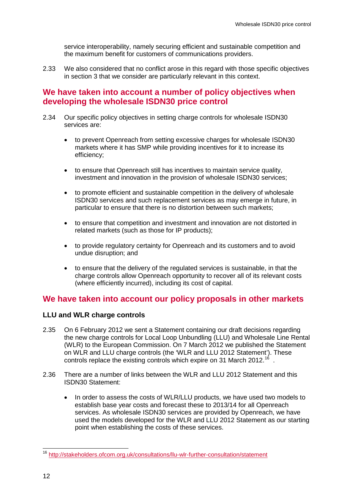service interoperability, namely securing efficient and sustainable competition and the maximum benefit for customers of communications providers.

2.33 We also considered that no conflict arose in this regard with those specific objectives in section 3 that we consider are particularly relevant in this context.

## **We have taken into account a number of policy objectives when developing the wholesale ISDN30 price control**

- 2.34 Our specific policy objectives in setting charge controls for wholesale ISDN30 services are:
	- to prevent Openreach from setting excessive charges for wholesale ISDN30 markets where it has SMP while providing incentives for it to increase its efficiency;
	- to ensure that Openreach still has incentives to maintain service quality, investment and innovation in the provision of wholesale ISDN30 services;
	- to promote efficient and sustainable competition in the delivery of wholesale ISDN30 services and such replacement services as may emerge in future, in particular to ensure that there is no distortion between such markets;
	- to ensure that competition and investment and innovation are not distorted in related markets (such as those for IP products);
	- to provide regulatory certainty for Openreach and its customers and to avoid undue disruption; and
	- to ensure that the delivery of the regulated services is sustainable, in that the charge controls allow Openreach opportunity to recover all of its relevant costs (where efficiently incurred), including its cost of capital.

## **We have taken into account our policy proposals in other markets**

### **LLU and WLR charge controls**

- 2.35 On 6 February 2012 we sent a Statement containing our draft decisions regarding the new charge controls for Local Loop Unbundling (LLU) and Wholesale Line Rental (WLR) to the European Commission. On 7 March 2012 we published the Statement on WLR and LLU charge controls (the 'WLR and LLU 2012 Statement'). These controls replace the existing controls which expire on 31 March 2012.<sup>[16](#page-12-0)</sup>.
- 2.36 There are a number of links between the WLR and LLU 2012 Statement and this ISDN30 Statement:
	- In order to assess the costs of WLR/LLU products, we have used two models to establish base year costs and forecast these to 2013/14 for all Openreach services. As wholesale ISDN30 services are provided by Openreach, we have used the models developed for the WLR and LLU 2012 Statement as our starting point when establishing the costs of these services.

<span id="page-14-0"></span> <sup>16</sup> <http://stakeholders.ofcom.org.uk/consultations/llu-wlr-further-consultation/statement>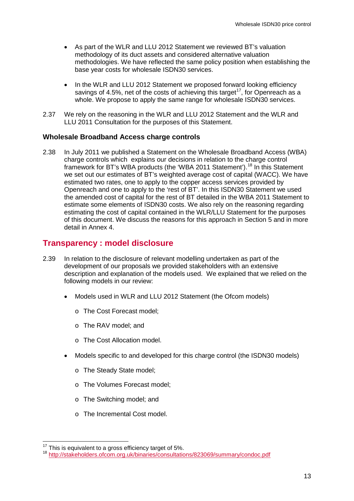- As part of the WLR and LLU 2012 Statement we reviewed BT's valuation methodology of its duct assets and considered alternative valuation methodologies. We have reflected the same policy position when establishing the base year costs for wholesale ISDN30 services.
- In the WLR and LLU 2012 Statement we proposed forward looking efficiency savings of 4.5%, net of the costs of achieving this target<sup>17</sup>, for Openreach as a whole. We propose to apply the same range for wholesale ISDN30 services.
- 2.37 We rely on the reasoning in the WLR and LLU 2012 Statement and the WLR and LLU 2011 Consultation for the purposes of this Statement.

## **Wholesale Broadband Access charge controls**

2.38 In July 2011 we published a Statement on the Wholesale Broadband Access (WBA) charge controls which explains our decisions in relation to the charge control framework for BT's WBA products (the 'WBA 2011 Statement').<sup>[18](#page-15-0)</sup> In this Statement we set out our estimates of BT's weighted average cost of capital (WACC). We have estimated two rates, one to apply to the copper access services provided by Openreach and one to apply to the 'rest of BT'. In this ISDN30 Statement we used the amended cost of capital for the rest of BT detailed in the WBA 2011 Statement to estimate some elements of ISDN30 costs. We also rely on the reasoning regarding estimating the cost of capital contained in the WLR/LLU Statement for the purposes of this document. We discuss the reasons for this approach in Section 5 and in more detail in Annex 4.

## **Transparency : model disclosure**

- 2.39 In relation to the disclosure of relevant modelling undertaken as part of the development of our proposals we provided stakeholders with an extensive description and explanation of the models used. We explained that we relied on the following models in our review:
	- Models used in WLR and LLU 2012 Statement (the Ofcom models)
		- o The Cost Forecast model;
		- o The RAV model; and
		- o The Cost Allocation model.
	- Models specific to and developed for this charge control (the ISDN30 models)
		- o The Steady State model;
		- o The Volumes Forecast model;
		- o The Switching model; and
		- o The Incremental Cost model.

<span id="page-15-1"></span><span id="page-15-0"></span><sup>&</sup>lt;sup>17</sup> This is equivalent to a gross efficiency target of 5%.<br><sup>18</sup> <http://stakeholders.ofcom.org.uk/binaries/consultations/823069/summary/condoc.pdf>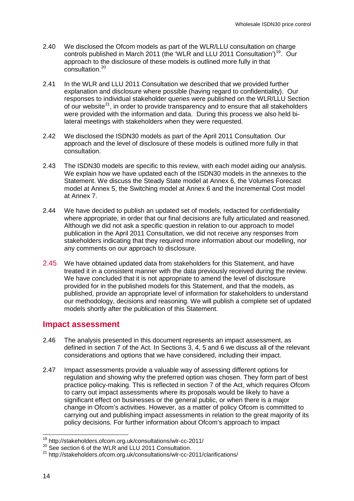- 2.40 We disclosed the Ofcom models as part of the WLR/LLU consultation on charge controls published in March 2011 (the 'WLR and LLU 2011 Consultation')<sup>[19](#page-15-1)</sup>. Our approach to the disclosure of these models is outlined more fully in that consultation.<sup>[20](#page-16-0)</sup>
- 2.41 In the WLR and LLU 2011 Consultation we described that we provided further explanation and disclosure where possible (having regard to confidentiality). Our responses to individual stakeholder queries were published on the WLR/LLU Section of our website<sup>21</sup>, in order to provide transparency and to ensure that all stakeholders were provided with the information and data. During this process we also held bilateral meetings with stakeholders when they were requested.
- 2.42 We disclosed the ISDN30 models as part of the April 2011 Consultation. Our approach and the level of disclosure of these models is outlined more fully in that consultation.
- 2.43 The ISDN30 models are specific to this review, with each model aiding our analysis. We explain how we have updated each of the ISDN30 models in the annexes to the Statement. We discuss the Steady State model at Annex 6, the Volumes Forecast model at Annex 5, the Switching model at Annex 6 and the Incremental Cost model at Annex 7.
- 2.44 We have decided to publish an updated set of models, redacted for confidentiality where appropriate, in order that our final decisions are fully articulated and reasoned. Although we did not ask a specific question in relation to our approach to model publication in the April 2011 Consultation, we did not receive any responses from stakeholders indicating that they required more information about our modelling, nor any comments on our approach to disclosure.
- 2.45 We have obtained updated data from stakeholders for this Statement, and have treated it in a consistent manner with the data previously received during the review. We have concluded that it is not appropriate to amend the level of disclosure provided for in the published models for this Statement, and that the models, as published, provide an appropriate level of information for stakeholders to understand our methodology, decisions and reasoning. We will publish a complete set of updated models shortly after the publication of this Statement.

## **Impact assessment**

- 2.46 The analysis presented in this document represents an impact assessment, as defined in section 7 of the Act. In Sections 3, 4, 5 and 6 we discuss all of the relevant considerations and options that we have considered, including their impact.
- 2.47 Impact assessments provide a valuable way of assessing different options for regulation and showing why the preferred option was chosen. They form part of best practice policy-making. This is reflected in section 7 of the Act, which requires Ofcom to carry out impact assessments where its proposals would be likely to have a significant effect on businesses or the general public, or when there is a major change in Ofcom's activities. However, as a matter of policy Ofcom is committed to carrying out and publishing impact assessments in relation to the great majority of its policy decisions. For further information about Ofcom's approach to impact

 <sup>19</sup> http://stakeholders.ofcom.org.uk/consultations/wlr-cc-2011/

<span id="page-16-1"></span><span id="page-16-0"></span><sup>&</sup>lt;sup>20</sup> See section 6 of the WLR and LLU 2011 Consultation.

<sup>21</sup> http://stakeholders.ofcom.org.uk/consultations/wlr-cc-2011/clarifications/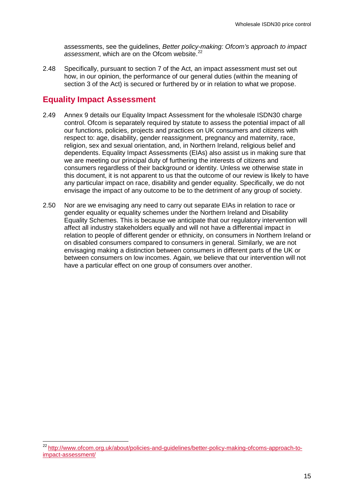assessments, see the guidelines, *Better policy-making: Ofcom's approach to impact assessment*, which are on the Ofcom website. [22](#page-16-1)

2.48 Specifically, pursuant to section 7 of the Act, an impact assessment must set out how, in our opinion, the performance of our general duties (within the meaning of section 3 of the Act) is secured or furthered by or in relation to what we propose.

# **Equality Impact Assessment**

- 2.49 Annex 9 details our Equality Impact Assessment for the wholesale ISDN30 charge control. Ofcom is separately required by statute to assess the potential impact of all our functions, policies, projects and practices on UK consumers and citizens with respect to: age, disability, gender reassignment, pregnancy and maternity, race, religion, sex and sexual orientation, and, in Northern Ireland, religious belief and dependents. Equality Impact Assessments (EIAs) also assist us in making sure that we are meeting our principal duty of furthering the interests of citizens and consumers regardless of their background or identity. Unless we otherwise state in this document, it is not apparent to us that the outcome of our review is likely to have any particular impact on race, disability and gender equality. Specifically, we do not envisage the impact of any outcome to be to the detriment of any group of society.
- 2.50 Nor are we envisaging any need to carry out separate EIAs in relation to race or gender equality or equality schemes under the Northern Ireland and Disability Equality Schemes. This is because we anticipate that our regulatory intervention will affect all industry stakeholders equally and will not have a differential impact in relation to people of different gender or ethnicity, on consumers in Northern Ireland or on disabled consumers compared to consumers in general. Similarly, we are not envisaging making a distinction between consumers in different parts of the UK or between consumers on low incomes. Again, we believe that our intervention will not have a particular effect on one group of consumers over another.

<span id="page-17-0"></span> <sup>22</sup> [http://www.ofcom.org.uk/about/policies-and-guidelines/better-policy-making-ofcoms-approach-to](http://www.ofcom.org.uk/about/policies-and-guidelines/better-policy-making-ofcoms-approach-to-impact-assessment/)[impact-assessment/](http://www.ofcom.org.uk/about/policies-and-guidelines/better-policy-making-ofcoms-approach-to-impact-assessment/)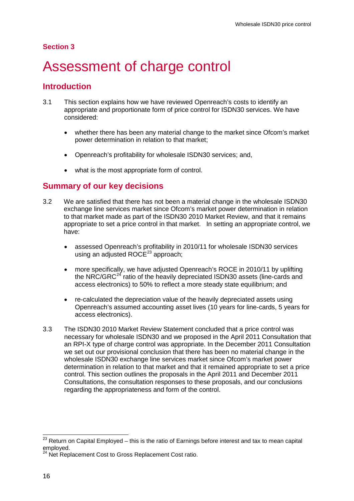### **Section 3**

# <span id="page-18-0"></span>Assessment of charge control

## **Introduction**

- 3.1 This section explains how we have reviewed Openreach's costs to identify an appropriate and proportionate form of price control for ISDN30 services. We have considered:
	- whether there has been any material change to the market since Ofcom's market power determination in relation to that market;
	- Openreach's profitability for wholesale ISDN30 services; and,
	- what is the most appropriate form of control.

## **Summary of our key decisions**

- 3.2 We are satisfied that there has not been a material change in the wholesale ISDN30 exchange line services market since Ofcom's market power determination in relation to that market made as part of the ISDN30 2010 Market Review, and that it remains appropriate to set a price control in that market. In setting an appropriate control, we have:
	- assessed Openreach's profitability in 2010/11 for wholesale ISDN30 services using an adjusted  $ROCE^{23}$  $ROCE^{23}$  $ROCE^{23}$  approach;
	- more specifically, we have adjusted Openreach's ROCE in 2010/11 by uplifting the NRC/GRC<sup>[24](#page-18-1)</sup> ratio of the heavily depreciated ISDN30 assets (line-cards and access electronics) to 50% to reflect a more steady state equilibrium; and
	- re-calculated the depreciation value of the heavily depreciated assets using Openreach's assumed accounting asset lives (10 years for line-cards, 5 years for access electronics).
- 3.3 The ISDN30 2010 Market Review Statement concluded that a price control was necessary for wholesale ISDN30 and we proposed in the April 2011 Consultation that an RPI-X type of charge control was appropriate. In the December 2011 Consultation we set out our provisional conclusion that there has been no material change in the wholesale ISDN30 exchange line services market since Ofcom's market power determination in relation to that market and that it remained appropriate to set a price control. This section outlines the proposals in the April 2011 and December 2011 Consultations, the consultation responses to these proposals, and our conclusions regarding the appropriateness and form of the control.

<span id="page-18-2"></span><span id="page-18-1"></span> $23$  Return on Capital Employed – this is the ratio of Earnings before interest and tax to mean capital employed.

 $4$  Net Replacement Cost to Gross Replacement Cost ratio.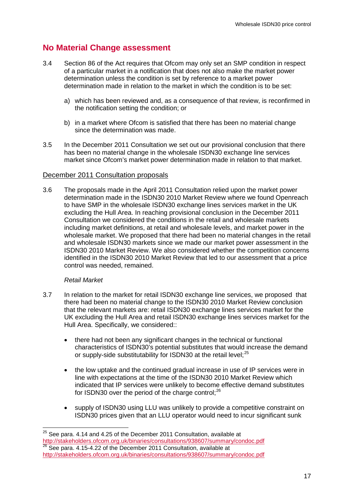# **No Material Change assessment**

- 3.4 Section 86 of the Act requires that Ofcom may only set an SMP condition in respect of a particular market in a notification that does not also make the market power determination unless the condition is set by reference to a market power determination made in relation to the market in which the condition is to be set:
	- a) which has been reviewed and, as a consequence of that review, is reconfirmed in the notification setting the condition; or
	- b) in a market where Ofcom is satisfied that there has been no material change since the determination was made.
- 3.5 In the December 2011 Consultation we set out our provisional conclusion that there has been no material change in the wholesale ISDN30 exchange line services market since Ofcom's market power determination made in relation to that market.

#### December 2011 Consultation proposals

3.6 The proposals made in the April 2011 Consultation relied upon the market power determination made in the ISDN30 2010 Market Review where we found Openreach to have SMP in the wholesale ISDN30 exchange lines services market in the UK excluding the Hull Area. In reaching provisional conclusion in the December 2011 Consultation we considered the conditions in the retail and wholesale markets including market definitions, at retail and wholesale levels, and market power in the wholesale market. We proposed that there had been no material changes in the retail and wholesale ISDN30 markets since we made our market power assessment in the ISDN30 2010 Market Review. We also considered whether the competition concerns identified in the ISDN30 2010 Market Review that led to our assessment that a price control was needed, remained.

#### *Retail Market*

- 3.7 In relation to the market for retail ISDN30 exchange line services, we proposed that there had been no material change to the ISDN30 2010 Market Review conclusion that the relevant markets are: retail ISDN30 exchange lines services market for the UK excluding the Hull Area and retail ISDN30 exchange lines services market for the Hull Area. Specifically, we considered::
	- there had not been any significant changes in the technical or functional characteristics of ISDN30's potential substitutes that would increase the demand or supply-side substitutability for ISDN30 at the retail level;<sup>[25](#page-18-2)</sup>
	- the low uptake and the continued gradual increase in use of IP services were in line with expectations at the time of the ISDN30 2010 Market Review which indicated that IP services were unlikely to become effective demand substitutes for ISDN30 over the period of the charge control; $^{26}$  $^{26}$  $^{26}$
	- supply of ISDN30 using LLU was unlikely to provide a competitive constraint on ISDN30 prices given that an LLU operator would need to incur significant sunk

<span id="page-19-1"></span><span id="page-19-0"></span> $25$  See para. 4.14 and 4.25 of the December 2011 Consultation, available at <http://stakeholders.ofcom.org.uk/binaries/consultations/938607/summary/condoc.pdf>  $26$  See para. 4.15-4.22 of the December 2011 Consultation, available at <http://stakeholders.ofcom.org.uk/binaries/consultations/938607/summary/condoc.pdf>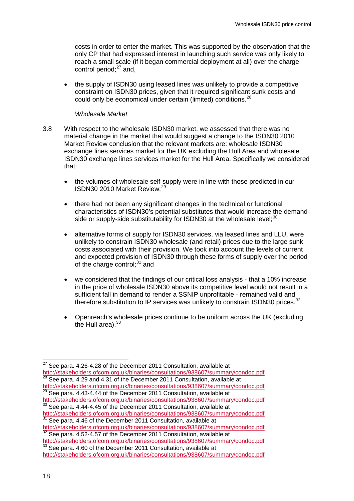costs in order to enter the market. This was supported by the observation that the only CP that had expressed interest in launching such service was only likely to reach a small scale (if it began commercial deployment at all) over the charge control period: $27$  and,

• the supply of ISDN30 using leased lines was unlikely to provide a competitive constraint on ISDN30 prices, given that it required significant sunk costs and could only be economical under certain (limited) conditions.<sup>[28](#page-20-0)</sup>

#### *Wholesale Market*

- 3.8 With respect to the wholesale ISDN30 market, we assessed that there was no material change in the market that would suggest a change to the ISDN30 2010 Market Review conclusion that the relevant markets are: wholesale ISDN30 exchange lines services market for the UK excluding the Hull Area and wholesale ISDN30 exchange lines services market for the Hull Area. Specifically we considered that:
	- the volumes of wholesale self-supply were in line with those predicted in our ISDN30 2010 Market Review;<sup>[29](#page-20-0)</sup>
	- there had not been any significant changes in the technical or functional characteristics of ISDN30's potential substitutes that would increase the demand-side or supply-side substitutability for ISDN[30](#page-20-0) at the wholesale level; $^{30}$
	- alternative forms of supply for ISDN30 services, via leased lines and LLU, were unlikely to constrain ISDN30 wholesale (and retail) prices due to the large sunk costs associated with their provision. We took into account the levels of current and expected provision of ISDN30 through these forms of supply over the period of the charge control; $31$  and
	- we considered that the findings of our critical loss analysis that a 10% increase in the price of wholesale ISDN30 above its competitive level would not result in a sufficient fall in demand to render a SSNIP unprofitable - remained valid and therefore substitution to IP services was unlikely to constrain ISDN30 prices.<sup>[32](#page-20-0)</sup>
	- Openreach's wholesale prices continue to be uniform across the UK (excluding the Hull area). $33$

<span id="page-20-1"></span><span id="page-20-0"></span> $27$  See para. 4.26-4.28 of the December 2011 Consultation, available at <http://stakeholders.ofcom.org.uk/binaries/consultations/938607/summary/condoc.pdf> See para. 4.29 and 4.31 of the December 2011 Consultation, available at

<http://stakeholders.ofcom.org.uk/binaries/consultations/938607/summary/condoc.pdf>  $29$  See para. 4.43-4.44 of the December 2011 Consultation, available at

<http://stakeholders.ofcom.org.uk/binaries/consultations/938607/summary/condoc.pdf> <sup>30</sup> See para. 4.44-4.45 of the December 2011 Consultation, available at

<http://stakeholders.ofcom.org.uk/binaries/consultations/938607/summary/condoc.pdf> <sup>31</sup> See para. 4.46 of the December 2011 Consultation, available at

<http://stakeholders.ofcom.org.uk/binaries/consultations/938607/summary/condoc.pdf>  $32$  See para. 4.52-4.57 of the December 2011 Consultation, available at

<http://stakeholders.ofcom.org.uk/binaries/consultations/938607/summary/condoc.pdf> <sup>33</sup> See para. 4.60 of the December 2011 Consultation, available at <http://stakeholders.ofcom.org.uk/binaries/consultations/938607/summary/condoc.pdf>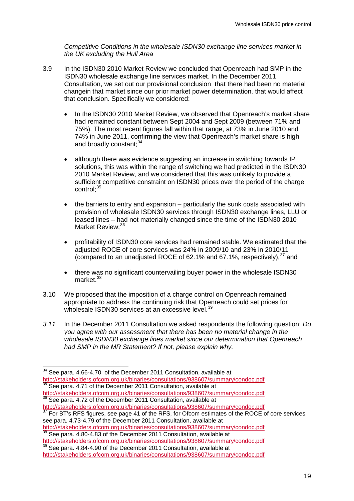*Competitive Conditions in the wholesale ISDN30 exchange line services market in the UK excluding the Hull Area*

- 3.9 In the ISDN30 2010 Market Review we concluded that Openreach had SMP in the ISDN30 wholesale exchange line services market. In the December 2011 Consultation, we set out our provisional conclusion that there had been no material changein that market since our prior market power determination. that would affect that conclusion. Specifically we considered:
	- In the ISDN30 2010 Market Review, we observed that Openreach's market share had remained constant between Sept 2004 and Sept 2009 (between 71% and 75%). The most recent figures fall within that range, at 73% in June 2010 and 74% in June 2011, confirming the view that Openreach's market share is high and broadly constant: [34](#page-20-1)
	- although there was evidence suggesting an increase in switching towards IP solutions, this was within the range of switching we had predicted in the ISDN30 2010 Market Review, and we considered that this was unlikely to provide a sufficient competitive constraint on ISDN30 prices over the period of the charge control: [35](#page-21-0)
	- the barriers to entry and expansion particularly the sunk costs associated with provision of wholesale ISDN30 services through ISDN30 exchange lines, LLU or leased lines – had not materially changed since the time of the ISDN30 2010 Market Review: [36](#page-21-0)
	- profitability of ISDN30 core services had remained stable. We estimated that the adjusted ROCE of core services was 24% in 2009/10 and 23% in 2010/11 (compared to an unadjusted ROCE of 62.1% and 67.1%, respectively),  $37$  and
	- there was no significant countervailing buyer power in the wholesale ISDN30 market $38$
- 3.10 We proposed that the imposition of a charge control on Openreach remained appropriate to address the continuing risk that Openreach could set prices for wholesale ISDN30 services at an excessive level.<sup>[39](#page-21-0)</sup>
- *3.11* In the December 2011 Consultation we asked respondents the following question: *Do you agree with our assessment that there has been no material change in the wholesale ISDN30 exchange lines market since our determination that Openreach had SMP in the MR Statement? If not, please explain why.*

 $36$  See para. 4.72 of the December 2011 Consultation, available at <http://stakeholders.ofcom.org.uk/binaries/consultations/938607/summary/condoc.pdf>

<span id="page-21-1"></span>For BT's RFS figures, see page 41 of the RFS, for Ofcom estimates of the ROCE of core services see para. 4.73-4.79 of the December 2011 Consultation, available at

<http://stakeholders.ofcom.org.uk/binaries/consultations/938607/summary/condoc.pdf> <sup>38</sup> See para. 4.80-4.83 of the December 2011 Consultation, available at

<http://stakeholders.ofcom.org.uk/binaries/consultations/938607/summary/condoc.pdf> <sup>39</sup> See para. 4.84-4.90 of the December 2011 Consultation, available at

<span id="page-21-0"></span><sup>&</sup>lt;sup>34</sup> See para. 4.66-4.70 of the December 2011 Consultation, available at <http://stakeholders.ofcom.org.uk/binaries/consultations/938607/summary/condoc.pdf>  $35$  See para. 4.71 of the December 2011 Consultation, available at <http://stakeholders.ofcom.org.uk/binaries/consultations/938607/summary/condoc.pdf>

<http://stakeholders.ofcom.org.uk/binaries/consultations/938607/summary/condoc.pdf>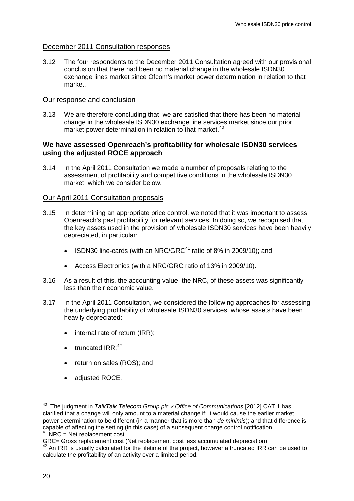### December 2011 Consultation responses

3.12 The four respondents to the December 2011 Consultation agreed with our provisional conclusion that there had been no material change in the wholesale ISDN30 exchange lines market since Ofcom's market power determination in relation to that market.

#### Our response and conclusion

3.13 We are therefore concluding that we are satisfied that there has been no material change in the wholesale ISDN30 exchange line services market since our prior market power determination in relation to that market.<sup>[40](#page-21-1)</sup>

#### **We have assessed Openreach's profitability for wholesale ISDN30 services using the adjusted ROCE approach**

3.14 In the April 2011 Consultation we made a number of proposals relating to the assessment of profitability and competitive conditions in the wholesale ISDN30 market, which we consider below.

#### Our April 2011 Consultation proposals

- 3.15 In determining an appropriate price control, we noted that it was important to assess Openreach's past profitability for relevant services. In doing so, we recognised that the key assets used in the provision of wholesale ISDN30 services have been heavily depreciated, in particular:
	- ISDN30 line-cards (with an NRC/GRC<sup>[41](#page-22-0)</sup> ratio of 8% in 2009/10); and
	- Access Electronics (with a NRC/GRC ratio of 13% in 2009/10).
- 3.16 As a result of this, the accounting value, the NRC, of these assets was significantly less than their economic value.
- 3.17 In the April 2011 Consultation, we considered the following approaches for assessing the underlying profitability of wholesale ISDN30 services, whose assets have been heavily depreciated:
	- internal rate of return (IRR);
	- $\bullet$  truncated IRR;<sup>[42](#page-22-0)</sup>
	- return on sales (ROS); and
	- adjusted ROCE.

<span id="page-22-0"></span> <sup>40</sup> The judgment in *TalkTalk Telecom Group plc v Office of Communications* [2012] CAT 1 has clarified that a change will only amount to a material change if: it would cause the earlier market power determination to be different (in a manner that is more than *de minimis*); and that difference is capable of affecting the setting (in this case) of a subsequent charge control notification.

 $NRC = Net$  replacement cost

<span id="page-22-1"></span>GRC= Gross replacement cost (Net replacement cost less accumulated depreciation)

<sup>&</sup>lt;sup>42</sup> An IRR is usually calculated for the lifetime of the project, however a truncated IRR can be used to calculate the profitability of an activity over a limited period.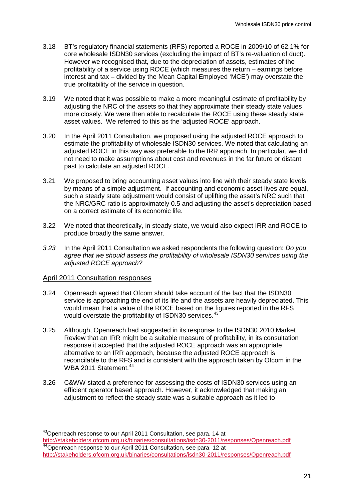- 3.18 BT's regulatory financial statements (RFS) reported a ROCE in 2009/10 of 62.1% for core wholesale ISDN30 services (excluding the impact of BT's re-valuation of duct). However we recognised that, due to the depreciation of assets, estimates of the profitability of a service using ROCE (which measures the return – earnings before interest and tax – divided by the Mean Capital Employed 'MCE') may overstate the true profitability of the service in question.
- 3.19 We noted that it was possible to make a more meaningful estimate of profitability by adjusting the NRC of the assets so that they approximate their steady state values more closely. We were then able to recalculate the ROCE using these steady state asset values. We referred to this as the 'adjusted ROCE' approach.
- 3.20 In the April 2011 Consultation, we proposed using the adjusted ROCE approach to estimate the profitability of wholesale ISDN30 services. We noted that calculating an adjusted ROCE in this way was preferable to the IRR approach. In particular, we did not need to make assumptions about cost and revenues in the far future or distant past to calculate an adjusted ROCE.
- 3.21 We proposed to bring accounting asset values into line with their steady state levels by means of a simple adjustment. If accounting and economic asset lives are equal, such a steady state adjustment would consist of uplifting the asset's NRC such that the NRC/GRC ratio is approximately 0.5 and adjusting the asset's depreciation based on a correct estimate of its economic life.
- 3.22 We noted that theoretically, in steady state, we would also expect IRR and ROCE to produce broadly the same answer.
- *3.23* In the April 2011 Consultation we asked respondents the following question: *Do you agree that we should assess the profitability of wholesale ISDN30 services using the adjusted ROCE approach?*

#### April 2011 Consultation responses

- 3.24 Openreach agreed that Ofcom should take account of the fact that the ISDN30 service is approaching the end of its life and the assets are heavily depreciated. This would mean that a value of the ROCE based on the figures reported in the RFS would overstate the profitability of ISDN30 services.<sup>[43](#page-22-1)</sup>
- 3.25 Although, Openreach had suggested in its response to the ISDN30 2010 Market Review that an IRR might be a suitable measure of profitability, in its consultation response it accepted that the adjusted ROCE approach was an appropriate alternative to an IRR approach, because the adjusted ROCE approach is reconcilable to the RFS and is consistent with the approach taken by Ofcom in the WBA 2011 Statement.<sup>[44](#page-23-0)</sup>
- 3.26 C&WW stated a preference for assessing the costs of ISDN30 services using an efficient operator based approach. However, it acknowledged that making an adjustment to reflect the steady state was a suitable approach as it led to

<span id="page-23-1"></span><span id="page-23-0"></span><sup>&</sup>lt;sup>43</sup> Openreach response to our April 2011 Consultation, see para, 14 at <http://stakeholders.ofcom.org.uk/binaries/consultations/isdn30-2011/responses/Openreach.pdf> <sup>44</sup>Openreach response to our April 2011 Consultation, see para. 12 at <http://stakeholders.ofcom.org.uk/binaries/consultations/isdn30-2011/responses/Openreach.pdf>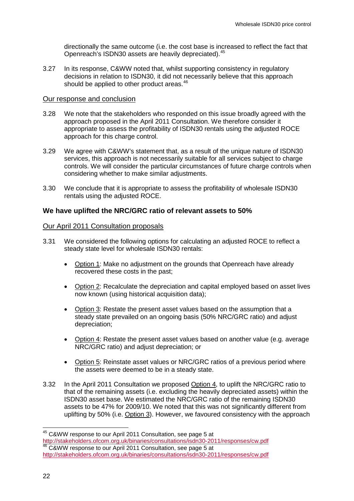directionally the same outcome (i.e. the cost base is increased to reflect the fact that Openreach's ISDN30 assets are heavily depreciated).[45](#page-23-1)

3.27 In its response, C&WW noted that, whilst supporting consistency in regulatory decisions in relation to ISDN30, it did not necessarily believe that this approach should be applied to other product areas.<sup>[46](#page-24-0)</sup>

#### Our response and conclusion

- 3.28 We note that the stakeholders who responded on this issue broadly agreed with the approach proposed in the April 2011 Consultation. We therefore consider it appropriate to assess the profitability of ISDN30 rentals using the adjusted ROCE approach for this charge control.
- 3.29 We agree with C&WW's statement that, as a result of the unique nature of ISDN30 services, this approach is not necessarily suitable for all services subject to charge controls. We will consider the particular circumstances of future charge controls when considering whether to make similar adjustments.
- 3.30 We conclude that it is appropriate to assess the profitability of wholesale ISDN30 rentals using the adjusted ROCE.

#### **We have uplifted the NRC/GRC ratio of relevant assets to 50%**

#### Our April 2011 Consultation proposals

- 3.31 We considered the following options for calculating an adjusted ROCE to reflect a steady state level for wholesale ISDN30 rentals:
	- Option 1: Make no adjustment on the grounds that Openreach have already recovered these costs in the past;
	- Option 2: Recalculate the depreciation and capital employed based on asset lives now known (using historical acquisition data);
	- Option 3: Restate the present asset values based on the assumption that a steady state prevailed on an ongoing basis (50% NRC/GRC ratio) and adjust depreciation;
	- Option 4: Restate the present asset values based on another value (e.g. average NRC/GRC ratio) and adjust depreciation; or
	- Option 5: Reinstate asset values or NRC/GRC ratios of a previous period where the assets were deemed to be in a steady state.
- 3.32 In the April 2011 Consultation we proposed Option 4, to uplift the NRC/GRC ratio to that of the remaining assets (i.e. excluding the heavily depreciated assets) within the ISDN30 asset base. We estimated the NRC/GRC ratio of the remaining ISDN30 assets to be 47% for 2009/10. We noted that this was not significantly different from uplifting by 50% (i.e. Option 3). However, we favoured consistency with the approach

<span id="page-24-1"></span><span id="page-24-0"></span><sup>&</sup>lt;sup>45</sup> C&WW response to our April 2011 Consultation, see page 5 at<br>http://stakeholders.ofcom.org.uk/binaries/consultations/isdn30-2011/responses/cw.pdf  $\frac{46}{16}$  C&WW response to our April 2011 Consultation, see page 5 at <http://stakeholders.ofcom.org.uk/binaries/consultations/isdn30-2011/responses/cw.pdf>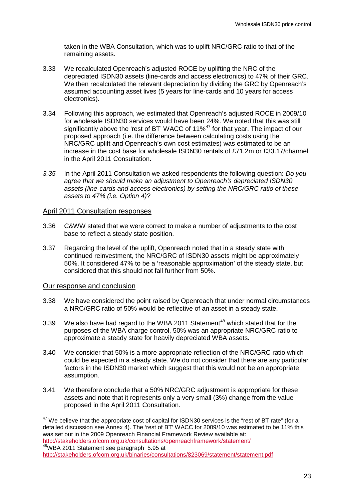taken in the WBA Consultation, which was to uplift NRC/GRC ratio to that of the remaining assets.

- 3.33 We recalculated Openreach's adjusted ROCE by uplifting the NRC of the depreciated ISDN30 assets (line-cards and access electronics) to 47% of their GRC. We then recalculated the relevant depreciation by dividing the GRC by Openreach's assumed accounting asset lives (5 years for line-cards and 10 years for access electronics).
- 3.34 Following this approach, we estimated that Openreach's adjusted ROCE in 2009/10 for wholesale ISDN30 services would have been 24%. We noted that this was still significantly above the 'rest of BT' WACC of 11%<sup>[47](#page-24-1)</sup> for that year. The impact of our proposed approach (i.e. the difference between calculating costs using the NRC/GRC uplift and Openreach's own cost estimates) was estimated to be an increase in the cost base for wholesale ISDN30 rentals of £71.2m or £33.17/channel in the April 2011 Consultation.
- *3.35* In the April 2011 Consultation we asked respondents the following question: *Do you agree that we should make an adjustment to Openreach's depreciated ISDN30 assets (line-cards and access electronics) by setting the NRC/GRC ratio of these assets to 47% (i.e. Option 4)?*

#### April 2011 Consultation responses

- 3.36 C&WW stated that we were correct to make a number of adjustments to the cost base to reflect a steady state position.
- 3.37 Regarding the level of the uplift, Openreach noted that in a steady state with continued reinvestment, the NRC/GRC of ISDN30 assets might be approximately 50%. It considered 47% to be a 'reasonable approximation' of the steady state, but considered that this should not fall further from 50%.

#### Our response and conclusion

- 3.38 We have considered the point raised by Openreach that under normal circumstances a NRC/GRC ratio of 50% would be reflective of an asset in a steady state.
- 3.39 We also have had regard to the WBA 2011 Statement<sup>[48](#page-25-0)</sup> which stated that for the purposes of the WBA charge control, 50% was an appropriate NRC/GRC ratio to approximate a steady state for heavily depreciated WBA assets.
- <span id="page-25-1"></span>3.40 We consider that 50% is a more appropriate reflection of the NRC/GRC ratio which could be expected in a steady state. We do not consider that there are any particular factors in the ISDN30 market which suggest that this would not be an appropriate assumption.
- 3.41 We therefore conclude that a 50% NRC/GRC adjustment is appropriate for these assets and note that it represents only a very small (3%) change from the value proposed in the April 2011 Consultation.

<span id="page-25-0"></span> $47$  We believe that the appropriate cost of capital for ISDN30 services is the "rest of BT rate" (for a detailed discussion see Annex 4). The 'rest of BT' WACC for 2009/10 was estimated to be 11% this was set out in the 2009 Openreach Financial Framework Review available at: <http://stakeholders.ofcom.org.uk/consultations/openreachframework/statement/>

<sup>48</sup>WBA 2011 Statement see paragraph 5.95 at <http://stakeholders.ofcom.org.uk/binaries/consultations/823069/statement/statement.pdf>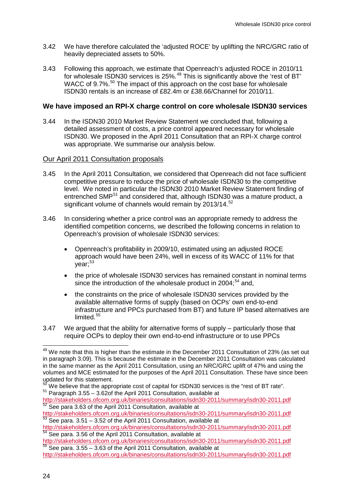- 3.42 We have therefore calculated the 'adjusted ROCE' by uplifting the NRC/GRC ratio of heavily depreciated assets to 50%.
- 3.43 Following this approach, we estimate that Openreach's adjusted ROCE in 2010/11 for wholesale ISDN30 services is 25%.[49](#page-25-1) This is significantly above the 'rest of BT' WACC of 9.7%.<sup>[50](#page-26-0)</sup> The impact of this approach on the cost base for wholesale ISDN30 rentals is an increase of £82.4m or £38.66/Channel for 2010/11.

#### **We have imposed an RPI-X charge control on core wholesale ISDN30 services**

3.44 In the ISDN30 2010 Market Review Statement we concluded that, following a detailed assessment of costs, a price control appeared necessary for wholesale ISDN30. We proposed in the April 2011 Consultation that an RPI-X charge control was appropriate. We summarise our analysis below.

#### Our April 2011 Consultation proposals

- 3.45 In the April 2011 Consultation, we considered that Openreach did not face sufficient competitive pressure to reduce the price of wholesale ISDN30 to the competitive level. We noted in particular the ISDN30 2010 Market Review Statement finding of entrenched SMP<sup>[51](#page-26-0)</sup> and considered that, although ISDN30 was a mature product, a significant volume of channels would remain by 2013/14.<sup>[52](#page-26-0)</sup>
- 3.46 In considering whether a price control was an appropriate remedy to address the identified competition concerns, we described the following concerns in relation to Openreach's provision of wholesale ISDN30 services:
	- Openreach's profitability in 2009/10, estimated using an adjusted ROCE approach would have been 24%, well in excess of its WACC of 11% for that  $vear:$ <sup>[53](#page-26-0)</sup>
	- the price of wholesale ISDN30 services has remained constant in nominal terms since the introduction of the wholesale product in  $2004$ ;<sup>[54](#page-26-0)</sup> and,
	- the constraints on the price of wholesale ISDN30 services provided by the available alternative forms of supply (based on OCPs' own end-to-end infrastructure and PPCs purchased from BT) and future IP based alternatives are limited.<sup>[55](#page-26-0)</sup>
- 3.47 We argued that the ability for alternative forms of supply particularly those that require OCPs to deploy their own end-to-end infrastructure or to use PPCs

<span id="page-26-0"></span><sup>&</sup>lt;sup>49</sup> We note that this is higher than the estimate in the December 2011 Consultation of 23% (as set out in paragraph 3.09). This is because the estimate in the December 2011 Consultation was calculated in the same manner as the April 2011 Consultation, using an NRC/GRC uplift of 47% and using the volumes and MCE estimated for the purposes of the April 2011 Consultation. These have since been updated for this statement.<br><sup>50</sup> We believe that the appropriate cost of capital for ISDN30 services is the "rest of BT rate".

 $51$  Paragraph 3.55 – 3.62of the April 2011 Consultation, available at

<span id="page-26-1"></span><http://stakeholders.ofcom.org.uk/binaries/consultations/isdn30-2011/summary/isdn30-2011.pdf><br>
<sup>52</sup> See para 3.63 of the April 2011 Consultation, available at<br>
http://stakeholders.ofcom.org.uk/binaries/consultations/isdn30-2

 $\frac{53}{53}$  See para. 3.51 – 3.52 of the April 2011 Consultation, available at

<http://stakeholders.ofcom.org.uk/binaries/consultations/isdn30-2011/summary/isdn30-2011.pdf><br>
<sup>54</sup> See para. 3.56 of the April 2011 Consultation, available at<br>
http://stakeholders.ofcom.org.uk/binaries/consultations/isdn30-

 $\frac{55}{55}$  See para. 3.55 – 3.63 of the April 2011 Consultation, available at

<http://stakeholders.ofcom.org.uk/binaries/consultations/isdn30-2011/summary/isdn30-2011.pdf>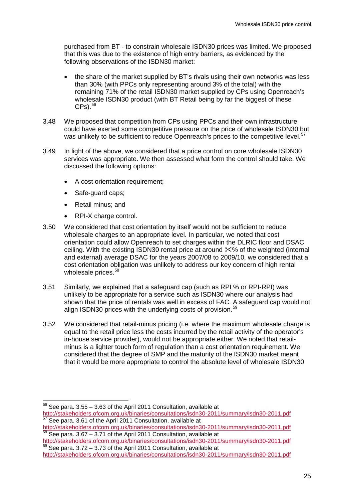purchased from BT - to constrain wholesale ISDN30 prices was limited. We proposed that this was due to the existence of high entry barriers, as evidenced by the following observations of the ISDN30 market:

- the share of the market supplied by BT's rivals using their own networks was less than 30% (with PPCs only representing around 3% of the total) with the remaining 71% of the retail ISDN30 market supplied by CPs using Openreach's wholesale ISDN30 product (with BT Retail being by far the biggest of these  $CPs$ ).  $56$
- 3.48 We proposed that competition from CPs using PPCs and their own infrastructure could have exerted some competitive pressure on the price of wholesale ISDN30 but was unlikely to be sufficient to reduce Openreach's prices to the competitive level.<sup>[57](#page-27-0)</sup>
- 3.49 In light of the above, we considered that a price control on core wholesale ISDN30 services was appropriate. We then assessed what form the control should take. We discussed the following options:
	- A cost orientation requirement;
	- Safe-guard caps;
	- Retail minus; and
	- RPI-X charge control.
- 3.50 We considered that cost orientation by itself would not be sufficient to reduce wholesale charges to an appropriate level. In particular, we noted that cost orientation could allow Openreach to set charges within the DLRIC floor and DSAC ceiling. With the existing ISDN30 rental price at around  $\frac{1}{2}$  of the weighted (internal and external) average DSAC for the years 2007/08 to 2009/10, we considered that a cost orientation obligation was unlikely to address our key concern of high rental wholesale prices.<sup>[58](#page-27-0)</sup>
- <span id="page-27-2"></span>3.51 Similarly, we explained that a safeguard cap (such as RPI % or RPI-RPI) was unlikely to be appropriate for a service such as ISDN30 where our analysis had shown that the price of rentals was well in excess of FAC. A safeguard cap would not align ISDN30 prices with the underlying costs of provision.<sup>[59](#page-27-0)</sup>
- 3.52 We considered that retail-minus pricing (i.e. where the maximum wholesale charge is equal to the retail price less the costs incurred by the retail activity of the operator's in-house service provider), would not be appropriate either. We noted that retailminus is a lighter touch form of regulation than a cost orientation requirement. We considered that the degree of SMP and the maturity of the ISDN30 market meant that it would be more appropriate to control the absolute level of wholesale ISDN30

<span id="page-27-1"></span><span id="page-27-0"></span> $56$  See para.  $3.55 - 3.63$  of the April 2011 Consultation, available at <http://stakeholders.ofcom.org.uk/binaries/consultations/isdn30-2011/summary/isdn30-2011.pdf> 57 See para. 3.61 of the April 2011 Consultation, available at

<http://stakeholders.ofcom.org.uk/binaries/consultations/isdn30-2011/summary/isdn30-2011.pdf>

 $58$  See para.  $3.67 - 3.71$  of the April 2011 Consultation, available at <http://stakeholders.ofcom.org.uk/binaries/consultations/isdn30-2011/summary/isdn30-2011.pdf><br><sup>59</sup> See para. 3.72 – 3.73 of the April 2011 Consultation, available at

<http://stakeholders.ofcom.org.uk/binaries/consultations/isdn30-2011/summary/isdn30-2011.pdf>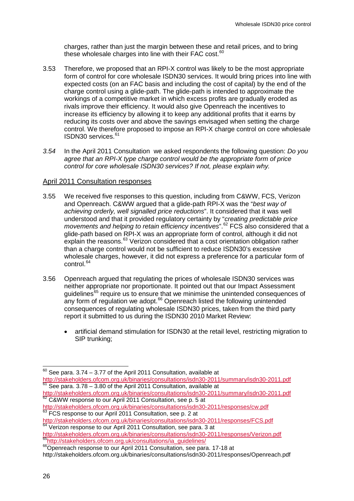charges, rather than just the margin between these and retail prices, and to bring these wholesale charges into line with their FAC cost.<sup>[60](#page-27-1)</sup>

- <span id="page-28-3"></span>3.53 Therefore, we proposed that an RPI-X control was likely to be the most appropriate form of control for core wholesale ISDN30 services. It would bring prices into line with expected costs (on an FAC basis and including the cost of capital) by the end of the charge control using a glide-path. The glide-path is intended to approximate the workings of a competitive market in which excess profits are gradually eroded as rivals improve their efficiency. It would also give Openreach the incentives to increase its efficiency by allowing it to keep any additional profits that it earns by reducing its costs over and above the savings envisaged when setting the charge control. We therefore proposed to impose an RPI-X charge control on core wholesale ISDN30 services.<sup>[61](#page-28-0)</sup>
- *3.54* In the April 2011 Consultation we asked respondents the following question: *Do you agree that an RPI-X type charge control would be the appropriate form of price control for core wholesale ISDN30 services? If not, please explain why.*

#### April 2011 Consultation responses

- 3.55 We received five responses to this question, including from C&WW, FCS, Verizon and Openreach. C&WW argued that a glide-path RPI-X was the "*best way of achieving orderly, well signalled price reductions*". It considered that it was well understood and that it provided regulatory certainty by "*creating predictable price movements and helping to retain efficiency incentives*".[62](#page-28-0) FCS also considered that a glide-path based on RPI-X was an appropriate form of control, although it did not explain the reasons.<sup>[63](#page-28-0)</sup> Verizon considered that a cost orientation obligation rather than a charge control would not be sufficient to reduce ISDN30's excessive wholesale charges, however, it did not express a preference for a particular form of control.<sup>[64](#page-28-0)</sup>
- <span id="page-28-2"></span>3.56 Openreach argued that regulating the prices of wholesale ISDN30 services was neither appropriate nor proportionate. It pointed out that our Impact Assessment guidelines<sup>[65](#page-28-0)</sup> require us to ensure that we minimise the unintended consequences of any form of regulation we adopt. $66$  Openreach listed the following unintended consequences of regulating wholesale ISDN30 prices, taken from the third party report it submitted to us during the ISDN30 2010 Market Review:
	- artificial demand stimulation for ISDN30 at the retail level, restricting migration to SIP trunking;

 $\frac{64}{64}$  Verizon response to our April 2011 Consultation, see para. 3 at

<http://stakeholders.ofcom.org.uk/binaries/consultations/isdn30-2011/responses/Verizon.pdf><br>
<sup>65</sup>http://stakeholders.ofcom.org.uk/consultations/ia\_guidelines/<br>
<sup>66</sup>Openreach response to our April 2011 Consultation, see para.

<span id="page-28-1"></span><span id="page-28-0"></span> $60$  See para. 3.74 – 3.77 of the April 2011 Consultation, available at http://stakeholders.ofcom.org.uk/binaries/consultations/isdn30-2011/summary/isdn30-2011.pdf http://stat.com.org.uk/binaries/isdnamary/isdnamary/isdnamary/isdnamary/isdnamary/isdnamary/isdnamary/isdnamary/isdnamary/isdnamary/isdnamary/isdnamary/isdnamary/isdnamary/isdnamary/isdnamary/isdnamary/isdnamary/isdnamary/

<http://stakeholders.ofcom.org.uk/binaries/consultations/isdn30-2011/summary/isdn30-2011.pdf> <sup>62</sup> C&WW response to our April 2011 Consultation, see p. 5 at

<http://stakeholders.ofcom.org.uk/binaries/consultations/isdn30-2011/responses/cw.pdf><br>
<sup>63</sup> FCS response to our April 2011 Consultation, see p. 2 at<br>
http://stakeholders.ofcom.org.uk/binaries/consultations/isdn30-2011/respo

<http://stakeholders.ofcom.org.uk/binaries/consultations/isdn30-2011/responses/Openreach.pdf>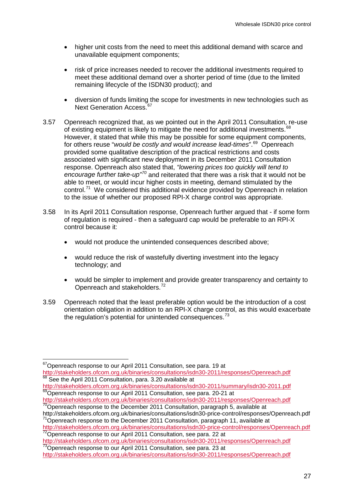- higher unit costs from the need to meet this additional demand with scarce and unavailable equipment components;
- risk of price increases needed to recover the additional investments required to meet these additional demand over a shorter period of time (due to the limited remaining lifecycle of the ISDN30 product); and
- diversion of funds limiting the scope for investments in new technologies such as Next Generation Access.<sup>6</sup>
- <span id="page-29-1"></span>3.57 Openreach recognized that, as we pointed out in the April 2011 Consultation, re-use of existing equipment is likely to mitigate the need for additional investments.<sup>[68](#page-29-0)</sup> However, it stated that while this may be possible for some equipment components, for others reuse "*would be costly and would increase lead-times*".[69](#page-29-0) Openreach provided some qualitative description of the practical restrictions and costs associated with significant new deployment in its December 2011 Consultation response. Openreach also stated that, *"lowering prices too quickly will tend to encourage further take-up" [70](#page-29-0)* and reiterated that there was a risk that it would not be able to meet, or would incur higher costs in meeting, demand stimulated by the control.<sup>[71](#page-29-0)</sup> We considered this additional evidence provided by Openreach in relation to the issue of whether our proposed RPI-X charge control was appropriate.
- 3.58 In its April 2011 Consultation response, Openreach further argued that if some form of regulation is required - then a safeguard cap would be preferable to an RPI-X control because it:
	- would not produce the unintended consequences described above;
	- would reduce the risk of wastefully diverting investment into the legacy technology; and
	- would be simpler to implement and provide greater transparency and certainty to Openreach and stakeholders.<sup>[72](#page-29-0)</sup>
- 3.59 Openreach noted that the least preferable option would be the introduction of a cost orientation obligation in addition to an RPI-X charge control, as this would exacerbate the regulation's potential for unintended consequences. $73$

<http://stakeholders.ofcom.org.uk/binaries/consultations/isdn30-price-control/responses/Openreach.pdf><br><sup>72</sup>Openreach response to our April 2011 Consultation, see para. 22 at<br>http://stakeholders.ofcom.org.uk/binaries/consulta

<span id="page-29-2"></span><sup>73</sup>Openreach response to our April 2011 Consultation, see para. 23 at

<sup>&</sup>lt;sup>67</sup>Openreach response to our April 2011 Consultation, see para. 19 at

<span id="page-29-0"></span><http://stakeholders.ofcom.org.uk/binaries/consultations/isdn30-2011/responses/Openreach.pdf> 68 See the April 2011 Consultation, para. 3.20 available at

<http://stakeholders.ofcom.org.uk/binaries/consultations/isdn30-2011/summary/isdn30-2011.pdf><br><sup>69</sup>Openreach response to our April 2011 Consultation, see para. 20-21 at<br>http://stakeholders.ofcom.org.uk/binaries/consultations/

 $\frac{1}{70}$ Openreach response to the December 2011 Consultation, paragraph 5, available at http://stakeholders.ofcom.org.uk/binaries/consultations/isdn30-price-control/responses/Openreach.pdf

 $171$ Openreach response to the December 2011 Consultation, paragraph 11, available at

<http://stakeholders.ofcom.org.uk/binaries/consultations/isdn30-2011/responses/Openreach.pdf>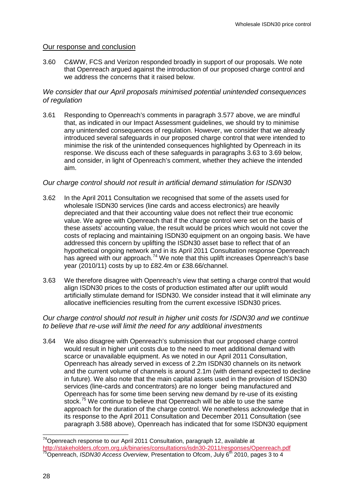#### Our response and conclusion

3.60 C&WW, FCS and Verizon responded broadly in support of our proposals. We note that Openreach argued against the introduction of our proposed charge control and we address the concerns that it raised below.

### *We consider that our April proposals minimised potential unintended consequences of regulation*

3.61 Responding to Openreach's comments in paragraph [3.577](#page-28-2) above, we are mindful that, as indicated in our Impact Assessment guidelines, we should try to minimise any unintended consequences of regulation. However, we consider that we already introduced several safeguards in our proposed charge control that were intended to minimise the risk of the unintended consequences highlighted by Openreach in its response. We discuss each of these safeguards in paragraphs [3.63](#page-30-0) to [3.69](#page-31-0) below, and consider, in light of Openreach's comment, whether they achieve the intended aim.

#### *Our charge control should not result in artificial demand stimulation for ISDN30*

- <span id="page-30-0"></span>3.62 In the April 2011 Consultation we recognised that some of the assets used for wholesale ISDN30 services (line cards and access electronics) are heavily depreciated and that their accounting value does not reflect their true economic value. We agree with Openreach that if the charge control were set on the basis of these assets' accounting value, the result would be prices which would not cover the costs of replacing and maintaining ISDN30 equipment on an ongoing basis. We have addressed this concern by uplifting the ISDN30 asset base to reflect that of an hypothetical ongoing network and in its April 2011 Consultation response Openreach has agreed with our approach.<sup>[74](#page-29-2)</sup> We note that this uplift increases Openreach's base year (2010/11) costs by up to £82.4m or £38.66/channel.
- 3.63 We therefore disagree with Openreach's view that setting a charge control that would align ISDN30 prices to the costs of production estimated after our uplift would artificially stimulate demand for ISDN30. We consider instead that it will eliminate any allocative inefficiencies resulting from the current excessive ISDN30 prices.

#### *Our charge control should not result in higher unit costs for ISDN30 and we continue to believe that re-use will limit the need for any additional investments*

3.64 We also disagree with Openreach's submission that our proposed charge control would result in higher unit costs due to the need to meet additional demand with scarce or unavailable equipment. As we noted in our April 2011 Consultation, Openreach has already served in excess of 2.2m ISDN30 channels on its network and the current volume of channels is around 2.1m (with demand expected to decline in future). We also note that the main capital assets used in the provision of ISDN30 services (line-cards and concentrators) are no longer being manufactured and Openreach has for some time been serving new demand by re-use of its existing stock.<sup>[75](#page-30-1)</sup> We continue to believe that Openreach will be able to use the same approach for the duration of the charge control. We nonetheless acknowledge that in its response to the April 2011 Consultation and December 2011 Consultation (see paragraph [3.588](#page-29-1) above), Openreach has indicated that for some ISDN30 equipment

<span id="page-30-2"></span><span id="page-30-1"></span> <sup>74</sup>Openreach response to our April 2011 Consultation, paragraph 12, available at <http://stakeholders.ofcom.org.uk/binaries/consultations/isdn30-2011/responses/Openreach.pdf><br><sup>75</sup>Openreach, *ISDN30 Access Overview*, Presentation to Ofcom, July 6<sup>th</sup> 2010, pages 3 to 4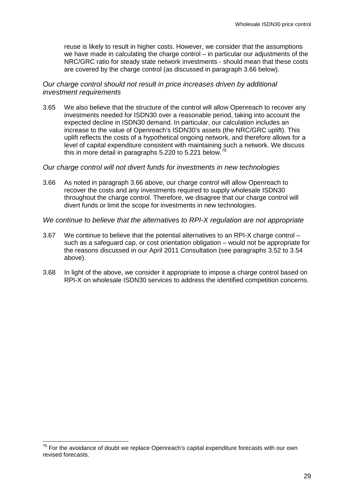reuse is likely to result in higher costs. However, we consider that the assumptions we have made in calculating the charge control – in particular our adjustments of the NRC/GRC ratio for steady state network investments - should mean that these costs are covered by the charge control (as discussed in paragraph 3.66 below).

#### *Our charge control should not result in price increases driven by additional investment requirements*

<span id="page-31-1"></span>3.65 We also believe that the structure of the control will allow Openreach to recover any investments needed for ISDN30 over a reasonable period, taking into account the expected decline in ISDN30 demand. In particular, our calculation includes an increase to the value of Openreach's ISDN30's assets (the NRC/GRC uplift). This uplift reflects the costs of a hypothetical ongoing network, and therefore allows for a level of capital expenditure consistent with maintaining such a network. We discuss this in more detail in paragraphs 5.220 to 5.221 below.<sup>[76](#page-30-2)</sup>

#### *Our charge control will not divert funds for investments in new technologies*

3.66 As noted in paragraph [3.66](#page-31-1) above, our charge control will allow Openreach to recover the costs and any investments required to supply wholesale ISDN30 throughout the charge control. Therefore, we disagree that our charge control will divert funds or limit the scope for investments in new technologies.

#### *We continue to believe that the alternatives to RPI-X regulation are not appropriate*

- 3.67 We continue to believe that the potential alternatives to an RPI-X charge control such as a safeguard cap, or cost orientation obligation – would not be appropriate for the reasons discussed in our April 2011 Consultation (see paragraphs [3.52](#page-27-2) to [3.54](#page-28-3) above).
- <span id="page-31-0"></span>3.68 In light of the above, we consider it appropriate to impose a charge control based on RPI-X on wholesale ISDN30 services to address the identified competition concerns.

<span id="page-31-2"></span> $76$  For the avoidance of doubt we replace Openreach's capital expenditure forecasts with our own revised forecasts.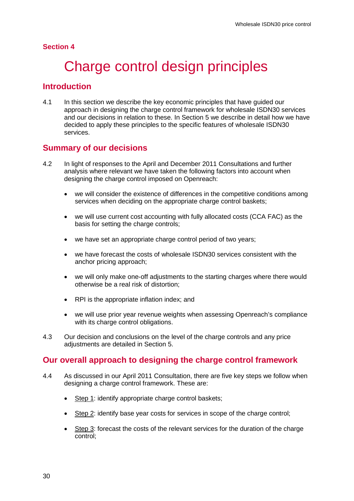### <span id="page-32-0"></span>**Section 4**

# Charge control design principles

## **Introduction**

4.1 In this section we describe the key economic principles that have guided our approach in designing the charge control framework for wholesale ISDN30 services and our decisions in relation to these. In Section 5 we describe in detail how we have decided to apply these principles to the specific features of wholesale ISDN30 services.

## **Summary of our decisions**

- 4.2 In light of responses to the April and December 2011 Consultations and further analysis where relevant we have taken the following factors into account when designing the charge control imposed on Openreach:
	- we will consider the existence of differences in the competitive conditions among services when deciding on the appropriate charge control baskets;
	- we will use current cost accounting with fully allocated costs (CCA FAC) as the basis for setting the charge controls;
	- we have set an appropriate charge control period of two vears;
	- we have forecast the costs of wholesale ISDN30 services consistent with the anchor pricing approach;
	- we will only make one-off adjustments to the starting charges where there would otherwise be a real risk of distortion;
	- RPI is the appropriate inflation index; and
	- we will use prior year revenue weights when assessing Openreach's compliance with its charge control obligations.
- 4.3 Our decision and conclusions on the level of the charge controls and any price adjustments are detailed in Section 5.

## **Our overall approach to designing the charge control framework**

- 4.4 As discussed in our April 2011 Consultation, there are five key steps we follow when designing a charge control framework. These are:
	- Step 1: identify appropriate charge control baskets;
	- Step 2: identify base year costs for services in scope of the charge control;
	- Step 3: forecast the costs of the relevant services for the duration of the charge control;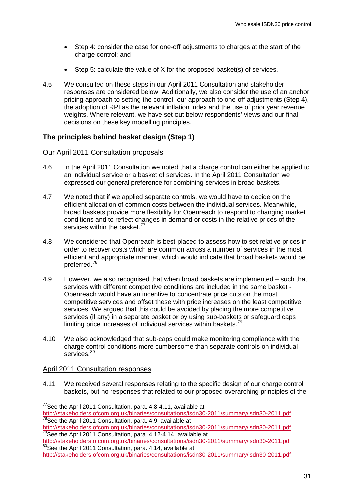- Step 4: consider the case for one-off adjustments to charges at the start of the charge control; and
- Step 5: calculate the value of X for the proposed basket(s) of services.
- 4.5 We consulted on these steps in our April 2011 Consultation and stakeholder responses are considered below. Additionally, we also consider the use of an anchor pricing approach to setting the control, our approach to one-off adjustments (Step 4), the adoption of RPI as the relevant inflation index and the use of prior year revenue weights. Where relevant, we have set out below respondents' views and our final decisions on these key modelling principles.

## **The principles behind basket design (Step 1)**

#### Our April 2011 Consultation proposals

- 4.6 In the April 2011 Consultation we noted that a charge control can either be applied to an individual service or a basket of services. In the April 2011 Consultation we expressed our general preference for combining services in broad baskets.
- 4.7 We noted that if we applied separate controls, we would have to decide on the efficient allocation of common costs between the individual services. Meanwhile, broad baskets provide more flexibility for Openreach to respond to changing market conditions and to reflect changes in demand or costs in the relative prices of the services within the basket.<sup>[77](#page-31-2)</sup>
- 4.8 We considered that Openreach is best placed to assess how to set relative prices in order to recover costs which are common across a number of services in the most efficient and appropriate manner, which would indicate that broad baskets would be preferred.[78](#page-33-0)
- 4.9 However, we also recognised that when broad baskets are implemented such that services with different competitive conditions are included in the same basket - Openreach would have an incentive to concentrate price cuts on the most competitive services and offset these with price increases on the least competitive services. We argued that this could be avoided by placing the more competitive services (if any) in a separate basket or by using sub-baskets or safeguard caps limiting price increases of individual services within baskets.<sup>[79](#page-33-0)</sup>
- 4.10 We also acknowledged that sub-caps could make monitoring compliance with the charge control conditions more cumbersome than separate controls on individual services.<sup>[80](#page-33-0)</sup>

#### <span id="page-33-1"></span>April 2011 Consultation responses

4.11 We received several responses relating to the specific design of our charge control baskets, but no responses that related to our proposed overarching principles of the

<span id="page-33-0"></span> <sup>77</sup>See the April 2011 Consultation, para. 4.8-4.11, available at <http://stakeholders.ofcom.org.uk/binaries/consultations/isdn30-2011/summary/isdn30-2011.pdf><br><sup>78</sup>See the April 2011 Consultation, para. 4.9, available at

<http://stakeholders.ofcom.org.uk/binaries/consultations/isdn30-2011/summary/isdn30-2011.pdf><br><sup>79</sup>See the April 2011 Consultation, para. 4.12-4.14, available at<br>http://stakeholders.ofcom.org.uk/binaries/consultations/isdn30-

 $\frac{80}{20}$ See the April 2011 Consultation, para. 4.14, available at

<http://stakeholders.ofcom.org.uk/binaries/consultations/isdn30-2011/summary/isdn30-2011.pdf>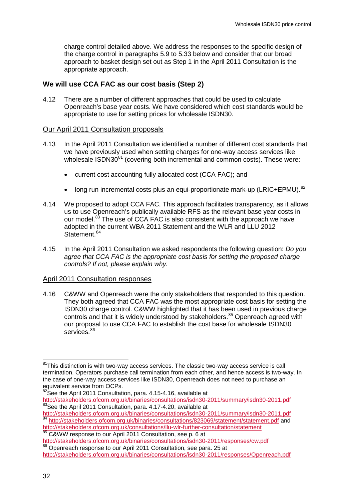charge control detailed above. We address the responses to the specific design of the charge control in paragraphs [5.9](#page-55-0) to [5.33](#page-60-0) below and consider that our broad approach to basket design set out as Step 1 in the April 2011 Consultation is the appropriate approach.

#### **We will use CCA FAC as our cost basis (Step 2)**

4.12 There are a number of different approaches that could be used to calculate Openreach's base year costs. We have considered which cost standards would be appropriate to use for setting prices for wholesale ISDN30.

#### Our April 2011 Consultation proposals

- 4.13 In the April 2011 Consultation we identified a number of different cost standards that we have previously used when setting charges for one-way access services like wholesale  $ISDN30^{81}$  $ISDN30^{81}$  $ISDN30^{81}$  (covering both incremental and common costs). These were:
	- current cost accounting fully allocated cost (CCA FAC); and
	- long run incremental costs plus an equi-proportionate mark-up ( $LRIC+EPMU$ ). <sup>[82](#page-34-0)</sup>
- 4.14 We proposed to adopt CCA FAC. This approach facilitates transparency, as it allows us to use Openreach's publically available RFS as the relevant base year costs in our model.<sup>[83](#page-34-0)</sup> The use of CCA FAC is also consistent with the approach we have adopted in the current WBA 2011 Statement and the WLR and LLU 2012 Statement.<sup>[84](#page-34-0)</sup>
- 4.15 In the April 2011 Consultation we asked respondents the following question: *Do you agree that CCA FAC is the appropriate cost basis for setting the proposed charge controls? If not, please explain why.*

#### April 2011 Consultation responses

4.16 C&WW and Openreach were the only stakeholders that responded to this question. They both agreed that CCA FAC was the most appropriate cost basis for setting the ISDN30 charge control. C&WW highlighted that it has been used in previous charge controls and that it is widely understood by stakeholders.<sup>[85](#page-34-0)</sup> Openreach agreed with our proposal to use CCA FAC to establish the cost base for wholesale ISDN30 services.<sup>[86](#page-34-0)</sup>

<span id="page-34-0"></span> $81$ This distinction is with two-way access services. The classic two-way access service is call termination. Operators purchase call termination from each other, and hence access is two-way. In the case of one-way access services like ISDN30, Openreach does not need to purchase an equivalent service from OCPs.

<span id="page-34-1"></span><sup>&</sup>lt;sup>82</sup>See the April 2011 Consultation, para. 4.15-4.16, available at <http://stakeholders.ofcom.org.uk/binaries/consultations/isdn30-2011/summary/isdn30-2011.pdf><br><sup>83</sup>See the April 2011 Consultation, para. 4.17-4.20, available at<br>http://stakeholders.ofcom.org.uk/binaries/consultations/isdn30-

<sup>84</sup> <http://stakeholders.ofcom.org.uk/binaries/consultations/823069/statement/statement.pdf> and

http://stakeholders.ofcom.org.uk/consultations/llu-wlr-further-consultation/statement

<sup>85</sup> C&WW response to our April 2011 Consultation, see p. 6 at <http://stakeholders.ofcom.org.uk/binaries/consultations/isdn30-2011/responses/cw.pdf> 86 Openreach response to our April 2011 Consultation, see para. 25 at

<http://stakeholders.ofcom.org.uk/binaries/consultations/isdn30-2011/responses/Openreach.pdf>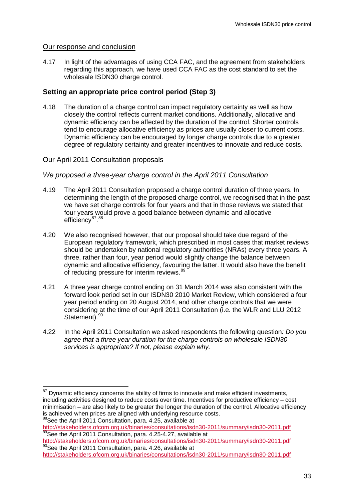#### Our response and conclusion

4.17 In light of the advantages of using CCA FAC, and the agreement from stakeholders regarding this approach, we have used CCA FAC as the cost standard to set the wholesale ISDN30 charge control.

## **Setting an appropriate price control period (Step 3)**

4.18 The duration of a charge control can impact regulatory certainty as well as how closely the control reflects current market conditions. Additionally, allocative and dynamic efficiency can be affected by the duration of the control. Shorter controls tend to encourage allocative efficiency as prices are usually closer to current costs. Dynamic efficiency can be encouraged by longer charge controls due to a greater degree of regulatory certainty and greater incentives to innovate and reduce costs.

### Our April 2011 Consultation proposals

#### *We proposed a three-year charge control in the April 2011 Consultation*

- 4.19 The April 2011 Consultation proposed a charge control duration of three years. In determining the length of the proposed charge control, we recognised that in the past we have set charge controls for four years and that in those reviews we stated that four years would prove a good balance between dynamic and allocative efficiency<sup>[87](#page-34-1)</sup>.<sup>[88](#page-35-0)</sup>
- 4.20 We also recognised however, that our proposal should take due regard of the European regulatory framework, which prescribed in most cases that market reviews should be undertaken by national regulatory authorities (NRAs) every three years. A three, rather than four, year period would slightly change the balance between dynamic and allocative efficiency, favouring the latter. It would also have the benefit of reducing pressure for interim reviews. <sup>[89](#page-35-0)</sup>
- 4.21 A three year charge control ending on 31 March 2014 was also consistent with the forward look period set in our ISDN30 2010 Market Review, which considered a four year period ending on 20 August 2014, and other charge controls that we were considering at the time of our April 2011 Consultation (i.e. the WLR and LLU 2012 Statement).<sup>[90](#page-35-0)</sup>
- 4.22 In the April 2011 Consultation we asked respondents the following question*: Do you agree that a three year duration for the charge controls on wholesale ISDN30 services is appropriate? If not, please explain why.*

88See the April 2011 Consultation, para. 4.25, available at

<span id="page-35-0"></span>Dynamic efficiency concerns the ability of firms to innovate and make efficient investments, including activities designed to reduce costs over time. Incentives for productive efficiency – cost minimisation – are also likely to be greater the longer the duration of the control. Allocative efficiency is achieved when prices are aligned with underlying resource costs.

<http://stakeholders.ofcom.org.uk/binaries/consultations/isdn30-2011/summary/isdn30-2011.pdf><br>
<sup>89</sup>See the April 2011 Consultation, para. 4.25-4.27, available at<br>
http://stakeholders.ofcom.org.uk/binaries/consultations/isdn3

<sup>&</sup>lt;sup>90</sup>See the April 2011 Consultation, para. 4.26, available at

<http://stakeholders.ofcom.org.uk/binaries/consultations/isdn30-2011/summary/isdn30-2011.pdf>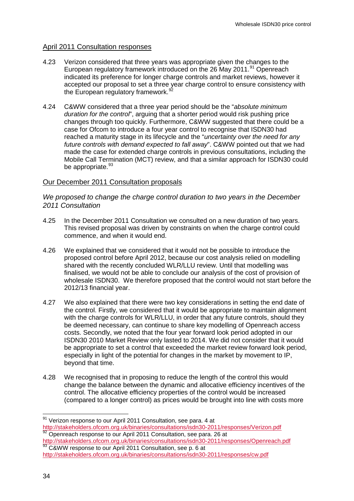# April 2011 Consultation responses

- 4.23 Verizon considered that three years was appropriate given the changes to the European regulatory framework introduced on the 26 May 2011.<sup>[91](#page-35-0)</sup> Openreach indicated its preference for longer charge controls and market reviews, however it accepted our proposal to set a three year charge control to ensure consistency with the European regulatory framework.<sup>9</sup>
- 4.24 C&WW considered that a three year period should be the "*absolute minimum duration for the control*", arguing that a shorter period would risk pushing price changes through too quickly. Furthermore, C&WW suggested that there could be a case for Ofcom to introduce a four year control to recognise that ISDN30 had reached a maturity stage in its lifecycle and the "*uncertainty over the need for any future controls with demand expected to fall away*". C&WW pointed out that we had made the case for extended charge controls in previous consultations, including the Mobile Call Termination (MCT) review, and that a similar approach for ISDN30 could be appropriate.<sup>[93](#page-36-0)</sup>

# Our December 2011 Consultation proposals

*We proposed to change the charge control duration to two years in the December 2011 Consultation*

- 4.25 In the December 2011 Consultation we consulted on a new duration of two years. This revised proposal was driven by constraints on when the charge control could commence, and when it would end.
- 4.26 We explained that we considered that it would not be possible to introduce the proposed control before April 2012, because our cost analysis relied on modelling shared with the recently concluded WLR/LLU review. Until that modelling was finalised, we would not be able to conclude our analysis of the cost of provision of wholesale ISDN30. We therefore proposed that the control would not start before the 2012/13 financial year.
- 4.27 We also explained that there were two key considerations in setting the end date of the control. Firstly, we considered that it would be appropriate to maintain alignment with the charge controls for WLR/LLU, in order that any future controls, should they be deemed necessary, can continue to share key modelling of Openreach access costs. Secondly, we noted that the four year forward look period adopted in our ISDN30 2010 Market Review only lasted to 2014. We did not consider that it would be appropriate to set a control that exceeded the market review forward look period, especially in light of the potential for changes in the market by movement to IP, beyond that time.
- 4.28 We recognised that in proposing to reduce the length of the control this would change the balance between the dynamic and allocative efficiency incentives of the control. The allocative efficiency properties of the control would be increased (compared to a longer control) as prices would be brought into line with costs more

<http://stakeholders.ofcom.org.uk/binaries/consultations/isdn30-2011/responses/Verizon.pdf><br>
<sup>92</sup> Openreach response to our April 2011 Consultation, see para. 26 at<br>
http://stakeholders.ofcom.org.uk/binaries/consultations/is

<sup>93</sup> C&WW response to our April 2011 Consultation, see p. 6 at <http://stakeholders.ofcom.org.uk/binaries/consultations/isdn30-2011/responses/cw.pdf>

<span id="page-36-1"></span><span id="page-36-0"></span> $91$  Verizon response to our April 2011 Consultation, see para. 4 at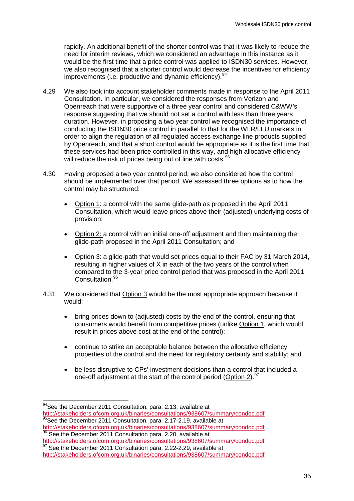rapidly. An additional benefit of the shorter control was that it was likely to reduce the need for interim reviews, which we considered an advantage in this instance as it would be the first time that a price control was applied to ISDN30 services. However, we also recognised that a shorter control would decrease the incentives for efficiency improvements (i.e. productive and dynamic efficiency).<sup>[94](#page-36-1)</sup>

- 4.29 We also took into account stakeholder comments made in response to the April 2011 Consultation. In particular, we considered the responses from Verizon and Openreach that were supportive of a three year control and considered C&WW's response suggesting that we should not set a control with less than three years duration. However, in proposing a two year control we recognised the importance of conducting the ISDN30 price control in parallel to that for the WLR/LLU markets in order to align the regulation of all regulated access exchange line products supplied by Openreach, and that a short control would be appropriate as it is the first time that these services had been price controlled in this way, and high allocative efficiency will reduce the risk of prices being out of line with costs.<sup>[95](#page-37-0)</sup>
- 4.30 Having proposed a two year control period, we also considered how the control should be implemented over that period. We assessed three options as to how the control may be structured:
	- Option 1: a control with the same glide-path as proposed in the April 2011 Consultation, which would leave prices above their (adjusted) underlying costs of provision;
	- Option 2: a control with an initial one-off adjustment and then maintaining the glide-path proposed in the April 2011 Consultation; and
	- Option 3: a glide-path that would set prices equal to their FAC by 31 March 2014, resulting in higher values of X in each of the two years of the control when compared to the 3-year price control period that was proposed in the April 2011 Consultation<sup>[96](#page-37-0)</sup>
- 4.31 We considered that Option 3 would be the most appropriate approach because it would:
	- bring prices down to (adjusted) costs by the end of the control, ensuring that consumers would benefit from competitive prices (unlike Option 1, which would result in prices above cost at the end of the control);
	- continue to strike an acceptable balance between the allocative efficiency properties of the control and the need for regulatory certainty and stability; and
	- be less disruptive to CPs' investment decisions than a control that included a one-off adjustment at the start of the control period (Option 2).<sup>[97](#page-37-0)</sup>

<span id="page-37-1"></span><span id="page-37-0"></span><sup>94</sup>See the December 2011 Consultation, para. 2.13, available at <http://stakeholders.ofcom.org.uk/binaries/consultations/938607/summary/condoc.pdf> <sup>95</sup>See the December 2011 Consultation, para. 2.17-2.19, available at

<http://stakeholders.ofcom.org.uk/binaries/consultations/938607/summary/condoc.pdf><br>
<sup>96</sup> See the December 2011 Consultation para. 2.20, available at<br>
http://stakeholders.ofcom.org.uk/binaries/consultations/938607/summary/co

<sup>&</sup>lt;sup>97</sup> See the December 2011 Consultation para. 2.22-2.29, available at

<http://stakeholders.ofcom.org.uk/binaries/consultations/938607/summary/condoc.pdf>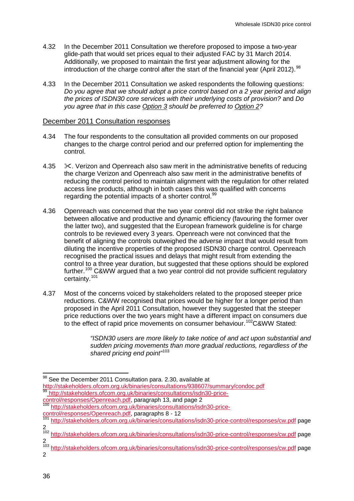- 4.32 In the December 2011 Consultation we therefore proposed to impose a two-year glide-path that would set prices equal to their adjusted FAC by 31 March 2014. Additionally, we proposed to maintain the first year adjustment allowing for the introduction of the charge control after the start of the financial year (April 2012).  $98$
- 4.33 In the December 2011 Consultation we asked respondents the following questions: *Do you agree that we should adopt a price control based on a 2 year period and align the prices of ISDN30 core services with their underlying costs of provision?* and *Do you agree that in this case Option 3 should be preferred to Option 2?*

#### December 2011 Consultation responses

- 4.34 The four respondents to the consultation all provided comments on our proposed changes to the charge control period and our preferred option for implementing the control.
- 4.35  $\cdot \times$ . Verizon and Openreach also saw merit in the administrative benefits of reducing the charge Verizon and Openreach also saw merit in the administrative benefits of reducing the control period to maintain alignment with the regulation for other related access line products, although in both cases this was qualified with concerns regarding the potential impacts of a shorter control.<sup>[99](#page-38-0)</sup>
- 4.36 Openreach was concerned that the two year control did not strike the right balance between allocative and productive and dynamic efficiency (favouring the former over the latter two), and suggested that the European framework guideline is for charge controls to be reviewed every 3 years. Openreach were not convinced that the benefit of aligning the controls outweighed the adverse impact that would result from diluting the incentive properties of the proposed ISDN30 charge control. Openreach recognised the practical issues and delays that might result from extending the control to a three year duration, but suggested that these options should be explored further.[100](#page-38-0) C&WW argued that a two year control did not provide sufficient regulatory certainty.[101](#page-38-0)
- 4.37 Most of the concerns voiced by stakeholders related to the proposed steeper price reductions. C&WW recognised that prices would be higher for a longer period than proposed in the April 2011 Consultation, however they suggested that the steeper price reductions over the two years might have a different impact on consumers due to the effect of rapid price movements on consumer behaviour.<sup>[102](#page-38-0)</sup>C&WW Stated:

*"ISDN30 users are more likely to take notice of and act upon substantial and sudden pricing movements than more gradual reductions, regardless of the shared pricing end point"* [103](#page-38-0)

[control/responses/Openreach.pdf,](http://stakeholders.ofcom.org.uk/binaries/consultations/isdn30-price-control/responses/Openreach.pdf) paragraph 13, and page 2<br><sup>100</sup> [http://stakeholders.ofcom.org.uk/binaries/consultations/isdn30-price](http://stakeholders.ofcom.org.uk/binaries/consultations/isdn30-price-control/responses/Openreach.pdf)[control/responses/Openreach.pdf,](http://stakeholders.ofcom.org.uk/binaries/consultations/isdn30-price-control/responses/Openreach.pdf) paragraphs 8 - 12

<span id="page-38-1"></span><sup>98</sup> See the December 2011 Consultation para. 2.30, available at

<span id="page-38-0"></span><http://stakeholders.ofcom.org.uk/binaries/consultations/938607/summary/condoc.pdf> <sup>99</sup> [http://stakeholders.ofcom.org.uk/binaries/consultations/isdn30-price-](http://stakeholders.ofcom.org.uk/binaries/consultations/isdn30-price-control/responses/Openreach.pdf)

<sup>&</sup>lt;sup>101</sup> <http://stakeholders.ofcom.org.uk/binaries/consultations/isdn30-price-control/responses/cw.pdf> page 2

<sup>&</sup>lt;sup>102</sup> <http://stakeholders.ofcom.org.uk/binaries/consultations/isdn30-price-control/responses/cw.pdf> page 2

<sup>103</sup> <http://stakeholders.ofcom.org.uk/binaries/consultations/isdn30-price-control/responses/cw.pdf> page 2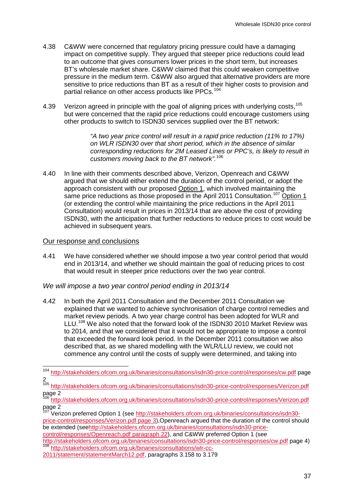- 4.38 C&WW were concerned that regulatory pricing pressure could have a damaging impact on competitive supply. They argued that steeper price reductions could lead to an outcome that gives consumers lower prices in the short term, but increases BT's wholesale market share. C&WW claimed that this could weaken competitive pressure in the medium term. C&WW also argued that alternative providers are more sensitive to price reductions than BT as a result of their higher costs to provision and partial reliance on other access products like PPCs.<sup>[104](#page-38-1)</sup>
- 4.39 Verizon agreed in principle with the goal of aligning prices with underlying costs.<sup>[105](#page-39-0)</sup> but were concerned that the rapid price reductions could encourage customers using other products to switch to ISDN30 services supplied over the BT network:

*"A two year price control will result in a rapid price reduction (11% to 17%) on WLR ISDN30 over that short period, which in the absence of similar corresponding reductions for 2M Leased Lines or PPC's, is likely to result in customers moving back to the BT network".* [106](#page-39-0)

4.40 In line with their comments described above, Verizon, Openreach and C&WW argued that we should either extend the duration of the control period, or adopt the approach consistent with our proposed Option 1, which involved maintaining the same price reductions as those proposed in the April 2011 Consultation.<sup>[107](#page-39-0)</sup> Option 1 (or extending the control while maintaining the price reductions in the April 2011 Consultation) would result in prices in 2013/14 that are above the cost of providing ISDN30, with the anticipation that further reductions to reduce prices to cost would be achieved in subsequent years.

# Our response and conclusions

4.41 We have considered whether we should impose a two year control period that would end in 2013/14, and whether we should maintain the goal of reducing prices to cost that would result in steeper price reductions over the two year control.

#### *We will impose a two year control period ending in 2013/14*

4.42 In both the April 2011 Consultation and the December 2011 Consultation we explained that we wanted to achieve synchronisation of charge control remedies and market review periods. A two year charge control has been adopted for WLR and LLU.<sup>[108](#page-39-0)</sup> We also noted that the forward look of the ISDN30 2010 Market Review was to 2014, and that we considered that it would not be appropriate to impose a control that exceeded the forward look period. In the December 2011 consultation we also described that, as we shared modelling with the WLR/LLU review, we could not commence any control until the costs of supply were determined, and taking into

y<br>Verizon preferred Option 1 (see [http://stakeholders.ofcom.org.uk/binaries/consultations/isdn30](http://stakeholders.ofcom.org.uk/binaries/consultations/isdn30-price-control/responses/Verizon.pdf%20page%203) [price-control/responses/Verizon.pdf page 3\)](http://stakeholders.ofcom.org.uk/binaries/consultations/isdn30-price-control/responses/Verizon.pdf%20page%203),Openreach argued that the duration of the control should be extended (se[ehttp://stakeholders.ofcom.org.uk/binaries/consultations/isdn30-price](http://stakeholders.ofcom.org.uk/binaries/consultations/isdn30-price-control/responses/Openreach.pdf%20paragraph%2022)[control/responses/Openreach.pdf paragraph 22\)](http://stakeholders.ofcom.org.uk/binaries/consultations/isdn30-price-control/responses/Openreach.pdf%20paragraph%2022), and C&WW preferred Option 1 (see <http://stakeholders.ofcom.org.uk/binaries/consultations/isdn30-price-control/responses/cw.pdf> page 4) <sup>108</sup> [http://stakeholders.ofcom.org.uk/binaries/consultations/wlr-cc-](http://stakeholders.ofcom.org.uk/binaries/consultations/wlr-cc-2011/statement/statementMarch12.pdf)

<span id="page-39-0"></span> <sup>104</sup> <http://stakeholders.ofcom.org.uk/binaries/consultations/isdn30-price-control/responses/cw.pdf> page  $\frac{2}{105}$ 

<http://stakeholders.ofcom.org.uk/binaries/consultations/isdn30-price-control/responses/Verizon.pdf>  $page 2$ 

<http://stakeholders.ofcom.org.uk/binaries/consultations/isdn30-price-control/responses/Verizon.pdf> page 2

<span id="page-39-1"></span>[<sup>2011/</sup>statement/statementMarch12.pdf,](http://stakeholders.ofcom.org.uk/binaries/consultations/wlr-cc-2011/statement/statementMarch12.pdf) paragraphs 3.158 to 3.179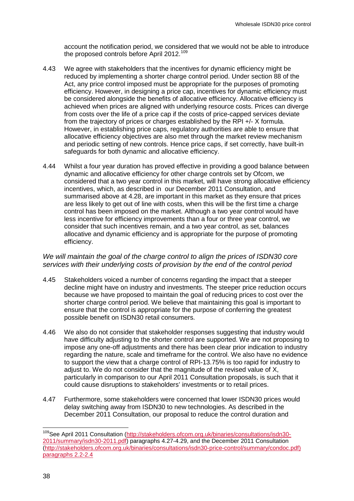account the notification period, we considered that we would not be able to introduce the proposed controls before April 2012.<sup>[109](#page-39-1)</sup>

- 4.43 We agree with stakeholders that the incentives for dynamic efficiency might be reduced by implementing a shorter charge control period. Under section 88 of the Act, any price control imposed must be appropriate for the purposes of promoting efficiency. However, in designing a price cap, incentives for dynamic efficiency must be considered alongside the benefits of allocative efficiency. Allocative efficiency is achieved when prices are aligned with underlying resource costs. Prices can diverge from costs over the life of a price cap if the costs of price-capped services deviate from the trajectory of prices or charges established by the RPI +/- X formula. However, in establishing price caps, regulatory authorities are able to ensure that allocative efficiency objectives are also met through the market review mechanism and periodic setting of new controls. Hence price caps, if set correctly, have built-in safeguards for both dynamic and allocative efficiency.
- 4.44 Whilst a four year duration has proved effective in providing a good balance between dynamic and allocative efficiency for other charge controls set by Ofcom, we considered that a two year control in this market, will have strong allocative efficiency incentives, which, as described in our December 2011 Consultation, and summarised above at 4.28, are important in this market as they ensure that prices are less likely to get out of line with costs, when this will be the first time a charge control has been imposed on the market. Although a two year control would have less incentive for efficiency improvements than a four or three year control, we consider that such incentives remain, and a two year control, as set, balances allocative and dynamic efficiency and is appropriate for the purpose of promoting efficiency.

# *We will maintain the goal of the charge control to align the prices of ISDN30 core services with their underlying costs of provision by the end of the control period*

- 4.45 Stakeholders voiced a number of concerns regarding the impact that a steeper decline might have on industry and investments. The steeper price reduction occurs because we have proposed to maintain the goal of reducing prices to cost over the shorter charge control period. We believe that maintaining this goal is important to ensure that the control is appropriate for the purpose of conferring the greatest possible benefit on ISDN30 retail consumers.
- 4.46 We also do not consider that stakeholder responses suggesting that industry would have difficulty adjusting to the shorter control are supported. We are not proposing to impose any one-off adjustments and there has been clear prior indication to industry regarding the nature, scale and timeframe for the control. We also have no evidence to support the view that a charge control of RPI-13.75% is too rapid for industry to adjust to. We do not consider that the magnitude of the revised value of X, particularly in comparison to our April 2011 Consultation proposals, is such that it could cause disruptions to stakeholders' investments or to retail prices.
- <span id="page-40-0"></span>4.47 Furthermore, some stakeholders were concerned that lower ISDN30 prices would delay switching away from ISDN30 to new technologies. As described in the December 2011 Consultation, our proposal to reduce the control duration and

 <sup>109</sup>See April 2011 Consultation [\(http://stakeholders.ofcom.org.uk/binaries/consultations/isdn30-](http://stakeholders.ofcom.org.uk/binaries/consultations/isdn30-2011/summary/isdn30-2011.pdf) [2011/summary/isdn30-2011.pdf\)](http://stakeholders.ofcom.org.uk/binaries/consultations/isdn30-2011/summary/isdn30-2011.pdf) paragraphs 4.27-4.29, and the December 2011 Consultation [\(http://stakeholders.ofcom.org.uk/binaries/consultations/isdn30-price-control/summary/condoc.pdf\)](http://stakeholders.ofcom.org.uk/binaries/consultations/isdn30-price-control/summary/condoc.pdf)%20paragraphs%202.2-2.4)  [paragraphs 2.2-2.4](http://stakeholders.ofcom.org.uk/binaries/consultations/isdn30-price-control/summary/condoc.pdf)%20paragraphs%202.2-2.4)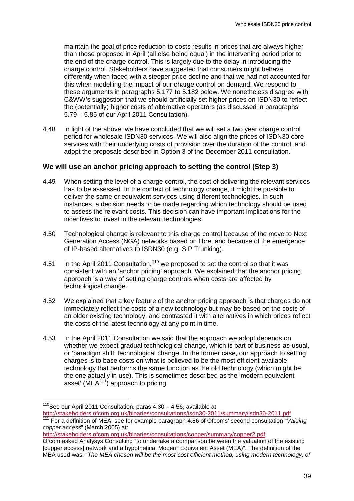maintain the goal of price reduction to costs results in prices that are always higher than those proposed in April (all else being equal) in the intervening period prior to the end of the charge control. This is largely due to the delay in introducing the charge control. Stakeholders have suggested that consumers might behave differently when faced with a steeper price decline and that we had not accounted for this when modelling the impact of our charge control on demand. We respond to these arguments in paragraphs [5.177](#page-91-0) to [5.182](#page-92-0) below. We nonetheless disagree with C&WW's suggestion that we should artificially set higher prices on ISDN30 to reflect the (potentially) higher costs of alternative operators (as discussed in paragraphs 5.79 – 5.85 of our April 2011 Consultation).

4.48 In light of the above, we have concluded that we will set a two year charge control period for wholesale ISDN30 services. We will also align the prices of ISDN30 core services with their underlying costs of provision over the duration of the control, and adopt the proposals described in Option 3 of the December 2011 consultation.

# **We will use an anchor pricing approach to setting the control (Step 3)**

- 4.49 When setting the level of a charge control, the cost of delivering the relevant services has to be assessed. In the context of technology change, it might be possible to deliver the same or equivalent services using different technologies. In such instances, a decision needs to be made regarding which technology should be used to assess the relevant costs. This decision can have important implications for the incentives to invest in the relevant technologies.
- 4.50 Technological change is relevant to this charge control because of the move to Next Generation Access (NGA) networks based on fibre, and because of the emergence of IP-based alternatives to ISDN30 (e.g. SIP Trunking).
- 4.51 In the April 2011 Consultation,  $110$  we proposed to set the control so that it was consistent with an 'anchor pricing' approach. We explained that the anchor pricing approach is a way of setting charge controls when costs are affected by technological change.
- 4.52 We explained that a key feature of the anchor pricing approach is that charges do not immediately reflect the costs of a new technology but may be based on the costs of an older existing technology, and contrasted it with alternatives in which prices reflect the costs of the latest technology at any point in time.
- 4.53 In the April 2011 Consultation we said that the approach we adopt depends on whether we expect gradual technological change, which is part of business-as-usual, or 'paradigm shift' technological change. In the former case, our approach to setting charges is to base costs on what is believed to be the most efficient available technology that performs the same function as the old technology (which might be the one actually in use). This is sometimes described as the 'modern equivalent asset' ( $MEA<sup>111</sup>$  $MEA<sup>111</sup>$  $MEA<sup>111</sup>$ ) approach to pricing.

[http://stakeholders.ofcom.org.uk/binaries/consultations/copper/summary/copper2.pdf.](http://stakeholders.ofcom.org.uk/binaries/consultations/copper/summary/copper2.pdf)

<span id="page-41-0"></span> $110$ See our April 2011 Consultation, paras  $4.30 - 4.56$ , available at <http://stakeholders.ofcom.org.uk/binaries/consultations/isdn30-2011/summary/isdn30-2011.pdf><br><sup>111</sup> For a definition of MEA, see for example paragraph 4.86 of Ofcoms' second consultation "*Valuing* 

*copper access*" (March 2005) at:

Ofcom asked Analysys Consulting "to undertake a comparison between the valuation of the existing [copper access] network and a hypothetical Modern Equivalent Asset (MEA)". The definition of the MEA used was: "*The MEA chosen will be the most cost efficient method, using modern technology, of*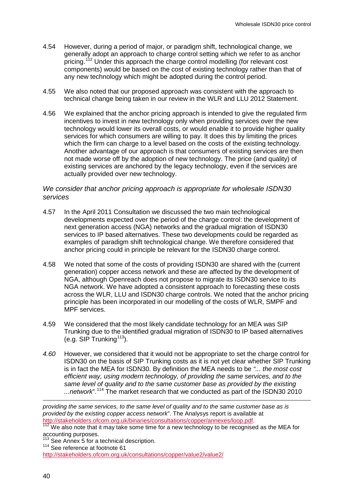- 4.54 However, during a period of major, or paradigm shift, technological change, we generally adopt an approach to charge control setting which we refer to as anchor pricing.<sup>[112](#page-41-0)</sup> Under this approach the charge control modelling (for relevant cost components) would be based on the cost of existing technology rather than that of any new technology which might be adopted during the control period.
- 4.55 We also noted that our proposed approach was consistent with the approach to technical change being taken in our review in the WLR and LLU 2012 Statement.
- 4.56 We explained that the anchor pricing approach is intended to give the regulated firm incentives to invest in new technology only when providing services over the new technology would lower its overall costs, or would enable it to provide higher quality services for which consumers are willing to pay. It does this by limiting the prices which the firm can charge to a level based on the costs of the existing technology. Another advantage of our approach is that consumers of existing services are then not made worse off by the adoption of new technology. The price (and quality) of existing services are anchored by the legacy technology, even if the services are actually provided over new technology.

#### *We consider that anchor pricing approach is appropriate for wholesale ISDN30 services*

- 4.57 In the April 2011 Consultation we discussed the two main technological developments expected over the period of the charge control: the development of next generation access (NGA) networks and the gradual migration of ISDN30 services to IP based alternatives. These two developments could be regarded as examples of paradigm shift technological change. We therefore considered that anchor pricing could in principle be relevant for the ISDN30 charge control.
- 4.58 We noted that some of the costs of providing ISDN30 are shared with the (current generation) copper access network and these are affected by the development of NGA, although Openreach does not propose to migrate its ISDN30 service to its NGA network. We have adopted a consistent approach to forecasting these costs across the WLR, LLU and ISDN30 charge controls. We noted that the anchor pricing principle has been incorporated in our modelling of the costs of WLR, SMPF and MPF services.
- 4.59 We considered that the most likely candidate technology for an MEA was SIP Trunking due to the identified gradual migration of ISDN30 to IP based alternatives (e.g. SIP Trunking<sup>113</sup>).
- *4.60* However, we considered that it would not be appropriate to set the charge control for ISDN30 on the basis of SIP Trunking costs as it is not yet clear whether SIP Trunking is in fact the MEA for ISDN30. By definition the MEA needs to be *"... the most cost efficient way, using modern technology, of providing the same services, and to the same level of quality and to the same customer base as provided by the existing ...network*".[114](#page-42-0) The market research that we conducted as part of the ISDN30 2010

<span id="page-42-0"></span>*providing the same services, to the same level of quality and to the same customer base as is provided by the existing copper access network*". The Analysys report is available at

http://stakeholders.org.uk/binaries/consultations/consultations/consultations/consultations/competitions/consu<br><sup>112</sup> We also note that it may take some time for a new technology to be recognised as the MEA for accounting purposes.<br><sup>113</sup> See Annex 5 for a technical description.

<span id="page-42-1"></span> $114$  See reference at footnote 61

<http://stakeholders.ofcom.org.uk/consultations/copper/value2/value2/>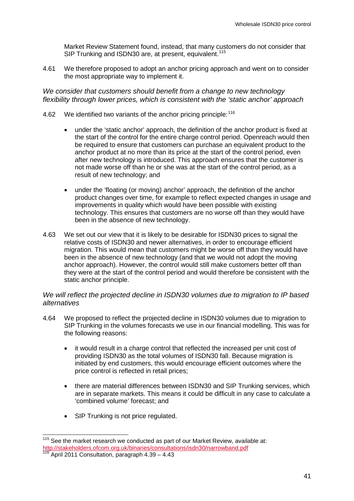Market Review Statement found, instead, that many customers do not consider that SIP Trunking and ISDN30 are, at present, equivalent.<sup>[115](#page-42-1)</sup>

4.61 We therefore proposed to adopt an anchor pricing approach and went on to consider the most appropriate way to implement it.

*We consider that customers should benefit from a change to new technology flexibility through lower prices, which is consistent with the 'static anchor' approach*

- 4.62 We identified two variants of the anchor pricing principle: [116](#page-43-0)
	- under the 'static anchor' approach, the definition of the anchor product is fixed at the start of the control for the entire charge control period. Openreach would then be required to ensure that customers can purchase an equivalent product to the anchor product at no more than its price at the start of the control period, even after new technology is introduced. This approach ensures that the customer is not made worse off than he or she was at the start of the control period, as a result of new technology; and
	- under the 'floating (or moving) anchor' approach, the definition of the anchor product changes over time, for example to reflect expected changes in usage and improvements in quality which would have been possible with existing technology. This ensures that customers are no worse off than they would have been in the absence of new technology.
- 4.63 We set out our view that it is likely to be desirable for ISDN30 prices to signal the relative costs of ISDN30 and newer alternatives, in order to encourage efficient migration. This would mean that customers might be worse off than they would have been in the absence of new technology (and that we would not adopt the moving anchor approach). However, the control would still make customers better off than they were at the start of the control period and would therefore be consistent with the static anchor principle.

# *We will reflect the projected decline in ISDN30 volumes due to migration to IP based alternatives*

- <span id="page-43-1"></span>4.64 We proposed to reflect the projected decline in ISDN30 volumes due to migration to SIP Trunking in the volumes forecasts we use in our financial modelling. This was for the following reasons:
	- it would result in a charge control that reflected the increased per unit cost of providing ISDN30 as the total volumes of ISDN30 fall. Because migration is initiated by end customers, this would encourage efficient outcomes where the price control is reflected in retail prices;
	- there are material differences between ISDN30 and SIP Trunking services, which are in separate markets. This means it could be difficult in any case to calculate a 'combined volume' forecast; and
	- SIP Trunking is not price regulated.

<span id="page-43-0"></span> $115$  See the market research we conducted as part of our Market Review, available at: <http://stakeholders.ofcom.org.uk/binaries/consultations/isdn30/narrowband.pdf> <sup>116</sup> April 2011 Consultation, paragraph 4.39 – 4.43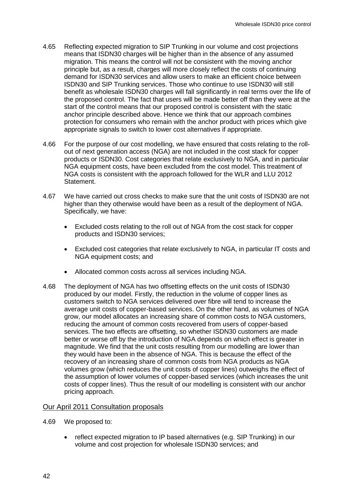- 4.65 Reflecting expected migration to SIP Trunking in our volume and cost projections means that ISDN30 charges will be higher than in the absence of any assumed migration. This means the control will not be consistent with the moving anchor principle but, as a result, charges will more closely reflect the costs of continuing demand for ISDN30 services and allow users to make an efficient choice between ISDN30 and SIP Trunking services. Those who continue to use ISDN30 will still benefit as wholesale ISDN30 charges will fall significantly in real terms over the life of the proposed control. The fact that users will be made better off than they were at the start of the control means that our proposed control is consistent with the static anchor principle described above. Hence we think that our approach combines protection for consumers who remain with the anchor product with prices which give appropriate signals to switch to lower cost alternatives if appropriate.
- 4.66 For the purpose of our cost modelling, we have ensured that costs relating to the rollout of next generation access (NGA) are not included in the cost stack for copper products or ISDN30. Cost categories that relate exclusively to NGA, and in particular NGA equipment costs, have been excluded from the cost model. This treatment of NGA costs is consistent with the approach followed for the WLR and LLU 2012 Statement.
- 4.67 We have carried out cross checks to make sure that the unit costs of ISDN30 are not higher than they otherwise would have been as a result of the deployment of NGA. Specifically, we have:
	- Excluded costs relating to the roll out of NGA from the cost stack for copper products and ISDN30 services;
	- Excluded cost categories that relate exclusively to NGA, in particular IT costs and NGA equipment costs; and
	- Allocated common costs across all services including NGA.
- 4.68 The deployment of NGA has two offsetting effects on the unit costs of ISDN30 produced by our model. Firstly, the reduction in the volume of copper lines as customers switch to NGA services delivered over fibre will tend to increase the average unit costs of copper-based services. On the other hand, as volumes of NGA grow, our model allocates an increasing share of common costs to NGA customers, reducing the amount of common costs recovered from users of copper-based services. The two effects are offsetting, so whether ISDN30 customers are made better or worse off by the introduction of NGA depends on which effect is greater in magnitude. We find that the unit costs resulting from our modelling are lower than they would have been in the absence of NGA. This is because the effect of the recovery of an increasing share of common costs from NGA products as NGA volumes grow (which reduces the unit costs of copper lines) outweighs the effect of the assumption of lower volumes of copper-based services (which increases the unit costs of copper lines). Thus the result of our modelling is consistent with our anchor pricing approach.

#### Our April 2011 Consultation proposals

- 4.69 We proposed to:
	- reflect expected migration to IP based alternatives (e.g. SIP Trunking) in our volume and cost projection for wholesale ISDN30 services; and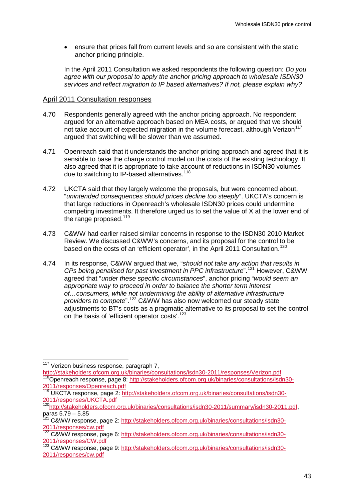• ensure that prices fall from current levels and so are consistent with the static anchor pricing principle.

In the April 2011 Consultation we asked respondents the following question: *Do you agree with our proposal to apply the anchor pricing approach to wholesale ISDN30 services and reflect migration to IP based alternatives? If not, please explain why?*

#### April 2011 Consultation responses

- 4.70 Respondents generally agreed with the anchor pricing approach. No respondent argued for an alternative approach based on MEA costs, or argued that we should not take account of expected migration in the volume forecast, although Verizon<sup>[117](#page-43-1)</sup> argued that switching will be slower than we assumed.
- 4.71 Openreach said that it understands the anchor pricing approach and agreed that it is sensible to base the charge control model on the costs of the existing technology. It also agreed that it is appropriate to take account of reductions in ISDN30 volumes due to switching to IP-based alternatives.<sup>[118](#page-45-0)</sup>
- 4.72 UKCTA said that they largely welcome the proposals, but were concerned about, "*unintended consequences should prices decline too steeply*". UKCTA's concern is that large reductions in Openreach's wholesale ISDN30 prices could undermine competing investments. It therefore urged us to set the value of X at the lower end of the range proposed.<sup>[119](#page-45-0)</sup>
- 4.73 C&WW had earlier raised similar concerns in response to the ISDN30 2010 Market Review. We discussed C&WW's concerns, and its proposal for the control to be based on the costs of an 'efficient operator', in the April 2011 Consultation.<sup>[120](#page-45-0)</sup>
- 4.74 In its response, C&WW argued that we, "*should not take any action that results in CPs being penalised for past investment in PPC infrastructure*".[121](#page-45-0) However, C&WW agreed that "*under these specific circumstances*", anchor pricing "*would seem an appropriate way to proceed in order to balance the shorter term interest of…consumers, while not undermining the ability of alternative infrastructure providers to compete*".[122](#page-45-0) C&WW has also now welcomed our steady state adjustments to BT's costs as a pragmatic alternative to its proposal to set the control on the basis of 'efficient operator costs'.<sup>[123](#page-45-0)</sup>

<sup>&</sup>lt;sup>117</sup> Verizon business response, paragraph 7,

<span id="page-45-0"></span><http://stakeholders.ofcom.org.uk/binaries/consultations/isdn30-2011/responses/Verizon.pdf><br><sup>118</sup>Openreach response, page 8: [http://stakeholders.ofcom.org.uk/binaries/consultations/isdn30-](http://stakeholders.ofcom.org.uk/binaries/consultations/isdn30-2011/responses/Openreach.pdf) [2011/responses/Openreach.pdf](http://stakeholders.ofcom.org.uk/binaries/consultations/isdn30-2011/responses/Openreach.pdf)

<span id="page-45-1"></span><sup>&</sup>lt;sup>119</sup> UKCTA response, page 2: [http://stakeholders.ofcom.org.uk/binaries/consultations/isdn30-](http://stakeholders.ofcom.org.uk/binaries/consultations/isdn30-2011/responses/UKCTA.pdf) [2011/responses/UKCTA.pdf](http://stakeholders.ofcom.org.uk/binaries/consultations/isdn30-2011/responses/UKCTA.pdf)

<sup>&</sup>lt;sup>120</sup>http://stakeholders.ofcom.org.uk/binaries/consultations/isdn30-2011/summary/isdn30-2011.pdf, paras 5.79 – 5.85

<sup>&</sup>lt;sup>121</sup> C&WW response, page 2: [http://stakeholders.ofcom.org.uk/binaries/consultations/isdn30-](http://stakeholders.ofcom.org.uk/binaries/consultations/isdn30-2011/responses/cw.pdf) [2011/responses/cw.pdf](http://stakeholders.ofcom.org.uk/binaries/consultations/isdn30-2011/responses/cw.pdf)

<sup>&</sup>lt;sup>122</sup> C&WW response, page 6: [http://stakeholders.ofcom.org.uk/binaries/consultations/isdn30-](http://stakeholders.ofcom.org.uk/binaries/consultations/isdn30-2011/responses/CW.pdf) [2011/responses/CW.pdf](http://stakeholders.ofcom.org.uk/binaries/consultations/isdn30-2011/responses/CW.pdf)

<sup>123</sup> C&WW response, page 9: [http://stakeholders.ofcom.org.uk/binaries/consultations/isdn30-](http://stakeholders.ofcom.org.uk/binaries/consultations/isdn30-2011/responses/cw.pdf) [2011/responses/cw.pdf](http://stakeholders.ofcom.org.uk/binaries/consultations/isdn30-2011/responses/cw.pdf)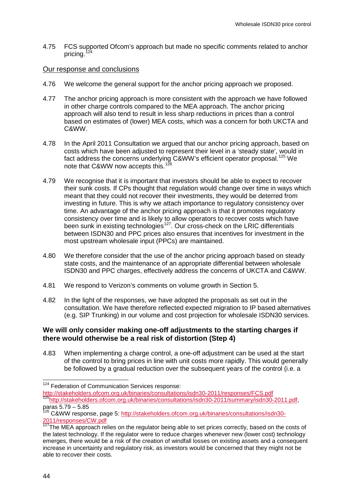4.75 FCS supported Ofcom's approach but made no specific comments related to anchor pricing. $1$ 

#### Our response and conclusions

- 4.76 We welcome the general support for the anchor pricing approach we proposed.
- 4.77 The anchor pricing approach is more consistent with the approach we have followed in other charge controls compared to the MEA approach. The anchor pricing approach will also tend to result in less sharp reductions in prices than a control based on estimates of (lower) MEA costs, which was a concern for both UKCTA and C&WW.
- 4.78 In the April 2011 Consultation we argued that our anchor pricing approach, based on costs which have been adjusted to represent their level in a 'steady state', would in fact address the concerns underlying C&WW's efficient operator proposal.<sup>[125](#page-46-0)</sup> We note that C&WW now accepts this.<sup>[126](#page-46-0)</sup>
- 4.79 We recognise that it is important that investors should be able to expect to recover their sunk costs. If CPs thought that regulation would change over time in ways which meant that they could not recover their investments, they would be deterred from investing in future. This is why we attach importance to regulatory consistency over time. An advantage of the anchor pricing approach is that it promotes regulatory consistency over time and is likely to allow operators to recover costs which have been sunk in existing technologies<sup>127</sup>. Our cross-check on the LRIC differentials between ISDN30 and PPC prices also ensures that incentives for investment in the most upstream wholesale input (PPCs) are maintained.
- 4.80 We therefore consider that the use of the anchor pricing approach based on steady state costs, and the maintenance of an appropriate differential between wholesale ISDN30 and PPC charges, effectively address the concerns of UKCTA and C&WW.
- 4.81 We respond to Verizon's comments on volume growth in Section 5.
- 4.82 In the light of the responses, we have adopted the proposals as set out in the consultation. We have therefore reflected expected migration to IP based alternatives (e.g. SIP Trunking) in our volume and cost projection for wholesale ISDN30 services.

#### **We will only consider making one-off adjustments to the starting charges if there would otherwise be a real risk of distortion (Step 4)**

4.83 When implementing a charge control, a one-off adjustment can be used at the start of the control to bring prices in line with unit costs more rapidly. This would generally be followed by a gradual reduction over the subsequent years of the control (i.e. a

<sup>&</sup>lt;sup>124</sup> Federation of Communication Services response:

<span id="page-46-1"></span><span id="page-46-0"></span><http://stakeholders.ofcom.org.uk/binaries/consultations/isdn30-2011/responses/FCS.pdf>[125http://stakeholders.ofcom.org.uk/binaries/consultations/isdn30-2011/summary/isdn30-2011.pdf,](http://stakeholders.ofcom.org.uk/binaries/consultations/isdn30-2011/summary/isdn30-2011.pdf) paras 5.79 – 5.85

<sup>&</sup>lt;sup>126</sup> C&WW response, page 5: [http://stakeholders.ofcom.org.uk/binaries/consultations/isdn30-](http://stakeholders.ofcom.org.uk/binaries/consultations/isdn30-2011/responses/CW.pdf) [2011/responses/CW.pdf](http://stakeholders.ofcom.org.uk/binaries/consultations/isdn30-2011/responses/CW.pdf)

<sup>127</sup>The MEA approach relies on the regulator being able to set prices correctly, based on the costs of the latest technology. If the regulator were to reduce charges whenever new (lower cost) technology emerges, there would be a risk of the creation of windfall losses on existing assets and a consequent increase in uncertainty and regulatory risk, as investors would be concerned that they might not be able to recover their costs.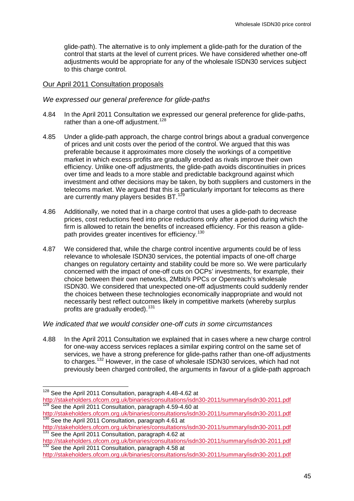glide-path). The alternative is to only implement a glide-path for the duration of the control that starts at the level of current prices. We have considered whether one-off adjustments would be appropriate for any of the wholesale ISDN30 services subject to this charge control.

#### Our April 2011 Consultation proposals

#### *We expressed our general preference for glide-paths*

- 4.84 In the April 2011 Consultation we expressed our general preference for glide-paths, rather than a one-off adjustment.<sup>[128](#page-46-1)</sup>
- 4.85 Under a glide-path approach, the charge control brings about a gradual convergence of prices and unit costs over the period of the control. We argued that this was preferable because it approximates more closely the workings of a competitive market in which excess profits are gradually eroded as rivals improve their own efficiency. Unlike one-off adjustments, the glide-path avoids discontinuities in prices over time and leads to a more stable and predictable background against which investment and other decisions may be taken, by both suppliers and customers in the telecoms market. We argued that this is particularly important for telecoms as there are currently many players besides BT.<sup>[129](#page-47-0)</sup>
- 4.86 Additionally, we noted that in a charge control that uses a glide-path to decrease prices, cost reductions feed into price reductions only after a period during which the firm is allowed to retain the benefits of increased efficiency. For this reason a glide-path provides greater incentives for efficiency.<sup>[130](#page-47-0)</sup>
- 4.87 We considered that, while the charge control incentive arguments could be of less relevance to wholesale ISDN30 services, the potential impacts of one-off charge changes on regulatory certainty and stability could be more so. We were particularly concerned with the impact of one-off cuts on OCPs' investments, for example, their choice between their own networks, 2Mbit/s PPCs or Openreach's wholesale ISDN30. We considered that unexpected one-off adjustments could suddenly render the choices between these technologies economically inappropriate and would not necessarily best reflect outcomes likely in competitive markets (whereby surplus profits are gradually eroded).<sup>[131](#page-47-0)</sup>

#### *We indicated that we would consider one-off cuts in some circumstances*

4.88 In the April 2011 Consultation we explained that in cases where a new charge control for one-way access services replaces a similar expiring control on the same set of services, we have a strong preference for glide-paths rather than one-off adjustments to charges.[132](#page-47-0) However, in the case of wholesale ISDN30 services, which had not previously been charged controlled, the arguments in favour of a glide-path approach

<span id="page-47-1"></span><span id="page-47-0"></span><sup>&</sup>lt;sup>128</sup> See the April 2011 Consultation, paragraph 4.48-4.62 at <http://stakeholders.ofcom.org.uk/binaries/consultations/isdn30-2011/summary/isdn30-2011.pdf> <sup>129</sup> See the April 2011 Consultation, paragraph 4.59-4.60 at

<http://stakeholders.ofcom.org.uk/binaries/consultations/isdn30-2011/summary/isdn30-2011.pdf><br><sup>130</sup> See the April 2011 Consultation, paragraph 4.61 at

<http://stakeholders.ofcom.org.uk/binaries/consultations/isdn30-2011/summary/isdn30-2011.pdf> 131 See the April 2011 Consultation, paragraph 4.62 at

<http://stakeholders.ofcom.org.uk/binaries/consultations/isdn30-2011/summary/isdn30-2011.pdf> 132 See the April 2011 Consultation, paragraph 4.58 at

<http://stakeholders.ofcom.org.uk/binaries/consultations/isdn30-2011/summary/isdn30-2011.pdf>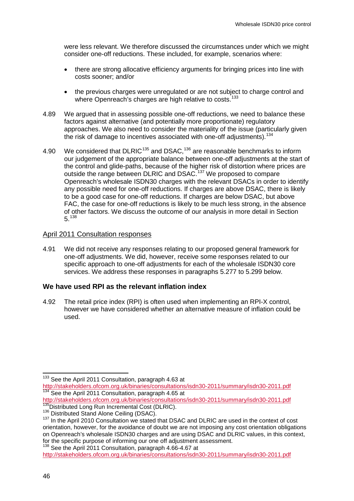were less relevant. We therefore discussed the circumstances under which we might consider one-off reductions. These included, for example, scenarios where:

- there are strong allocative efficiency arguments for bringing prices into line with costs sooner; and/or
- the previous charges were unregulated or are not subject to charge control and where Openreach's charges are high relative to costs.<sup>[133](#page-47-1)</sup>
- 4.89 We argued that in assessing possible one-off reductions, we need to balance these factors against alternative (and potentially more proportionate) regulatory approaches. We also need to consider the materiality of the issue (particularly given the risk of damage to incentives associated with one-off adjustments).<sup>[134](#page-48-0)</sup>
- 4.90 We considered that DLRIC<sup>[135](#page-48-0)</sup> and DSAC,<sup>[136](#page-48-0)</sup> are reasonable benchmarks to inform our judgement of the appropriate balance between one-off adjustments at the start of the control and glide-paths, because of the higher risk of distortion where prices are outside the range between DLRIC and DSAC.<sup>[137](#page-48-0)</sup> We proposed to compare Openreach's wholesale ISDN30 charges with the relevant DSACs in order to identify any possible need for one-off reductions. If charges are above DSAC, there is likely to be a good case for one-off reductions. If charges are below DSAC, but above FAC, the case for one-off reductions is likely to be much less strong, in the absence of other factors. We discuss the outcome of our analysis in more detail in Section 5.[138](#page-48-0)

# April 2011 Consultation responses

4.91 We did not receive any responses relating to our proposed general framework for one-off adjustments. We did, however, receive some responses related to our specific approach to one-off adjustments for each of the wholesale ISDN30 core services. We address these responses in paragraphs [5.277](#page-111-0) to [5.299](#page-115-0) below.

#### **We have used RPI as the relevant inflation index**

4.92 The retail price index (RPI) is often used when implementing an RPI-X control, however we have considered whether an alternative measure of inflation could be used.

<sup>&</sup>lt;sup>133</sup> See the April 2011 Consultation, paragraph 4.63 at

<span id="page-48-1"></span><span id="page-48-0"></span><http://stakeholders.ofcom.org.uk/binaries/consultations/isdn30-2011/summary/isdn30-2011.pdf><br><sup>134</sup> See the April 2011 Consultation, paragraph 4.65 at<br>http://stakeholders.ofcom.org.uk/binaries/consultations/isdn30-2011/summa

 $^{735}$ Distributed Long Run Incremental Cost (DLRIC).<br> $^{136}$  Distributed Stand Alone Ceiling (DSAC).<br> $^{137}$  In the April 2010 Consultation we stated that DSAC and DLRIC are used in the context of cost orientation, however, for the avoidance of doubt we are not imposing any cost orientation obligations on Openreach's wholesale ISDN30 charges and are using DSAC and DLRIC values, in this context, for the specific purpose of informing our one off adjustment assessment.

<sup>&</sup>lt;sup>138</sup> See the April 2011 Consultation, paragraph 4.66-4.67 at <http://stakeholders.ofcom.org.uk/binaries/consultations/isdn30-2011/summary/isdn30-2011.pdf>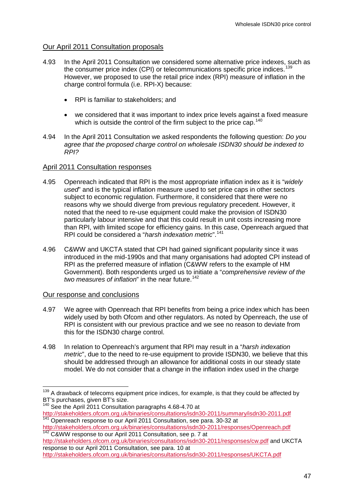# Our April 2011 Consultation proposals

- 4.93 In the April 2011 Consultation we considered some alternative price indexes, such as the consumer price index (CPI) or telecommunications specific price indices.<sup>[139](#page-48-1)</sup> However, we proposed to use the retail price index (RPI) measure of inflation in the charge control formula (i.e. RPI-X) because:
	- RPI is familiar to stakeholders; and
	- we considered that it was important to index price levels against a fixed measure which is outside the control of the firm subject to the price cap.<sup>[140](#page-49-0)</sup>
- 4.94 In the April 2011 Consultation we asked respondents the following question: *Do you agree that the proposed charge control on wholesale ISDN30 should be indexed to RPI?*

# April 2011 Consultation responses

- 4.95 Openreach indicated that RPI is the most appropriate inflation index as it is "*widely used*" and is the typical inflation measure used to set price caps in other sectors subject to economic regulation. Furthermore, it considered that there were no reasons why we should diverge from previous regulatory precedent. However, it noted that the need to re-use equipment could make the provision of ISDN30 particularly labour intensive and that this could result in unit costs increasing more than RPI, with limited scope for efficiency gains. In this case, Openreach argued that RPI could be considered a "*harsh indexation metric*".[141](#page-49-0)
- 4.96 C&WW and UKCTA stated that CPI had gained significant popularity since it was introduced in the mid-1990s and that many organisations had adopted CPI instead of RPI as the preferred measure of inflation (C&WW refers to the example of HM Government). Both respondents urged us to initiate a "*comprehensive review of the two measures of inflation*" in the near future.<sup>[142](#page-49-0)</sup>

#### Our response and conclusions

- 4.97 We agree with Openreach that RPI benefits from being a price index which has been widely used by both Ofcom and other regulators. As noted by Openreach, the use of RPI is consistent with our previous practice and we see no reason to deviate from this for the ISDN30 charge control.
- 4.98 In relation to Openreach's argument that RPI may result in a "*harsh indexation metric*", due to the need to re-use equipment to provide ISDN30, we believe that this should be addressed through an allowance for additional costs in our steady state model. We do not consider that a change in the inflation index used in the charge

<http://stakeholders.ofcom.org.uk/binaries/consultations/isdn30-2011/responses/cw.pdf> and UKCTA response to our April 2011 Consultation, see para. 10 at <http://stakeholders.ofcom.org.uk/binaries/consultations/isdn30-2011/responses/UKCTA.pdf>

<span id="page-49-1"></span><span id="page-49-0"></span><sup>&</sup>lt;sup>139</sup> A drawback of telecoms equipment price indices, for example, is that they could be affected by BT's purchases, given BT's size.

<sup>&</sup>lt;sup>140</sup> See the April 2011 Consultation paragraphs 4.68-4.70 at <http://stakeholders.ofcom.org.uk/binaries/consultations/isdn30-2011/summary/isdn30-2011.pdf> <sup>141</sup> Openreach response to our April 2011 Consultation, see para. 30-32 at

<http://stakeholders.ofcom.org.uk/binaries/consultations/isdn30-2011/responses/Openreach.pdf> 142 C&WW response to our April 2011 Consultation, see p. 7 at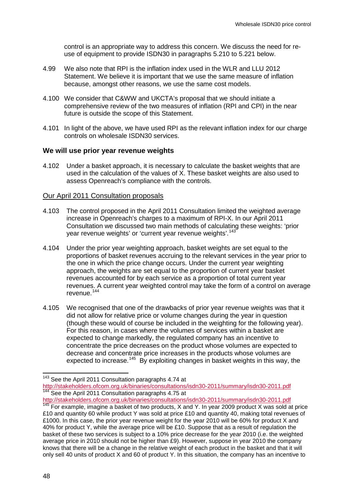control is an appropriate way to address this concern. We discuss the need for reuse of equipment to provide ISDN30 in paragraphs [5.210](#page-100-0) to [5.221](#page-101-0) below.

- 4.99 We also note that RPI is the inflation index used in the WLR and LLU 2012 Statement. We believe it is important that we use the same measure of inflation because, amongst other reasons, we use the same cost models.
- 4.100 We consider that C&WW and UKCTA's proposal that we should initiate a comprehensive review of the two measures of inflation (RPI and CPI) in the near future is outside the scope of this Statement.
- 4.101 In light of the above, we have used RPI as the relevant inflation index for our charge controls on wholesale ISDN30 services.

#### **We will use prior year revenue weights**

4.102 Under a basket approach, it is necessary to calculate the basket weights that are used in the calculation of the values of X. These basket weights are also used to assess Openreach's compliance with the controls.

#### Our April 2011 Consultation proposals

- 4.103 The control proposed in the April 2011 Consultation limited the weighted average increase in Openreach's charges to a maximum of RPI-X. In our April 2011 Consultation we discussed two main methods of calculating these weights: 'prior year revenue weights' or 'current year revenue weights'.<sup>[143](#page-49-1)</sup>
- 4.104 Under the prior year weighting approach, basket weights are set equal to the proportions of basket revenues accruing to the relevant services in the year prior to the one in which the price change occurs. Under the current year weighting approach, the weights are set equal to the proportion of current year basket revenues accounted for by each service as a proportion of total current year revenues. A current year weighted control may take the form of a control on average revenue.[144](#page-50-0)
- 4.105 We recognised that one of the drawbacks of prior year revenue weights was that it did not allow for relative price or volume changes during the year in question (though these would of course be included in the weighting for the following year). For this reason, in cases where the volumes of services within a basket are expected to change markedly, the regulated company has an incentive to concentrate the price decreases on the product whose volumes are expected to decrease and concentrate price increases in the products whose volumes are expected to increase.<sup>145</sup> By exploiting changes in basket weights in this way, the

<span id="page-50-1"></span><sup>&</sup>lt;sup>143</sup> See the April 2011 Consultation paragraphs 4.74 at

<span id="page-50-0"></span><http://stakeholders.ofcom.org.uk/binaries/consultations/isdn30-2011/summary/isdn30-2011.pdf><br><sup>144</sup> See the April 2011 Consultation paragraphs 4.75 at<br>http://stakeholders.ofcom.org.uk/binaries/consultations/isdn30-2011/summa

 $\frac{1}{145}$  For example, imagine a basket of two products, X and Y. In year 2009 product X was sold at price £10 and quantity 60 while product Y was sold at price £10 and quantity 40, making total revenues of £1000. In this case, the prior year revenue weight for the year 2010 will be 60% for product X and 40% for product Y, while the average price will be £10. Suppose that as a result of regulation the basket of these two services is subject to a 10% price decrease for the year 2010 (i.e. the weighted average price in 2010 should not be higher than £9). However, suppose in year 2010 the company knows that there will be a change in the relative weight of each product in the basket and that it will only sell 40 units of product X and 60 of product Y. In this situation, the company has an incentive to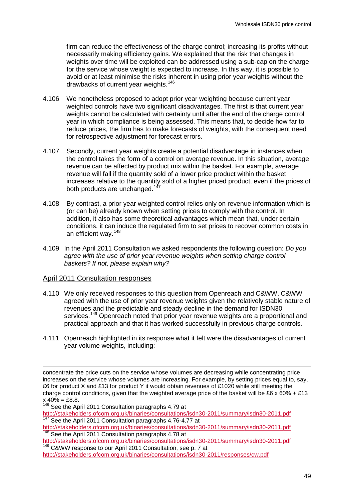firm can reduce the effectiveness of the charge control; increasing its profits without necessarily making efficiency gains. We explained that the risk that changes in weights over time will be exploited can be addressed using a sub-cap on the charge for the service whose weight is expected to increase. In this way, it is possible to avoid or at least minimise the risks inherent in using prior year weights without the drawbacks of current year weights.[146](#page-50-1)

- 4.106 We nonetheless proposed to adopt prior year weighting because current year weighted controls have two significant disadvantages. The first is that current year weights cannot be calculated with certainty until after the end of the charge control year in which compliance is being assessed. This means that, to decide how far to reduce prices, the firm has to make forecasts of weights, with the consequent need for retrospective adjustment for forecast errors.
- 4.107 Secondly, current year weights create a potential disadvantage in instances when the control takes the form of a control on average revenue. In this situation, average revenue can be affected by product mix within the basket. For example, average revenue will fall if the quantity sold of a lower price product within the basket increases relative to the quantity sold of a higher priced product, even if the prices of both products are unchanged.<sup>[147](#page-51-0)</sup>
- 4.108 By contrast, a prior year weighted control relies only on revenue information which is (or can be) already known when setting prices to comply with the control. In addition, it also has some theoretical advantages which mean that, under certain conditions, it can induce the regulated firm to set prices to recover common costs in an efficient way.[148](#page-51-0)
- 4.109 In the April 2011 Consultation we asked respondents the following question: *Do you*  agree with the use of prior year revenue weights when setting charge control *baskets? If not, please explain why?*

#### April 2011 Consultation responses

-

- 4.110 We only received responses to this question from Openreach and C&WW. C&WW agreed with the use of prior year revenue weights given the relatively stable nature of revenues and the predictable and steady decline in the demand for ISDN30 services.<sup>[149](#page-51-0)</sup> Openreach noted that prior year revenue weights are a proportional and practical approach and that it has worked successfully in previous charge controls.
- 4.111 Openreach highlighted in its response what it felt were the disadvantages of current year volume weights, including:

<span id="page-51-0"></span>concentrate the price cuts on the service whose volumes are decreasing while concentrating price increases on the service whose volumes are increasing. For example, by setting prices equal to, say, £6 for product X and £13 for product Y it would obtain revenues of £1020 while still meeting the charge control conditions, given that the weighted average price of the basket will be £6 x  $60\% + £13$  $x 40\% = £8.8.$ 

<sup>&</sup>lt;sup>146</sup> See the April 2011 Consultation paragraphs 4.79 at

<http://stakeholders.ofcom.org.uk/binaries/consultations/isdn30-2011/summary/isdn30-2011.pdf> <sup>147</sup> See the April 2011 Consultation paragraphs 4.76-4.77 at

<http://stakeholders.ofcom.org.uk/binaries/consultations/isdn30-2011/summary/isdn30-2011.pdf><br><sup>148</sup> See the April 2011 Consultation paragraphs 4.78 at<br>http://stakeholders.ofcom.org.uk/binaries/consultations/isdn30-2011/summa

<span id="page-51-1"></span> $\frac{149}{149}$  C&WW response to our April 2011 Consultation, see p. 7 at

<http://stakeholders.ofcom.org.uk/binaries/consultations/isdn30-2011/responses/cw.pdf>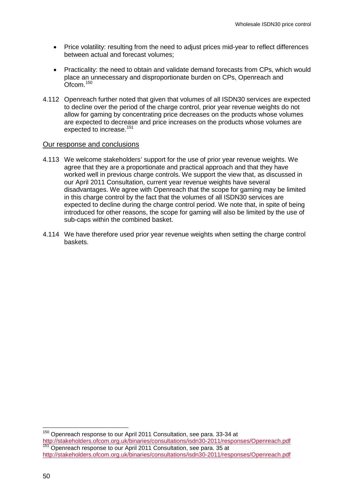- Price volatility: resulting from the need to adjust prices mid-year to reflect differences between actual and forecast volumes;
- Practicality: the need to obtain and validate demand forecasts from CPs, which would place an unnecessary and disproportionate burden on CPs, Openreach and Ofcom.<sup>[150](#page-51-1)</sup>
- 4.112 Openreach further noted that given that volumes of all ISDN30 services are expected to decline over the period of the charge control, prior year revenue weights do not allow for gaming by concentrating price decreases on the products whose volumes are expected to decrease and price increases on the products whose volumes are expected to increase.<sup>[151](#page-52-0)</sup>

#### Our response and conclusions

- 4.113 We welcome stakeholders' support for the use of prior year revenue weights. We agree that they are a proportionate and practical approach and that they have worked well in previous charge controls. We support the view that, as discussed in our April 2011 Consultation, current year revenue weights have several disadvantages. We agree with Openreach that the scope for gaming may be limited in this charge control by the fact that the volumes of all ISDN30 services are expected to decline during the charge control period. We note that, in spite of being introduced for other reasons, the scope for gaming will also be limited by the use of sub-caps within the combined basket.
- 4.114 We have therefore used prior year revenue weights when setting the charge control baskets.

<span id="page-52-1"></span><span id="page-52-0"></span><sup>&</sup>lt;sup>150</sup> Openreach response to our April 2011 Consultation, see para. 33-34 at<br>http://stakeholders.ofcom.org.uk/binaries/consultations/isdn30-2011/responses/Openreach.pdf Openreach response to our April 2011 Consultation, see para. 35 at <http://stakeholders.ofcom.org.uk/binaries/consultations/isdn30-2011/responses/Openreach.pdf>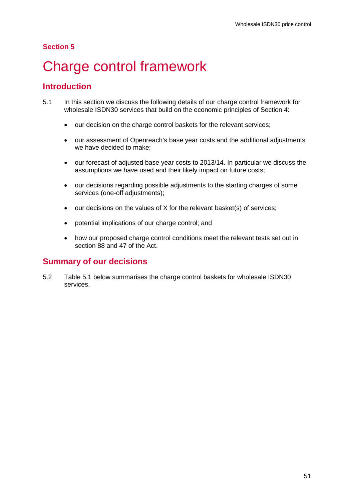# **Section 5**

# 5 Charge control framework

# **Introduction**

- 5.1 In this section we discuss the following details of our charge control framework for wholesale ISDN30 services that build on the economic principles of Section 4:
	- our decision on the charge control baskets for the relevant services;
	- our assessment of Openreach's base year costs and the additional adjustments we have decided to make;
	- our forecast of adjusted base year costs to 2013/14. In particular we discuss the assumptions we have used and their likely impact on future costs;
	- our decisions regarding possible adjustments to the starting charges of some services (one-off adjustments);
	- our decisions on the values of X for the relevant basket(s) of services;
	- potential implications of our charge control; and
	- how our proposed charge control conditions meet the relevant tests set out in section 88 and 47 of the Act.

# **Summary of our decisions**

5.2 Table 5.1 below summarises the charge control baskets for wholesale ISDN30 services.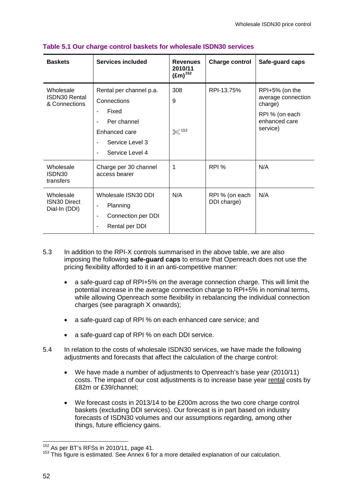| <b>Baskets</b>                                     | <b>Services included</b>                                                                                              | <b>Revenues</b><br>2010/11<br>$(Em)^{152}$ | <b>Charge control</b>         | Safe-guard caps                                                                                |
|----------------------------------------------------|-----------------------------------------------------------------------------------------------------------------------|--------------------------------------------|-------------------------------|------------------------------------------------------------------------------------------------|
| Wholesale<br><b>ISDN30 Rental</b><br>& Connections | Rental per channel p.a.<br>Connections<br>Fixed<br>Per channel<br>Enhanced care<br>Service Level 3<br>Service Level 4 | 308<br>9<br>$\&$ 153                       | RPI-13.75%                    | RPI+5% (on the<br>average connection<br>charge)<br>RPI % (on each<br>enhanced care<br>service) |
| Wholesale<br>ISDN30<br>transfers                   | Charge per 30 channel<br>access bearer                                                                                |                                            | RPI %                         | N/A                                                                                            |
| Wholesale<br><b>ISN30 Direct</b><br>Dial-In (DDI)  | Wholesale ISN30 DDI<br>Planning<br>۰<br>Connection per DDI<br>۰<br>Rental per DDI                                     | N/A                                        | RPI % (on each<br>DDI charge) | N/A                                                                                            |

#### **Table 5.1 Our charge control baskets for wholesale ISDN30 services**

- 5.3 In addition to the RPI-X controls summarised in the above table, we are also imposing the following **safe-guard caps** to ensure that Openreach does not use the pricing flexibility afforded to it in an anti-competitive manner:
	- a safe-guard cap of RPI+5% on the average connection charge. This will limit the potential increase in the average connection charge to RPI+5% in nominal terms, while allowing Openreach some flexibility in rebalancing the individual connection charges (see paragraph X onwards);
	- a safe-guard cap of RPI % on each enhanced care service; and
	- a safe-guard cap of RPI % on each DDI service.
- 5.4 In relation to the costs of wholesale ISDN30 services, we have made the following adjustments and forecasts that affect the calculation of the charge control:
	- We have made a number of adjustments to Openreach's base year (2010/11) costs. The impact of our cost adjustments is to increase base year rental costs by £82m or £39/channel;
	- We forecast costs in 2013/14 to be £200m across the two core charge control baskets (excluding DDI services). Our forecast is in part based on industry forecasts of ISDN30 volumes and our assumptions regarding, among other things, future efficiency gains.

<span id="page-54-1"></span><span id="page-54-0"></span><sup>&</sup>lt;sup>152</sup> As per BT's RFSs in 2010/11, page 41.<br><sup>153</sup> This figure is estimated. See Annex 6 for a more detailed explanation of our calculation.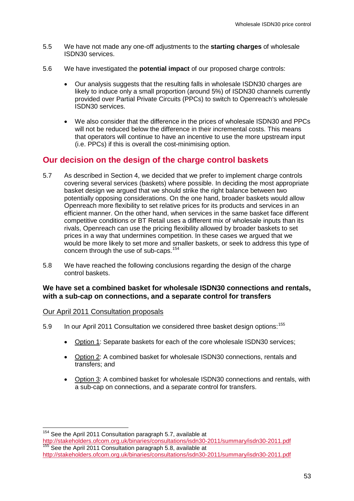- 5.5 We have not made any one-off adjustments to the **starting charges** of wholesale ISDN30 services.
- 5.6 We have investigated the **potential impact** of our proposed charge controls:
	- Our analysis suggests that the resulting falls in wholesale ISDN30 charges are likely to induce only a small proportion (around 5%) of ISDN30 channels currently provided over Partial Private Circuits (PPCs) to switch to Openreach's wholesale ISDN30 services.
	- We also consider that the difference in the prices of wholesale ISDN30 and PPCs will not be reduced below the difference in their incremental costs. This means that operators will continue to have an incentive to use the more upstream input (i.e. PPCs) if this is overall the cost-minimising option.

# **Our decision on the design of the charge control baskets**

- 5.7 As described in Section 4, we decided that we prefer to implement charge controls covering several services (baskets) where possible. In deciding the most appropriate basket design we argued that we should strike the right balance between two potentially opposing considerations. On the one hand, broader baskets would allow Openreach more flexibility to set relative prices for its products and services in an efficient manner. On the other hand, when services in the same basket face different competitive conditions or BT Retail uses a different mix of wholesale inputs than its rivals, Openreach can use the pricing flexibility allowed by broader baskets to set prices in a way that undermines competition. In these cases we argued that we would be more likely to set more and smaller baskets, or seek to address this type of concern through the use of sub-caps.[154](#page-54-1)
- 5.8 We have reached the following conclusions regarding the design of the charge control baskets.

# **We have set a combined basket for wholesale ISDN30 connections and rentals, with a sub-cap on connections, and a separate control for transfers**

#### Our April 2011 Consultation proposals

- 5.9 In our April 2011 Consultation we considered three basket design options:<sup>[155](#page-55-0)</sup>
	- Option 1: Separate baskets for each of the core wholesale ISDN30 services;
	- Option 2: A combined basket for wholesale ISDN30 connections, rentals and transfers; and
	- Option 3: A combined basket for wholesale ISDN30 connections and rentals, with a sub-cap on connections, and a separate control for transfers.

<span id="page-55-1"></span><span id="page-55-0"></span><sup>&</sup>lt;sup>154</sup> See the April 2011 Consultation paragraph 5.7, available at <http://stakeholders.ofcom.org.uk/binaries/consultations/isdn30-2011/summary/isdn30-2011.pdf><br><sup>155</sup> See the April 2011 Consultation paragraph 5.8, available at <http://stakeholders.ofcom.org.uk/binaries/consultations/isdn30-2011/summary/isdn30-2011.pdf>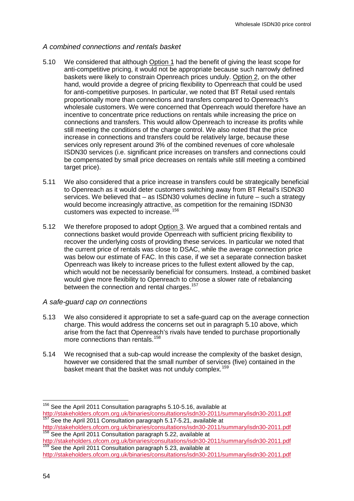# *A combined connections and rentals basket*

- <span id="page-56-0"></span>5.10 We considered that although Option 1 had the benefit of giving the least scope for anti-competitive pricing, it would not be appropriate because such narrowly defined baskets were likely to constrain Openreach prices unduly. Option 2, on the other hand, would provide a degree of pricing flexibility to Openreach that could be used for anti-competitive purposes. In particular, we noted that BT Retail used rentals proportionally more than connections and transfers compared to Openreach's wholesale customers. We were concerned that Openreach would therefore have an incentive to concentrate price reductions on rentals while increasing the price on connections and transfers. This would allow Openreach to increase its profits while still meeting the conditions of the charge control. We also noted that the price increase in connections and transfers could be relatively large, because these services only represent around 3% of the combined revenues of core wholesale ISDN30 services (i.e. significant price increases on transfers and connections could be compensated by small price decreases on rentals while still meeting a combined target price).
- <span id="page-56-2"></span>5.11 We also considered that a price increase in transfers could be strategically beneficial to Openreach as it would deter customers switching away from BT Retail's ISDN30 services. We believed that – as ISDN30 volumes decline in future – such a strategy would become increasingly attractive, as competition for the remaining ISDN30 customers was expected to increase.<sup>[156](#page-55-1)</sup>
- 5.12 We therefore proposed to adopt Option 3. We argued that a combined rentals and connections basket would provide Openreach with sufficient pricing flexibility to recover the underlying costs of providing these services. In particular we noted that the current price of rentals was close to DSAC, while the average connection price was below our estimate of FAC. In this case, if we set a separate connection basket Openreach was likely to increase prices to the fullest extent allowed by the cap, which would not be necessarily beneficial for consumers. Instead, a combined basket would give more flexibility to Openreach to choose a slower rate of rebalancing between the connection and rental charges.<sup>[157](#page-56-1)</sup>

# *A safe-guard cap on connections*

- 5.13 We also considered it appropriate to set a safe-guard cap on the average connection charge. This would address the concerns set out in paragraph [5.10](#page-56-0) above, which arise from the fact that Openreach's rivals have tended to purchase proportionally more connections than rentals.<sup>[158](#page-56-1)</sup>
- 5.14 We recognised that a sub-cap would increase the complexity of the basket design, however we considered that the small number of services (five) contained in the basket meant that the basket was not unduly complex.<sup>[159](#page-56-1)</sup>

<span id="page-56-3"></span><span id="page-56-1"></span><sup>&</sup>lt;sup>156</sup> See the April 2011 Consultation paragraphs 5.10-5.16, available at <http://stakeholders.ofcom.org.uk/binaries/consultations/isdn30-2011/summary/isdn30-2011.pdf> 157 See the April 2011 Consultation paragraph 5.17-5.21, available at

<http://stakeholders.ofcom.org.uk/binaries/consultations/isdn30-2011/summary/isdn30-2011.pdf> 158 See the April 2011 Consultation paragraph 5.22, available at

<http://stakeholders.ofcom.org.uk/binaries/consultations/isdn30-2011/summary/isdn30-2011.pdf><br><sup>159</sup> See the April 2011 Consultation paragraph 5.23, available at

<http://stakeholders.ofcom.org.uk/binaries/consultations/isdn30-2011/summary/isdn30-2011.pdf>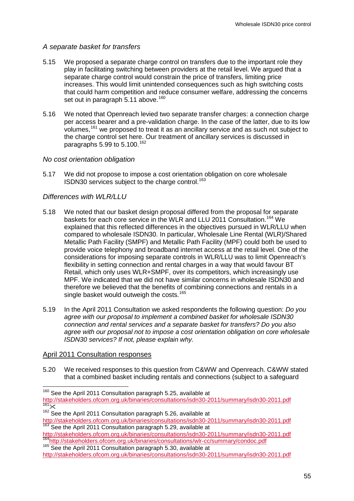# *A separate basket for transfers*

- 5.15 We proposed a separate charge control on transfers due to the important role they play in facilitating switching between providers at the retail level. We argued that a separate charge control would constrain the price of transfers, limiting price increases. This would limit unintended consequences such as high switching costs that could harm competition and reduce consumer welfare, addressing the concerns set out in paragraph  $5.11$  above.<sup>[160](#page-56-3)</sup>
- 5.16 We noted that Openreach levied two separate transfer charges: a connection charge per access bearer and a pre-validation charge. In the case of the latter, due to its low volumes,[161](#page-57-0) we proposed to treat it as an ancillary service and as such not subject to the charge control set here. Our treatment of ancillary services is discussed in paragraphs [5.99](#page-77-0) to [5.100.](#page-77-1) [162](#page-57-0)

# *No cost orientation obligation*

5.17 We did not propose to impose a cost orientation obligation on core wholesale ISDN30 services subject to the charge control.<sup>[163](#page-57-0)</sup>

# *Differences with WLR/LLU*

- <span id="page-57-2"></span>5.18 We noted that our basket design proposal differed from the proposal for separate baskets for each core service in the WLR and LLU 2011 Consultation. [164](#page-57-0) We explained that this reflected differences in the objectives pursued in WLR/LLU when compared to wholesale ISDN30. In particular, Wholesale Line Rental (WLR)/Shared Metallic Path Facility (SMPF) and Metallic Path Facility (MPF) could both be used to provide voice telephony and broadband internet access at the retail level. One of the considerations for imposing separate controls in WLR/LLU was to limit Openreach's flexibility in setting connection and rental charges in a way that would favour BT Retail, which only uses WLR+SMPF, over its competitors, which increasingly use MPF. We indicated that we did not have similar concerns in wholesale ISDN30 and therefore we believed that the benefits of combining connections and rentals in a single basket would outweigh the costs.<sup>[165](#page-57-0)</sup>
- 5.19 In the April 2011 Consultation we asked respondents the following question: *Do you agree with our proposal to implement a combined basket for wholesale ISDN30 connection and rental services and a separate basket for transfers? Do you also agree with our proposal not to impose a cost orientation obligation on core wholesale ISDN30 services? If not, please explain why.*

# April 2011 Consultation responses

5.20 We received responses to this question from C&WW and Openreach. C&WW stated that a combined basket including rentals and connections (subject to a safeguard

163 See the April 2011 Consultation paragraph 5.29, available at <http://stakeholders.ofcom.org.uk/binaries/consultations/isdn30-2011/summary/isdn30-2011.pdf><br><sup>164</sup>http://stakeholders.ofcom.org.uk/binaries/consultations/isdn30-2011/summary/condoc.pdf<br><sup>165</sup> See the April 2011 Consultation

<span id="page-57-0"></span> $160$  See the April 2011 Consultation paragraph 5.25, available at <http://stakeholders.ofcom.org.uk/binaries/consultations/isdn30-2011/summary/isdn30-2011.pdf><br><sup>161</sup>%

<span id="page-57-1"></span><sup>&</sup>lt;sup>162</sup> See the April 2011 Consultation paragraph 5.26, available at <br>http://stakeholders.ofcom.org.uk/binaries/consultations/isdn30-2011/summary/isdn30-2011.pdf

<http://stakeholders.ofcom.org.uk/binaries/consultations/isdn30-2011/summary/isdn30-2011.pdf>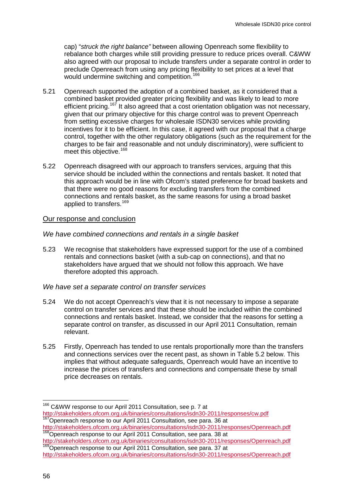cap) "*struck the right balance"* between allowing Openreach some flexibility to rebalance both charges while still providing pressure to reduce prices overall. C&WW also agreed with our proposal to include transfers under a separate control in order to preclude Openreach from using any pricing flexibility to set prices at a level that would undermine switching and competition.<sup>[166](#page-57-1)</sup>

- 5.21 Openreach supported the adoption of a combined basket, as it considered that a combined basket provided greater pricing flexibility and was likely to lead to more efficient pricing.<sup>[167](#page-58-0)</sup> It also agreed that a cost orientation obligation was not necessary, given that our primary objective for this charge control was to prevent Openreach from setting excessive charges for wholesale ISDN30 services while providing incentives for it to be efficient. In this case, it agreed with our proposal that a charge control, together with the other regulatory obligations (such as the requirement for the charges to be fair and reasonable and not unduly discriminatory), were sufficient to meet this objective.<sup>[168](#page-58-0)</sup>
- 5.22 Openreach disagreed with our approach to transfers services, arguing that this service should be included within the connections and rentals basket. It noted that this approach would be in line with Ofcom's stated preference for broad baskets and that there were no good reasons for excluding transfers from the combined connections and rentals basket, as the same reasons for using a broad basket applied to transfers.<sup>[169](#page-58-0)</sup>

#### Our response and conclusion

#### *We have combined connections and rentals in a single basket*

5.23 We recognise that stakeholders have expressed support for the use of a combined rentals and connections basket (with a sub-cap on connections), and that no stakeholders have argued that we should not follow this approach. We have therefore adopted this approach.

#### *We have set a separate control on transfer services*

- 5.24 We do not accept Openreach's view that it is not necessary to impose a separate control on transfer services and that these should be included within the combined connections and rentals basket. Instead, we consider that the reasons for setting a separate control on transfer, as discussed in our April 2011 Consultation, remain relevant.
- 5.25 Firstly, Openreach has tended to use rentals proportionally more than the transfers and connections services over the recent past, as shown in Table 5.2 below. This implies that without adequate safeguards, Openreach would have an incentive to increase the prices of transfers and connections and compensate these by small price decreases on rentals.

<span id="page-58-1"></span><span id="page-58-0"></span><sup>&</sup>lt;sup>166</sup> C&WW response to our April 2011 Consultation, see p. 7 at<br>http://stakeholders.ofcom.org.uk/binaries/consultations/isdn30-2011/responses/cw.pdf <sup>167</sup>Openreach response to our April 2011 Consultation, see para. 36 at

<http://stakeholders.ofcom.org.uk/binaries/consultations/isdn30-2011/responses/Openreach.pdf><br><sup>168</sup>Openreach response to our April 2011 Consultation, see para. 38 at<br>http://stakeholders.ofcom.org.uk/binaries/consultations/is

<sup>169&</sup>lt;br><sup>169</sup>Openreach response to our April 2011 Consultation, see para. 37 at

<http://stakeholders.ofcom.org.uk/binaries/consultations/isdn30-2011/responses/Openreach.pdf>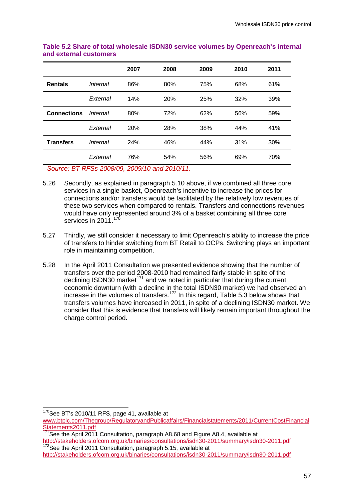|                    |          | 2007 | 2008 | 2009 | 2010 | 2011 |
|--------------------|----------|------|------|------|------|------|
| <b>Rentals</b>     | Internal | 86%  | 80%  | 75%  | 68%  | 61%  |
|                    | External | 14%  | 20%  | 25%  | 32%  | 39%  |
| <b>Connections</b> | Internal | 80%  | 72%  | 62%  | 56%  | 59%  |
|                    | External | 20%  | 28%  | 38%  | 44%  | 41%  |
| <b>Transfers</b>   | Internal | 24%  | 46%  | 44%  | 31%  | 30%  |
|                    | External | 76%  | 54%  | 56%  | 69%  | 70%  |
|                    |          |      |      |      |      |      |

#### **Table 5.2 Share of total wholesale ISDN30 service volumes by Openreach's internal and external customers**

*Source: BT RFSs 2008/09, 2009/10 and 2010/11.*

- 5.26 Secondly, as explained in paragraph [5.10](#page-56-0) above, if we combined all three core services in a single basket, Openreach's incentive to increase the prices for connections and/or transfers would be facilitated by the relatively low revenues of these two services when compared to rentals. Transfers and connections revenues would have only represented around 3% of a basket combining all three core services in 2011.<sup>[170](#page-58-1)</sup>
- 5.27 Thirdly, we still consider it necessary to limit Openreach's ability to increase the price of transfers to hinder switching from BT Retail to OCPs. Switching plays an important role in maintaining competition.
- 5.28 In the April 2011 Consultation we presented evidence showing that the number of transfers over the period 2008-2010 had remained fairly stable in spite of the declining ISDN30 market<sup>[171](#page-59-0)</sup> and we noted in particular that during the current economic downturn (with a decline in the total ISDN30 market) we had observed an increase in the volumes of transfers.<sup>[172](#page-59-0)</sup> In this regard, Table  $5.3$  below shows that transfers volumes have increased in 2011, in spite of a declining ISDN30 market. We consider that this is evidence that transfers will likely remain important throughout the charge control period.

<span id="page-59-0"></span><sup>&</sup>lt;sup>170</sup>See BT's 2010/11 RFS, page 41, available at

[www.btplc.com/Thegroup/RegulatoryandPublicaffairs/Financialstatements/2011/CurrentCostFinancial](http://www.btplc.com/Thegroup/RegulatoryandPublicaffairs/Financialstatements/2011/CurrentCostFinancialStatements2011.pdf) [Statements2011.pdf](http://www.btplc.com/Thegroup/RegulatoryandPublicaffairs/Financialstatements/2011/CurrentCostFinancialStatements2011.pdf)

<sup>&</sup>lt;sup>171</sup>See the April 2011 Consultation, paragraph A8.68 and Figure A8.4, available at <http://stakeholders.ofcom.org.uk/binaries/consultations/isdn30-2011/summary/isdn30-2011.pdf><br><sup>172</sup>See the April 2011 Consultation, paragraph 5.15, available at

<span id="page-59-1"></span><http://stakeholders.ofcom.org.uk/binaries/consultations/isdn30-2011/summary/isdn30-2011.pdf>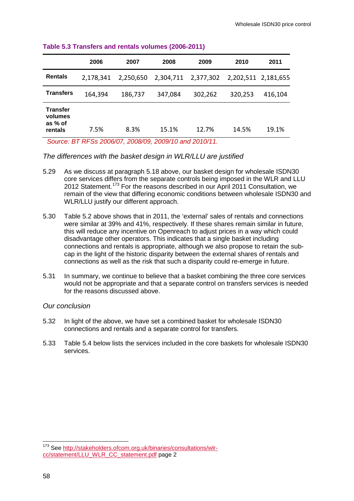|                                                  | 2006      | 2007      | 2008      | 2009      | 2010    | 2011                |
|--------------------------------------------------|-----------|-----------|-----------|-----------|---------|---------------------|
| <b>Rentals</b>                                   | 2,178,341 | 2,250,650 | 2,304,711 | 2,377,302 |         | 2,202,511 2,181,655 |
| <b>Transfers</b>                                 | 164,394   | 186,737   | 347,084   | 302,262   | 320,253 | 416,104             |
| <b>Transfer</b><br>volumes<br>as % of<br>rentals | 7.5%      | 8.3%      | 15.1%     | 12.7%     | 14.5%   | 19.1%               |

#### **Table 5.3 Transfers and rentals volumes (2006-2011)**

*Source: BT RFSs 2006/07, 2008/09, 2009/10 and 2010/11.*

*The differences with the basket design in WLR/LLU are justified*

- 5.29 As we discuss at paragraph [5.18](#page-57-2) above, our basket design for wholesale ISDN30 core services differs from the separate controls being imposed in the WLR and LLU 2012 Statement.<sup>[173](#page-59-1)</sup> For the reasons described in our April 2011 Consultation, we remain of the view that differing economic conditions between wholesale ISDN30 and WLR/LLU justify our different approach.
- 5.30 Table 5.2 above shows that in 2011, the 'external' sales of rentals and connections were similar at 39% and 41%, respectively. If these shares remain similar in future, this will reduce any incentive on Openreach to adjust prices in a way which could disadvantage other operators. This indicates that a single basket including connections and rentals is appropriate, although we also propose to retain the subcap in the light of the historic disparity between the external shares of rentals and connections as well as the risk that such a disparity could re-emerge in future.
- 5.31 In summary, we continue to believe that a basket combining the three core services would not be appropriate and that a separate control on transfers services is needed for the reasons discussed above.

#### *Our conclusion*

- 5.32 In light of the above, we have set a combined basket for wholesale ISDN30 connections and rentals and a separate control for transfers.
- <span id="page-60-0"></span>5.33 Table 5.4 below lists the services included in the core baskets for wholesale ISDN30 services.

<sup>173</sup> See [http://stakeholders.ofcom.org.uk/binaries/consultations/wlr](http://stakeholders.ofcom.org.uk/binaries/consultations/wlr-cc/statement/LLU_WLR_CC_statement.pdf)[cc/statement/LLU\\_WLR\\_CC\\_statement.pdf](http://stakeholders.ofcom.org.uk/binaries/consultations/wlr-cc/statement/LLU_WLR_CC_statement.pdf) page 2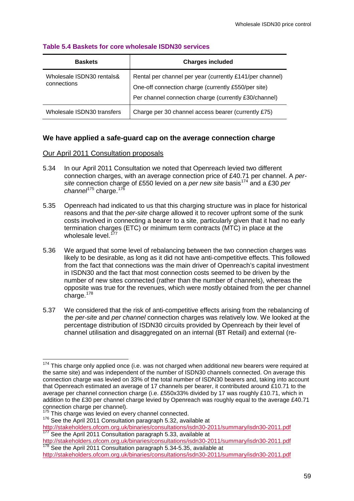| <b>Baskets</b>                           | <b>Charges included</b>                                                                                                                                                  |
|------------------------------------------|--------------------------------------------------------------------------------------------------------------------------------------------------------------------------|
| Wholesale ISDN30 rentals&<br>connections | Rental per channel per year (currently £141/per channel)<br>One-off connection charge (currently £550/per site)<br>Per channel connection charge (currently £30/channel) |
| Wholesale ISDN30 transfers               | Charge per 30 channel access bearer (currently £75)                                                                                                                      |

#### **Table 5.4 Baskets for core wholesale ISDN30 services**

# **We have applied a safe-guard cap on the average connection charge**

#### Our April 2011 Consultation proposals

- 5.34 In our April 2011 Consultation we noted that Openreach levied two different connection charges, with an average connection price of £40.71 per channel. A *persite* connection charge of £550 levied on a *per new site* basis[174](#page-60-0) and a £30 *per*  channel<sup>[175](#page-61-0)</sup> charge.<sup>[176](#page-61-0)</sup>
- 5.35 Openreach had indicated to us that this charging structure was in place for historical reasons and that the *per-site* charge allowed it to recover upfront some of the sunk costs involved in connecting a bearer to a site, particularly given that it had no early termination charges (ETC) or minimum term contracts (MTC) in place at the wholesale level.<sup>[177](#page-61-0)</sup>
- 5.36 We argued that some level of rebalancing between the two connection charges was likely to be desirable, as long as it did not have anti-competitive effects. This followed from the fact that connections was the main driver of Openreach's capital investment in ISDN30 and the fact that most connection costs seemed to be driven by the number of new sites connected (rather than the number of channels), whereas the opposite was true for the revenues, which were mostly obtained from the per channel charge.<sup>[178](#page-61-0)</sup>
- <span id="page-61-2"></span><span id="page-61-1"></span>5.37 We considered that the risk of anti-competitive effects arising from the rebalancing of the *per-site* and *per channel* connection charges was relatively low. We looked at the percentage distribution of ISDN30 circuits provided by Openreach by their level of channel utilisation and disaggregated on an internal (BT Retail) and external (re-

<span id="page-61-0"></span> $174$  This charge only applied once (i.e. was not charged when additional new bearers were required at the same site) and was independent of the number of ISDN30 channels connected. On average this connection charge was levied on 33% of the total number of ISDN30 bearers and, taking into account that Openreach estimated an average of 17 channels per bearer, it contributed around £10.71 to the average per channel connection charge (i.e. £550x33% divided by 17 was roughly £10.71, which in addition to the £30 per channel charge levied by Openreach was roughly equal to the average £40.71 connection charge per channel).<br><sup>175</sup> This charge was levied on every channel connected.

 $176$  See the April 2011 Consultation paragraph 5.32, available at

<http://stakeholders.ofcom.org.uk/binaries/consultations/isdn30-2011/summary/isdn30-2011.pdf><br>
<sup>177</sup> See the April 2011 Consultation paragraph 5.33, available at<br>
http://stakeholders.ofcom.org.uk/binaries/consultations/isdn3

 $\frac{178}{178}$  See the April 2011 Consultation paragraph 5.34-5.35, available at

<http://stakeholders.ofcom.org.uk/binaries/consultations/isdn30-2011/summary/isdn30-2011.pdf>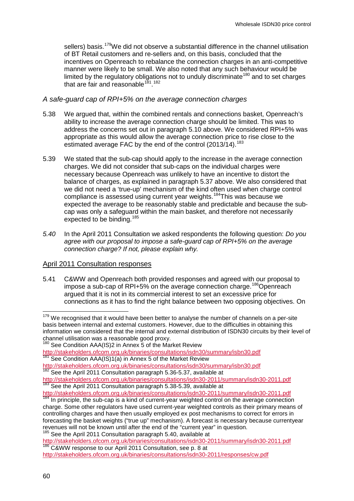sellers) basis.<sup>[179](#page-61-2)</sup>We did not observe a substantial difference in the channel utilisation of BT Retail customers and re-sellers and, on this basis, concluded that the incentives on Openreach to rebalance the connection charges in an anti-competitive manner were likely to be small. We also noted that any such behaviour would be limited by the regulatory obligations not to unduly discriminate<sup>[180](#page-62-0)</sup> and to set charges that are fair and reasonable<sup>181</sup>.<sup>[182](#page-62-0)</sup>

# *A safe-guard cap of RPI+5% on the average connection charges*

- 5.38 We argued that, within the combined rentals and connections basket, Openreach's ability to increase the average connection charge should be limited. This was to address the concerns set out in paragraph [5.10](#page-56-0) above. We considered RPI+5% was appropriate as this would allow the average connection price to rise close to the estimated average FAC by the end of the control (2013/14).<sup>[183](#page-62-0)</sup>
- 5.39 We stated that the sub-cap should apply to the increase in the average connection charges. We did not consider that sub-caps on the individual charges were necessary because Openreach was unlikely to have an incentive to distort the balance of charges, as explained in paragraph [5.37](#page-61-1) above. We also considered that we did not need a 'true-up' mechanism of the kind often used when charge control compliance is assessed using current year weights.[184T](#page-62-0)his was because we expected the average to be reasonably stable and predictable and because the subcap was only a safeguard within the main basket, and therefore not necessarily expected to be binding.<sup>[185](#page-62-0)</sup>
- *5.40* In the April 2011 Consultation we asked respondents the following question: *Do you agree with our proposal to impose a safe-guard cap of RPI+5% on the average connection charge? If not, please explain why.*

#### April 2011 Consultation responses

5.41 C&WW and Openreach both provided responses and agreed with our proposal to impose a sub-cap of RPI+5% on the average connection charge.<sup>[186](#page-62-0)</sup>Openreach argued that it is not in its commercial interest to set an excessive price for connections as it has to find the right balance between two opposing objectives. On

186 C&WW response to our April 2011 Consultation, see p. 8 at

<span id="page-62-0"></span> $179$  We recognised that it would have been better to analyse the number of channels on a per-site basis between internal and external customers. However, due to the difficulties in obtaining this information we considered that the internal and external distribution of ISDN30 circuits by their level of channel utilisation was a reasonable good proxy.<br><sup>180</sup> See Condition AAA(IS)2 in Annex 5 of the Market Review

<http://stakeholders.ofcom.org.uk/binaries/consultations/isdn30/summary/isbn30.pdf>

See Condition AAA(IS)1(a) in Annex 5 of the Market Review <http://stakeholders.ofcom.org.uk/binaries/consultations/isdn30/summary/isbn30.pdf>

<span id="page-62-1"></span><sup>&</sup>lt;sup>182</sup> See the April 2011 Consultation paragraph 5.36-5.37, available at <http://stakeholders.ofcom.org.uk/binaries/consultations/isdn30-2011/summary/isdn30-2011.pdf> <sup>183</sup> See the April 2011 Consultation paragraph 5.38-5.39, available at

<http://stakeholders.ofcom.org.uk/binaries/consultations/isdn30-2011/summary/isdn30-2011.pdf><br><sup>184</sup> In principle, the sub-cap is a kind of current-year weighted control on the average connection

charge. Some other regulators have used current-year weighted controls as their primary means of controlling charges and have then usually employed ex post mechanisms to correct for errors in forecasting the basket weights ("true up" mechanism). A forecast is necessary because currentyear revenues will not be known until after the end of the "current year" in question.

<sup>&</sup>lt;sup>185</sup> See the April 2011 Consultation paragraph 5.40, available at <br>http://stakeholders.ofcom.org.uk/binaries/consultations/isdn30-2011/summary/isdn30-2011.pdf

<http://stakeholders.ofcom.org.uk/binaries/consultations/isdn30-2011/responses/cw.pdf>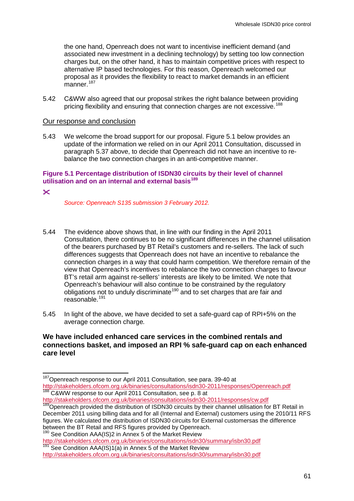the one hand, Openreach does not want to incentivise inefficient demand (and associated new investment in a declining technology) by setting too low connection charges but, on the other hand, it has to maintain competitive prices with respect to alternative IP based technologies. For this reason, Openreach welcomed our proposal as it provides the flexibility to react to market demands in an efficient manner.<sup>[187](#page-62-1)</sup>

5.42 C&WW also agreed that our proposal strikes the right balance between providing pricing flexibility and ensuring that connection charges are not excessive.<sup>[188](#page-63-0)</sup>

#### Our response and conclusion

5.43 We welcome the broad support for our proposal. Figure 5.1 below provides an update of the information we relied on in our April 2011 Consultation, discussed in paragraph [5.37](#page-61-1) above, to decide that Openreach did not have an incentive to rebalance the two connection charges in an anti-competitive manner.

#### **Figure 5.1 Percentage distribution of ISDN30 circuits by their level of channel utilisation and on an internal and external basis[189](#page-63-0)**

#### $\mathsf{\tilde{x}}$

*Source: Openreach S135 submission 3 February 2012.*

- 5.44 The evidence above shows that, in line with our finding in the April 2011 Consultation, there continues to be no significant differences in the channel utilisation of the bearers purchased by BT Retail's customers and re-sellers. The lack of such differences suggests that Openreach does not have an incentive to rebalance the connection charges in a way that could harm competition. We therefore remain of the view that Openreach's incentives to rebalance the two connection charges to favour BT's retail arm against re-sellers' interests are likely to be limited. We note that Openreach's behaviour will also continue to be constrained by the regulatory obligations not to unduly discriminate<sup>[190](#page-63-0)</sup> and to set charges that are fair and reasonable. $19$ <sup>[191](#page-63-0)</sup>
- 5.45 In light of the above, we have decided to set a safe-guard cap of RPI+5% on the average connection charge*.*

# <span id="page-63-1"></span>**We have included enhanced care services in the combined rentals and connections basket, and imposed an RPI % safe-guard cap on each enhanced care level**

<span id="page-63-0"></span><sup>&</sup>lt;sup>187</sup>Openreach response to our April 2011 Consultation, see para. 39-40 at <http://stakeholders.ofcom.org.uk/binaries/consultations/isdn30-2011/responses/Openreach.pdf><br><sup>188</sup> C&WW response to our April 2011 Consultation, see p. 8 at<br>http://stakeholders.ofcom.org.uk/binaries/consultations/isdn30-201

 $\frac{189}{189}$ Openreach provided the distribution of ISDN30 circuits by their channel utilisation for BT Retail in December 2011 using billing data and for all (Internal and External) customers using the 2010/11 RFS figures. We calculated the distribution of ISDN30 circuits for External customersas the difference<br>between the BT Retail and RFS figures provided by Openreach.

between the BT Retail and RFS in Annex 5 of the Market Review<br>http://stakeholders.ofcom.org.uk/binaries/consultations/isdn30/summary/isbn30.pdf  $\frac{191}{191}$  See Condition AAA(IS)1(a) in Annex 5 of the Market Review

<http://stakeholders.ofcom.org.uk/binaries/consultations/isdn30/summary/isbn30.pdf>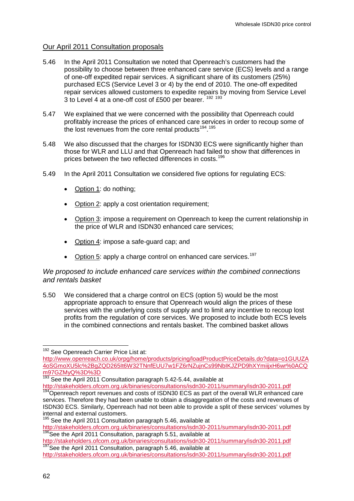# Our April 2011 Consultation proposals

- 5.46 In the April 2011 Consultation we noted that Openreach's customers had the possibility to choose between three enhanced care service (ECS) levels and a range of one-off expedited repair services. A significant share of its customers (25%) purchased ECS (Service Level 3 or 4) by the end of 2010. The one-off expedited repair services allowed customers to expedite repairs by moving from Service Level 3 to Level 4 at a one-off cost of £500 per bearer. <sup>[192](#page-63-1) [193](#page-64-0)</sup>
- 5.47 We explained that we were concerned with the possibility that Openreach could profitably increase the prices of enhanced care services in order to recoup some of the lost revenues from the core rental products<sup>194</sup>.<sup>[195](#page-64-0)</sup>
- <span id="page-64-2"></span>5.48 We also discussed that the charges for ISDN30 ECS were significantly higher than those for WLR and LLU and that Openreach had failed to show that differences in prices between the two reflected differences in costs.[196](#page-64-0)
- 5.49 In the April 2011 Consultation we considered five options for regulating ECS:
	- Option 1: do nothing;
	- Option 2: apply a cost orientation requirement;
	- Option 3: impose a requirement on Openreach to keep the current relationship in the price of WLR and ISDN30 enhanced care services;
	- Option 4: impose a safe-guard cap; and
	- Option 5: apply a charge control on enhanced care services.<sup>[197](#page-64-0)</sup>

# *We proposed to include enhanced care services within the combined connections and rentals basket*

5.50 We considered that a charge control on ECS (option 5) would be the most appropriate approach to ensure that Openreach would align the prices of these services with the underlying costs of supply and to limit any incentive to recoup lost profits from the regulation of core services. We proposed to include both ECS levels in the combined connections and rentals basket. The combined basket allows

<http://stakeholders.ofcom.org.uk/binaries/consultations/isdn30-2011/summary/isdn30-2011.pdf><br><sup>194</sup>Openreach report revenues and costs of ISDN30 ECS as part of the overall WLR enhanced care services. Therefore they had been unable to obtain a disaggregation of the costs and revenues of ISDN30 ECS. Similarly, Openreach had not been able to provide a split of these services' volumes by internal and external customers.

<sup>192</sup> See Openreach Carrier Price List at:

<span id="page-64-1"></span><span id="page-64-0"></span>[http://www.openreach.co.uk/orpg/home/products/pricing/loadProductPriceDetails.do?data=o1GUUZA](http://www.openreach.co.uk/orpg/home/products/pricing/loadProductPriceDetails.do?data=o1GUUZA4oSGmoXU5lc%2BgZQD265It6W32TNnfEUU7w1FZ6rNZujnCs99NbIKJZPD9hXYmiijxH6wr%0ACQm97GZMyQ%3D%3D) [4oSGmoXU5lc%2BgZQD265It6W32TNnfEUU7w1FZ6rNZujnCs99NbIKJZPD9hXYmiijxH6wr%0ACQ](http://www.openreach.co.uk/orpg/home/products/pricing/loadProductPriceDetails.do?data=o1GUUZA4oSGmoXU5lc%2BgZQD265It6W32TNnfEUU7w1FZ6rNZujnCs99NbIKJZPD9hXYmiijxH6wr%0ACQm97GZMyQ%3D%3D) [m97GZMyQ%3D%3D](http://www.openreach.co.uk/orpg/home/products/pricing/loadProductPriceDetails.do?data=o1GUUZA4oSGmoXU5lc%2BgZQD265It6W32TNnfEUU7w1FZ6rNZujnCs99NbIKJZPD9hXYmiijxH6wr%0ACQm97GZMyQ%3D%3D)

<sup>&</sup>lt;sup>193</sup> See the April 2011 Consultation paragraph 5.42-5.44, available at

 $195$  See the April 2011 Consultation paragraph 5.46, available at

<http://stakeholders.ofcom.org.uk/binaries/consultations/isdn30-2011/summary/isdn30-2011.pdf><br><sup>196</sup>See the April 2011 Consultation, paragraph 5.51, available at<br>http://stakeholders.ofcom.org.uk/binaries/consultations/isdn30-

<sup>197</sup> See the April 2011 Consultation, paragraph 5.46, available at

<http://stakeholders.ofcom.org.uk/binaries/consultations/isdn30-2011/summary/isdn30-2011.pdf>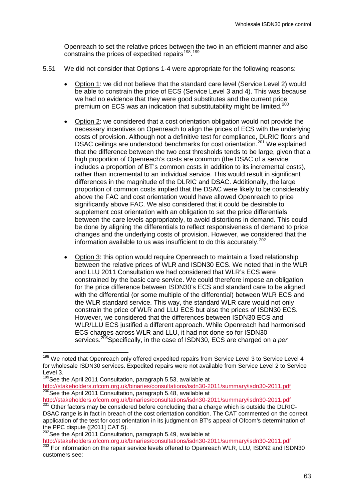Openreach to set the relative prices between the two in an efficient manner and also constrains the prices of expedited repairs<sup>198</sup>.<sup>[199](#page-65-0)</sup>

- 5.51 We did not consider that Options 1-4 were appropriate for the following reasons:
	- Option 1: we did not believe that the standard care level (Service Level 2) would be able to constrain the price of ECS (Service Level 3 and 4). This was because we had no evidence that they were good substitutes and the current price premium on ECS was an indication that substitutability might be limited.<sup>[200](#page-65-0)</sup>
	- Option 2: we considered that a cost orientation obligation would not provide the necessary incentives on Openreach to align the prices of ECS with the underlying costs of provision. Although not a definitive test for compliance, DLRIC floors and DSAC ceilings are understood benchmarks for cost orientation.<sup>[201](#page-65-0)</sup> We explained that the difference between the two cost thresholds tends to be large, given that a high proportion of Openreach's costs are common (the DSAC of a service includes a proportion of BT's common costs in addition to its incremental costs), rather than incremental to an individual service. This would result in significant differences in the magnitude of the DLRIC and DSAC. Additionally, the large proportion of common costs implied that the DSAC were likely to be considerably above the FAC and cost orientation would have allowed Openreach to price significantly above FAC. We also considered that it could be desirable to supplement cost orientation with an obligation to set the price differentials between the care levels appropriately, to avoid distortions in demand. This could be done by aligning the differentials to reflect responsiveness of demand to price changes and the underlying costs of provision. However, we considered that the information available to us was insufficient to do this accurately.<sup>[202](#page-65-0)</sup>
	- Option 3: this option would require Openreach to maintain a fixed relationship between the relative prices of WLR and ISDN30 ECS. We noted that in the WLR and LLU 2011 Consultation we had considered that WLR's ECS were constrained by the basic care service. We could therefore impose an obligation for the price difference between ISDN30's ECS and standard care to be aligned with the differential (or some multiple of the differential) between WLR ECS and the WLR standard service. This way, the standard WLR care would not only constrain the price of WLR and LLU ECS but also the prices of ISDN30 ECS. However, we considered that the differences between ISDN30 ECS and WLR/LLU ECS justified a different approach. While Openreach had harmonised ECS charges across WLR and LLU, it had not done so for ISDN30 services.[203](#page-65-0)Specifically, in the case of ISDN30, ECS are charged on a *per*

<span id="page-65-0"></span><sup>&</sup>lt;sup>198</sup> We noted that Openreach only offered expedited repairs from Service Level 3 to Service Level 4 for wholesale ISDN30 services. Expedited repairs were not available from Service Level 2 to Service Level 3.

<span id="page-65-1"></span><sup>&</sup>lt;sup>199</sup>See the April 2011 Consultation, paragraph 5.53, available at

<http://stakeholders.ofcom.org.uk/binaries/consultations/isdn30-2011/summary/isdn30-2011.pdf><br><sup>200</sup>See the April 2011 Consultation, paragraph 5.48, available at<br>http://stakeholders.ofcom.org.uk/binaries/consultations/isdn30-

http://stakeholders.org.uk/binaries/consultations/isdn30-2011/summary/isdn30-2011/summary/isdn30-2011/summary/isdn30-2011.pdf 2015.pdf 2015.pdf 2015.pdf 2015.pdf 2015.pdf 2015.pdf 2015.pdf 2015.pdf 2015.pdf 2015.pdf 2015.p DSAC range is in fact in breach of the cost orientation condition. The CAT commented on the correct application of the test for cost orientation in its judgment on BT's appeal of Ofcom's determination of the PPC dispute ([2011] CAT 5).<br><sup>202</sup>See the April 2011 Consultation, paragraph 5.49, available at<br>http://stakeholders.ofcom.org.uk/binaries/consultations/isdn30-2011/summary/isdn30-2011.pdf

<sup>203</sup> For information on the repair service levels offered to Openreach WLR, LLU, ISDN2 and ISDN30 customers see: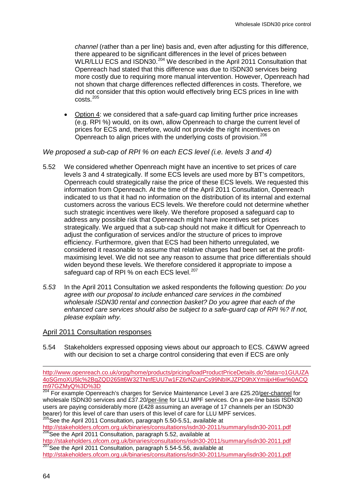*channel* (rather than a per line) basis and, even after adjusting for this difference, there appeared to be significant differences in the level of prices between WLR/LLU ECS and ISDN30.<sup>[204](#page-65-1)</sup> We described in the April 2011 Consultation that Openreach had stated that this difference was due to ISDN30 services being more costly due to requiring more manual intervention. However, Openreach had not shown that charge differences reflected differences in costs. Therefore, we did not consider that this option would effectively bring ECS prices in line with costs.[205](#page-66-0)

• Option 4: we considered that a safe-guard cap limiting further price increases (e.g. RPI %) would, on its own, allow Openreach to charge the current level of prices for ECS and, therefore, would not provide the right incentives on Openreach to align prices with the underlying costs of provision.<sup>[206](#page-66-0)</sup>

# *We proposed a sub-cap of RPI % on each ECS level (i.e. levels 3 and 4)*

- 5.52 We considered whether Openreach might have an incentive to set prices of care levels 3 and 4 strategically. If some ECS levels are used more by BT's competitors, Openreach could strategically raise the price of these ECS levels. We requested this information from Openreach. At the time of the April 2011 Consultation, Openreach indicated to us that it had no information on the distribution of its internal and external customers across the various ECS levels. We therefore could not determine whether such strategic incentives were likely. We therefore proposed a safeguard cap to address any possible risk that Openreach might have incentives set prices strategically. We argued that a sub-cap should not make it difficult for Openreach to adjust the configuration of services and/or the structure of prices to improve efficiency. Furthermore, given that ECS had been hitherto unregulated, we considered it reasonable to assume that relative charges had been set at the profitmaximising level. We did not see any reason to assume that price differentials should widen beyond these levels. We therefore considered it appropriate to impose a safeguard cap of RPI % on each ECS level.<sup>[207](#page-66-0)</sup>
- *5.53* In the April 2011 Consultation we asked respondents the following question: *Do you agree with our proposal to include enhanced care services in the combined wholesale ISDN30 rental and connection basket? Do you agree that each of the enhanced care services should also be subject to a safe-guard cap of RPI %? If not, please explain why.*

#### April 2011 Consultation responses

<span id="page-66-2"></span>5.54 Stakeholders expressed opposing views about our approach to ECS. C&WW agreed with our decision to set a charge control considering that even if ECS are only

<http://stakeholders.ofcom.org.uk/binaries/consultations/isdn30-2011/summary/isdn30-2011.pdf><br><sup>206</sup>See the April 2011 Consultation, paragraph 5.52, available at<br>http://stakeholders.ofcom.org.uk/binaries/consultations/isdn30-

<sup>207</sup>See the April 2011 Consultation, paragraph 5.54-5.56, available at

-

<span id="page-66-0"></span>[http://www.openreach.co.uk/orpg/home/products/pricing/loadProductPriceDetails.do?data=o1GUUZA](http://www.openreach.co.uk/orpg/home/products/pricing/loadProductPriceDetails.do?data=o1GUUZA4oSGmoXU5lc%2BgZQD265It6W32TNnfEUU7w1FZ6rNZujnCs99NbIKJZPD9hXYmiijxH6wr%0ACQm97GZMyQ%3D%3D) [4oSGmoXU5lc%2BgZQD265It6W32TNnfEUU7w1FZ6rNZujnCs99NbIKJZPD9hXYmiijxH6wr%0ACQ](http://www.openreach.co.uk/orpg/home/products/pricing/loadProductPriceDetails.do?data=o1GUUZA4oSGmoXU5lc%2BgZQD265It6W32TNnfEUU7w1FZ6rNZujnCs99NbIKJZPD9hXYmiijxH6wr%0ACQm97GZMyQ%3D%3D) [m97GZMyQ%3D%3D](http://www.openreach.co.uk/orpg/home/products/pricing/loadProductPriceDetails.do?data=o1GUUZA4oSGmoXU5lc%2BgZQD265It6W32TNnfEUU7w1FZ6rNZujnCs99NbIKJZPD9hXYmiijxH6wr%0ACQm97GZMyQ%3D%3D)

<span id="page-66-1"></span><sup>&</sup>lt;sup>204</sup> For example Openreach's charges for Service Maintenance Level 3 are £25.20/per-channel for wholesale ISDN30 services and £37.20/per-line for LLU MPF services. On a per-line basis ISDN30 users are paying considerably more (£428 assuming an average of 17 channels per an ISDN30 bearer) for this level of care than users of this level of care for LLU MPF services. <sup>205</sup>See the April 2011 Consultation, paragraph 5.50-5.51, available at

<http://stakeholders.ofcom.org.uk/binaries/consultations/isdn30-2011/summary/isdn30-2011.pdf>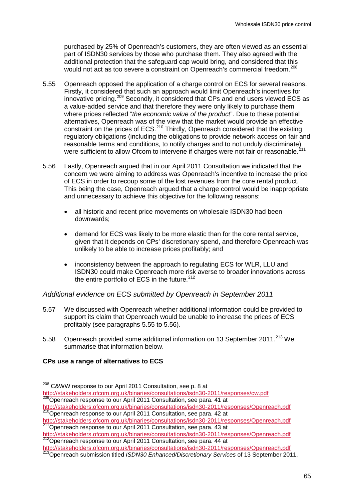purchased by 25% of Openreach's customers, they are often viewed as an essential part of ISDN30 services by those who purchase them. They also agreed with the additional protection that the safeguard cap would bring, and considered that this would not act as too severe a constraint on Openreach's commercial freedom.<sup>[208](#page-66-1)</sup>

- <span id="page-67-0"></span>5.55 Openreach opposed the application of a charge control on ECS for several reasons. Firstly, it considered that such an approach would limit Openreach's incentives for innovative pricing.[209](#page-67-2) Secondly, it considered that CPs and end users viewed ECS as a value-added service and that therefore they were only likely to purchase them where prices reflected "*the economic value of the product*". Due to these potential alternatives, Openreach was of the view that the market would provide an effective constraint on the prices of ECS.[210](#page-67-2) Thirdly, Openreach considered that the existing regulatory obligations (including the obligations to provide network access on fair and regulatory opingations (including the congeneries of process of the unduly discriminate)<br>reasonable terms and conditions, to notify charges and to not unduly discriminate) were sufficient to allow Ofcom to intervene if charges were not fair or reasonable.<sup>2</sup>
- <span id="page-67-1"></span>5.56 Lastly, Openreach argued that in our April 2011 Consultation we indicated that the concern we were aiming to address was Openreach's incentive to increase the price of ECS in order to recoup some of the lost revenues from the core rental product. This being the case, Openreach argued that a charge control would be inappropriate and unnecessary to achieve this objective for the following reasons:
	- all historic and recent price movements on wholesale ISDN30 had been downwards;
	- demand for ECS was likely to be more elastic than for the core rental service, given that it depends on CPs' discretionary spend, and therefore Openreach was unlikely to be able to increase prices profitably; and
	- inconsistency between the approach to regulating ECS for WLR, LLU and ISDN30 could make Openreach more risk averse to broader innovations across the entire portfolio of ECS in the future.  $212$

*Additional evidence on ECS submitted by Openreach in September 2011*

- 5.57 We discussed with Openreach whether additional information could be provided to support its claim that Openreach would be unable to increase the prices of ECS profitably (see paragraphs [5.55](#page-67-0) to [5.56\)](#page-67-1).
- 5.58 Openreach provided some additional information on 13 September 2011.<sup>[213](#page-67-2)</sup> We summarise that information below.

# <span id="page-67-3"></span>**CPs use a range of alternatives to ECS**

http://stateholders.org.uk/binaries-consultation, see para. 43 at

<span id="page-67-2"></span><sup>&</sup>lt;sup>208</sup> C&WW response to our April 2011 Consultation, see p. 8 at <http://stakeholders.ofcom.org.uk/binaries/consultations/isdn30-2011/responses/cw.pdf> <sup>209</sup>Openreach response to our April 2011 Consultation, see para. 41 at

<http://stakeholders.ofcom.org.uk/binaries/consultations/isdn30-2011/responses/Openreach.pdf><br><sup>210</sup>Openreach response to our April 2011 Consultation, see para. 42 at<br>http://stakeholders.ofcom.org.uk/binaries/consultations/is

<http://stakeholders.ofcom.org.uk/binaries/consultations/isdn30-2011/responses/Openreach.pdf><br>
<sup>212</sup>Openreach response to our April 2011 Consultation, see para. 44 at<br>
http://stakeholders.ofcom.org.uk/binaries/consultations/

http://stakeholders.org.uk/binaries/consultations/isdname.com/integrations/isdname.com/integrations/isdname.com/<br><sup>213</sup>Openreach submission titled *ISDN30 Enhanced/Discretionary Services* of 13 September 2011.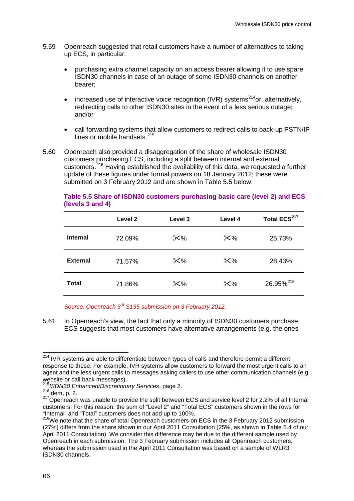- <span id="page-68-1"></span>5.59 Openreach suggested that retail customers have a number of alternatives to taking up ECS, in particular:
	- purchasing extra channel capacity on an access bearer allowing it to use spare ISDN30 channels in case of an outage of some ISDN30 channels on another bearer;
	- increased use of interactive voice recognition (IVR) systems<sup>214</sup>or, alternatively, redirecting calls to other ISDN30 sites in the event of a less serious outage; and/or
	- call forwarding systems that allow customers to redirect calls to back-up PSTN/IP lines or mobile handsets.<sup>[215](#page-68-0)</sup>
- 5.60 Openreach also provided a disaggregation of the share of wholesale ISDN30 customers purchasing ECS, including a split between internal and external customers.[216](#page-68-0) Having established the availability of this data, we requested a further update of these figures under formal powers on 18 January 2012; these were submitted on 3 February 2012 and are shown in Table 5.5 below.

|                 | Level 2 | Level 3 | Level 4 | Total ECS <sup>217</sup> |
|-----------------|---------|---------|---------|--------------------------|
| <b>Internal</b> | 72.09%  | $×\%$   | $×\%$   | 25.73%                   |
| <b>External</b> | 71.57%  | $×\%$   | $×\%$   | 28.43%                   |
| <b>Total</b>    | 71.86%  | $×\%$   | $×\%$   | 26.95% <sup>218</sup>    |

#### **Table 5.5 Share of ISDN30 customers purchasing basic care (level 2) and ECS (levels 3 and 4)**

*Source: Openreach 3rd S135 submission on 3 February 2012.*

5.61 In Openreach's view, the fact that only a minority of ISDN30 customers purchase ECS suggests that most customers have alternative arrangements (e.g. the ones

<span id="page-68-0"></span> $\frac{214}{214}$  IVR systems are able to differentiate between types of calls and therefore permit a different response to these. For example, IVR systems allow customers to forward the most urgent calls to an agent and the less urgent calls to messages asking callers to use other communication channels (e.g. website or call back messages).<br><sup>215</sup> ISDN30 Enhanced/Discretionary Services, page 2.

<sup>216&</sup>lt;br><sup>216</sup>Idem, p. 2.<br><sup>217</sup>Openreach was unable to provide the split between ECS and service level 2 for 2.2% of all Internal customers. For this reason, the sum of "Level 2" and "Total ECS" customers shown in the rows for "Internal" and "Total" customers does not add up to 100%.

<span id="page-68-2"></span> $218$ We note that the share of total Openreach customers on ECS in the 3 February 2012 submission (27%) differs from the share shown in our April 2011 Consultation (25%, as shown in Table 5.4 of our April 2011 Consultation). We consider this difference may be due to the different sample used by Openreach in each submission. The 3 February submission includes all Openreach customers, whereas the submission used in the April 2011 Consultation was based on a sample of WLR3 ISDN30 channels.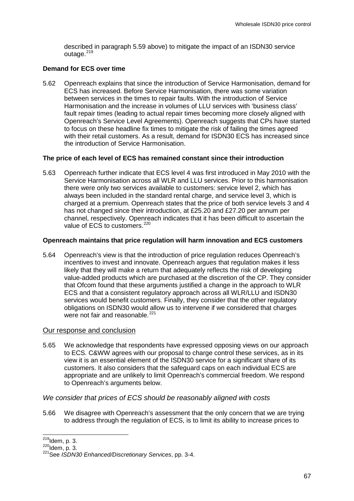described in paragraph [5.59](#page-68-1) above) to mitigate the impact of an ISDN30 service outage. $219$ 

# **Demand for ECS over time**

<span id="page-69-2"></span>5.62 Openreach explains that since the introduction of Service Harmonisation, demand for ECS has increased. Before Service Harmonisation, there was some variation between services in the times to repair faults. With the introduction of Service Harmonisation and the increase in volumes of LLU services with 'business class' fault repair times (leading to actual repair times becoming more closely aligned with Openreach's Service Level Agreements). Openreach suggests that CPs have started to focus on these headline fix times to mitigate the risk of failing the times agreed with their retail customers. As a result, demand for ISDN30 ECS has increased since the introduction of Service Harmonisation.

# **The price of each level of ECS has remained constant since their introduction**

<span id="page-69-3"></span>5.63 Openreach further indicate that ECS level 4 was first introduced in May 2010 with the Service Harmonisation across all WLR and LLU services. Prior to this harmonisation there were only two services available to customers: service level 2, which has always been included in the standard rental charge, and service level 3, which is charged at a premium. Openreach states that the price of both service levels 3 and 4 has not changed since their introduction, at £25.20 and £27.20 per annum per channel, respectively. Openreach indicates that it has been difficult to ascertain the value of ECS to customers.<sup>[220](#page-69-0)</sup>

# **Openreach maintains that price regulation will harm innovation and ECS customers**

5.64 Openreach's view is that the introduction of price regulation reduces Openreach's incentives to invest and innovate. Openreach argues that regulation makes it less likely that they will make a return that adequately reflects the risk of developing value-added products which are purchased at the discretion of the CP. They consider that Ofcom found that these arguments justified a change in the approach to WLR ECS and that a consistent regulatory approach across all WLR/LLU and ISDN30 services would benefit customers. Finally, they consider that the other regulatory obligations on ISDN30 would allow us to intervene if we considered that charges were not fair and reasonable.<sup>[221](#page-69-0)</sup>

# <span id="page-69-1"></span>Our response and conclusion

5.65 We acknowledge that respondents have expressed opposing views on our approach to ECS. C&WW agrees with our proposal to charge control these services, as in its view it is an essential element of the ISDN30 service for a significant share of its customers. It also considers that the safeguard caps on each individual ECS are appropriate and are unlikely to limit Openreach's commercial freedom. We respond to Openreach's arguments below.

# *We consider that prices of ECS should be reasonably aligned with costs*

5.66 We disagree with Openreach's assessment that the only concern that we are trying to address through the regulation of ECS, is to limit its ability to increase prices to

<span id="page-69-0"></span> $^{219}$ Idem, p. 3.<br> $^{220}$ Idem, p. 3.

<sup>221</sup>See *ISDN30 Enhanced/Discretionary Services*, pp. 3-4.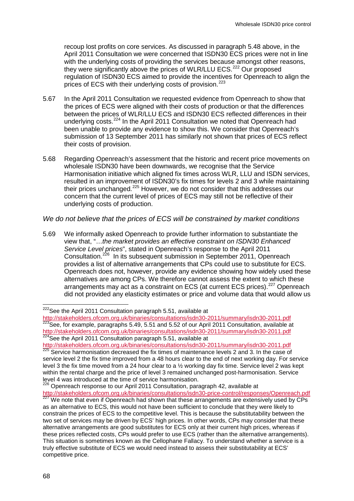recoup lost profits on core services. As discussed in paragraph [5.48](#page-64-2) above, in the April 2011 Consultation we were concerned that ISDN30 ECS prices were not in line with the underlying costs of providing the services because amongst other reasons. they were significantly above the prices of WLR/LLU ECS.<sup>[222](#page-69-1)</sup> Our proposed regulation of ISDN30 ECS aimed to provide the incentives for Openreach to align the prices of ECS with their underlying costs of provision.<sup>[223](#page-70-0)</sup>

- 5.67 In the April 2011 Consultation we requested evidence from Openreach to show that the prices of ECS were aligned with their costs of production or that the differences between the prices of WLR/LLU ECS and ISDN30 ECS reflected differences in their underlying costs.<sup>[224](#page-70-0)</sup> In the April 2011 Consultation we noted that Openreach had been unable to provide any evidence to show this. We consider that Openreach's submission of 13 September 2011 has similarly not shown that prices of ECS reflect their costs of provision.
- 5.68 Regarding Openreach's assessment that the historic and recent price movements on wholesale ISDN30 have been downwards, we recognise that the Service Harmonisation initiative which aligned fix times across WLR, LLU and ISDN services, resulted in an improvement of ISDN30's fix times for levels 2 and 3 while maintaining their prices unchanged.<sup>[225](#page-70-0)</sup> However, we do not consider that this addresses our concern that the current level of prices of ECS may still not be reflective of their underlying costs of production.

#### *We do not believe that the prices of ECS will be constrained by market conditions*

5.69 We informally asked Openreach to provide further information to substantiate the view that, "…*the market provides an effective constraint on ISDN30 Enhanced Service Level prices*", stated in Openreach's response to the April 2011 Consultation.<sup>[226](#page-70-0)</sup> In its subsequent submission in September 2011, Openreach provides a list of alternative arrangements that CPs could use to substitute for ECS. Openreach does not, however, provide any evidence showing how widely used these alternatives are among CPs. We therefore cannot assess the extent to which these arrangements may act as a constraint on ECS (at current ECS prices).<sup>[227](#page-70-0)</sup> Openreach did not provided any elasticity estimates or price and volume data that would allow us

<span id="page-70-0"></span> $222$ See the April 2011 Consultation paragraph 5.51, available at

<http://stakeholders.ofcom.org.uk/binaries/consultations/isdn30-2011/summary/isdn30-2011.pdf> <sup>223</sup>See, for example, paragraphs 5.49, 5.51 and 5.52 of our April 2011 Consultation, available at <http://stakeholders.ofcom.org.uk/binaries/consultations/isdn30-2011/summary/isdn30-2011.pdf> <sup>224</sup>See the April 2011 Consultation paragraph 5.51, available at

<http://stakeholders.ofcom.org.uk/binaries/consultations/isdn30-2011/summary/isdn30-2011.pdf><br><sup>225</sup> Service harmonisation decreased the fix times of maintenance levels 2 and 3. In the case of service level 2 the fix time improved from a 48 hours clear to the end of next working day. For service level 3 the fix time moved from a 24 hour clear to a ½ working day fix time. Service level 2 was kept within the rental charge and the price of level 3 remained unchanged post-harmonisation. Service level 4 was introduced at the time of service harmonisation.<br><sup>226</sup> Openreach response to our April 2011 Consultation, paragraph 42, available at

<span id="page-70-1"></span><http://stakeholders.ofcom.org.uk/binaries/consultations/isdn30-price-control/responses/Openreach.pdf> <sup>227</sup> We note that even if Openreach had shown that these arrangements are extensively used by CPs as an alternative to ECS, this would not have been sufficient to conclude that they were likely to constrain the prices of ECS to the competitive level. This is because the substitutability between the two set of services may be driven by ECS' high prices. In other words, CPs may consider that these alternative arrangements are good substitutes for ECS only at their current high prices, whereas if these prices reflected costs, CPs would prefer to use ECS (rather than the alternative arrangements). This situation is sometimes known as the Cellophane Fallacy. To understand whether a service is a truly effective substitute of ECS we would need instead to assess their substitutability at ECS' competitive price.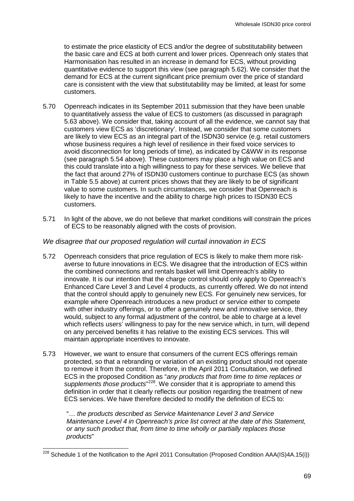to estimate the price elasticity of ECS and/or the degree of substitutability between the basic care and ECS at both current and lower prices. Openreach only states that Harmonisation has resulted in an increase in demand for ECS, without providing quantitative evidence to support this view (see paragraph [5.62\)](#page-69-2). We consider that the demand for ECS at the current significant price premium over the price of standard care is consistent with the view that substitutability may be limited, at least for some customers.

- 5.70 Openreach indicates in its September 2011 submission that they have been unable to quantitatively assess the value of ECS to customers (as discussed in paragraph [5.63](#page-69-3) above). We consider that, taking account of all the evidence, we cannot say that customers view ECS as 'discretionary'. Instead, we consider that some customers are likely to view ECS as an integral part of the ISDN30 service (e.g. retail customers whose business requires a high level of resilience in their fixed voice services to avoid disconnection for long periods of time), as indicated by C&WW in its response (see paragraph [5.54](#page-66-2) above). These customers may place a high value on ECS and this could translate into a high willingness to pay for these services. We believe that the fact that around 27% of ISDN30 customers continue to purchase ECS (as shown in Table 5.5 above) at current prices shows that they are likely to be of significant value to some customers. In such circumstances, we consider that Openreach is likely to have the incentive and the ability to charge high prices to ISDN30 ECS customers.
- 5.71 In light of the above, we do not believe that market conditions will constrain the prices of ECS to be reasonably aligned with the costs of provision.

# *We disagree that our proposed regulation will curtail innovation in ECS*

- 5.72 Openreach considers that price regulation of ECS is likely to make them more riskaverse to future innovations in ECS. We disagree that the introduction of ECS within the combined connections and rentals basket will limit Openreach's ability to innovate. It is our intention that the charge control should only apply to Openreach's Enhanced Care Level 3 and Level 4 products, as currently offered. We do not intend that the control should apply to genuinely new ECS. For genuinely new services, for example where Openreach introduces a new product or service either to compete with other industry offerings, or to offer a genuinely new and innovative service, they would, subject to any formal adjustment of the control, be able to charge at a level which reflects users' willingness to pay for the new service which, in turn, will depend on any perceived benefits it has relative to the existing ECS services. This will maintain appropriate incentives to innovate.
- 5.73 However, we want to ensure that consumers of the current ECS offerings remain protected, so that a rebranding or variation of an existing product should not operate to remove it from the control. Therefore, in the April 2011 Consultation, we defined ECS in the proposed Condition as "*any products that from time to time replaces or*  supplements those products<sup>"[228](#page-70-1)</sup>. We consider that it is appropriate to amend this definition in order that it clearly reflects our position regarding the treatment of new ECS services. We have therefore decided to modify the definition of ECS to:

"… *the products described as Service Maintenance Level 3 and Service Maintenance Level 4 in Openreach's price list correct at the date of this Statement, or any such product that, from time to time wholly or partially replaces those products*"

 $228$  Schedule 1 of the Notification to the April 2011 Consultation (Proposed Condition AAA(IS)4A.15(i))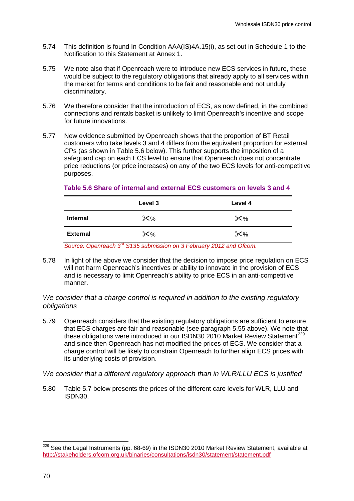- 5.74 This definition is found In Condition AAA(IS)4A.15(i), as set out in Schedule 1 to the Notification to this Statement at Annex 1.
- 5.75 We note also that if Openreach were to introduce new ECS services in future, these would be subject to the regulatory obligations that already apply to all services within the market for terms and conditions to be fair and reasonable and not unduly discriminatory.
- 5.76 We therefore consider that the introduction of ECS, as now defined, in the combined connections and rentals basket is unlikely to limit Openreach's incentive and scope for future innovations.
- 5.77 New evidence submitted by Openreach shows that the proportion of BT Retail customers who take levels 3 and 4 differs from the equivalent proportion for external CPs (as shown in Table 5.6 below). This further supports the imposition of a safeguard cap on each ECS level to ensure that Openreach does not concentrate price reductions (or price increases) on any of the two ECS levels for anti-competitive purposes.

|                 | Level 3    | Level 4     |
|-----------------|------------|-------------|
| <b>Internal</b> | $\times\%$ | $\times\%$  |
| <b>External</b> | $\times\%$ | $\chi_{\%}$ |

### **Table 5.6 Share of internal and external ECS customers on levels 3 and 4**

*Source: Openreach 3rd S135 submission on 3 February 2012 and Ofcom.*

5.78 In light of the above we consider that the decision to impose price regulation on ECS will not harm Openreach's incentives or ability to innovate in the provision of ECS and is necessary to limit Openreach's ability to price ECS in an anti-competitive manner.

# <span id="page-72-0"></span>*We consider that a charge control is required in addition to the existing regulatory obligations*

5.79 Openreach considers that the existing regulatory obligations are sufficient to ensure that ECS charges are fair and reasonable (see paragraph [5.55](#page-67-0) above). We note that these obligations were introduced in our ISDN30 2010 Market Review Statement<sup>[229](#page-71-0)</sup> and since then Openreach has not modified the prices of ECS. We consider that a charge control will be likely to constrain Openreach to further align ECS prices with its underlying costs of provision.

### *We consider that a different regulatory approach than in WLR/LLU ECS is justified*

5.80 Table 5.7 below presents the prices of the different care levels for WLR, LLU and ISDN30.

<sup>&</sup>lt;sup>229</sup> See the Legal Instruments (pp. 68-69) in the ISDN30 2010 Market Review Statement, available at <http://stakeholders.ofcom.org.uk/binaries/consultations/isdn30/statement/statement.pdf>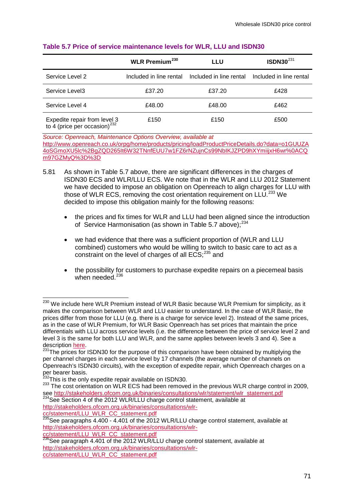|                                                                          | <b>WLR Premium</b> <sup>230</sup> | LLU    | $ISDN30^{231}$                                  |
|--------------------------------------------------------------------------|-----------------------------------|--------|-------------------------------------------------|
| Service Level 2                                                          | Included in line rental           |        | Included in line rental Included in line rental |
| Service Level3                                                           | £37.20                            | £37.20 | £428                                            |
| Service Level 4                                                          | £48.00                            | £48.00 | £462                                            |
| Expedite repair from level 3<br>to 4 (price per occasion) <sup>232</sup> | £150                              | £150   | £500                                            |

#### **Table 5.7 Price of service maintenance levels for WLR, LLU and ISDN30**

*Source: Openreach, Maintenance Options Overview, available at*  [http://www.openreach.co.uk/orpg/home/products/pricing/loadProductPriceDetails.do?data=o1GUUZA](http://www.openreach.co.uk/orpg/home/products/pricing/loadProductPriceDetails.do?data=o1GUUZA4oSGmoXU5lc%2BgZQD265It6W32TNnfEUU7w1FZ6rNZujnCs99NbIKJZPD9hXYmiijxH6wr%0ACQm97GZMyQ%3D%3D) [4oSGmoXU5lc%2BgZQD265It6W32TNnfEUU7w1FZ6rNZujnCs99NbIKJZPD9hXYmiijxH6wr%0ACQ](http://www.openreach.co.uk/orpg/home/products/pricing/loadProductPriceDetails.do?data=o1GUUZA4oSGmoXU5lc%2BgZQD265It6W32TNnfEUU7w1FZ6rNZujnCs99NbIKJZPD9hXYmiijxH6wr%0ACQm97GZMyQ%3D%3D) [m97GZMyQ%3D%3D](http://www.openreach.co.uk/orpg/home/products/pricing/loadProductPriceDetails.do?data=o1GUUZA4oSGmoXU5lc%2BgZQD265It6W32TNnfEUU7w1FZ6rNZujnCs99NbIKJZPD9hXYmiijxH6wr%0ACQm97GZMyQ%3D%3D)

- 5.81 As shown in Table 5.7 above, there are significant differences in the charges of ISDN30 ECS and WLR/LLU ECS. We note that in the WLR and LLU 2012 Statement we have decided to impose an obligation on Openreach to align charges for LLU with those of WLR ECS, removing the cost orientation requirement on LLU.<sup>[233](#page-73-0)</sup> We decided to impose this obligation mainly for the following reasons:
	- the prices and fix times for WLR and LLU had been aligned since the introduction of Service Harmonisation (as shown in Table 5.7 above);<sup>[234](#page-73-0)</sup>
	- we had evidence that there was a sufficient proportion of (WLR and LLU combined) customers who would be willing to switch to basic care to act as a constraint on the level of charges of all  $ECS$ :  $235$  and
	- the possibility for customers to purchase expedite repairs on a piecemeal basis when needed.<sup>[236](#page-73-0)</sup>

[http://stakeholders.ofcom.org.uk/binaries/consultations/wlr-](http://stakeholders.ofcom.org.uk/binaries/consultations/wlr-cc/statement/LLU_WLR_CC_statement.pdf)

[cc/statement/LLU\\_WLR\\_CC\\_statement.pdf](http://stakeholders.ofcom.org.uk/binaries/consultations/wlr-cc/statement/LLU_WLR_CC_statement.pdf)

<span id="page-73-0"></span><sup>&</sup>lt;sup>230</sup> We include here WLR Premium instead of WLR Basic because WLR Premium for simplicity, as it makes the comparison between WLR and LLU easier to understand. In the case of WLR Basic, the prices differ from those for LLU (e.g. there is a charge for service level 2). Instead of the same prices, as in the case of WLR Premium, for WLR Basic Openreach has set prices that maintain the price differentials with LLU across service levels (i.e. the difference between the price of service level 2 and level 3 is the same for both LLU and WLR, and the same applies between levels 3 and 4). See a description here.<br>  $\frac{231 \text{ The}}{231 \text{ The}}$ 

 $1$ The prices for ISDN30 for the purpose of this comparison have been obtained by multiplying the per channel charges in each service level by 17 channels (the average number of channels on Openreach's ISDN30 circuits), with the exception of expedite repair, which Openreach charges on a per bearer basis.<br><sup>232</sup>This is the only expedite repair available on ISDN30.

<sup>&</sup>lt;sup>233</sup>The cost orientation on WLR ECS had been removed in the previous WLR charge control in 2009, see [http://stakeholders.ofcom.org.uk/binaries/consultations/wlr/statement/wlr\\_statement.pdf](http://stakeholders.ofcom.org.uk/binaries/consultations/wlr/statement/wlr_statement.pdf) 234See Section 4 of the 2012 WLR/LLU charge control statement, available at

[cc/statement/LLU\\_WLR\\_CC\\_statement.pdf](http://stakeholders.ofcom.org.uk/binaries/consultations/wlr-cc/statement/LLU_WLR_CC_statement.pdf)

<span id="page-73-1"></span> $^{235}$ See paragraphs 4.400 - 4.401 of the 2012 WLR/LLU charge control statement, available at [http://stakeholders.ofcom.org.uk/binaries/consultations/wlr-](http://stakeholders.ofcom.org.uk/binaries/consultations/wlr-cc/statement/LLU_WLR_CC_statement.pdf)

 $^{236}$ See paragraph 4.401 of the 2012 WLR/LLU charge control statement, available at [http://stakeholders.ofcom.org.uk/binaries/consultations/wlr](http://stakeholders.ofcom.org.uk/binaries/consultations/wlr-cc/statement/LLU_WLR_CC_statement.pdf)[cc/statement/LLU\\_WLR\\_CC\\_statement.pdf](http://stakeholders.ofcom.org.uk/binaries/consultations/wlr-cc/statement/LLU_WLR_CC_statement.pdf)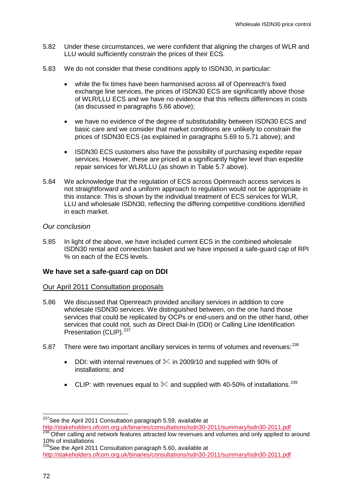- 5.82 Under these circumstances, we were confident that aligning the charges of WLR and LLU would sufficiently constrain the prices of their ECS.
- 5.83 We do not consider that these conditions apply to ISDN30, in particular:
	- while the fix times have been harmonised across all of Openreach's fixed exchange line services, the prices of ISDN30 ECS are significantly above those of WLR/LLU ECS and we have no evidence that this reflects differences in costs (as discussed in paragraphs [5.66](#page-69-0) above);
	- we have no evidence of the degree of substitutability between ISDN30 ECS and basic care and we consider that market conditions are unlikely to constrain the prices of ISDN30 ECS (as explained in paragraphs [5.69](#page-70-0) to [5.71](#page-71-1) above); and
	- ISDN30 ECS customers also have the possibility of purchasing expedite repair services. However, these are priced at a significantly higher level than expedite repair services for WLR/LLU (as shown in Table 5.7 above).
- 5.84 We acknowledge that the regulation of ECS across Openreach access services is not straightforward and a uniform approach to regulation would not be appropriate in this instance. This is shown by the individual treatment of ECS services for WLR, LLU and wholesale ISDN30, reflecting the differing competitive conditions identified in each market.

# *Our conclusion*

5.85 In light of the above, we have included current ECS in the combined wholesale ISDN30 rental and connection basket and we have imposed a safe-guard cap of RPI % on each of the ECS levels.

# **We have set a safe-guard cap on DDI**

### Our April 2011 Consultation proposals

- 5.86 We discussed that Openreach provided ancillary services in addition to core wholesale ISDN30 services. We distinguished between, on the one hand those services that could be replicated by OCPs or end-users and on the other hand, other services that could not, such as Direct Dial-In (DDI) or Calling Line Identification Presentation (CLIP).<sup>[237](#page-73-1)</sup>
- <span id="page-74-1"></span>5.87 There were two important ancillary services in terms of volumes and revenues: <sup>[238](#page-74-0)</sup>
	- DDI: with internal revenues of  $\&$  in 2009/10 and supplied with 90% of installations; and
	- CLIP: with revenues equal to  $\%$  and supplied with 40-50% of installations.<sup>[239](#page-74-0)</sup>

<sup>&</sup>lt;sup>237</sup>See the April 2011 Consultation paragraph 5.59, available at

<span id="page-74-0"></span><http://stakeholders.ofcom.org.uk/binaries/consultations/isdn30-2011/summary/isdn30-2011.pdf><br><sup>238</sup> Other calling and network features attracted low revenues and volumes and only applied to around 10% of installations

<sup>&</sup>lt;sup>239</sup>See the April 2011 Consultation paragraph 5.60, available at <http://stakeholders.ofcom.org.uk/binaries/consultations/isdn30-2011/summary/isdn30-2011.pdf>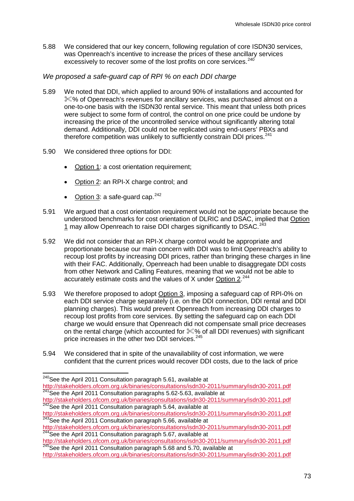5.88 We considered that our key concern, following regulation of core ISDN30 services, was Openreach's incentive to increase the prices of these ancillary services excessively to recover some of the lost profits on core services.<sup>[240](#page-74-1)</sup>

# *We proposed a safe-guard cap of RPI % on each DDI charge*

- 5.89 We noted that DDI, which applied to around 90% of installations and accounted for %% of Openreach's revenues for ancillary services, was purchased almost on a one-to-one basis with the ISDN30 rental service. This meant that unless both prices were subject to some form of control, the control on one price could be undone by increasing the price of the uncontrolled service without significantly altering total demand. Additionally, DDI could not be replicated using end-users' PBXs and therefore competition was unlikely to sufficiently constrain DDI prices.<sup>[241](#page-75-0)</sup>
- 5.90 We considered three options for DDI:
	- Option 1: a cost orientation requirement;
	- Option 2: an RPI-X charge control; and
	- Option 3: a safe-quard cap. $242$
- 5.91 We argued that a cost orientation requirement would not be appropriate because the understood benchmarks for cost orientation of DLRIC and DSAC, implied that Option 1 may allow Openreach to raise DDI charges significantly to DSAC.<sup>[243](#page-75-0)</sup>
- 5.92 We did not consider that an RPI-X charge control would be appropriate and proportionate because our main concern with DDI was to limit Openreach's ability to recoup lost profits by increasing DDI prices, rather than bringing these charges in line with their FAC. Additionally, Openreach had been unable to disaggregate DDI costs from other Network and Calling Features, meaning that we would not be able to accurately estimate costs and the values of X under Option 2.<sup>[244](#page-75-0)</sup>
- 5.93 We therefore proposed to adopt Option 3, imposing a safeguard cap of RPI-0% on each DDI service charge separately (i.e. on the DDI connection, DDI rental and DDI planning charges). This would prevent Openreach from increasing DDI charges to recoup lost profits from core services. By setting the safeguard cap on each DDI charge we would ensure that Openreach did not compensate small price decreases on the rental charge (which accounted for % of all DDI revenues) with significant price increases in the other two DDI services.<sup>[245](#page-75-0)</sup>
- 5.94 We considered that in spite of the unavailability of cost information, we were confident that the current prices would recover DDI costs, due to the lack of price

<sup>&</sup>lt;sup>240</sup>See the April 2011 Consultation paragraph 5.61, available at

<span id="page-75-0"></span><http://stakeholders.ofcom.org.uk/binaries/consultations/isdn30-2011/summary/isdn30-2011.pdf> <sup>241</sup>See the April 2011 Consultation paragraphs 5.62-5.63, available at

<http://stakeholders.ofcom.org.uk/binaries/consultations/isdn30-2011/summary/isdn30-2011.pdf> <sup>242</sup>See the April 2011 Consultation paragraph 5.64, available at

<http://stakeholders.ofcom.org.uk/binaries/consultations/isdn30-2011/summary/isdn30-2011.pdf> 243See the April 2011 Consultation paragraph 5.66, available at

<http://stakeholders.ofcom.org.uk/binaries/consultations/isdn30-2011/summary/isdn30-2011.pdf><br><sup>244</sup>See the April 2011 Consultation paragraph 5.67, available at<br>http://stakeholders.ofcom.org.uk/binaries/consultations/isdn30-2

http://stakeholders.org.uk/binary.com.org.uk/binary/isdnaming-consumers.com.org.uk/binary/isdnaming-245See the April 2011 Consultation paragraph 5.68 and 5.70, available at

<http://stakeholders.ofcom.org.uk/binaries/consultations/isdn30-2011/summary/isdn30-2011.pdf>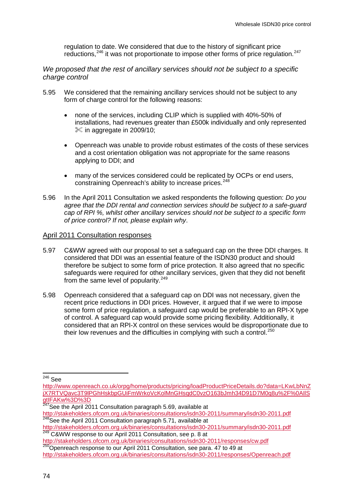regulation to date. We considered that due to the history of significant price reductions,<sup>[246](#page-75-0)</sup> it was not proportionate to impose other forms of price regulation.<sup>[247](#page-76-0)</sup>

*We proposed that the rest of ancillary services should not be subject to a specific charge control*

- 5.95 We considered that the remaining ancillary services should not be subject to any form of charge control for the following reasons:
	- none of the services, including CLIP which is supplied with 40%-50% of installations, had revenues greater than £500k individually and only represented  $\%$  in aggregate in 2009/10;
	- Openreach was unable to provide robust estimates of the costs of these services and a cost orientation obligation was not appropriate for the same reasons applying to DDI; and
	- many of the services considered could be replicated by OCPs or end users, constraining Openreach's ability to increase prices.<sup>[248](#page-76-0)</sup>
- 5.96 In the April 2011 Consultation we asked respondents the following question: *Do you agree that the DDI rental and connection services should be subject to a safe-guard cap of RPI %, whilst other ancillary services should not be subject to a specific form of price control? If not, please explain why*.

#### April 2011 Consultation responses

- 5.97 C&WW agreed with our proposal to set a safeguard cap on the three DDI charges. It considered that DDI was an essential feature of the ISDN30 product and should therefore be subject to some form of price protection. It also agreed that no specific safeguards were required for other ancillary services, given that they did not benefit from the same level of popularity.<sup>[249](#page-76-0)</sup>
- 5.98 Openreach considered that a safeguard cap on DDI was not necessary, given the recent price reductions in DDI prices. However, it argued that if we were to impose some form of price regulation, a safeguard cap would be preferable to an RPI-X type of control. A safeguard cap would provide some pricing flexibility. Additionally, it considered that an RPI-X control on these services would be disproportionate due to their low revenues and the difficulties in complying with such a control.<sup>[250](#page-76-0)</sup>

http://stakeholders.org.uk/binaries/consultation.org.uk/binary-consultations/isonsultation, see para. 47 to 49 at

<span id="page-76-0"></span> <sup>246</sup> See

[http://www.openreach.co.uk/orpg/home/products/pricing/loadProductPriceDetails.do?data=LKwLbNnZ](http://www.openreach.co.uk/orpg/home/products/pricing/loadProductPriceDetails.do?data=LKwLbNnZjX7RTVQavc3T9lPGhHskbpGUiFmWrkoVcKolMnGHsqdC0vzO163bJmh34D91D7M0q8u%2F%0AIlSgtIFAKw%3D%3D) [jX7RTVQavc3T9lPGhHskbpGUiFmWrkoVcKolMnGHsqdC0vzO163bJmh34D91D7M0q8u%2F%0AIlS](http://www.openreach.co.uk/orpg/home/products/pricing/loadProductPriceDetails.do?data=LKwLbNnZjX7RTVQavc3T9lPGhHskbpGUiFmWrkoVcKolMnGHsqdC0vzO163bJmh34D91D7M0q8u%2F%0AIlSgtIFAKw%3D%3D) [gtIFAKw%3D%3D](http://www.openreach.co.uk/orpg/home/products/pricing/loadProductPriceDetails.do?data=LKwLbNnZjX7RTVQavc3T9lPGhHskbpGUiFmWrkoVcKolMnGHsqdC0vzO163bJmh34D91D7M0q8u%2F%0AIlSgtIFAKw%3D%3D)

 $247$ See the April 2011 Consultation paragraph 5.69, available at

<http://stakeholders.ofcom.org.uk/binaries/consultations/isdn30-2011/summary/isdn30-2011.pdf> <sup>248</sup>See the April 2011 Consultation paragraph 5.71, available at

<span id="page-76-1"></span><http://stakeholders.ofcom.org.uk/binaries/consultations/isdn30-2011/summary/isdn30-2011.pdf><br>
<sup>249</sup> C&WW response to our April 2011 Consultation, see p. 8 at<br>
http://stakeholders.ofcom.org.uk/binaries/consultations/isdn30-2

<http://stakeholders.ofcom.org.uk/binaries/consultations/isdn30-2011/responses/Openreach.pdf>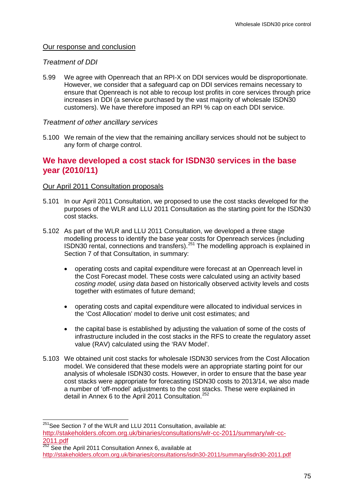# Our response and conclusion

# *Treatment of DDI*

5.99 We agree with Openreach that an RPI-X on DDI services would be disproportionate. However, we consider that a safeguard cap on DDI services remains necessary to ensure that Openreach is not able to recoup lost profits in core services through price increases in DDI (a service purchased by the vast majority of wholesale ISDN30 customers). We have therefore imposed an RPI % cap on each DDI service.

# *Treatment of other ancillary services*

5.100 We remain of the view that the remaining ancillary services should not be subject to any form of charge control.

# **We have developed a cost stack for ISDN30 services in the base year (2010/11)**

# Our April 2011 Consultation proposals

- 5.101 In our April 2011 Consultation, we proposed to use the cost stacks developed for the purposes of the WLR and LLU 2011 Consultation as the starting point for the ISDN30 cost stacks.
- 5.102 As part of the WLR and LLU 2011 Consultation, we developed a three stage modelling process to identify the base year costs for Openreach services (including ISDN30 rental, connections and transfers).<sup>[251](#page-76-1)</sup> The modelling approach is explained in Section 7 of that Consultation, in summary:
	- operating costs and capital expenditure were forecast at an Openreach level in the Cost Forecast model. These costs were calculated using an activity based *costing model, using data bas*ed on historically observed activity levels and costs together with estimates of future demand;
	- operating costs and capital expenditure were allocated to individual services in the 'Cost Allocation' model to derive unit cost estimates; and
	- the capital base is established by adjusting the valuation of some of the costs of infrastructure included in the cost stacks in the RFS to create the regulatory asset value (RAV) calculated using the 'RAV Model'.
- 5.103 We obtained unit cost stacks for wholesale ISDN30 services from the Cost Allocation model. We considered that these models were an appropriate starting point for our analysis of wholesale ISDN30 costs. However, in order to ensure that the base year cost stacks were appropriate for forecasting ISDN30 costs to 2013/14, we also made a number of 'off-model' adjustments to the cost stacks. These were explained in detail in Annex 6 to the April 2011 Consultation.<sup>[252](#page-77-0)</sup>

<span id="page-77-0"></span> $251$ See Section 7 of the WLR and LLU 2011 Consultation, available at: [http://stakeholders.ofcom.org.uk/binaries/consultations/wlr-cc-2011/summary/wlr-cc-](http://stakeholders.ofcom.org.uk/binaries/consultations/wlr-cc-2011/summary/wlr-cc-2011.pdf)[2011.pdf](http://stakeholders.ofcom.org.uk/binaries/consultations/wlr-cc-2011/summary/wlr-cc-2011.pdf) <sup>252</sup> See the April 2011 Consultation Annex 6, available at

<span id="page-77-1"></span><http://stakeholders.ofcom.org.uk/binaries/consultations/isdn30-2011/summary/isdn30-2011.pdf>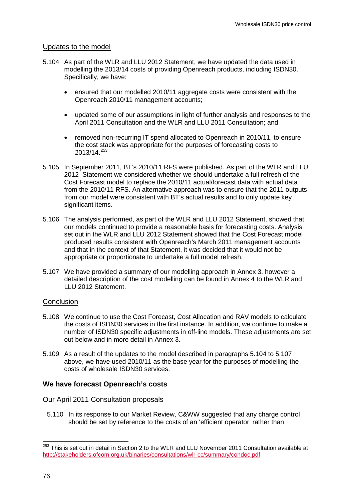### Updates to the model

- <span id="page-78-0"></span>5.104 As part of the WLR and LLU 2012 Statement, we have updated the data used in modelling the 2013/14 costs of providing Openreach products, including ISDN30. Specifically, we have:
	- ensured that our modelled 2010/11 aggregate costs were consistent with the Openreach 2010/11 management accounts;
	- updated some of our assumptions in light of further analysis and responses to the April 2011 Consultation and the WLR and LLU 2011 Consultation; and
	- removed non-recurring IT spend allocated to Openreach in 2010/11, to ensure the cost stack was appropriate for the purposes of forecasting costs to 2013/14.[253](#page-77-1)
- 5.105 In September 2011, BT's 2010/11 RFS were published. As part of the WLR and LLU 2012 Statement we considered whether we should undertake a full refresh of the Cost Forecast model to replace the 2010/11 actual/forecast data with actual data from the 2010/11 RFS. An alternative approach was to ensure that the 2011 outputs from our model were consistent with BT's actual results and to only update key significant items.
- 5.106 The analysis performed, as part of the WLR and LLU 2012 Statement, showed that our models continued to provide a reasonable basis for forecasting costs. Analysis set out in the WLR and LLU 2012 Statement showed that the Cost Forecast model produced results consistent with Openreach's March 2011 management accounts and that in the context of that Statement, it was decided that it would not be appropriate or proportionate to undertake a full model refresh.
- <span id="page-78-1"></span>5.107 We have provided a summary of our modelling approach in Annex 3, however a detailed description of the cost modelling can be found in Annex 4 to the WLR and LLU 2012 Statement.

### **Conclusion**

- 5.108 We continue to use the Cost Forecast, Cost Allocation and RAV models to calculate the costs of ISDN30 services in the first instance. In addition, we continue to make a number of ISDN30 specific adjustments in off-line models. These adjustments are set out below and in more detail in Annex 3.
- 5.109 As a result of the updates to the model described in paragraphs [5.104](#page-78-0) to [5.107](#page-78-1) above, we have used 2010/11 as the base year for the purposes of modelling the costs of wholesale ISDN30 services.

### **We have forecast Openreach's costs**

#### Our April 2011 Consultation proposals

5.110 In its response to our Market Review, C&WW suggested that any charge control should be set by reference to the costs of an 'efficient operator' rather than

<span id="page-78-2"></span><sup>&</sup>lt;sup>253</sup> This is set out in detail in Section 2 to the WLR and LLU November 2011 Consultation available at: <http://stakeholders.ofcom.org.uk/binaries/consultations/wlr-cc/summary/condoc.pdf>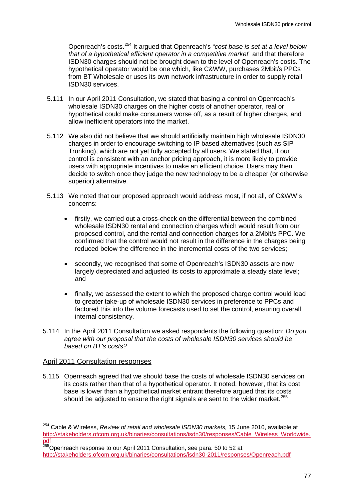Openreach's costs. [254](#page-78-2) It argued that Openreach's "*cost base is set at a level below that of a hypothetical efficient operator in a competitive market*" and that therefore ISDN30 charges should not be brought down to the level of Openreach's costs. The hypothetical operator would be one which, like C&WW, purchases 2Mbit/s PPCs from BT Wholesale or uses its own network infrastructure in order to supply retail ISDN30 services.

- 5.111 In our April 2011 Consultation, we stated that basing a control on Openreach's wholesale ISDN30 charges on the higher costs of another operator, real or hypothetical could make consumers worse off, as a result of higher charges, and allow inefficient operators into the market.
- 5.112 We also did not believe that we should artificially maintain high wholesale ISDN30 charges in order to encourage switching to IP based alternatives (such as SIP Trunking), which are not yet fully accepted by all users. We stated that, if our control is consistent with an anchor pricing approach, it is more likely to provide users with appropriate incentives to make an efficient choice. Users may then decide to switch once they judge the new technology to be a cheaper (or otherwise superior) alternative.
- 5.113 We noted that our proposed approach would address most, if not all, of C&WW's concerns:
	- firstly, we carried out a cross-check on the differential between the combined wholesale ISDN30 rental and connection charges which would result from our proposed control, and the rental and connection charges for a 2Mbit/s PPC. We confirmed that the control would not result in the difference in the charges being reduced below the difference in the incremental costs of the two services;
	- secondly, we recognised that some of Openreach's ISDN30 assets are now largely depreciated and adjusted its costs to approximate a steady state level; and
	- finally, we assessed the extent to which the proposed charge control would lead to greater take-up of wholesale ISDN30 services in preference to PPCs and factored this into the volume forecasts used to set the control, ensuring overall internal consistency.
- 5.114 In the April 2011 Consultation we asked respondents the following question: *Do you agree with our proposal that the costs of wholesale ISDN30 services should be based on BT's costs?*

### April 2011 Consultation responses

5.115 Openreach agreed that we should base the costs of wholesale ISDN30 services on its costs rather than that of a hypothetical operator. It noted, however, that its cost base is lower than a hypothetical market entrant therefore argued that its costs should be adjusted to ensure the right signals are sent to the wider market.<sup>[255](#page-79-0)</sup>

<span id="page-79-1"></span><span id="page-79-0"></span> <sup>254</sup> Cable & Wireless, *Review of retail and wholesale ISDN30 markets,* 15 June 2010, available at [http://stakeholders.ofcom.org.uk/binaries/consultations/isdn30/responses/Cable\\_Wireless\\_Worldwide.](http://stakeholders.ofcom.org.uk/binaries/consultations/isdn30/responses/Cable_Wireless_Worldwide.pdf) <u>[pdf](http://stakeholders.ofcom.org.uk/binaries/consultations/isdn30/responses/Cable_Wireless_Worldwide.pdf)</u>

<sup>&</sup>lt;sup>255</sup>Openreach response to our April 2011 Consultation, see para. 50 to 52 at <http://stakeholders.ofcom.org.uk/binaries/consultations/isdn30-2011/responses/Openreach.pdf>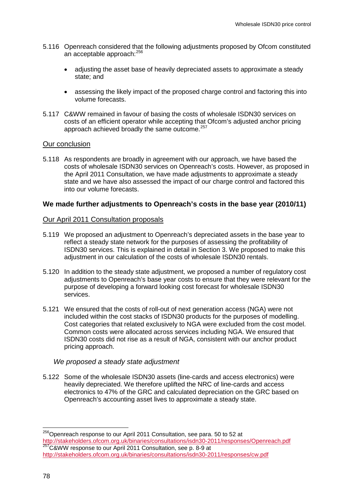- 5.116 Openreach considered that the following adjustments proposed by Ofcom constituted an acceptable approach:<sup>[256](#page-79-1)</sup>
	- adjusting the asset base of heavily depreciated assets to approximate a steady state; and
	- assessing the likely impact of the proposed charge control and factoring this into volume forecasts.
- 5.117 C&WW remained in favour of basing the costs of wholesale ISDN30 services on costs of an efficient operator while accepting that Ofcom's adjusted anchor pricing approach achieved broadly the same outcome.<sup>[257](#page-80-0)</sup>

#### Our conclusion

5.118 As respondents are broadly in agreement with our approach, we have based the costs of wholesale ISDN30 services on Openreach's costs. However, as proposed in the April 2011 Consultation, we have made adjustments to approximate a steady state and we have also assessed the impact of our charge control and factored this into our volume forecasts.

### **We made further adjustments to Openreach's costs in the base year (2010/11)**

#### Our April 2011 Consultation proposals

- 5.119 We proposed an adjustment to Openreach's depreciated assets in the base year to reflect a steady state network for the purposes of assessing the profitability of ISDN30 services. This is explained in detail in Section 3. We proposed to make this adjustment in our calculation of the costs of wholesale ISDN30 rentals.
- 5.120 In addition to the steady state adjustment, we proposed a number of regulatory cost adjustments to Openreach's base year costs to ensure that they were relevant for the purpose of developing a forward looking cost forecast for wholesale ISDN30 services.
- 5.121 We ensured that the costs of roll-out of next generation access (NGA) were not included within the cost stacks of ISDN30 products for the purposes of modelling. Cost categories that related exclusively to NGA were excluded from the cost model. Common costs were allocated across services including NGA. We ensured that ISDN30 costs did not rise as a result of NGA, consistent with our anchor product pricing approach.

### *We proposed a steady state adjustment*

5.122 Some of the wholesale ISDN30 assets (line-cards and access electronics) were heavily depreciated. We therefore uplifted the NRC of line-cards and access electronics to 47% of the GRC and calculated depreciation on the GRC based on Openreach's accounting asset lives to approximate a steady state.

<span id="page-80-1"></span><span id="page-80-0"></span><sup>&</sup>lt;sup>256</sup>Openreach response to our April 2011 Consultation, see para. 50 to 52 at<br>http://stakeholders.ofcom.org.uk/binaries/consultations/isdn30-2011/responses/Openreach.pdf <sup>257</sup>C&WW response to our April 2011 Consultation, see p. 8-9 at <http://stakeholders.ofcom.org.uk/binaries/consultations/isdn30-2011/responses/cw.pdf>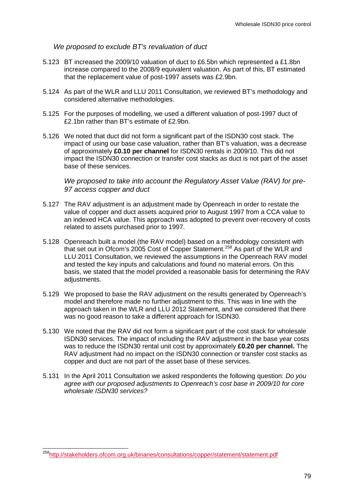### *We proposed to exclude BT's revaluation of duct*

- 5.123 BT increased the 2009/10 valuation of duct to £6.5bn which represented a £1.8bn increase compared to the 2008/9 equivalent valuation. As part of this, BT estimated that the replacement value of post-1997 assets was £2.9bn.
- 5.124 As part of the WLR and LLU 2011 Consultation, we reviewed BT's methodology and considered alternative methodologies.
- 5.125 For the purposes of modelling, we used a different valuation of post-1997 duct of £2.1bn rather than BT's estimate of £2.9bn.
- 5.126 We noted that duct did not form a significant part of the ISDN30 cost stack. The impact of using our base case valuation, rather than BT's valuation, was a decrease of approximately **£0.10 per channel** for ISDN30 rentals in 2009/10. This did not impact the ISDN30 connection or transfer cost stacks as duct is not part of the asset base of these services.

*We proposed to take into account the Regulatory Asset Value (RAV) for pre-97 access copper and duct*

- 5.127 The RAV adjustment is an adjustment made by Openreach in order to restate the value of copper and duct assets acquired prior to August 1997 from a CCA value to an indexed HCA value. This approach was adopted to prevent over-recovery of costs related to assets purchased prior to 1997.
- 5.128 Openreach built a model (the RAV model) based on a methodology consistent with that set out in Ofcom's 2005 Cost of Copper Statement.<sup>[258](#page-80-1)</sup> As part of the WLR and LLU 2011 Consultation, we reviewed the assumptions in the Openreach RAV model and tested the key inputs and calculations and found no material errors. On this basis, we stated that the model provided a reasonable basis for determining the RAV adiustments.
- 5.129 We proposed to base the RAV adjustment on the results generated by Openreach's model and therefore made no further adjustment to this. This was in line with the approach taken in the WLR and LLU 2012 Statement, and we considered that there was no good reason to take a different approach for ISDN30.
- 5.130 We noted that the RAV did not form a significant part of the cost stack for wholesale ISDN30 services. The impact of including the RAV adjustment in the base year costs was to reduce the ISDN30 rental unit cost by approximately **£0.20 per channel.** The RAV adjustment had no impact on the ISDN30 connection or transfer cost stacks as copper and duct are not part of the asset base of these services.
- <span id="page-81-0"></span>5.131 In the April 2011 Consultation we asked respondents the following question: *Do you agree with our proposed adjustments to Openreach's cost base in 2009/10 for core wholesale ISDN30 services?*

<sup>&</sup>lt;sup>258</sup>http://stakeholders.ofcom.org.uk/binaries/consultations/copper/statement/statement.pdf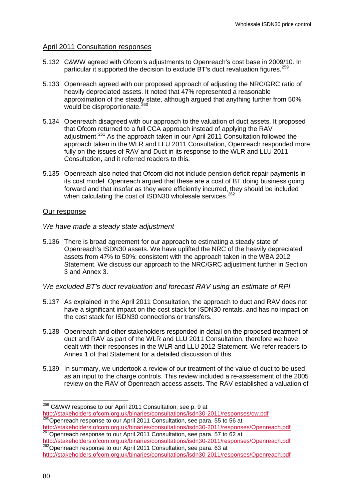# April 2011 Consultation responses

- 5.132 C&WW agreed with Ofcom's adjustments to Openreach's cost base in 2009/10. In particular it supported the decision to exclude BT's duct revaluation figures.<sup>[259](#page-81-0)</sup>
- 5.133 Openreach agreed with our proposed approach of adjusting the NRC/GRC ratio of heavily depreciated assets. It noted that 47% represented a reasonable approximation of the steady state, although argued that anything further from 50% would be disproportionate.<sup>[260](#page-82-0)</sup>
- 5.134 Openreach disagreed with our approach to the valuation of duct assets. It proposed that Ofcom returned to a full CCA approach instead of applying the RAV adjustment. [261](#page-82-0) As the approach taken in our April 2011 Consultation followed the approach taken in the WLR and LLU 2011 Consultation, Openreach responded more fully on the issues of RAV and Duct in its response to the WLR and LLU 2011 Consultation, and it referred readers to this.
- 5.135 Openreach also noted that Ofcom did not include pension deficit repair payments in its cost model. Openreach argued that these are a cost of BT doing business going forward and that insofar as they were efficiently incurred, they should be included when calculating the cost of ISDN30 wholesale services.<sup>[262](#page-82-0)</sup>

# Our response

### *We have made a steady state adjustment*

5.136 There is broad agreement for our approach to estimating a steady state of Openreach's ISDN30 assets. We have uplifted the NRC of the heavily depreciated assets from 47% to 50%; consistent with the approach taken in the WBA 2012 Statement. We discuss our approach to the NRC/GRC adjustment further in Section 3 and Annex 3.

### *We excluded BT's duct revaluation and forecast RAV using an estimate of RPI*

- 5.137 As explained in the April 2011 Consultation, the approach to duct and RAV does not have a significant impact on the cost stack for ISDN30 rentals, and has no impact on the cost stack for ISDN30 connections or transfers.
- 5.138 Openreach and other stakeholders responded in detail on the proposed treatment of duct and RAV as part of the WLR and LLU 2011 Consultation, therefore we have dealt with their responses in the WLR and LLU 2012 Statement. We refer readers to Annex 1 of that Statement for a detailed discussion of this.
- 5.139 In summary, we undertook a review of our treatment of the value of duct to be used as an input to the charge controls. This review included a re-assessment of the 2005 review on the RAV of Openreach access assets. The RAV established a valuation of

<span id="page-82-0"></span><sup>&</sup>lt;sup>259</sup> C&WW response to our April 2011 Consultation, see p. 9 at<br>http://stakeholders.ofcom.org.uk/binaries/consultations/isdn30-2011/responses/cw.pdf 200<br><sup>200</sup>Openreach response to our April 2011 Consultation, see para. 55 to 56 at

<span id="page-82-1"></span><http://stakeholders.ofcom.org.uk/binaries/consultations/isdn30-2011/responses/Openreach.pdf><br><sup>261</sup>Openreach response to our April 2011 Consultation, see para. 57 to 62 at<br>http://stakeholders.ofcom.org.uk/binaries/consultati

http://stakeholders.org.uk/binaries/islnamaries/consultation.com/integral.pdf 262Openreach response to our April 2011 Consultation, see para. 63 at

<http://stakeholders.ofcom.org.uk/binaries/consultations/isdn30-2011/responses/Openreach.pdf>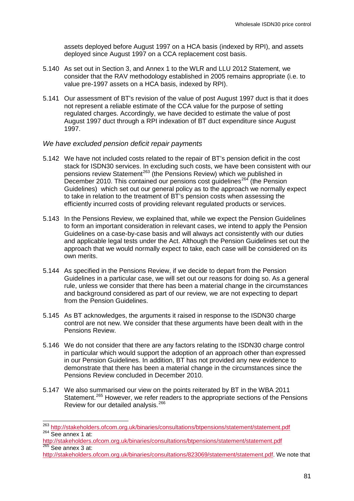assets deployed before August 1997 on a HCA basis (indexed by RPI), and assets deployed since August 1997 on a CCA replacement cost basis.

- 5.140 As set out in Section 3, and Annex 1 to the WLR and LLU 2012 Statement, we consider that the RAV methodology established in 2005 remains appropriate (i.e. to value pre-1997 assets on a HCA basis, indexed by RPI).
- 5.141 Our assessment of BT's revision of the value of post August 1997 duct is that it does not represent a reliable estimate of the CCA value for the purpose of setting regulated charges. Accordingly, we have decided to estimate the value of post August 1997 duct through a RPI indexation of BT duct expenditure since August 1997.

### *We have excluded pension deficit repair payments*

- 5.142 We have not included costs related to the repair of BT's pension deficit in the cost stack for ISDN30 services. In excluding such costs, we have been consistent with our pensions review Statement<sup>[263](#page-82-1)</sup> (the Pensions Review) which we published in December 2010. This contained our pensions cost quidelines<sup>[264](#page-83-0)</sup> (the Pension Guidelines) which set out our general policy as to the approach we normally expect to take in relation to the treatment of BT's pension costs when assessing the efficiently incurred costs of providing relevant regulated products or services.
- 5.143 In the Pensions Review, we explained that, while we expect the Pension Guidelines to form an important consideration in relevant cases, we intend to apply the Pension Guidelines on a case-by-case basis and will always act consistently with our duties and applicable legal tests under the Act. Although the Pension Guidelines set out the approach that we would normally expect to take, each case will be considered on its own merits.
- 5.144 As specified in the Pensions Review, if we decide to depart from the Pension Guidelines in a particular case, we will set out our reasons for doing so. As a general rule, unless we consider that there has been a material change in the circumstances and background considered as part of our review, we are not expecting to depart from the Pension Guidelines.
- 5.145 As BT acknowledges, the arguments it raised in response to the ISDN30 charge control are not new. We consider that these arguments have been dealt with in the Pensions Review.
- 5.146 We do not consider that there are any factors relating to the ISDN30 charge control in particular which would support the adoption of an approach other than expressed in our Pension Guidelines. In addition, BT has not provided any new evidence to demonstrate that there has been a material change in the circumstances since the Pensions Review concluded in December 2010.
- 5.147 We also summarised our view on the points reiterated by BT in the WBA 2011 Statement.<sup>[265](#page-83-0)</sup> However, we refer readers to the appropriate sections of the Pensions Review for our detailed analysis.<sup>[266](#page-83-0)</sup>

<span id="page-83-1"></span><span id="page-83-0"></span><sup>&</sup>lt;sup>263</sup> <http://stakeholders.ofcom.org.uk/binaries/consultations/btpensions/statement/statement.pdf><br><sup>264</sup> See annex 1 at:

<http://stakeholders.ofcom.org.uk/binaries/consultations/btpensions/statement/statement.pdf>  $265$  See annex 3 at:

[http://stakeholders.ofcom.org.uk/binaries/consultations/823069/statement/statement.pdf.](http://stakeholders.ofcom.org.uk/binaries/consultations/823069/statement/statement.pdf) We note that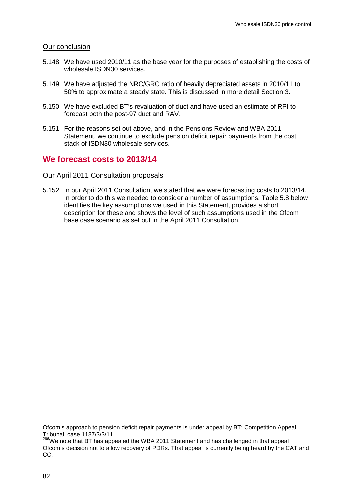#### Our conclusion

- <span id="page-84-0"></span>5.148 We have used 2010/11 as the base year for the purposes of establishing the costs of wholesale ISDN30 services.
- 5.149 We have adjusted the NRC/GRC ratio of heavily depreciated assets in 2010/11 to 50% to approximate a steady state. This is discussed in more detail Section 3.
- 5.150 We have excluded BT's revaluation of duct and have used an estimate of RPI to forecast both the post-97 duct and RAV.
- 5.151 For the reasons set out above, and in the Pensions Review and WBA 2011 Statement, we continue to exclude pension deficit repair payments from the cost stack of ISDN30 wholesale services.

# **We forecast costs to 2013/14**

#### Our April 2011 Consultation proposals

5.152 In our April 2011 Consultation, we stated that we were forecasting costs to 2013/14. In order to do this we needed to consider a number of assumptions. [Table 5.8](#page-85-0) below identifies the key assumptions we used in this Statement, provides a short description for these and shows the level of such assumptions used in the Ofcom base case scenario as set out in the April 2011 Consultation.

-

Ofcom's approach to pension deficit repair payments is under appeal by BT: Competition Appeal Tribunal, case 1187/3/3/11.

<sup>266</sup>We note that BT has appealed the WBA 2011 Statement and has challenged in that appeal Ofcom's decision not to allow recovery of PDRs. That appeal is currently being heard by the CAT and CC.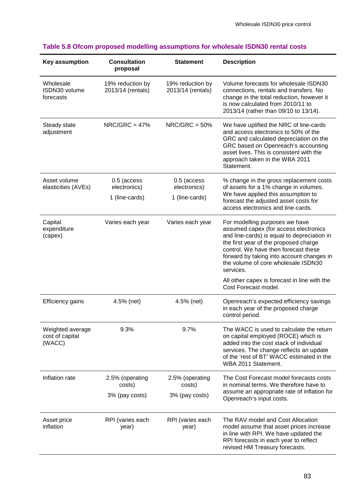| <b>Key assumption</b>                         | <b>Consultation</b><br>proposal       | <b>Statement</b>                      | <b>Description</b>                                                                                                                                                                                                                                                                                       |  |
|-----------------------------------------------|---------------------------------------|---------------------------------------|----------------------------------------------------------------------------------------------------------------------------------------------------------------------------------------------------------------------------------------------------------------------------------------------------------|--|
| Wholesale<br>ISDN30 volume<br>forecasts       | 19% reduction by<br>2013/14 (rentals) | 19% reduction by<br>2013/14 (rentals) | Volume forecasts for wholesale ISDN30<br>connections, rentals and transfers. No<br>change in the total reduction, however it<br>is now calculated from 2010/11 to<br>2013/14 (rather than 09/10 to 13/14).                                                                                               |  |
| Steady state<br>adjustment                    | $NRC/GRC = 47%$                       | $NRC/GRC = 50%$                       | We have uplifted the NRC of line-cards<br>and access electronics to 50% of the<br>GRC and calculated depreciation on the<br>GRC based on Openreach's accounting<br>asset lives. This is consistent with the<br>approach taken in the WBA 2011<br>Statement.                                              |  |
| Asset volume<br>elasticities (AVEs)           | 0.5 (access<br>electronics)           | 0.5 (access<br>electronics)           | % change in the gross replacement costs<br>of assets for a 1% change in volumes.                                                                                                                                                                                                                         |  |
|                                               | 1 (line-cards)                        | 1 (line-cards)                        | We have applied this assumption to<br>forecast the adjusted asset costs for<br>access electronics and line-cards.                                                                                                                                                                                        |  |
| Capital<br>expenditure<br>(capex)             | Varies each year                      | Varies each year                      | For modelling purposes we have<br>assumed capex (for access electronics<br>and line-cards) is equal to depreciation in<br>the first year of the proposed charge<br>control. We have then forecast these<br>forward by taking into account changes in<br>the volume of core wholesale ISDN30<br>services. |  |
|                                               |                                       |                                       | All other capex is forecast in line with the<br>Cost Forecast model.                                                                                                                                                                                                                                     |  |
| <b>Efficiency gains</b>                       | 4.5% (net)                            | 4.5% (net)                            | Openreach's expected efficiency savings<br>in each year of the proposed charge<br>control period.                                                                                                                                                                                                        |  |
| Weighted average<br>cost of capital<br>(WACC) | 9.3%                                  | 9.7%                                  | The WACC is used to calculate the return<br>on capital employed (ROCE) which is<br>added into the cost stack of individual<br>services. The change reflects an update<br>of the 'rest of BT' WACC estimated in the<br>WBA 2011 Statement.                                                                |  |
| Inflation rate                                | 2.5% (operating<br>costs)             | 2.5% (operating<br>costs)             | The Cost Forecast model forecasts costs<br>in nominal terms. We therefore have to<br>assume an appropriate rate of inflation for<br>Openreach's input costs.                                                                                                                                             |  |
|                                               | 3% (pay costs)                        | 3% (pay costs)                        |                                                                                                                                                                                                                                                                                                          |  |
| Asset price<br>inflation                      | RPI (varies each<br>year)             | RPI (varies each<br>year)             | The RAV model and Cost Allocation<br>model assume that asset prices increase<br>in line with RPI. We have updated the<br>RPI forecasts in each year to reflect<br>revised HM Treasury forecasts.                                                                                                         |  |

# <span id="page-85-0"></span>**Table 5.8 Ofcom proposed modelling assumptions for wholesale ISDN30 rental costs**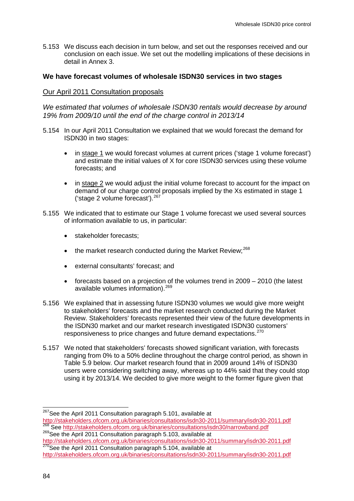5.153 We discuss each decision in turn below, and set out the responses received and our conclusion on each issue. We set out the modelling implications of these decisions in detail in Annex 3.

### **We have forecast volumes of wholesale ISDN30 services in two stages**

### Our April 2011 Consultation proposals

*We estimated that volumes of wholesale ISDN30 rentals would decrease by around 19% from 2009/10 until the end of the charge control in 2013/14*

- 5.154 In our April 2011 Consultation we explained that we would forecast the demand for ISDN30 in two stages:
	- in stage 1 we would forecast volumes at current prices ('stage 1 volume forecast') and estimate the initial values of X for core ISDN30 services using these volume forecasts; and
	- in stage 2 we would adjust the initial volume forecast to account for the impact on demand of our charge control proposals implied by the Xs estimated in stage 1 ('stage 2 volume forecast'). $^{267}$  $^{267}$  $^{267}$
- 5.155 We indicated that to estimate our Stage 1 volume forecast we used several sources of information available to us, in particular:
	- stakeholder forecasts;
	- $\bullet$  the market research conducted during the Market Review:  $268$
	- external consultants' forecast; and
	- forecasts based on a projection of the volumes trend in 2009 2010 (the latest available volumes information).<sup>[269](#page-86-0)</sup>
- 5.156 We explained that in assessing future ISDN30 volumes we would give more weight to stakeholders' forecasts and the market research conducted during the Market Review. Stakeholders' forecasts represented their view of the future developments in the ISDN30 market and our market research investigated ISDN30 customers' responsiveness to price changes and future demand expectations.<sup>[270](#page-86-0)</sup>
- 5.157 We noted that stakeholders' forecasts showed significant variation, with forecasts ranging from 0% to a 50% decline throughout the charge control period, as shown in Table 5.9 below. Our market research found that in 2009 around 14% of ISDN30 users were considering switching away, whereas up to 44% said that they could stop using it by 2013/14. We decided to give more weight to the former figure given that

<span id="page-86-1"></span><span id="page-86-0"></span><sup>&</sup>lt;sup>267</sup>See the April 2011 Consultation paragraph 5.101, available at http://stakeholders.ofcom.org.uk/binaries/consultations/isdn30-2011/summary/isdn30-2011.pdf

<sup>&</sup>lt;sup>268</sup>See<http://stakeholders.ofcom.org.uk/binaries/consultations/isdn30/narrowband.pdf><br><sup>269</sup>See the April 2011 Consultation paragraph 5.103, available at<br>http://stakeholders.ofcom.org.uk/binaries/consultations/isdn30-2011/

http://stakeholders.org.uk/binaries/islnamics.com/istnamics.com/istnamics-consultations-is-consultations-ison<http://stakeholders.ofcom.org.uk/binaries/consultations/isdn30-2011/summary/isdn30-2011.pdf>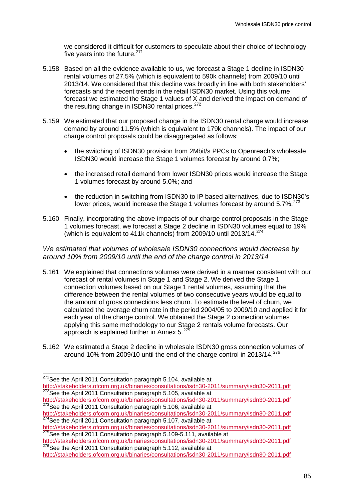we considered it difficult for customers to speculate about their choice of technology five years into the future. $271$ 

- 5.158 Based on all the evidence available to us, we forecast a Stage 1 decline in ISDN30 rental volumes of 27.5% (which is equivalent to 590k channels) from 2009/10 until 2013/14. We considered that this decline was broadly in line with both stakeholders' forecasts and the recent trends in the retail ISDN30 market. Using this volume forecast we estimated the Stage 1 values of X and derived the impact on demand of the resulting change in ISDN30 rental prices.<sup>[272](#page-87-0)</sup>
- 5.159 We estimated that our proposed change in the ISDN30 rental charge would increase demand by around 11.5% (which is equivalent to 179k channels). The impact of our charge control proposals could be disaggregated as follows:
	- the switching of ISDN30 provision from 2Mbit/s PPCs to Openreach's wholesale ISDN30 would increase the Stage 1 volumes forecast by around 0.7%;
	- the increased retail demand from lower ISDN30 prices would increase the Stage 1 volumes forecast by around 5.0%; and
	- the reduction in switching from ISDN30 to IP based alternatives, due to ISDN30's lower prices, would increase the Stage 1 volumes forecast by around  $5.7\%$ .  $273$
- 5.160 Finally, incorporating the above impacts of our charge control proposals in the Stage 1 volumes forecast, we forecast a Stage 2 decline in ISDN30 volumes equal to 19% (which is equivalent to 411k channels) from 2009/10 until 2013/14.[274](#page-87-0)

# *We estimated that volumes of wholesale ISDN30 connections would decrease by around 10% from 2009/10 until the end of the charge control in 2013/14*

- <span id="page-87-2"></span>5.161 We explained that connections volumes were derived in a manner consistent with our forecast of rental volumes in Stage 1 and Stage 2. We derived the Stage 1 connection volumes based on our Stage 1 rental volumes, assuming that the difference between the rental volumes of two consecutive years would be equal to the amount of gross connections less churn. To estimate the level of churn, we calculated the average churn rate in the period 2004/05 to 2009/10 and applied it for each year of the charge control. We obtained the Stage 2 connection volumes applying this same methodology to our Stage 2 rentals volume forecasts. Our approach is explained further in Annex  $5.^{27}$
- 5.162 We estimated a Stage 2 decline in wholesale ISDN30 gross connection volumes of around 10% from 2009/10 until the end of the charge control in 2013/14.[276](#page-87-0)

<span id="page-87-1"></span><http://stakeholders.ofcom.org.uk/binaries/consultations/isdn30-2011/summary/isdn30-2011.pdf> <sup>273</sup>See the April 2011 Consultation paragraph 5.106, available at

<sup>&</sup>lt;sup>271</sup>See the April 2011 Consultation paragraph 5.104, available at

<span id="page-87-0"></span><http://stakeholders.ofcom.org.uk/binaries/consultations/isdn30-2011/summary/isdn30-2011.pdf> <sup>272</sup>See the April 2011 Consultation paragraph 5.105, available at

<http://stakeholders.ofcom.org.uk/binaries/consultations/isdn30-2011/summary/isdn30-2011.pdf> <sup>274</sup>See the April 2011 Consultation paragraph 5.107, available at

<http://stakeholders.ofcom.org.uk/binaries/consultations/isdn30-2011/summary/isdn30-2011.pdf> <sup>275</sup>See the April 2011 Consultation paragraph 5.109-5.111, available at http://stakeholders.ofcom.org.uk/binaries/consultations/i

 $\frac{276}{276}$ See the April 2011 Consultation paragraph 5.112, available at

<http://stakeholders.ofcom.org.uk/binaries/consultations/isdn30-2011/summary/isdn30-2011.pdf>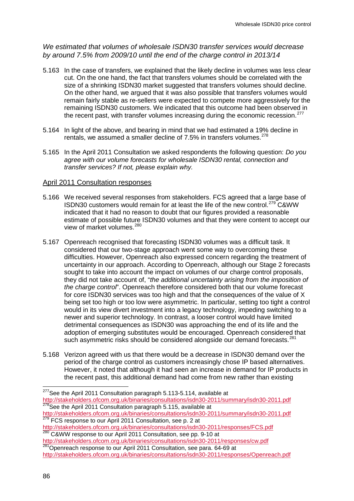# *We estimated that volumes of wholesale ISDN30 transfer services would decrease by around 7.5% from 2009/10 until the end of the charge control in 2013/14*

- 5.163 In the case of transfers, we explained that the likely decline in volumes was less clear cut. On the one hand, the fact that transfers volumes should be correlated with the size of a shrinking ISDN30 market suggested that transfers volumes should decline. On the other hand, we argued that it was also possible that transfers volumes would remain fairly stable as re-sellers were expected to compete more aggressively for the remaining ISDN30 customers. We indicated that this outcome had been observed in the recent past, with transfer volumes increasing during the economic recession.<sup>[277](#page-87-1)</sup>
- 5.164 In light of the above, and bearing in mind that we had estimated a 19% decline in rentals, we assumed a smaller decline of  $7.5\%$  in transfers volumes.<sup>[278](#page-88-0)</sup>
- 5.165 In the April 2011 Consultation we asked respondents the following question: *Do you agree with our volume forecasts for wholesale ISDN30 rental, connection and transfer services? If not, please explain why.*

### April 2011 Consultation responses

- <span id="page-88-2"></span>5.166 We received several responses from stakeholders. FCS agreed that a large base of ISDN30 customers would remain for at least the life of the new control.[279](#page-88-0) C&WW indicated that it had no reason to doubt that our figures provided a reasonable estimate of possible future ISDN30 volumes and that they were content to accept our view of market volumes.[280](#page-88-0)
- 5.167 Openreach recognised that forecasting ISDN30 volumes was a difficult task. It considered that our two-stage approach went some way to overcoming these difficulties. However, Openreach also expressed concern regarding the treatment of uncertainty in our approach. According to Openreach, although our Stage 2 forecasts sought to take into account the impact on volumes of our charge control proposals, they did not take account of, "*the additional uncertainty arising from the imposition of the charge control*". Openreach therefore considered both that our volume forecast for core ISDN30 services was too high and that the consequences of the value of X being set too high or too low were asymmetric. In particular, setting too tight a control would in its view divert investment into a legacy technology, impeding switching to a newer and superior technology. In contrast, a looser control would have limited detrimental consequences as ISDN30 was approaching the end of its life and the adoption of emerging substitutes would be encouraged. Openreach considered that such asymmetric risks should be considered alongside our demand forecasts.<sup>[281](#page-88-0)</sup>
- <span id="page-88-3"></span><span id="page-88-1"></span>5.168 Verizon agreed with us that there would be a decrease in ISDN30 demand over the period of the charge control as customers increasingly chose IP based alternatives. However, it noted that although it had seen an increase in demand for IP products in the recent past, this additional demand had come from new rather than existing

<span id="page-88-0"></span><sup>&</sup>lt;sup>277</sup>See the April 2011 Consultation paragraph 5.113-5.114, available at <http://stakeholders.ofcom.org.uk/binaries/consultations/isdn30-2011/summary/isdn30-2011.pdf> <sup>278</sup>See the April 2011 Consultation paragraph 5.115, available at <http://stakeholders.ofcom.org.uk/binaries/consultations/isdn30-2011/summary/isdn30-2011.pdf> <sup>279</sup> FCS response to our April 2011 Consultation, see p. 2 at

<http://stakeholders.ofcom.org.uk/binaries/consultations/isdn30-2011/responses/FCS.pdf><br>
<sup>280</sup> C&WW response to our April 2011 Consultation, see pp. 9-10 at<br>
http://stakeholders.ofcom.org.uk/binaries/consultations/isdn30-201

<sup>&</sup>lt;sup>281</sup>Openreach response to our April 2011 Consultation, see para. 64-69 at

<http://stakeholders.ofcom.org.uk/binaries/consultations/isdn30-2011/responses/Openreach.pdf>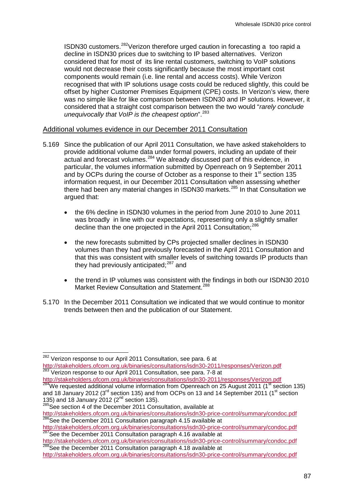ISDN30 customers.[282](#page-88-1)Verizon therefore urged caution in forecasting a too rapid a decline in ISDN30 prices due to switching to IP based alternatives. Verizon considered that for most of its line rental customers, switching to VoIP solutions would not decrease their costs significantly because the most important cost components would remain (i.e. line rental and access costs). While Verizon recognised that with IP solutions usage costs could be reduced slightly, this could be offset by higher Customer Premises Equipment (CPE) costs. In Verizon's view, there was no simple like for like comparison between ISDN30 and IP solutions. However, it considered that a straight cost comparison between the two would "*rarely conclude unequivocally that VoIP is the cheapest option*".[283](#page-89-0)

#### Additional volumes evidence in our December 2011 Consultation

- 5.169 Since the publication of our April 2011 Consultation, we have asked stakeholders to provide additional volume data under formal powers, including an update of their actual and forecast volumes.<sup>[284](#page-89-0)</sup> We already discussed part of this evidence, in particular, the volumes information submitted by Openreach on 9 September 2011 and by OCPs during the course of October as a response to their  $1<sup>st</sup>$  section 135 information request, in our December 2011 Consultation when assessing whether there had been any material changes in ISDN30 markets.<sup>[285](#page-89-0)</sup> In that Consultation we argued that:
	- the 6% decline in ISDN30 volumes in the period from June 2010 to June 2011 was broadly in line with our expectations, representing only a slightly smaller decline than the one projected in the April 2011 Consultation:<sup>[286](#page-89-0)</sup>
	- the new forecasts submitted by CPs projected smaller declines in ISDN30 volumes than they had previously forecasted in the April 2011 Consultation and that this was consistent with smaller levels of switching towards IP products than they had previously anticipated: $287$  and
	- the trend in IP volumes was consistent with the findings in both our ISDN30 2010 Market Review Consultation and Statement.<sup>[288](#page-89-0)</sup>
- 5.170 In the December 2011 Consultation we indicated that we would continue to monitor trends between then and the publication of our Statement.

<span id="page-89-0"></span><sup>&</sup>lt;sup>282</sup> Verizon response to our April 2011 Consultation, see para. 6 at <http://stakeholders.ofcom.org.uk/binaries/consultations/isdn30-2011/responses/Verizon.pdf> <sup>283</sup> Verizon response to our April 2011 Consultation, see para. 7-8 at <http://stakeholders.ofcom.org.uk/binaries/consultations/isdn30-2011/responses/Verizon.pdf><br><sup>284</sup>We requested additional volume information from Openreach on 25 August 2011 (1<sup>st</sup> section 135)

<span id="page-89-1"></span>and 18 January 2012 (3 $^{\text{rd}}$  section 135) and from OCPs on 13 and 14 September 2011 (1 $^{\text{st}}$  section 135) and 18 January 2012 (2<sup>nd</sup> section 135).<br><sup>285</sup>See section 4 of the December 2011 Consultation, available at

<http://stakeholders.ofcom.org.uk/binaries/consultations/isdn30-price-control/summary/condoc.pdf> <sup>286</sup>See the December 2011 Consultation paragraph 4.15 available at

<http://stakeholders.ofcom.org.uk/binaries/consultations/isdn30-price-control/summary/condoc.pdf><br>
<sup>287</sup>See the December 2011 Consultation paragraph 4.16 available at<br>
http://stakeholders.ofcom.org.uk/binaries/consultations/

http://stakeholders.org.uk/binaries/istnamental.com/integrations/ison.pdf 288See the December 2011 Consultation paragraph 4.18 available at

<http://stakeholders.ofcom.org.uk/binaries/consultations/isdn30-price-control/summary/condoc.pdf>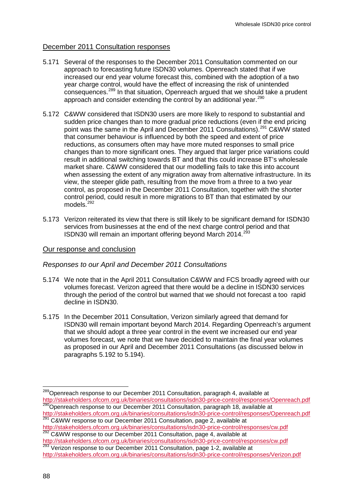# December 2011 Consultation responses

- 5.171 Several of the responses to the December 2011 Consultation commented on our approach to forecasting future ISDN30 volumes. Openreach stated that if we increased our end year volume forecast this, combined with the adoption of a two year charge control, would have the effect of increasing the risk of unintended  $\frac{289}{x}$  $\frac{289}{x}$  $\frac{289}{x}$  consequences.<sup>289</sup> In that situation, Openreach argued that we should take a prudent approach and consider extending the control by an additional year.<sup>[290](#page-90-0)</sup>
- 5.172 C&WW considered that ISDN30 users are more likely to respond to substantial and sudden price changes than to more gradual price reductions (even if the end pricing point was the same in the April and December 2011 Consultations).<sup>[291](#page-90-0)</sup> C&WW stated that consumer behaviour is influenced by both the speed and extent of price reductions, as consumers often may have more muted responses to small price changes than to more significant ones. They argued that larger price variations could result in additional switching towards BT and that this could increase BT's wholesale market share. C&WW considered that our modelling fails to take this into account when assessing the extent of any migration away from alternative infrastructure. In its view, the steeper glide path, resulting from the move from a three to a two year control, as proposed in the December 2011 Consultation, together with the shorter control period, could result in more migrations to BT than that estimated by our models.<sup>[292](#page-90-0)</sup>
- 5.173 Verizon reiterated its view that there is still likely to be significant demand for ISDN30 services from businesses at the end of the next charge control period and that ISDN30 will remain an important offering beyond March 2014.<sup>[293](#page-90-0)</sup>

# Our response and conclusion

# *Responses to our April and December 2011 Consultations*

- 5.174 We note that in the April 2011 Consultation C&WW and FCS broadly agreed with our volumes forecast. Verizon agreed that there would be a decline in ISDN30 services through the period of the control but warned that we should not forecast a too rapid decline in ISDN30.
- 5.175 In the December 2011 Consultation, Verizon similarly agreed that demand for ISDN30 will remain important beyond March 2014. Regarding Openreach's argument that we should adopt a three year control in the event we increased our end year volumes forecast, we note that we have decided to maintain the final year volumes as proposed in our April and December 2011 Consultations (as discussed below in paragraphs [5.192](#page-94-0) to [5.194\)](#page-95-0).

Verizon response to our December 2011 Consultation, page 1-2, available at

<span id="page-90-0"></span><sup>&</sup>lt;sup>289</sup>Openreach response to our December 2011 Consultation, paragraph 4, available at <http://stakeholders.ofcom.org.uk/binaries/consultations/isdn30-price-control/responses/Openreach.pdf> <sup>290</sup>Openreach response to our December 2011 Consultation, paragraph 18, available at

<http://stakeholders.ofcom.org.uk/binaries/consultations/isdn30-price-control/responses/Openreach.pdf> 291 C&WW response to our December 2011 Consultation, page 2, available at

<span id="page-90-1"></span><http://stakeholders.ofcom.org.uk/binaries/consultations/isdn30-price-control/responses/cw.pdf><br>
292 C&WW response to our December 2011 Consultation, page 4, available at<br>
http://stakeholders.ofcom.org.uk/binaries/consultati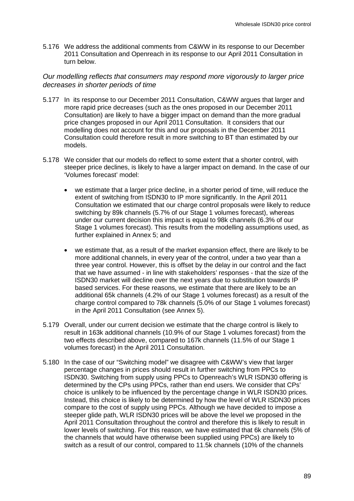5.176 We address the additional comments from C&WW in its response to our December 2011 Consultation and Openreach in its response to our April 2011 Consultation in turn below.

# *Our modelling reflects that consumers may respond more vigorously to larger price decreases in shorter periods of time*

- 5.177 In its response to our December 2011 Consultation, C&WW argues that larger and more rapid price decreases (such as the ones proposed in our December 2011 Consultation) are likely to have a bigger impact on demand than the more gradual price changes proposed in our April 2011 Consultation. It considers that our modelling does not account for this and our proposals in the December 2011 Consultation could therefore result in more switching to BT than estimated by our models.
- 5.178 We consider that our models do reflect to some extent that a shorter control, with steeper price declines, is likely to have a larger impact on demand. In the case of our 'Volumes forecast' model:
	- we estimate that a larger price decline, in a shorter period of time, will reduce the extent of switching from ISDN30 to IP more significantly. In the April 2011 Consultation we estimated that our charge control proposals were likely to reduce switching by 89k channels (5.7% of our Stage 1 volumes forecast), whereas under our current decision this impact is equal to 98k channels (6.3% of our Stage 1 volumes forecast). This results from the modelling assumptions used, as further explained in Annex 5; and
	- we estimate that, as a result of the market expansion effect, there are likely to be more additional channels, in every year of the control, under a two year than a three year control. However, this is offset by the delay in our control and the fact that we have assumed - in line with stakeholders' responses - that the size of the ISDN30 market will decline over the next years due to substitution towards IP based services. For these reasons, we estimate that there are likely to be an additional 65k channels (4.2% of our Stage 1 volumes forecast) as a result of the charge control compared to 78k channels (5.0% of our Stage 1 volumes forecast) in the April 2011 Consultation (see Annex 5).
- 5.179 Overall, under our current decision we estimate that the charge control is likely to result in 163k additional channels (10.9% of our Stage 1 volumes forecast) from the two effects described above, compared to 167k channels (11.5% of our Stage 1 volumes forecast) in the April 2011 Consultation.
- 5.180 In the case of our "Switching model" we disagree with C&WW's view that larger percentage changes in prices should result in further switching from PPCs to ISDN30. Switching from supply using PPCs to Openreach's WLR ISDN30 offering is determined by the CPs using PPCs, rather than end users. We consider that CPs' choice is unlikely to be influenced by the percentage change in WLR ISDN30 prices. Instead, this choice is likely to be determined by how the level of WLR ISDN30 prices compare to the cost of supply using PPCs. Although we have decided to impose a steeper glide path, WLR ISDN30 prices will be above the level we proposed in the April 2011 Consultation throughout the control and therefore this is likely to result in lower levels of switching. For this reason, we have estimated that 6k channels (5% of the channels that would have otherwise been supplied using PPCs) are likely to switch as a result of our control, compared to 11.5k channels (10% of the channels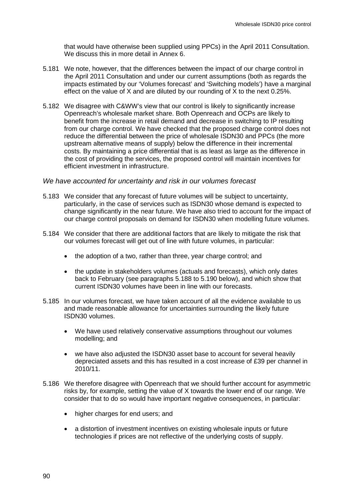that would have otherwise been supplied using PPCs) in the April 2011 Consultation. We discuss this in more detail in Annex 6.

- 5.181 We note, however, that the differences between the impact of our charge control in the April 2011 Consultation and under our current assumptions (both as regards the impacts estimated by our 'Volumes forecast' and 'Switching models') have a marginal effect on the value of X and are diluted by our rounding of X to the next 0.25%.
- 5.182 We disagree with C&WW's view that our control is likely to significantly increase Openreach's wholesale market share. Both Openreach and OCPs are likely to benefit from the increase in retail demand and decrease in switching to IP resulting from our charge control. We have checked that the proposed charge control does not reduce the differential between the price of wholesale ISDN30 and PPCs (the more upstream alternative means of supply) below the difference in their incremental costs. By maintaining a price differential that is as least as large as the difference in the cost of providing the services, the proposed control will maintain incentives for efficient investment in infrastructure.

#### *We have accounted for uncertainty and risk in our volumes forecast*

- 5.183 We consider that any forecast of future volumes will be subject to uncertainty, particularly, in the case of services such as ISDN30 whose demand is expected to change significantly in the near future. We have also tried to account for the impact of our charge control proposals on demand for ISDN30 when modelling future volumes.
- 5.184 We consider that there are additional factors that are likely to mitigate the risk that our volumes forecast will get out of line with future volumes, in particular:
	- the adoption of a two, rather than three, year charge control; and
	- the update in stakeholders volumes (actuals and forecasts), which only dates back to February (see paragraphs [5.188](#page-93-0) to [5.190](#page-94-1) below), and which show that current ISDN30 volumes have been in line with our forecasts.
- 5.185 In our volumes forecast, we have taken account of all the evidence available to us and made reasonable allowance for uncertainties surrounding the likely future ISDN30 volumes.
	- We have used relatively conservative assumptions throughout our volumes modelling; and
	- we have also adjusted the ISDN30 asset base to account for several heavily depreciated assets and this has resulted in a cost increase of £39 per channel in 2010/11.
- 5.186 We therefore disagree with Openreach that we should further account for asymmetric risks by, for example, setting the value of X towards the lower end of our range. We consider that to do so would have important negative consequences, in particular:
	- higher charges for end users; and
	- a distortion of investment incentives on existing wholesale inputs or future technologies if prices are not reflective of the underlying costs of supply.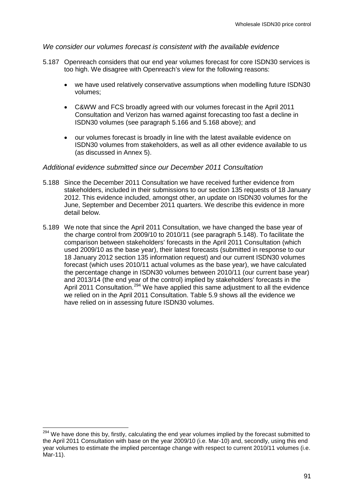# *We consider our volumes forecast is consistent with the available evidence*

- 5.187 Openreach considers that our end year volumes forecast for core ISDN30 services is too high. We disagree with Openreach's view for the following reasons:
	- we have used relatively conservative assumptions when modelling future ISDN30 volumes;
	- C&WW and FCS broadly agreed with our volumes forecast in the April 2011 Consultation and Verizon has warned against forecasting too fast a decline in ISDN30 volumes (see paragraph [5.166](#page-88-2) and [5.168](#page-88-3) above); and
	- our volumes forecast is broadly in line with the latest available evidence on ISDN30 volumes from stakeholders, as well as all other evidence available to us (as discussed in Annex 5).

#### *Additional evidence submitted since our December 2011 Consultation*

- <span id="page-93-0"></span>5.188 Since the December 2011 Consultation we have received further evidence from stakeholders, included in their submissions to our section 135 requests of 18 January 2012. This evidence included, amongst other, an update on ISDN30 volumes for the June, September and December 2011 quarters. We describe this evidence in more detail below.
- 5.189 We note that since the April 2011 Consultation, we have changed the base year of the charge control from 2009/10 to 2010/11 (see paragraph [5.148\)](#page-84-0). To facilitate the comparison between stakeholders' forecasts in the April 2011 Consultation (which used 2009/10 as the base year), their latest forecasts (submitted in response to our 18 January 2012 section 135 information request) and our current ISDN30 volumes forecast (which uses 2010/11 actual volumes as the base year), we have calculated the percentage change in ISDN30 volumes between 2010/11 (our current base year) and 2013/14 (the end year of the control) implied by stakeholders' forecasts in the April 2011 Consultation.<sup>[294](#page-90-1)</sup> We have applied this same adjustment to all the evidence we relied on in the April 2011 Consultation. Table 5.9 shows all the evidence we have relied on in assessing future ISDN30 volumes.

<span id="page-93-1"></span><sup>&</sup>lt;sup>294</sup> We have done this by, firstly, calculating the end year volumes implied by the forecast submitted to the April 2011 Consultation with base on the year 2009/10 (i.e. Mar-10) and, secondly, using this end year volumes to estimate the implied percentage change with respect to current 2010/11 volumes (i.e. Mar-11).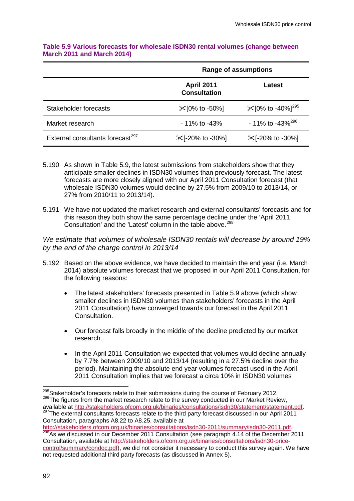|                                              | <b>Range of assumptions</b>              |                                           |  |
|----------------------------------------------|------------------------------------------|-------------------------------------------|--|
|                                              | <b>April 2011</b><br><b>Consultation</b> | Latest                                    |  |
| Stakeholder forecasts                        | $\mathcal{K}$ [0% to -50%]               | $\mathcal{K}$ [0% to -40%] <sup>295</sup> |  |
| Market research                              | $-11\%$ to $-43\%$                       | $-11\%$ to $-43\%^{296}$                  |  |
| External consultants forecast <sup>297</sup> | $\mathcal{K}$ [-20% to -30%]             | $\mathcal{K}$ [-20% to -30%]              |  |

### **Table 5.9 Various forecasts for wholesale ISDN30 rental volumes (change between March 2011 and March 2014)**

- <span id="page-94-1"></span>5.190 As shown in Table 5.9, the latest submissions from stakeholders show that they anticipate smaller declines in ISDN30 volumes than previously forecast. The latest forecasts are more closely aligned with our April 2011 Consultation forecast (that wholesale ISDN30 volumes would decline by 27.5% from 2009/10 to 2013/14, or 27% from 2010/11 to 2013/14).
- 5.191 We have not updated the market research and external consultants' forecasts and for this reason they both show the same percentage decline under the 'April 2011 Consultation' and the 'Latest' column in the table above.<sup>[298](#page-94-2)</sup>

*We estimate that volumes of wholesale ISDN30 rentals will decrease by around 19% by the end of the charge control in 2013/14*

- <span id="page-94-0"></span>5.192 Based on the above evidence, we have decided to maintain the end year (i.e. March 2014) absolute volumes forecast that we proposed in our April 2011 Consultation, for the following reasons:
	- The latest stakeholders' forecasts presented in Table 5.9 above (which show smaller declines in ISDN30 volumes than stakeholders' forecasts in the April 2011 Consultation) have converged towards our forecast in the April 2011 Consultation.
	- Our forecast falls broadly in the middle of the decline predicted by our market research.
	- In the April 2011 Consultation we expected that volumes would decline annually by 7.7% between 2009/10 and 2013/14 (resulting in a 27.5% decline over the period). Maintaining the absolute end year volumes forecast used in the April 2011 Consultation implies that we forecast a circa 10% in ISDN30 volumes

<span id="page-94-2"></span><sup>&</sup>lt;sup>295</sup>Stakeholder's forecasts relate to their submissions during the course of February 2012.<br><sup>296</sup>The figures from the market research relate to the survey conducted in our Market Review,<br>available at http://stakeholders.

<sup>&</sup>lt;sup>297</sup>The external consultants forecasts relate to the third party forecast discussed in our April 2011 Consultation, paragraphs A8.22 to A8.25, available at

<span id="page-94-3"></span>[http://stakeholders.ofcom.org.uk/binaries/consultations/isdn30-2011/summary/isdn30-2011.pdf.](http://stakeholders.ofcom.org.uk/binaries/consultations/isdn30-2011/summary/isdn30-2011.pdf)<br><sup>298</sup>As we discussed in our December 2011 Consultation (see paragraph 4.14 of the December 2011 Consultation, available at [http://stakeholders.ofcom.org.uk/binaries/consultations/isdn30-price](http://stakeholders.ofcom.org.uk/binaries/consultations/isdn30-price-control/summary/condoc.pdf)[control/summary/condoc.pdf\)](http://stakeholders.ofcom.org.uk/binaries/consultations/isdn30-price-control/summary/condoc.pdf), we did not consider it necessary to conduct this survey again. We have not requested additional third party forecasts (as discussed in Annex 5).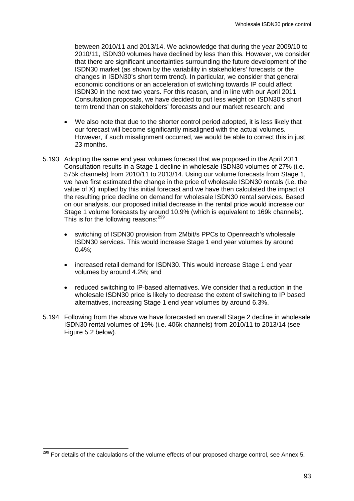between 2010/11 and 2013/14. We acknowledge that during the year 2009/10 to 2010/11, ISDN30 volumes have declined by less than this. However, we consider that there are significant uncertainties surrounding the future development of the ISDN30 market (as shown by the variability in stakeholders' forecasts or the changes in ISDN30's short term trend). In particular, we consider that general economic conditions or an acceleration of switching towards IP could affect ISDN30 in the next two years. For this reason, and in line with our April 2011 Consultation proposals, we have decided to put less weight on ISDN30's short term trend than on stakeholders' forecasts and our market research; and

- We also note that due to the shorter control period adopted, it is less likely that our forecast will become significantly misaligned with the actual volumes. However, if such misalignment occurred, we would be able to correct this in just 23 months.
- 5.193 Adopting the same end year volumes forecast that we proposed in the April 2011 Consultation results in a Stage 1 decline in wholesale ISDN30 volumes of 27% (i.e. 575k channels) from 2010/11 to 2013/14. Using our volume forecasts from Stage 1, we have first estimated the change in the price of wholesale ISDN30 rentals (i.e. the value of X) implied by this initial forecast and we have then calculated the impact of the resulting price decline on demand for wholesale ISDN30 rental services. Based on our analysis, our proposed initial decrease in the rental price would increase our Stage 1 volume forecasts by around 10.9% (which is equivalent to 169k channels). This is for the following reasons:<sup>[299](#page-94-3)</sup>
	- switching of ISDN30 provision from 2Mbit/s PPCs to Openreach's wholesale ISDN30 services. This would increase Stage 1 end year volumes by around  $0.4\%$ ;
	- increased retail demand for ISDN30. This would increase Stage 1 end year volumes by around 4.2%; and
	- reduced switching to IP-based alternatives. We consider that a reduction in the wholesale ISDN30 price is likely to decrease the extent of switching to IP based alternatives, increasing Stage 1 end year volumes by around 6.3%.
- <span id="page-95-0"></span>5.194 Following from the above we have forecasted an overall Stage 2 decline in wholesale ISDN30 rental volumes of 19% (i.e. 406k channels) from 2010/11 to 2013/14 (see Figure 5.2 below).

<span id="page-95-1"></span><sup>&</sup>lt;sup>299</sup> For details of the calculations of the volume effects of our proposed charge control, see Annex 5.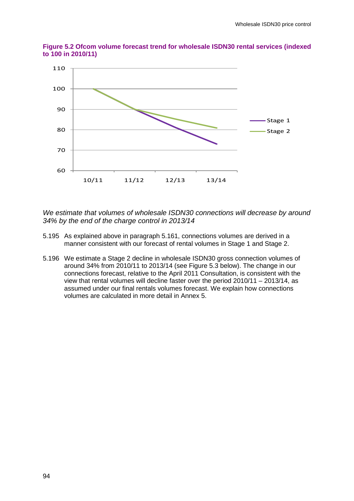

**Figure 5.2 Ofcom volume forecast trend for wholesale ISDN30 rental services (indexed to 100 in 2010/11)**

*We estimate that volumes of wholesale ISDN30 connections will decrease by around 34% by the end of the charge control in 2013/14*

- 5.195 As explained above in paragraph [5.161,](#page-87-2) connections volumes are derived in a manner consistent with our forecast of rental volumes in Stage 1 and Stage 2.
- 5.196 We estimate a Stage 2 decline in wholesale ISDN30 gross connection volumes of around 34% from 2010/11 to 2013/14 (see Figure 5.3 below). The change in our connections forecast, relative to the April 2011 Consultation, is consistent with the view that rental volumes will decline faster over the period 2010/11 – 2013/14, as assumed under our final rentals volumes forecast. We explain how connections volumes are calculated in more detail in Annex 5.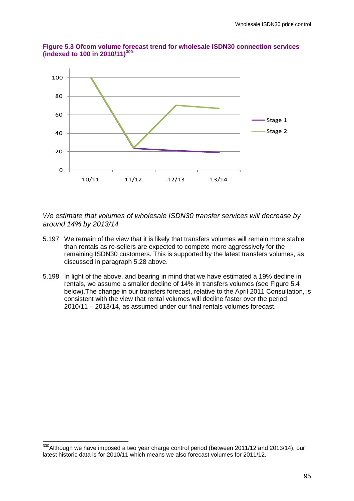



*We estimate that volumes of wholesale ISDN30 transfer services will decrease by around 14% by 2013/14*

- 5.197 We remain of the view that it is likely that transfers volumes will remain more stable than rentals as re-sellers are expected to compete more aggressively for the remaining ISDN30 customers. This is supported by the latest transfers volumes, as discussed in paragraph [5.28](#page-59-0) above.
- 5.198 In light of the above, and bearing in mind that we have estimated a 19% decline in rentals, we assume a smaller decline of 14% in transfers volumes (see Figure 5.4 below).The change in our transfers forecast, relative to the April 2011 Consultation, is consistent with the view that rental volumes will decline faster over the period 2010/11 – 2013/14, as assumed under our final rentals volumes forecast.

<span id="page-97-0"></span><sup>&</sup>lt;sup>300</sup>Although we have imposed a two year charge control period (between 2011/12 and 2013/14), our latest historic data is for 2010/11 which means we also forecast volumes for 2011/12.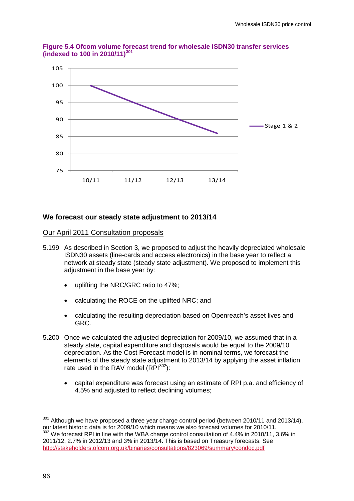

**Figure 5.4 Ofcom volume forecast trend for wholesale ISDN30 transfer services (indexed to 100 in 2010/11)[301](#page-97-0)**

# **We forecast our steady state adjustment to 2013/14**

#### Our April 2011 Consultation proposals

- 5.199 As described in Section 3, we proposed to adjust the heavily depreciated wholesale ISDN30 assets (line-cards and access electronics) in the base year to reflect a network at steady state (steady state adjustment). We proposed to implement this adjustment in the base year by:
	- uplifting the NRC/GRC ratio to 47%;
	- calculating the ROCE on the uplifted NRC; and
	- calculating the resulting depreciation based on Openreach's asset lives and GRC.
- 5.200 Once we calculated the adjusted depreciation for 2009/10, we assumed that in a steady state, capital expenditure and disposals would be equal to the 2009/10 depreciation. As the Cost Forecast model is in nominal terms, we forecast the elements of the steady state adjustment to 2013/14 by applying the asset inflation rate used in the RAV model  $(RPI^{302})$ :
	- capital expenditure was forecast using an estimate of RPI p.a. and efficiency of 4.5% and adjusted to reflect declining volumes;

<span id="page-98-1"></span><span id="page-98-0"></span> $301$  Although we have proposed a three year charge control period (between 2010/11 and 2013/14), our latest historic data is for 2009/10 which means we also forecast volumes for 2010/11.

<sup>&</sup>lt;sup>2</sup> We forecast RPI in line with the WBA charge control consultation of 4.4% in 2010/11, 3.6% in 2011/12, 2.7% in 2012/13 and 3% in 2013/14. This is based on Treasury forecasts. See <http://stakeholders.ofcom.org.uk/binaries/consultations/823069/summary/condoc.pdf>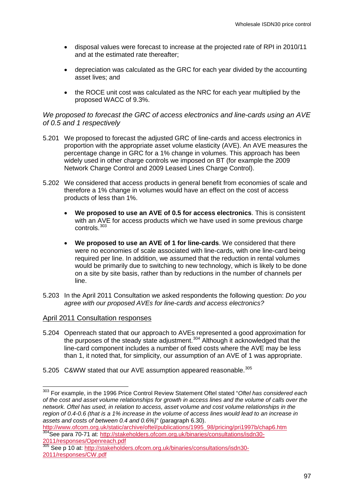- disposal values were forecast to increase at the projected rate of RPI in 2010/11 and at the estimated rate thereafter;
- depreciation was calculated as the GRC for each year divided by the accounting asset lives; and
- the ROCE unit cost was calculated as the NRC for each year multiplied by the proposed WACC of 9.3%.

### *We proposed to forecast the GRC of access electronics and line-cards using an AVE of 0.5 and 1 respectively*

- 5.201 We proposed to forecast the adjusted GRC of line-cards and access electronics in proportion with the appropriate asset volume elasticity (AVE). An AVE measures the percentage change in GRC for a 1% change in volumes. This approach has been widely used in other charge controls we imposed on BT (for example the 2009 Network Charge Control and 2009 Leased Lines Charge Control).
- 5.202 We considered that access products in general benefit from economies of scale and therefore a 1% change in volumes would have an effect on the cost of access products of less than 1%.
	- **We proposed to use an AVE of 0.5 for access electronics**. This is consistent with an AVE for access products which we have used in some previous charge controls.[303](#page-98-1)
	- **We proposed to use an AVE of 1 for line-cards**. We considered that there were no economies of scale associated with line-cards, with one line-card being required per line. In addition, we assumed that the reduction in rental volumes would be primarily due to switching to new technology, which is likely to be done on a site by site basis, rather than by reductions in the number of channels per line.
- 5.203 In the April 2011 Consultation we asked respondents the following question: *Do you agree with our proposed AVEs for line-cards and access electronics?*

### April 2011 Consultation responses

- 5.204 Openreach stated that our approach to AVEs represented a good approximation for the purposes of the steady state adjustment.<sup>[304](#page-99-0)</sup> Although it acknowledged that the line-card component includes a number of fixed costs where the AVE may be less than 1, it noted that, for simplicity, our assumption of an AVE of 1 was appropriate.
- 5.205 C&WW stated that our AVE assumption appeared reasonable.<sup>[305](#page-99-0)</sup>

<span id="page-99-0"></span> <sup>303</sup> For example, in the 1996 Price Control Review Statement Oftel stated "*Oftel has considered each of the cost and asset volume relationships for growth in access lines and the volume of calls over the network. Oftel has used, in relation to access, asset volume and cost volume relationships in the region of 0.4-0.6 (that is a 1% increase in the volume of access lines would lead to an increase in assets and costs of between 0.4 and 0.6%)*" (paragraph 6.30).

<span id="page-99-1"></span>[http://www.ofcom.org.uk/static/archive/oftel/publications/1995\\_98/pricing/pri1997b/chap6.htm](http://www.ofcom.org.uk/static/archive/oftel/publications/1995_98/pricing/pri1997b/chap6.htm) <sup>304</sup>See para 70-71 at: [http://stakeholders.ofcom.org.uk/binaries/consultations/isdn30-](http://stakeholders.ofcom.org.uk/binaries/consultations/isdn30-2011/responses/Openreach.pdf) [2011/responses/Openreach.pdf](http://stakeholders.ofcom.org.uk/binaries/consultations/isdn30-2011/responses/Openreach.pdf)

<sup>2011/103</sup> politics Spencescupent 2011/103 politics See p 10 at: [http://stakeholders.ofcom.org.uk/binaries/consultations/isdn30-](http://stakeholders.ofcom.org.uk/binaries/consultations/isdn30-2011/responses/CW.pdf) [2011/responses/CW.pdf](http://stakeholders.ofcom.org.uk/binaries/consultations/isdn30-2011/responses/CW.pdf)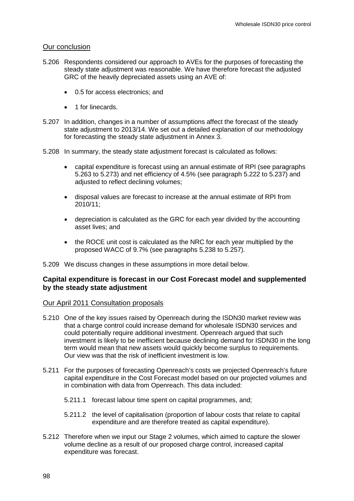### Our conclusion

- 5.206 Respondents considered our approach to AVEs for the purposes of forecasting the steady state adjustment was reasonable. We have therefore forecast the adjusted GRC of the heavily depreciated assets using an AVE of:
	- 0.5 for access electronics; and
	- 1 for linecards.
- 5.207 In addition, changes in a number of assumptions affect the forecast of the steady state adjustment to 2013/14. We set out a detailed explanation of our methodology for forecasting the steady state adjustment in Annex 3.
- 5.208 In summary, the steady state adjustment forecast is calculated as follows:
	- capital expenditure is forecast using an annual estimate of RPI (see paragraphs [5.263](#page-107-0) to [5.273\)](#page-108-0) and net efficiency of 4.5% (see paragraph [5.222](#page-102-0) to [5.237\)](#page-103-0) and adjusted to reflect declining volumes;
	- disposal values are forecast to increase at the annual estimate of RPI from 2010/11;
	- depreciation is calculated as the GRC for each year divided by the accounting asset lives; and
	- the ROCE unit cost is calculated as the NRC for each year multiplied by the proposed WACC of 9.7% (see paragraphs [5.238](#page-103-1) to 5.257).

5.209 We discuss changes in these assumptions in more detail below.

# **Capital expenditure is forecast in our Cost Forecast model and supplemented by the steady state adjustment**

### Our April 2011 Consultation proposals

- 5.210 One of the key issues raised by Openreach during the ISDN30 market review was that a charge control could increase demand for wholesale ISDN30 services and could potentially require additional investment. Openreach argued that such investment is likely to be inefficient because declining demand for ISDN30 in the long term would mean that new assets would quickly become surplus to requirements. Our view was that the risk of inefficient investment is low.
- 5.211 For the purposes of forecasting Openreach's costs we projected Openreach's future capital expenditure in the Cost Forecast model based on our projected volumes and in combination with data from Openreach. This data included:
	- 5.211.1 forecast labour time spent on capital programmes, and;
	- 5.211.2 the level of capitalisation (proportion of labour costs that relate to capital expenditure and are therefore treated as capital expenditure).
- 5.212 Therefore when we input our Stage 2 volumes, which aimed to capture the slower volume decline as a result of our proposed charge control, increased capital expenditure was forecast.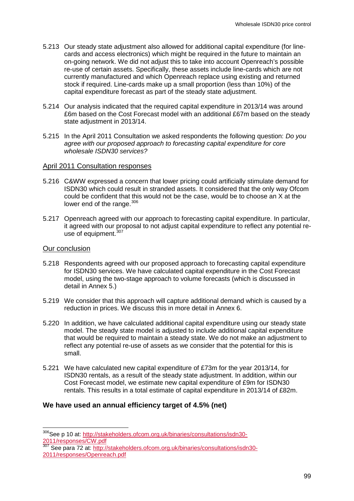- 5.213 Our steady state adjustment also allowed for additional capital expenditure (for linecards and access electronics) which might be required in the future to maintain an on-going network. We did not adjust this to take into account Openreach's possible re-use of certain assets. Specifically, these assets include line-cards which are not currently manufactured and which Openreach replace using existing and returned stock if required. Line-cards make up a small proportion (less than 10%) of the capital expenditure forecast as part of the steady state adjustment.
- 5.214 Our analysis indicated that the required capital expenditure in 2013/14 was around £6m based on the Cost Forecast model with an additional £67m based on the steady state adjustment in 2013/14.
- 5.215 In the April 2011 Consultation we asked respondents the following question: *Do you agree with our proposed approach to forecasting capital expenditure for core wholesale ISDN30 services?*

#### April 2011 Consultation responses

- 5.216 C&WW expressed a concern that lower pricing could artificially stimulate demand for ISDN30 which could result in stranded assets. It considered that the only way Ofcom could be confident that this would not be the case, would be to choose an X at the lower end of the range.<sup>[306](#page-99-1)</sup>
- 5.217 Openreach agreed with our approach to forecasting capital expenditure. In particular, it agreed with our proposal to not adjust capital expenditure to reflect any potential reuse of equipment. $307$

### Our conclusion

- 5.218 Respondents agreed with our proposed approach to forecasting capital expenditure for ISDN30 services. We have calculated capital expenditure in the Cost Forecast model, using the two-stage approach to volume forecasts (which is discussed in detail in Annex 5.)
- 5.219 We consider that this approach will capture additional demand which is caused by a reduction in prices. We discuss this in more detail in Annex 6.
- 5.220 In addition, we have calculated additional capital expenditure using our steady state model. The steady state model is adjusted to include additional capital expenditure that would be required to maintain a steady state. We do not make an adjustment to reflect any potential re-use of assets as we consider that the potential for this is small.
- 5.221 We have calculated new capital expenditure of £73m for the year 2013/14, for ISDN30 rentals, as a result of the steady state adjustment. In addition, within our Cost Forecast model, we estimate new capital expenditure of £9m for ISDN30 rentals. This results in a total estimate of capital expenditure in 2013/14 of £82m.

### **We have used an annual efficiency target of 4.5% (net)**

<span id="page-101-1"></span><span id="page-101-0"></span><sup>306</sup> See p 10 at: [http://stakeholders.ofcom.org.uk/binaries/consultations/isdn30-](http://stakeholders.ofcom.org.uk/binaries/consultations/isdn30-2011/responses/CW.pdf) [2011/responses/CW.pdf](http://stakeholders.ofcom.org.uk/binaries/consultations/isdn30-2011/responses/CW.pdf)

<sup>307</sup> See para 72 at: [http://stakeholders.ofcom.org.uk/binaries/consultations/isdn30-](http://stakeholders.ofcom.org.uk/binaries/consultations/isdn30-2011/responses/Openreach.pdf) [2011/responses/Openreach.pdf](http://stakeholders.ofcom.org.uk/binaries/consultations/isdn30-2011/responses/Openreach.pdf)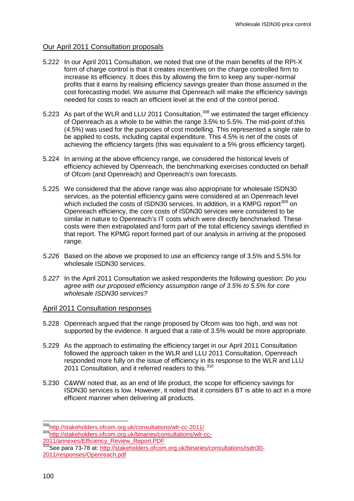# Our April 2011 Consultation proposals

- <span id="page-102-0"></span>5.222 In our April 2011 Consultation, we noted that one of the main benefits of the RPI-X form of charge control is that it creates incentives on the charge controlled firm to increase its efficiency. It does this by allowing the firm to keep any super-normal profits that it earns by realising efficiency savings greater than those assumed in the cost forecasting model. We assume that Openreach will make the efficiency savings needed for costs to reach an efficient level at the end of the control period.
- 5.223 As part of the WLR and LLU 2011 Consultation,<sup>[308](#page-101-1)</sup> we estimated the target efficiency of Openreach as a whole to be within the range 3.5% to 5.5%. The mid-point of this (4.5%) was used for the purposes of cost modelling. This represented a single rate to be applied to costs, including capital expenditure. This 4.5% is net of the costs of achieving the efficiency targets (this was equivalent to a 5% gross efficiency target).
- 5.224 In arriving at the above efficiency range, we considered the historical levels of efficiency achieved by Openreach, the benchmarking exercises conducted on behalf of Ofcom (and Openreach) and Openreach's own forecasts.
- <span id="page-102-2"></span>5.225 We considered that the above range was also appropriate for wholesale ISDN30 services, as the potential efficiency gains were considered at an Openreach level which included the costs of ISDN30 services. In addition, in a KMPG report $309$  on Openreach efficiency, the core costs of ISDN30 services were considered to be similar in nature to Openreach's IT costs which were directly benchmarked. These costs were then extrapolated and form part of the total efficiency savings identified in that report. The KPMG report formed part of our analysis in arriving at the proposed range.
- *5.226* Based on the above we proposed to use an efficiency range of 3.5% and 5.5% for wholesale ISDN30 services.
- *5.227* In the April 2011 Consultation we asked respondents the following question: *Do you agree with our proposed efficiency assumption range of 3.5% to 5.5% for core wholesale ISDN30 services?*

### April 2011 Consultation responses

- 5.228 Openreach argued that the range proposed by Ofcom was too high, and was not supported by the evidence. It argued that a rate of 3.5% would be more appropriate.
- 5.229 As the approach to estimating the efficiency target in our April 2011 Consultation followed the approach taken in the WLR and LLU 2011 Consultation, Openreach responded more fully on the issue of efficiency in its response to the WLR and LLU 2011 Consultation, and it referred readers to this.<sup>[310](#page-102-1)</sup>
- 5.230 C&WW noted that, as an end of life product, the scope for efficiency savings for ISDN30 services is low. However, it noted that it considers BT is able to act in a more efficient manner when delivering all products.

<span id="page-102-3"></span><span id="page-102-1"></span> [<sup>308</sup>http://stakeholders.ofcom.org.uk/consultations/wlr-cc-2011/](http://stakeholders.ofcom.org.uk/consultations/wlr-cc-2011/) [309http://stakeholders.ofcom.org.uk/binaries/consultations/wlr-cc-](http://stakeholders.ofcom.org.uk/binaries/consultations/wlr-cc-2011/annexes/Efficiency_Review_Report.PDF)[2011/annexes/Efficiency\\_Review\\_Report.PDF](http://stakeholders.ofcom.org.uk/binaries/consultations/wlr-cc-2011/annexes/Efficiency_Review_Report.PDF)

<sup>2011/</sup>annoxes/Lindons<sub>1</sub>, Novembers.ofcom.org.uk/binaries/consultations/isdn30-<br><sup>310</sup>See para 73-78 at: [http://stakeholders.ofcom.org.uk/binaries/consultations/isdn30-](http://stakeholders.ofcom.org.uk/binaries/consultations/isdn30-2011/responses/Openreach.pdf) [2011/responses/Openreach.pdf](http://stakeholders.ofcom.org.uk/binaries/consultations/isdn30-2011/responses/Openreach.pdf)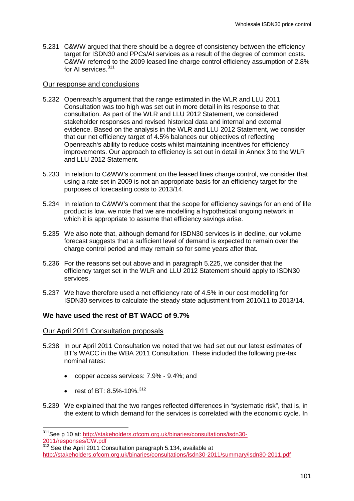5.231 C&WW argued that there should be a degree of consistency between the efficiency target for ISDN30 and PPCs/AI services as a result of the degree of common costs. C&WW referred to the 2009 leased line charge control efficiency assumption of 2.8% for AI services.<sup>[311](#page-102-3)</sup>

#### Our response and conclusions

- 5.232 Openreach's argument that the range estimated in the WLR and LLU 2011 Consultation was too high was set out in more detail in its response to that consultation. As part of the WLR and LLU 2012 Statement, we considered stakeholder responses and revised historical data and internal and external evidence. Based on the analysis in the WLR and LLU 2012 Statement, we consider that our net efficiency target of 4.5% balances our objectives of reflecting Openreach's ability to reduce costs whilst maintaining incentives for efficiency improvements. Our approach to efficiency is set out in detail in Annex 3 to the WLR and LLU 2012 Statement.
- 5.233 In relation to C&WW's comment on the leased lines charge control, we consider that using a rate set in 2009 is not an appropriate basis for an efficiency target for the purposes of forecasting costs to 2013/14.
- 5.234 In relation to C&WW's comment that the scope for efficiency savings for an end of life product is low, we note that we are modelling a hypothetical ongoing network in which it is appropriate to assume that efficiency savings arise.
- 5.235 We also note that, although demand for ISDN30 services is in decline, our volume forecast suggests that a sufficient level of demand is expected to remain over the charge control period and may remain so for some years after that.
- 5.236 For the reasons set out above and in paragraph [5.225,](#page-102-2) we consider that the efficiency target set in the WLR and LLU 2012 Statement should apply to ISDN30 services.
- <span id="page-103-0"></span>5.237 We have therefore used a net efficiency rate of 4.5% in our cost modelling for ISDN30 services to calculate the steady state adjustment from 2010/11 to 2013/14.

# **We have used the rest of BT WACC of 9.7%**

### Our April 2011 Consultation proposals

- <span id="page-103-1"></span>5.238 In our April 2011 Consultation we noted that we had set out our latest estimates of BT's WACC in the WBA 2011 Consultation. These included the following pre-tax nominal rates:
	- copper access services: 7.9% 9.4%; and
	- rest of BT: 8.5%-10%. $^{312}$  $^{312}$  $^{312}$
- <span id="page-103-4"></span><span id="page-103-3"></span>5.239 We explained that the two ranges reflected differences in "systematic risk", that is, in the extent to which demand for the services is correlated with the economic cycle. In

<span id="page-103-2"></span><sup>311</sup>See p 10 at: [http://stakeholders.ofcom.org.uk/binaries/consultations/isdn30-](http://stakeholders.ofcom.org.uk/binaries/consultations/isdn30-2011/responses/CW.pdf) [2011/responses/CW.pdf](http://stakeholders.ofcom.org.uk/binaries/consultations/isdn30-2011/responses/CW.pdf)

**<sup>2011/103/2010000</sup> Compact**<br><sup>312</sup> See the April 2011 Consultation paragraph 5.134, available at <http://stakeholders.ofcom.org.uk/binaries/consultations/isdn30-2011/summary/isdn30-2011.pdf>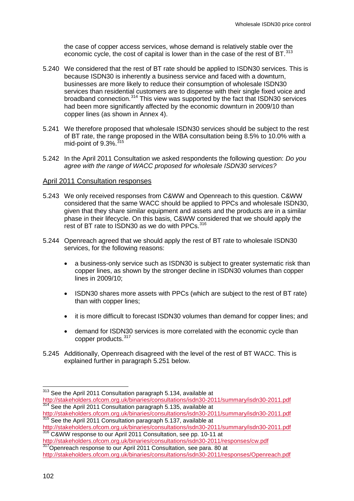the case of copper access services, whose demand is relatively stable over the economic cycle, the cost of capital is lower than in the case of the rest of BT.<sup>[313](#page-103-3)</sup>

- <span id="page-104-1"></span>5.240 We considered that the rest of BT rate should be applied to ISDN30 services. This is because ISDN30 is inherently a business service and faced with a downturn, businesses are more likely to reduce their consumption of wholesale ISDN30 services than residential customers are to dispense with their single fixed voice and broadband connection.[314](#page-104-0) This view was supported by the fact that ISDN30 services had been more significantly affected by the economic downturn in 2009/10 than copper lines (as shown in Annex 4).
- 5.241 We therefore proposed that wholesale ISDN30 services should be subject to the rest of BT rate, the range proposed in the WBA consultation being 8.5% to 10.0% with a mid-point of  $9.3\%$ .  $315$
- 5.242 In the April 2011 Consultation we asked respondents the following question: *Do you agree with the range of WACC proposed for wholesale ISDN30 services?*

#### April 2011 Consultation responses

- 5.243 We only received responses from C&WW and Openreach to this question. C&WW considered that the same WACC should be applied to PPCs and wholesale ISDN30, given that they share similar equipment and assets and the products are in a similar phase in their lifecycle. On this basis, C&WW considered that we should apply the rest of BT rate to ISDN30 as we do with PPCs.<sup>[316](#page-104-0)</sup>
- 5.244 Openreach agreed that we should apply the rest of BT rate to wholesale ISDN30 services, for the following reasons:
	- a business-only service such as ISDN30 is subject to greater systematic risk than copper lines, as shown by the stronger decline in ISDN30 volumes than copper lines in 2009/10;
	- ISDN30 shares more assets with PPCs (which are subject to the rest of BT rate) than with copper lines;
	- it is more difficult to forecast ISDN30 volumes than demand for copper lines; and
	- demand for ISDN30 services is more correlated with the economic cycle than copper products.<sup>[317](#page-104-0)</sup>
- 5.245 Additionally, Openreach disagreed with the level of the rest of BT WACC. This is explained further in paragraph [5.251](#page-105-0) below.

<span id="page-104-0"></span> <sup>313</sup> See the April 2011 Consultation paragraph 5.134, available at <http://stakeholders.ofcom.org.uk/binaries/consultations/isdn30-2011/summary/isdn30-2011.pdf> <sup>314</sup> See the April 2011 Consultation paragraph 5.135, available at

<span id="page-104-2"></span><http://stakeholders.ofcom.org.uk/binaries/consultations/isdn30-2011/summary/isdn30-2011.pdf> 315 See the April 2011 Consultation paragraph 5.137, available at

<http://stakeholders.ofcom.org.uk/binaries/consultations/isdn30-2011/summary/isdn30-2011.pdf><br><sup>316</sup> C&WW response to our April 2011 Consultation, see pp. 10-11 at<br>http://stakeholders.ofcom.org.uk/binaries/consultations/isdn3

<sup>317</sup> Openreach response to our April 2011 Consultation, see para. 80 at

<http://stakeholders.ofcom.org.uk/binaries/consultations/isdn30-2011/responses/Openreach.pdf>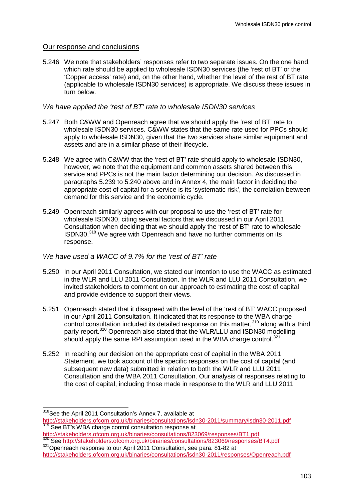# Our response and conclusions

5.246 We note that stakeholders' responses refer to two separate issues. On the one hand, which rate should be applied to wholesale ISDN30 services (the 'rest of BT' or the 'Copper access' rate) and, on the other hand, whether the level of the rest of BT rate (applicable to wholesale ISDN30 services) is appropriate. We discuss these issues in turn below.

# *We have applied the 'rest of BT' rate to wholesale ISDN30 services*

- 5.247 Both C&WW and Openreach agree that we should apply the 'rest of BT' rate to wholesale ISDN30 services. C&WW states that the same rate used for PPCs should apply to wholesale ISDN30, given that the two services share similar equipment and assets and are in a similar phase of their lifecycle.
- 5.248 We agree with C&WW that the 'rest of BT' rate should apply to wholesale ISDN30, however, we note that the equipment and common assets shared between this service and PPCs is not the main factor determining our decision. As discussed in paragraphs [5.239](#page-103-4) to [5.240](#page-104-1) above and in Annex 4, the main factor in deciding the appropriate cost of capital for a service is its 'systematic risk', the correlation between demand for this service and the economic cycle.
- 5.249 Openreach similarly agrees with our proposal to use the 'rest of BT' rate for wholesale ISDN30, citing several factors that we discussed in our April 2011 Consultation when deciding that we should apply the 'rest of BT' rate to wholesale ISDN30.[318](#page-104-2) We agree with Openreach and have no further comments on its response.

# *We have used a WACC of 9.7% for the 'rest of BT' rate*

- 5.250 In our April 2011 Consultation, we stated our intention to use the WACC as estimated in the WLR and LLU 2011 Consultation. In the WLR and LLU 2011 Consultation, we invited stakeholders to comment on our approach to estimating the cost of capital and provide evidence to support their views.
- <span id="page-105-0"></span>5.251 Openreach stated that it disagreed with the level of the 'rest of BT' WACC proposed in our April 2011 Consultation. It indicated that its response to the WBA charge control consultation included its detailed response on this matter,<sup>[319](#page-105-1)</sup> along with a third party report.<sup>[320](#page-105-1)</sup> Openreach also stated that the WLR/LLU and ISDN30 modelling should apply the same RPI assumption used in the WBA charge control.<sup>[321](#page-105-1)</sup>
- 5.252 In reaching our decision on the appropriate cost of capital in the WBA 2011 Statement, we took account of the specific responses on the cost of capital (and subsequent new data) submitted in relation to both the WLR and LLU 2011 Consultation and the WBA 2011 Consultation. Our analysis of responses relating to the cost of capital, including those made in response to the WLR and LLU 2011

<span id="page-105-2"></span><http://stakeholders.ofcom.org.uk/binaries/consultations/823069/responses/BT1.pdf> <sup>321</sup> Openreach response to our April 2011 Consultation, see para. 81-82 at

<span id="page-105-1"></span><sup>&</sup>lt;sup>318</sup>See the April 2011 Consultation's Annex 7, available at <br>http://stakeholders.ofcom.org.uk/binaries/consultations/isdn30-2011/summary/isdn30-2011.pdf **Following** See BT's WBA charge control consultation response at

<http://stakeholders.ofcom.org.uk/binaries/consultations/isdn30-2011/responses/Openreach.pdf>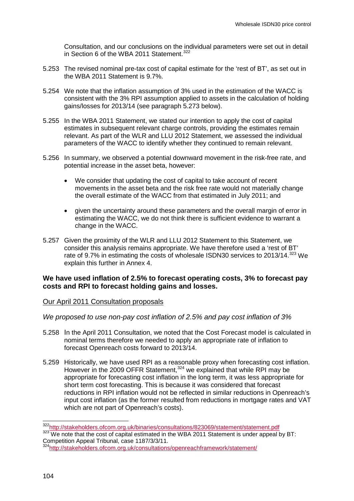Consultation, and our conclusions on the individual parameters were set out in detail in Section 6 of the WBA 2011 Statement.  $322$ 

- 5.253 The revised nominal pre-tax cost of capital estimate for the 'rest of BT', as set out in the WBA 2011 Statement is 9.7%.
- 5.254 We note that the inflation assumption of 3% used in the estimation of the WACC is consistent with the 3% RPI assumption applied to assets in the calculation of holding gains/losses for 2013/14 (see paragraph [5.273](#page-108-0) below).
- 5.255 In the WBA 2011 Statement, we stated our intention to apply the cost of capital estimates in subsequent relevant charge controls, providing the estimates remain relevant. As part of the WLR and LLU 2012 Statement, we assessed the individual parameters of the WACC to identify whether they continued to remain relevant.
- 5.256 In summary, we observed a potential downward movement in the risk-free rate, and potential increase in the asset beta, however:
	- We consider that updating the cost of capital to take account of recent movements in the asset beta and the risk free rate would not materially change the overall estimate of the WACC from that estimated in July 2011; and
	- given the uncertainty around these parameters and the overall margin of error in estimating the WACC, we do not think there is sufficient evidence to warrant a change in the WACC.
- 5.257 Given the proximity of the WLR and LLU 2012 Statement to this Statement, we consider this analysis remains appropriate. We have therefore used a 'rest of BT' rate of 9.7% in estimating the costs of wholesale ISDN30 services to 2013/14.<sup>[323](#page-106-0)</sup> We explain this further in Annex 4.

# **We have used inflation of 2.5% to forecast operating costs, 3% to forecast pay costs and RPI to forecast holding gains and losses.**

### Our April 2011 Consultation proposals

### *We proposed to use non-pay cost inflation of 2.5% and pay cost inflation of 3%*

- 5.258 In the April 2011 Consultation, we noted that the Cost Forecast model is calculated in nominal terms therefore we needed to apply an appropriate rate of inflation to forecast Openreach costs forward to 2013/14.
- 5.259 Historically, we have used RPI as a reasonable proxy when forecasting cost inflation. However in the 2009 OFFR Statement,<sup>[324](#page-106-0)</sup> we explained that while RPI may be appropriate for forecasting cost inflation in the long term, it was less appropriate for short term cost forecasting. This is because it was considered that forecast reductions in RPI inflation would not be reflected in similar reductions in Openreach's input cost inflation (as the former resulted from reductions in mortgage rates and VAT which are not part of Openreach's costs).

<span id="page-106-1"></span><span id="page-106-0"></span><sup>&</sup>lt;sup>322</sup>http://stakeholders.ofcom.org.uk/binaries/consultations/823069/statement/statement.pdf<br><sup>323</sup> We note that the cost of capital estimated in the WBA 2011 Statement is under appeal by BT: Competition Appeal Tribunal, case 1187/3/3/11.

<sup>&</sup>lt;sup>4</sup>http://stakeholders.ofcom.org.uk/consultations/openreachframework/statement/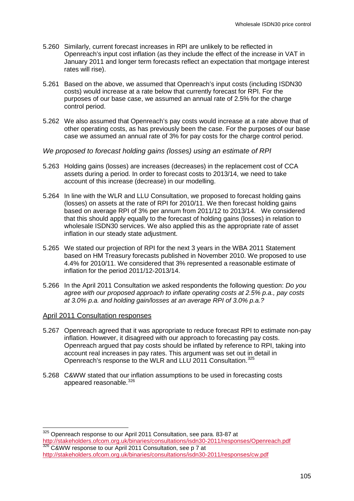- 5.260 Similarly, current forecast increases in RPI are unlikely to be reflected in Openreach's input cost inflation (as they include the effect of the increase in VAT in January 2011 and longer term forecasts reflect an expectation that mortgage interest rates will rise).
- 5.261 Based on the above, we assumed that Openreach's input costs (including ISDN30 costs) would increase at a rate below that currently forecast for RPI. For the purposes of our base case, we assumed an annual rate of 2.5% for the charge control period.
- 5.262 We also assumed that Openreach's pay costs would increase at a rate above that of other operating costs, as has previously been the case. For the purposes of our base case we assumed an annual rate of 3% for pay costs for the charge control period.
- *We proposed to forecast holding gains (losses) using an estimate of RPI*
- <span id="page-107-0"></span>5.263 Holding gains (losses) are increases (decreases) in the replacement cost of CCA assets during a period. In order to forecast costs to 2013/14, we need to take account of this increase (decrease) in our modelling.
- 5.264 In line with the WLR and LLU Consultation, we proposed to forecast holding gains (losses) on assets at the rate of RPI for 2010/11. We then forecast holding gains based on average RPI of 3% per annum from 2011/12 to 2013/14. We considered that this should apply equally to the forecast of holding gains (losses) in relation to wholesale ISDN30 services. We also applied this as the appropriate rate of asset inflation in our steady state adjustment.
- 5.265 We stated our projection of RPI for the next 3 years in the WBA 2011 Statement based on HM Treasury forecasts published in November 2010. We proposed to use 4.4% for 2010/11. We considered that 3% represented a reasonable estimate of inflation for the period 2011/12-2013/14.
- 5.266 In the April 2011 Consultation we asked respondents the following question: *Do you agree with our proposed approach to inflate operating costs at 2.5% p.a., pay costs at 3.0% p.a. and holding gain/losses at an average RPI of 3.0% p.a.?*

### April 2011 Consultation responses

- 5.267 Openreach agreed that it was appropriate to reduce forecast RPI to estimate non-pay inflation. However, it disagreed with our approach to forecasting pay costs. Openreach argued that pay costs should be inflated by reference to RPI, taking into account real increases in pay rates. This argument was set out in detail in Openreach's response to the WLR and LLU 2011 Consultation.<sup>[325](#page-106-1)</sup>
- 5.268 C&WW stated that our inflation assumptions to be used in forecasting costs appeared reasonable.<sup>[326](#page-107-1)</sup>

<span id="page-107-1"></span>325 Openreach response to our April 2011 Consultation, see para. 83-87 at <http://stakeholders.ofcom.org.uk/binaries/consultations/isdn30-2011/responses/Openreach.pdf> 326 C&WW response to our April 2011 Consultation, see p 7 at <http://stakeholders.ofcom.org.uk/binaries/consultations/isdn30-2011/responses/cw.pdf>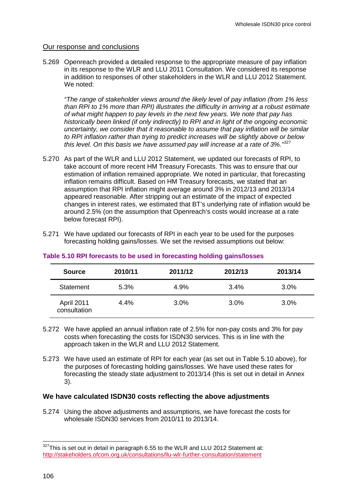## Our response and conclusions

5.269 Openreach provided a detailed response to the appropriate measure of pay inflation in its response to the WLR and LLU 2011 Consultation. We considered its response in addition to responses of other stakeholders in the WLR and LLU 2012 Statement. We noted:

*"The range of stakeholder views around the likely level of pay inflation (from 1% less than RPI to 1% more than RPI) illustrates the difficulty in arriving at a robust estimate of what might happen to pay levels in the next few years. We note that pay has historically been linked (if only indirectly) to RPI and in light of the ongoing economic uncertainty, we consider that it reasonable to assume that pay inflation will be similar to RPI inflation rather than trying to predict increases will be slightly above or below this level. On this basis we have assumed pay will increase at a rate of 3%."*[327](#page-107-0)

- 5.270 As part of the WLR and LLU 2012 Statement, we updated our forecasts of RPI, to take account of more recent HM Treasury Forecasts. This was to ensure that our estimation of inflation remained appropriate. We noted in particular, that forecasting inflation remains difficult. Based on HM Treasury forecasts, we stated that an assumption that RPI inflation might average around 3% in 2012/13 and 2013/14 appeared reasonable. After stripping out an estimate of the impact of expected changes in interest rates, we estimated that BT's underlying rate of inflation would be around 2.5% (on the assumption that Openreach's costs would increase at a rate below forecast RPI).
- 5.271 We have updated our forecasts of RPI in each year to be used for the purposes forecasting holding gains/losses. We set the revised assumptions out below:

| <b>Source</b>              | 2010/11 | 2011/12 | 2012/13 | 2013/14 |
|----------------------------|---------|---------|---------|---------|
| Statement                  | 5.3%    | 4.9%    | 3.4%    | 3.0%    |
| April 2011<br>consultation | 4.4%    | 3.0%    | 3.0%    | 3.0%    |

## **Table 5.10 RPI forecasts to be used in forecasting holding gains/losses**

- 5.272 We have applied an annual inflation rate of 2.5% for non-pay costs and 3% for pay costs when forecasting the costs for ISDN30 services. This is in line with the approach taken in the WLR and LLU 2012 Statement.
- 5.273 We have used an estimate of RPI for each year (as set out in Table 5.10 above), for the purposes of forecasting holding gains/losses. We have used these rates for forecasting the steady state adjustment to 2013/14 (this is set out in detail in Annex 3).

## **We have calculated ISDN30 costs reflecting the above adjustments**

5.274 Using the above adjustments and assumptions, we have forecast the costs for wholesale ISDN30 services from 2010/11 to 2013/14.

<span id="page-108-0"></span> $327$ This is set out in detail in paragraph 6.55 to the WLR and LLU 2012 Statement at: <http://stakeholders.ofcom.org.uk/consultations/llu-wlr-further-consultation/statement>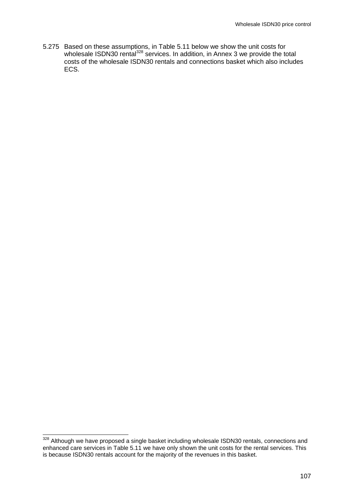5.275 Based on these assumptions, in Table 5.11 below we show the unit costs for wholesale ISDN30 rental<sup>[328](#page-108-0)</sup> services. In addition, in Annex 3 we provide the total costs of the wholesale ISDN30 rentals and connections basket which also includes ECS.

<span id="page-109-0"></span><sup>328</sup> Although we have proposed a single basket including wholesale ISDN30 rentals, connections and enhanced care services in [Table 5.1](#page-110-0)1 we have only shown the unit costs for the rental services. This is because ISDN30 rentals account for the majority of the revenues in this basket.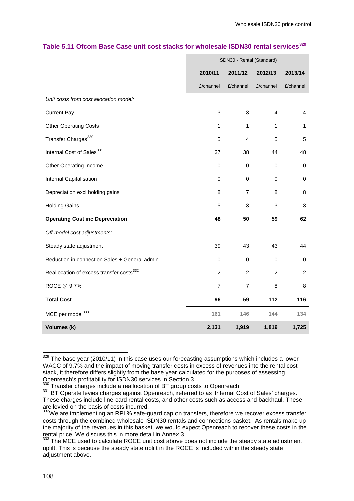|                                                      | ISDN30 - Rental (Standard) |                |                |                |
|------------------------------------------------------|----------------------------|----------------|----------------|----------------|
|                                                      | 2010/11                    | 2011/12        | 2012/13        | 2013/14        |
|                                                      | £/channel                  | £/channel      | £/channel      | £/channel      |
| Unit costs from cost allocation model:               |                            |                |                |                |
| <b>Current Pay</b>                                   | 3                          | 3              | 4              | 4              |
| <b>Other Operating Costs</b>                         | $\mathbf{1}$               | $\mathbf{1}$   | 1              | 1              |
| Transfer Charges <sup>330</sup>                      | 5                          | 4              | 5              | 5              |
| Internal Cost of Sales <sup>331</sup>                | 37                         | 38             | 44             | 48             |
| Other Operating Income                               | 0                          | 0              | 0              | $\pmb{0}$      |
| Internal Capitalisation                              | $\mathbf 0$                | 0              | $\Omega$       | $\pmb{0}$      |
| Depreciation excl holding gains                      | 8                          | $\overline{7}$ | 8              | 8              |
| <b>Holding Gains</b>                                 | $-5$                       | $-3$           | -3             | -3             |
| <b>Operating Cost inc Depreciation</b>               | 48                         | 50             | 59             | 62             |
| Off-model cost adjustments:                          |                            |                |                |                |
| Steady state adjustment                              | 39                         | 43             | 43             | 44             |
| Reduction in connection Sales + General admin        | $\Omega$                   | $\mathbf 0$    | $\mathbf 0$    | $\mathbf 0$    |
| Reallocation of excess transfer costs <sup>332</sup> | $\overline{c}$             | $\overline{c}$ | $\overline{c}$ | $\overline{c}$ |
| ROCE @ 9.7%                                          | $\overline{7}$             | $\overline{7}$ | 8              | 8              |
| <b>Total Cost</b>                                    | 96                         | 59             | 112            | 116            |
| MCE per model <sup>333</sup>                         | 161                        | 146            | 144            | 134            |
| Volumes (k)                                          | 2,131                      | 1,919          | 1,819          | 1,725          |

#### <span id="page-110-0"></span>**Table 5.11 Ofcom Base Case unit cost stacks for wholesale ISDN30 rental services[329](#page-109-0)**

<span id="page-110-1"></span> $329$  The base year (2010/11) in this case uses our forecasting assumptions which includes a lower WACC of 9.7% and the impact of moving transfer costs in excess of revenues into the rental cost stack, it therefore differs slightly from the base year calculated for the purposes of assessing<br>Openreach's profitability for ISDN30 services in Section 3.<br><sup>330</sup> Transfer oberses include a reallection of PT are applicable

 $^{330}$  Transfer charges include a reallocation of BT group costs to Openreach.<br> $^{331}$  BT Operate levies charges against Openreach, referred to as 'Internal Cost of Sales' charges. These charges include line-card rental costs, and other costs such as access and backhaul. These are levied on the basis of costs incurred.

 $332$ We are implementing an RPI % safe-guard cap on transfers, therefore we recover excess transfer costs through the combined wholesale ISDN30 rentals and connections basket. As rentals make up the majority of the revenues in this basket, we would expect Openreach to recover these costs in the rental price. We discuss this in more detail in Annex 3.

<span id="page-110-2"></span><sup>&</sup>lt;sup>333</sup> The MCE used to calculate ROCE unit cost above does not include the steady state adjustment uplift. This is because the steady state uplift in the ROCE is included within the steady state adjustment above.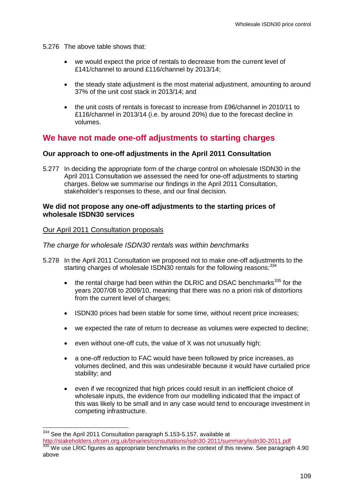- 5.276 The above table shows that:
	- we would expect the price of rentals to decrease from the current level of £141/channel to around £116/channel by 2013/14;
	- the steady state adjustment is the most material adjustment, amounting to around 37% of the unit cost stack in 2013/14; and
	- the unit costs of rentals is forecast to increase from £96/channel in 2010/11 to £116/channel in 2013/14 (i.e. by around 20%) due to the forecast decline in volumes.

# **We have not made one-off adjustments to starting charges**

## **Our approach to one-off adjustments in the April 2011 Consultation**

5.277 In deciding the appropriate form of the charge control on wholesale ISDN30 in the April 2011 Consultation we assessed the need for one-off adjustments to starting charges. Below we summarise our findings in the April 2011 Consultation, stakeholder's responses to these, and our final decision.

## **We did not propose any one-off adjustments to the starting prices of wholesale ISDN30 services**

## Our April 2011 Consultation proposals

## *The charge for wholesale ISDN30 rentals was within benchmarks*

- 5.278 In the April 2011 Consultation we proposed not to make one-off adjustments to the starting charges of wholesale ISDN30 rentals for the following reasons: [334](#page-110-2)
	- the rental charge had been within the DLRIC and DSAC benchmarks<sup>[335](#page-111-0)</sup> for the years 2007/08 to 2009/10, meaning that there was no a priori risk of distortions from the current level of charges;
	- ISDN30 prices had been stable for some time, without recent price increases;
	- we expected the rate of return to decrease as volumes were expected to decline;
	- even without one-off cuts, the value of X was not unusually high;
	- a one-off reduction to FAC would have been followed by price increases, as volumes declined, and this was undesirable because it would have curtailed price stability; and
	- even if we recognized that high prices could result in an inefficient choice of wholesale inputs, the evidence from our modelling indicated that the impact of this was likely to be small and in any case would tend to encourage investment in competing infrastructure.

<span id="page-111-1"></span><span id="page-111-0"></span><sup>334</sup> See the April 2011 Consultation paragraph 5.153-5.157, available at<br>http://stakeholders.ofcom.org.uk/binaries/consultations/isdn30-2011/summary/isdn30-2011.pdf

335 We use LRIC figures as appropriate benchmarks in the context of this review. See paragraph 4.90 above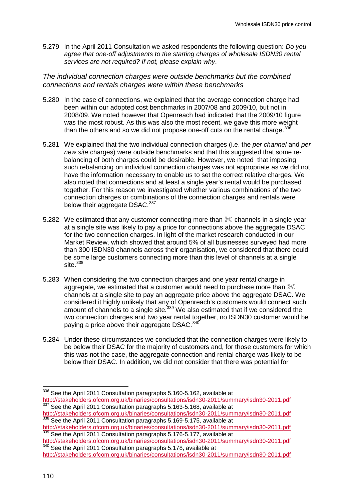5.279 In the April 2011 Consultation we asked respondents the following question: *Do you agree that one-off adjustments to the starting charges of wholesale ISDN30 rental services are not required? If not, please explain why*.

*The individual connection charges were outside benchmarks but the combined connections and rentals charges were within these benchmarks*

- 5.280 In the case of connections, we explained that the average connection charge had been within our adopted cost benchmarks in 2007/08 and 2009/10, but not in 2008/09. We noted however that Openreach had indicated that the 2009/10 figure was the most robust. As this was also the most recent, we gave this more weight than the others and so we did not propose one-off cuts on the rental charge. $336$
- 5.281 We explained that the two individual connection charges (i.e. the *per channel* and *per new site* charges) were outside benchmarks and that this suggested that some rebalancing of both charges could be desirable. However, we noted that imposing such rebalancing on individual connection charges was not appropriate as we did not have the information necessary to enable us to set the correct relative charges. We also noted that connections and at least a single year's rental would be purchased together. For this reason we investigated whether various combinations of the two connection charges or combinations of the connection charges and rentals were below their aggregate DSAC.<sup>[337](#page-112-0)</sup>
- 5.282 We estimated that any customer connecting more than  $\&$  channels in a single year at a single site was likely to pay a price for connections above the aggregate DSAC for the two connection charges. In light of the market research conducted in our Market Review, which showed that around 5% of all businesses surveyed had more than 300 ISDN30 channels across their organisation, we considered that there could be some large customers connecting more than this level of channels at a single site. $338$
- 5.283 When considering the two connection charges and one year rental charge in aggregate, we estimated that a customer would need to purchase more than  $\mathcal X$ channels at a single site to pay an aggregate price above the aggregate DSAC. We considered it highly unlikely that any of Openreach's customers would connect such amount of channels to a single site.<sup>[339](#page-112-0)</sup> We also estimated that if we considered the two connection charges and two year rental together, no ISDN30 customer would be paying a price above their aggregate DSAC.<sup>[340](#page-112-0)</sup>
- 5.284 Under these circumstances we concluded that the connection charges were likely to be below their DSAC for the majority of customers and, for those customers for which this was not the case, the aggregate connection and rental charge was likely to be below their DSAC. In addition, we did not consider that there was potential for

338 See the April 2011 Consultation paragraphs 5.169-5.175, available at

<span id="page-112-1"></span><span id="page-112-0"></span><sup>&</sup>lt;sup>336</sup> See the April 2011 Consultation paragraphs 5.160-5.162, available at<br>http://stakeholders.ofcom.org.uk/binaries/consultations/isdn30-2011/summary/isdn30-2011.pdf  $\frac{337}{337}$  See the April 2011 Consultation paragraphs 5.163-5.168, available at<br><http://stakeholders.ofcom.org.uk/binaries/consultations/isdn30-2011/summary/isdn30-2011.pdf>

<http://stakeholders.ofcom.org.uk/binaries/consultations/isdn30-2011/summary/isdn30-2011.pdf> 339 See the April 2011 Consultation paragraphs 5.176-5.177, available at

<http://stakeholders.ofcom.org.uk/binaries/consultations/isdn30-2011/summary/isdn30-2011.pdf><br><sup>340</sup> See the April 2011 Consultation paragraphs 5.178, available at

<http://stakeholders.ofcom.org.uk/binaries/consultations/isdn30-2011/summary/isdn30-2011.pdf>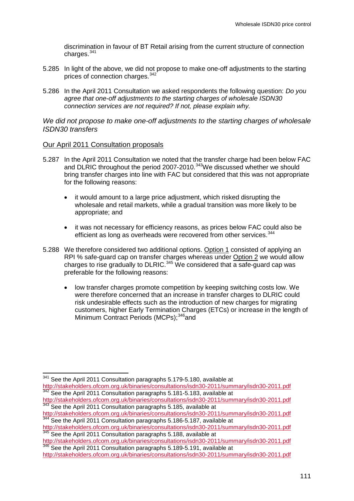discrimination in favour of BT Retail arising from the current structure of connection charges. $341$ 

- 5.285 In light of the above, we did not propose to make one-off adjustments to the starting prices of connection charges.<sup>[342](#page-113-0)</sup>
- 5.286 In the April 2011 Consultation we asked respondents the following question: *Do you agree that one-off adjustments to the starting charges of wholesale ISDN30 connection services are not required? If not, please explain why.*

#### *We did not propose to make one-off adjustments to the starting charges of wholesale ISDN30 transfers*

#### Our April 2011 Consultation proposals

- 5.287 In the April 2011 Consultation we noted that the transfer charge had been below FAC and DLRIC throughout the period 2007-2010.<sup>343</sup>We discussed whether we should bring transfer charges into line with FAC but considered that this was not appropriate for the following reasons:
	- it would amount to a large price adjustment, which risked disrupting the wholesale and retail markets, while a gradual transition was more likely to be appropriate; and
	- it was not necessary for efficiency reasons, as prices below FAC could also be efficient as long as overheads were recovered from other services.<sup>[344](#page-113-0)</sup>
- 5.288 We therefore considered two additional options. Option 1 consisted of applying an RPI % safe-guard cap on transfer charges whereas under Option 2 we would allow charges to rise gradually to DLRIC.<sup>[345](#page-113-0)</sup> We considered that a safe-guard cap was preferable for the following reasons:
	- low transfer charges promote competition by keeping switching costs low. We were therefore concerned that an increase in transfer charges to DLRIC could risk undesirable effects such as the introduction of new charges for migrating customers, higher Early Termination Charges (ETCs) or increase in the length of Minimum Contract Periods (MCPs);<sup>[346](#page-113-0)</sup>and

<span id="page-113-0"></span><sup>&</sup>lt;sup>341</sup> See the April 2011 Consultation paragraphs 5.179-5.180, available at

<http://stakeholders.ofcom.org.uk/binaries/consultations/isdn30-2011/summary/isdn30-2011.pdf> <sup>342</sup> See the April 2011 Consultation paragraphs 5.181-5.183, available at

<span id="page-113-1"></span><http://stakeholders.ofcom.org.uk/binaries/consultations/isdn30-2011/summary/isdn30-2011.pdf> <sup>343</sup> See the April 2011 Consultation paragraphs 5.185, available at

<http://stakeholders.ofcom.org.uk/binaries/consultations/isdn30-2011/summary/isdn30-2011.pdf> 344 See the April 2011 Consultation paragraphs 5.186-5.187, available at

<http://stakeholders.ofcom.org.uk/binaries/consultations/isdn30-2011/summary/isdn30-2011.pdf><br>
<sup>345</sup> See the April 2011 Consultation paragraphs 5.188, available at<br>
http://stakeholders.ofcom.org.uk/binaries/consultations/isd

<sup>346</sup> See the April 2011 Consultation paragraphs 5.189-5.191, available at

<http://stakeholders.ofcom.org.uk/binaries/consultations/isdn30-2011/summary/isdn30-2011.pdf>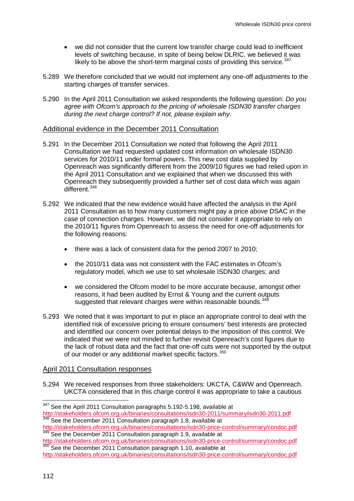- we did not consider that the current low transfer charge could lead to inefficient levels of switching because, in spite of being below DLRIC, we believed it was likely to be above the short-term marginal costs of providing this service.  $347$
- 5.289 We therefore concluded that we would not implement any one-off adjustments to the starting charges of transfer services.
- 5.290 In the April 2011 Consultation we asked respondents the following question: *Do you agree with Ofcom's approach to the pricing of wholesale ISDN30 transfer charges during the next charge control? If not, please explain why*.

#### Additional evidence in the December 2011 Consultation

- <span id="page-114-2"></span>5.291 In the December 2011 Consultation we noted that following the April 2011 Consultation we had requested updated cost information on wholesale ISDN30 services for 2010/11 under formal powers. This new cost data supplied by Openreach was significantly different from the 2009/10 figures we had relied upon in the April 2011 Consultation and we explained that when we discussed this with Openreach they subsequently provided a further set of cost data which was again different.<sup>[348](#page-114-0)</sup>
- 5.292 We indicated that the new evidence would have affected the analysis in the April 2011 Consultation as to how many customers might pay a price above DSAC in the case of connection charges. However, we did not consider it appropriate to rely on the 2010/11 figures from Openreach to assess the need for one-off adjustments for the following reasons:
	- there was a lack of consistent data for the period 2007 to 2010;
	- the 2010/11 data was not consistent with the FAC estimates in Ofcom's regulatory model, which we use to set wholesale ISDN30 charges; and
	- we considered the Ofcom model to be more accurate because, amongst other reasons, it had been audited by Ernst & Young and the current outputs suggested that relevant charges were within reasonable bounds.<sup>[349](#page-114-0)</sup>
- <span id="page-114-3"></span>5.293 We noted that it was important to put in place an appropriate control to deal with the identified risk of excessive pricing to ensure consumers' best interests are protected and identified our concern over potential delays to the imposition of this control. We indicated that we were not minded to further revisit Openreach's cost figures due to the lack of robust data and the fact that one-off cuts were not supported by the output of our model or any additional market specific factors.<sup>[350](#page-114-0)</sup>

## April 2011 Consultation responses

<span id="page-114-1"></span>5.294 We received responses from three stakeholders: UKCTA, C&WW and Openreach. UKCTA considered that in this charge control it was appropriate to take a cautious

<span id="page-114-0"></span><sup>&</sup>lt;sup>347</sup> See the April 2011 Consultation paragraphs 5.192-5.198, available at<br>http://stakeholders.ofcom.org.uk/binaries/consultations/isdn30-2011/summary/isdn30-2011.pdf 348 See the December 2011 Consultation paragraph 1.8, available at

<http://stakeholders.ofcom.org.uk/binaries/consultations/isdn30-price-control/summary/condoc.pdf> 349 See the December 2011 Consultation paragraph 1.9, available at

<http://stakeholders.ofcom.org.uk/binaries/consultations/isdn30-price-control/summary/condoc.pdf> 350 See the December 2011 Consultation paragraph 1.10, available at

<http://stakeholders.ofcom.org.uk/binaries/consultations/isdn30-price-control/summary/condoc.pdf>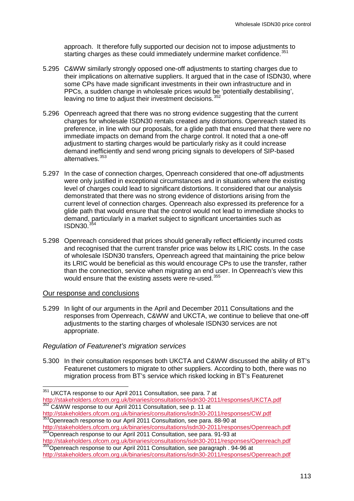approach. It therefore fully supported our decision not to impose adjustments to starting charges as these could immediately undermine market confidence.<sup>[351](#page-114-1)</sup>

- 5.295 C&WW similarly strongly opposed one-off adjustments to starting charges due to their implications on alternative suppliers. It argued that in the case of ISDN30, where some CPs have made significant investments in their own infrastructure and in PPCs, a sudden change in wholesale prices would be 'potentially destabilising', leaving no time to adjust their investment decisions. [352](#page-115-0)
- 5.296 Openreach agreed that there was no strong evidence suggesting that the current charges for wholesale ISDN30 rentals created any distortions. Openreach stated its preference, in line with our proposals, for a glide path that ensured that there were no immediate impacts on demand from the charge control. It noted that a one-off adjustment to starting charges would be particularly risky as it could increase demand inefficiently and send wrong pricing signals to developers of SIP-based alternatives.<sup>[353](#page-115-0)</sup>
- 5.297 In the case of connection charges, Openreach considered that one-off adjustments were only justified in exceptional circumstances and in situations where the existing level of charges could lead to significant distortions. It considered that our analysis demonstrated that there was no strong evidence of distortions arising from the current level of connection charges. Openreach also expressed its preference for a glide path that would ensure that the control would not lead to immediate shocks to demand, particularly in a market subject to significant uncertainties such as  $ISBN30.<sup>35</sup>$
- 5.298 Openreach considered that prices should generally reflect efficiently incurred costs and recognised that the current transfer price was below its LRIC costs. In the case of wholesale ISDN30 transfers, Openreach agreed that maintaining the price below its LRIC would be beneficial as this would encourage CPs to use the transfer, rather than the connection, service when migrating an end user. In Openreach's view this would ensure that the existing assets were re-used.<sup>[355](#page-115-0)</sup>

#### Our response and conclusions

5.299 In light of our arguments in the April and December 2011 Consultations and the responses from Openreach, C&WW and UKCTA, we continue to believe that one-off adjustments to the starting charges of wholesale ISDN30 services are not appropriate.

## *Regulation of Featurenet's migration services*

5.300 In their consultation responses both UKCTA and C&WW discussed the ability of BT's Featurenet customers to migrate to other suppliers. According to both, there was no migration process from BT's service which risked locking in BT's Featurenet

<http://stakeholders.ofcom.org.uk/binaries/consultations/isdn30-2011/responses/CW.pdf> 353Openreach response to our April 2011 Consultation, see para. 88-90 at

<span id="page-115-1"></span>http://stakeholders.org.uk/binaries/ison.org.uk/binaries/consultation.com

<span id="page-115-0"></span><sup>&</sup>lt;sup>351</sup> UKCTA response to our April 2011 Consultation, see para. 7 at<br>http://stakeholders.ofcom.org.uk/binaries/consultations/isdn30-2011/responses/UKCTA.pdf  $\frac{352}{352}$  C&WW response to our April 2011 Consultation, see p. 11 at

<http://stakeholders.ofcom.org.uk/binaries/consultations/isdn30-2011/responses/Openreach.pdf><br>
354Openreach response to our April 2011 Consultation, see para. 91-93 at<br>
http://stakeholders.ofcom.org.uk/binaries/consultations

<http://stakeholders.ofcom.org.uk/binaries/consultations/isdn30-2011/responses/Openreach.pdf>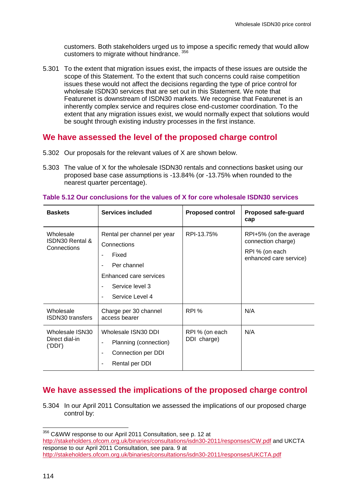customers. Both stakeholders urged us to impose a specific remedy that would allow customers to migrate without hindrance. [356](#page-115-1)

5.301 To the extent that migration issues exist, the impacts of these issues are outside the scope of this Statement. To the extent that such concerns could raise competition issues these would not affect the decisions regarding the type of price control for wholesale ISDN30 services that are set out in this Statement. We note that Featurenet is downstream of ISDN30 markets. We recognise that Featurenet is an inherently complex service and requires close end-customer coordination. To the extent that any migration issues exist, we would normally expect that solutions would be sought through existing industry processes in the first instance.

# **We have assessed the level of the proposed charge control**

- 5.302 Our proposals for the relevant values of X are shown below.
- 5.303 The value of X for the wholesale ISDN30 rentals and connections basket using our proposed base case assumptions is -13.84% (or -13.75% when rounded to the nearest quarter percentage).

| <b>Baskets</b>                               | Services included                                                                                                                                       | <b>Proposed control</b>       | Proposed safe-guard<br>cap                                                               |
|----------------------------------------------|---------------------------------------------------------------------------------------------------------------------------------------------------------|-------------------------------|------------------------------------------------------------------------------------------|
| Wholesale<br>ISDN30 Rental &<br>Connections  | Rental per channel per year<br>Connections<br>Fixed<br>ä,<br>Per channel<br>÷<br>Enhanced care services<br>Service level 3<br>۰<br>Service Level 4<br>÷ | RPI-13.75%                    | RPI+5% (on the average<br>connection charge)<br>RPI % (on each<br>enhanced care service) |
| Wholesale<br><b>ISDN30</b> transfers         | Charge per 30 channel<br>access bearer                                                                                                                  | RPI %                         | N/A                                                                                      |
| Wholesale ISN30<br>Direct dial-in<br>('DDI') | Wholesale ISN30 DDI<br>Planning (connection)<br>÷<br>Connection per DDI<br>۰<br>Rental per DDI<br>÷                                                     | RPI % (on each<br>DDI charge) | N/A                                                                                      |

#### **Table 5.12 Our conclusions for the values of X for core wholesale ISDN30 services**

# <span id="page-116-0"></span>**We have assessed the implications of the proposed charge control**

5.304 In our April 2011 Consultation we assessed the implications of our proposed charge control by:

 356 C&WW response to our April 2011 Consultation, see p. 12 at <http://stakeholders.ofcom.org.uk/binaries/consultations/isdn30-2011/responses/CW.pdf> and UKCTA response to our April 2011 Consultation, see para. 9 at <http://stakeholders.ofcom.org.uk/binaries/consultations/isdn30-2011/responses/UKCTA.pdf>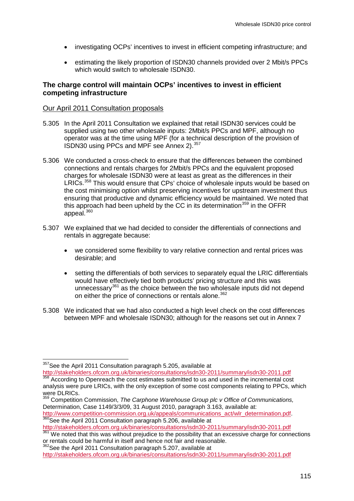- investigating OCPs' incentives to invest in efficient competing infrastructure; and
- estimating the likely proportion of ISDN30 channels provided over 2 Mbit/s PPCs which would switch to wholesale ISDN30.

## **The charge control will maintain OCPs' incentives to invest in efficient competing infrastructure**

## Our April 2011 Consultation proposals

- 5.305 In the April 2011 Consultation we explained that retail ISDN30 services could be supplied using two other wholesale inputs: 2Mbit/s PPCs and MPF, although no operator was at the time using MPF (for a technical description of the provision of ISDN30 using PPCs and MPF see Annex 2). [357](#page-116-0)
- 5.306 We conducted a cross-check to ensure that the differences between the combined connections and rentals charges for 2Mbit/s PPCs and the equivalent proposed charges for wholesale ISDN30 were at least as great as the differences in their LRICs.<sup>[358](#page-117-0)</sup> This would ensure that CPs' choice of wholesale inputs would be based on the cost minimising option whilst preserving incentives for upstream investment thus ensuring that productive and dynamic efficiency would be maintained. We noted that this approach had been upheld by the CC in its determination<sup>[359](#page-117-0)</sup> in the OFFR appeal.<sup>[360](#page-117-0)</sup>
- 5.307 We explained that we had decided to consider the differentials of connections and rentals in aggregate because:
	- we considered some flexibility to vary relative connection and rental prices was desirable; and
	- setting the differentials of both services to separately equal the LRIC differentials would have effectively tied both products' pricing structure and this was unnecessary<sup>[361](#page-117-0)</sup> as the choice between the two wholesale inputs did not depend on either the price of connections or rentals alone.<sup>[362](#page-117-0)</sup>
- <span id="page-117-1"></span>5.308 We indicated that we had also conducted a high level check on the cost differences between MPF and wholesale ISDN30; although for the reasons set out in Annex 7

<http://stakeholders.ofcom.org.uk/binaries/consultations/isdn30-2011/summary/isdn30-2011.pdf><br><sup>358</sup> According to Openreach the cost estimates submitted to us and used in the incremental cost

<span id="page-117-0"></span><sup>&</sup>lt;sup>357</sup>See the April 2011 Consultation paragraph 5.205, available at

analysis were pure LRICs, with the only exception of some cost components relating to PPCs, which were DLRICs.

<sup>359</sup> Competition Commission, *The Carphone Warehouse Group plc v Office of Communications,* Determination, Case 1149/3/3/09, 31 August 2010, paragraph 3.163, available at:

[http://www.competition-commission.org.uk/appeals/communications\\_act/wlr\\_determination.pdf.](http://www.competition-commission.org.uk/appeals/communications_act/wlr_determination.pdf) [360](http://www.competition-commission.org.uk/appeals/communications_act/wlr_determination.pdf)<br>360See the April 2011 Consultation paragraph 5.206, available at

<http://stakeholders.ofcom.org.uk/binaries/consultations/isdn30-2011/summary/isdn30-2011.pdf> 361 We noted that this was without prejudice to the possibility that an excessive charge for connections

or rentals could be harmful in itself and hence not fair and reasonable.  $362$  See the April 2011 Consultation paragraph 5.207, available at

<http://stakeholders.ofcom.org.uk/binaries/consultations/isdn30-2011/summary/isdn30-2011.pdf>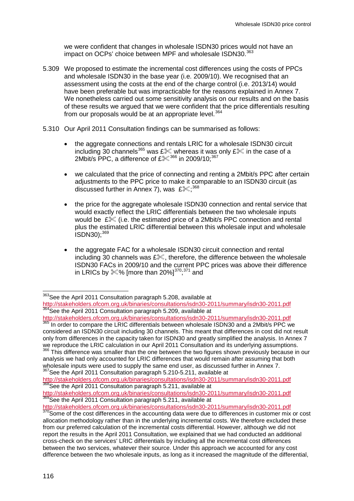we were confident that changes in wholesale ISDN30 prices would not have an impact on OCPs' choice between MPF and wholesale ISDN30.<sup>[363](#page-117-1)</sup>

- 5.309 We proposed to estimate the incremental cost differences using the costs of PPCs and wholesale ISDN30 in the base year (i.e. 2009/10). We recognised that an assessment using the costs at the end of the charge control (i.e. 2013/14) would have been preferable but was impracticable for the reasons explained in Annex 7. We nonetheless carried out some sensitivity analysis on our results and on the basis of these results we argued that we were confident that the price differentials resulting from our proposals would be at an appropriate level.<sup>[364](#page-118-0)</sup>
- 5.310 Our April 2011 Consultation findings can be summarised as follows:
	- the aggregate connections and rentals LRIC for a wholesale ISDN30 circuit including 30 channels<sup>[365](#page-118-0)</sup> was £<sup>366</sup> whereas it was only £<sup>366</sup> in the case of a 2Mbit/s PPC, a difference of  $£^{\otimes 366}$  $£^{\otimes 366}$  $£^{\otimes 366}$  in 2009/10;<sup>[367](#page-118-0)</sup>
	- we calculated that the price of connecting and renting a 2Mbit/s PPC after certain adjustments to the PPC price to make it comparable to an ISDN30 circuit (as discussed further in Annex 7), was  $\text{Im}\xi_*^{368}$  $\text{Im}\xi_*^{368}$  $\text{Im}\xi_*^{368}$
	- the price for the aggregate wholesale ISDN30 connection and rental service that would exactly reflect the LRIC differentials between the two wholesale inputs would be  $\&$  (i.e. the estimated price of a 2Mbit/s PPC connection and rental plus the estimated LRIC differential between this wholesale input and wholesale  $ISDN30$ :  $369$
	- the aggregate FAC for a wholesale ISDN30 circuit connection and rental including 30 channels was  $E\%$ , therefore, the difference between the wholesale ISDN30 FACs in 2009/10 and the current PPC prices was above their difference in LRICs by  $\mathcal{K}\%$  [more than 20%] $^{370,371}$  $^{370,371}$  $^{370,371}$  $^{370,371}$  $^{370,371}$  and

<http://stakeholders.ofcom.org.uk/binaries/consultations/isdn30-2011/summary/isdn30-2011.pdf> <sup>365</sup> In order to compare the LRIC differentials between wholesale ISDN30 and a 2Mbit/s PPC we

considered an ISDN30 circuit including 30 channels. This meant that differences in cost did not result only from differences in the capacity taken for ISDN30 and greatly simplified the analysis. In Annex 7 we reproduce the LRIC calculation in our April 2011 Consultation and its underlying assumptions.

<span id="page-118-1"></span>This difference was smaller than the one between the two figures shown previously because in our analysis we had only accounted for LRIC differences that would remain after assuming that both wholesale inputs were used to supply the same end user, as discussed further in Annex 7.

<sup>367</sup>See the April 2011 Consultation paragraph 5.210-5.211, available at <http://stakeholders.ofcom.org.uk/binaries/consultations/isdn30-2011/summary/isdn30-2011.pdf><br><sup>368</sup>See the April 2011 Consultation paragraph 5.211, available at

<span id="page-118-0"></span><sup>363</sup> See the April 2011 Consultation paragraph 5.208, available at

<http://stakeholders.ofcom.org.uk/binaries/consultations/isdn30-2011/summary/isdn30-2011.pdf><br><sup>364</sup>See the April 2011 Consultation paragraph 5.209, available at

<http://stakeholders.ofcom.org.uk/binaries/consultations/isdn30-2011/summary/isdn30-2011.pdf> 369See the April 2011 Consultation paragraph 5.211, available at

<http://stakeholders.ofcom.org.uk/binaries/consultations/isdn30-2011/summary/isdn30-2011.pdf><br><sup>370</sup>Some of the cost differences in the accounting data were due to differences in customer mix or cost allocation methodology rather than in the underlying incremental costs. We therefore excluded these from our preferred calculation of the incremental costs differential. However, although we did not report the results in the April 2011 Consultation, we explained that we had conducted an additional cross-check on the services' LRIC differentials by including all the incremental cost differences between the two services, whatever their source. Under this approach we accounted for any cost difference between the two wholesale inputs, as long as it increased the magnitude of the differential,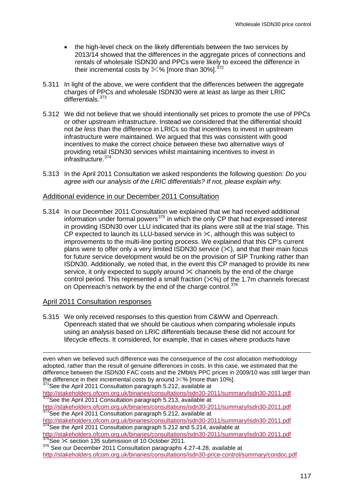- the high-level check on the likely differentials between the two services by 2013/14 showed that the differences in the aggregate prices of connections and rentals of wholesale ISDN30 and PPCs were likely to exceed the difference in their incremental costs by  $\&\%$  [more than 30%].<sup>[372](#page-118-1)</sup>
- 5.311 In light of the above, we were confident that the differences between the aggregate charges of PPCs and wholesale ISDN30 were at least as large as their LRIC differentials.<sup>[373](#page-119-0)</sup>
- 5.312 We did not believe that we should intentionally set prices to promote the use of PPCs or other upstream infrastructure. Instead we considered that the differential should not *be less* than the difference in LRICs so that incentives to invest in upstream infrastructure were maintained. We argued that this was consistent with good incentives to make the correct choice between these two alternative ways of providing retail ISDN30 services whilst maintaining incentives to invest in infrastructure.[374](#page-119-0)
- 5.313 In the April 2011 Consultation we asked respondents the following question: *Do you agree with our analysis of the LRIC differentials? If not, please explain why.*

## Additional evidence in our December 2011 Consultation

5.314 In our December 2011 Consultation we explained that we had received additional information under formal powers<sup>[375](#page-119-0)</sup> in which the only CP that had expressed interest in providing ISDN30 over LLU indicated that its plans were still at the trial stage. This CP expected to launch its LLU-based service in  $\&$ , although this was subject to improvements to the multi-line porting process. We explained that this CP's current plans were to offer only a very limited ISDN30 service  $(\times)$ , and that their main focus for future service development would be on the provision of SIP Trunking rather than ISDN30. Additionally, we noted that, in the event this CP managed to provide its new service, it only expected to supply around  $\&$  channels by the end of the charge control period. This represented a small fraction  $(\times \%)$  of the 1.7m channels forecast on Openreach's network by the end of the charge control.<sup>[376](#page-119-0)</sup>

## April 2011 Consultation responses

-

5.315 We only received responses to this question from C&WW and Openreach. Openreach stated that we should be cautious when comparing wholesale inputs using an analysis based on LRIC differentials because these did not account for lifecycle effects. It considered, for example, that in cases where products have

<sup>374</sup>See the April 2011 Consultation paragraph 5.212 and 5.214, available at

<span id="page-119-1"></span><http://stakeholders.ofcom.org.uk/binaries/consultations/isdn30-2011/summary/isdn30-2011.pdf> 375See  $\&$  section 135 submission of 10 October 2011.

<span id="page-119-0"></span>even when we believed such difference was the consequence of the cost allocation methodology adopted, rather than the result of genuine differences in costs. In this case, we estimated that the difference between the ISDN30 FAC costs and the 2Mbit/s PPC prices in 2009/10 was still larger than the difference in their incremental costs by around  $\%$ % [more than 10%].<br><sup>371</sup>See the April 2011 Consultation paragraph 5.212, available at

<http://stakeholders.ofcom.org.uk/binaries/consultations/isdn30-2011/summary/isdn30-2011.pdf> 372See the April 2011 Consultation paragraph 5.213, available at

<http://stakeholders.ofcom.org.uk/binaries/consultations/isdn30-2011/summary/isdn30-2011.pdf><br><sup>373</sup>See the April 2011 Consultation paragraph 5.212, available at<br>http://stakeholders.ofcom.org.uk/binaries/consultations/isdn30-

<sup>&</sup>lt;sup>376</sup> See our December 2011 Consultation paragraphs 4.27-4.28, available at <http://stakeholders.ofcom.org.uk/binaries/consultations/isdn30-price-control/summary/condoc.pdf>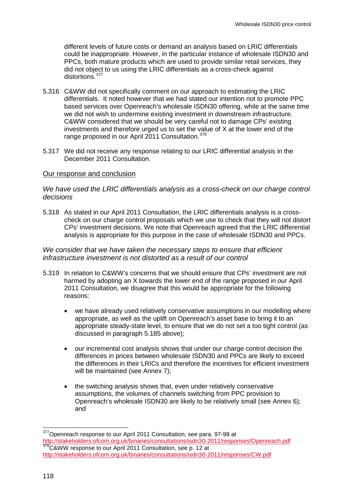different levels of future costs or demand an analysis based on LRIC differentials could be inappropriate. However, in the particular instance of wholesale ISDN30 and PPCs, both mature products which are used to provide similar retail services, they did not object to us using the LRIC differentials as a cross-check against distortions.<sup>[377](#page-119-1)</sup>

- 5.316 C&WW did not specifically comment on our approach to estimating the LRIC differentials. It noted however that we had stated our intention not to promote PPC based services over Openreach's wholesale ISDN30 offering, while at the same time we did not wish to undermine existing investment in downstream infrastructure. C&WW considered that we should be very careful not to damage CPs' existing investments and therefore urged us to set the value of X at the lower end of the range proposed in our April 2011 Consultation.<sup>[378](#page-120-0)</sup>
- 5.317 We did not receive any response relating to our LRIC differential analysis in the December 2011 Consultation.

#### Our response and conclusion

## *We have used the LRIC differentials analysis as a cross-check on our charge control decisions*

5.318 As stated in our April 2011 Consultation, the LRIC differentials analysis is a crosscheck on our charge control proposals which we use to check that they will not distort CPs' investment decisions. We note that Openreach agreed that the LRIC differential analysis is appropriate for this purpose in the case of wholesale ISDN30 and PPCs.

#### *We consider that we have taken the necessary steps to ensure that efficient infrastructure investment is not distorted as a result of our control*

- <span id="page-120-2"></span>5.319 In relation to C&WW's concerns that we should ensure that CPs' investment are not harmed by adopting an X towards the lower end of the range proposed in our April 2011 Consultation, we disagree that this would be appropriate for the following reasons:
	- we have already used relatively conservative assumptions in our modelling where appropriate, as well as the uplift on Openreach's asset base to bring it to an appropriate steady-state level, to ensure that we do not set a too tight control (as discussed in paragraph [5.185](#page-92-0) above);
	- our incremental cost analysis shows that under our charge control decision the differences in prices between wholesale ISDN30 and PPCs are likely to exceed the differences in their LRICs and therefore the incentives for efficient investment will be maintained (see Annex 7);
	- the switching analysis shows that, even under relatively conservative assumptions, the volumes of channels switching from PPC provision to Openreach's wholesale ISDN30 are likely to be relatively small (see Annex 6); and

<span id="page-120-1"></span><span id="page-120-0"></span><sup>377</sup> Openreach response to our April 2011 Consultation, see para. 97-98 at <http://stakeholders.ofcom.org.uk/binaries/consultations/isdn30-2011/responses/Openreach.pdf> 378C&WW response to our April 2011 Consultation, see p. 12 at <http://stakeholders.ofcom.org.uk/binaries/consultations/isdn30-2011/responses/CW.pdf>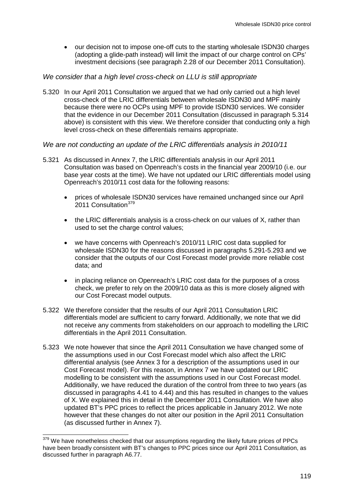• our decision not to impose one-off cuts to the starting wholesale ISDN30 charges (adopting a glide-path instead) will limit the impact of our charge control on CPs' investment decisions (see paragraph 2.28 of our December 2011 Consultation).

## *We consider that a high level cross-check on LLU is still appropriate*

5.320 In our April 2011 Consultation we argued that we had only carried out a high level cross-check of the LRIC differentials between wholesale ISDN30 and MPF mainly because there were no OCPs using MPF to provide ISDN30 services. We consider that the evidence in our December 2011 Consultation (discussed in paragraph 5.314 above) is consistent with this view. We therefore consider that conducting only a high level cross-check on these differentials remains appropriate.

## *We are not conducting an update of the LRIC differentials analysis in 2010/11*

- 5.321 As discussed in Annex 7, the LRIC differentials analysis in our April 2011 Consultation was based on Openreach's costs in the financial year 2009/10 (i.e. our base year costs at the time). We have not updated our LRIC differentials model using Openreach's 2010/11 cost data for the following reasons:
	- prices of wholesale ISDN30 services have remained unchanged since our April 2011 Consultation<sup>[379](#page-120-1)</sup>
	- the LRIC differentials analysis is a cross-check on our values of X, rather than used to set the charge control values;
	- we have concerns with Openreach's 2010/11 LRIC cost data supplied for wholesale ISDN30 for the reasons discussed in paragraphs [5.291](#page-114-2)[-5.293](#page-114-3) and we consider that the outputs of our Cost Forecast model provide more reliable cost data; and
	- in placing reliance on Openreach's LRIC cost data for the purposes of a cross check, we prefer to rely on the 2009/10 data as this is more closely aligned with our Cost Forecast model outputs.
- 5.322 We therefore consider that the results of our April 2011 Consultation LRIC differentials model are sufficient to carry forward. Additionally, we note that we did not receive any comments from stakeholders on our approach to modelling the LRIC differentials in the April 2011 Consultation.
- 5.323 We note however that since the April 2011 Consultation we have changed some of the assumptions used in our Cost Forecast model which also affect the LRIC differential analysis (see Annex 3 for a description of the assumptions used in our Cost Forecast model). For this reason, in Annex 7 we have updated our LRIC modelling to be consistent with the assumptions used in our Cost Forecast model. Additionally, we have reduced the duration of the control from three to two years (as discussed in paragraphs [4.41](#page-39-0) to [4.44\)](#page-40-0) and this has resulted in changes to the values of X. We explained this in detail in the December 2011 Consultation. We have also updated BT's PPC prices to reflect the prices applicable in January 2012. We note however that these changes do not alter our position in the April 2011 Consultation (as discussed further in Annex 7).

<span id="page-121-0"></span><sup>379</sup> We have nonetheless checked that our assumptions regarding the likely future prices of PPCs have been broadly consistent with BT's changes to PPC prices since our April 2011 Consultation, as discussed further in paragraph A6.77.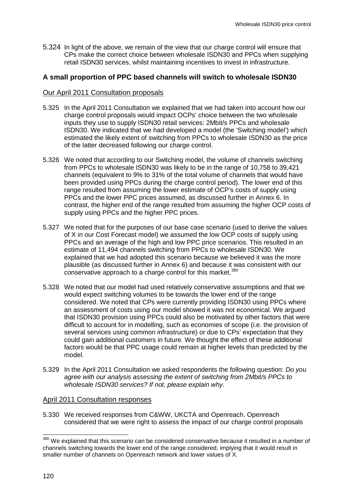5.324 In light of the above, we remain of the view that our charge control will ensure that CPs make the correct choice between wholesale ISDN30 and PPCs when supplying retail ISDN30 services, whilst maintaining incentives to invest in infrastructure.

## **A small proportion of PPC based channels will switch to wholesale ISDN30**

## Our April 2011 Consultation proposals

- 5.325 In the April 2011 Consultation we explained that we had taken into account how our charge control proposals would impact OCPs' choice between the two wholesale inputs they use to supply ISDN30 retail services: 2Mbit/s PPCs and wholesale ISDN30. We indicated that we had developed a model (the 'Switching model') which estimated the likely extent of switching from PPCs to wholesale ISDN30 as the price of the latter decreased following our charge control.
- 5.326 We noted that according to our Switching model, the volume of channels switching from PPCs to wholesale ISDN30 was likely to be in the range of 10,758 to 39,421 channels (equivalent to 9% to 31% of the total volume of channels that would have been provided using PPCs during the charge control period). The lower end of this range resulted from assuming the lower estimate of OCP's costs of supply using PPCs and the lower PPC prices assumed, as discussed further in Annex 6. In contrast, the higher end of the range resulted from assuming the higher OCP costs of supply using PPCs and the higher PPC prices.
- 5.327 We noted that for the purposes of our base case scenario (used to derive the values of X in our Cost Forecast model) we assumed the low OCP costs of supply using PPCs and an average of the high and low PPC price scenarios. This resulted in an estimate of 11,494 channels switching from PPCs to wholesale ISDN30. We explained that we had adopted this scenario because we believed it was the more plausible (as discussed further in Annex 6) and because it was consistent with our conservative approach to a charge control for this market.<sup>[380](#page-121-0)</sup>
- 5.328 We noted that our model had used relatively conservative assumptions and that we would expect switching volumes to be towards the lower end of the range considered. We noted that CPs were currently providing ISDN30 using PPCs where an assessment of costs using our model showed it was not economical. We argued that ISDN30 provision using PPCs could also be motivated by other factors that were difficult to account for in modelling, such as economies of scope (i.e. the provision of several services using common infrastructure) or due to CPs' expectation that they could gain additional customers in future. We thought the effect of these additional factors would be that PPC usage could remain at higher levels than predicted by the model.
- 5.329 In the April 2011 Consultation we asked respondents the following question: *Do you agree with our analysis assessing the extent of switching from 2Mbit/s PPCs to wholesale ISDN30 services? If not, please explain why*.

## April 2011 Consultation responses

<span id="page-122-0"></span>5.330 We received responses from C&WW, UKCTA and Openreach. Openreach considered that we were right to assess the impact of our charge control proposals

<sup>380</sup> We explained that this scenario can be considered conservative because it resulted in a number of channels switching towards the lower end of the range considered, implying that it would result in smaller number of channels on Openreach network and lower values of X.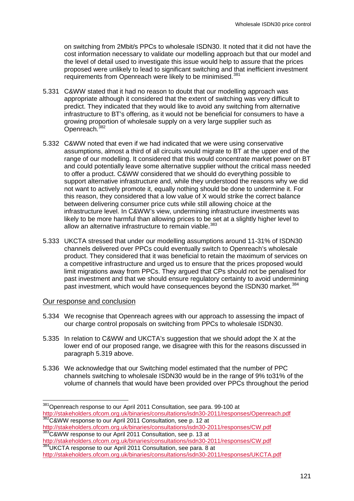on switching from 2Mbit/s PPCs to wholesale ISDN30. It noted that it did not have the cost information necessary to validate our modelling approach but that our model and the level of detail used to investigate this issue would help to assure that the prices proposed were unlikely to lead to significant switching and that inefficient investment requirements from Openreach were likely to be minimised.<sup>[381](#page-122-0)</sup>

- 5.331 C&WW stated that it had no reason to doubt that our modelling approach was appropriate although it considered that the extent of switching was very difficult to predict. They indicated that they would like to avoid any switching from alternative infrastructure to BT's offering, as it would not be beneficial for consumers to have a growing proportion of wholesale supply on a very large supplier such as Openreach.[382](#page-123-0)
- 5.332 C&WW noted that even if we had indicated that we were using conservative assumptions, almost a third of all circuits would migrate to BT at the upper end of the range of our modelling. It considered that this would concentrate market power on BT and could potentially leave some alternative supplier without the critical mass needed to offer a product. C&WW considered that we should do everything possible to support alternative infrastructure and, while they understood the reasons why we did not want to actively promote it, equally nothing should be done to undermine it. For this reason, they considered that a low value of X would strike the correct balance between delivering consumer price cuts while still allowing choice at the infrastructure level. In C&WW's view, undermining infrastructure investments was likely to be more harmful than allowing prices to be set at a slightly higher level to allow an alternative infrastructure to remain viable.<sup>[383](#page-123-0)</sup>
- 5.333 UKCTA stressed that under our modelling assumptions around 11-31% of ISDN30 channels delivered over PPCs could eventually switch to Openreach's wholesale product. They considered that it was beneficial to retain the maximum of services on a competitive infrastructure and urged us to ensure that the prices proposed would limit migrations away from PPCs. They argued that CPs should not be penalised for past investment and that we should ensure regulatory certainty to avoid undermining past investment, which would have consequences beyond the ISDN30 market.<sup>[384](#page-123-0)</sup>

## Our response and conclusion

- 5.334 We recognise that Openreach agrees with our approach to assessing the impact of our charge control proposals on switching from PPCs to wholesale ISDN30.
- 5.335 In relation to C&WW and UKCTA's suggestion that we should adopt the X at the lower end of our proposed range, we disagree with this for the reasons discussed in paragraph [5.319](#page-120-2) above.
- 5.336 We acknowledge that our Switching model estimated that the number of PPC channels switching to wholesale ISDN30 would be in the range of 9% to31% of the volume of channels that would have been provided over PPCs throughout the period

<span id="page-123-0"></span><sup>&</sup>lt;sup>381</sup>Openreach response to our April 2011 Consultation, see para. 99-100 at<br>http://stakeholders.ofcom.org.uk/binaries/consultations/isdn30-2011/responses/Openreach.pdf 382C&WW response to our April 2011 Consultation, see p. 12 at

<http://stakeholders.ofcom.org.uk/binaries/consultations/isdn30-2011/responses/CW.pdf><br>
<sup>383</sup>C&WW response to our April 2011 Consultation, see p. 13 at<br>
http://stakeholders.ofcom.org.uk/binaries/consultations/isdn30-2011/res

<sup>384</sup> UKCTA response to our April 2011 Consultation, see para. 8 at

<span id="page-123-1"></span><http://stakeholders.ofcom.org.uk/binaries/consultations/isdn30-2011/responses/UKCTA.pdf>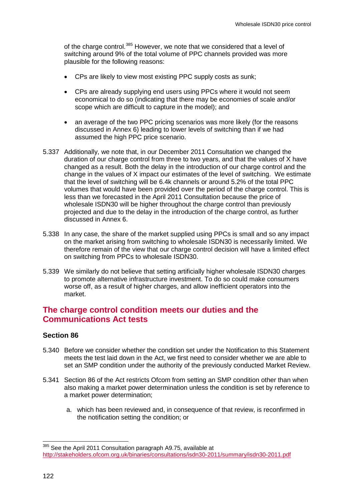of the charge control.<sup>[385](#page-123-1)</sup> However, we note that we considered that a level of switching around 9% of the total volume of PPC channels provided was more plausible for the following reasons:

- CPs are likely to view most existing PPC supply costs as sunk;
- CPs are already supplying end users using PPCs where it would not seem economical to do so (indicating that there may be economies of scale and/or scope which are difficult to capture in the model); and
- an average of the two PPC pricing scenarios was more likely (for the reasons discussed in Annex 6) leading to lower levels of switching than if we had assumed the high PPC price scenario.
- 5.337 Additionally, we note that, in our December 2011 Consultation we changed the duration of our charge control from three to two years, and that the values of X have changed as a result. Both the delay in the introduction of our charge control and the change in the values of X impact our estimates of the level of switching. We estimate that the level of switching will be 6.4k channels or around 5.2% of the total PPC volumes that would have been provided over the period of the charge control. This is less than we forecasted in the April 2011 Consultation because the price of wholesale ISDN30 will be higher throughout the charge control than previously projected and due to the delay in the introduction of the charge control, as further discussed in Annex 6.
- 5.338 In any case, the share of the market supplied using PPCs is small and so any impact on the market arising from switching to wholesale ISDN30 is necessarily limited. We therefore remain of the view that our charge control decision will have a limited effect on switching from PPCs to wholesale ISDN30.
- 5.339 We similarly do not believe that setting artificially higher wholesale ISDN30 charges to promote alternative infrastructure investment. To do so could make consumers worse off, as a result of higher charges, and allow inefficient operators into the market.

# **The charge control condition meets our duties and the Communications Act tests**

## **Section 86**

- 5.340 Before we consider whether the condition set under the Notification to this Statement meets the test laid down in the Act, we first need to consider whether we are able to set an SMP condition under the authority of the previously conducted Market Review.
- 5.341 Section 86 of the Act restricts Ofcom from setting an SMP condition other than when also making a market power determination unless the condition is set by reference to a market power determination;
	- a. which has been reviewed and, in consequence of that review, is reconfirmed in the notification setting the condition; or

<span id="page-124-0"></span><sup>385</sup> See the April 2011 Consultation paragraph A9.75, available at <http://stakeholders.ofcom.org.uk/binaries/consultations/isdn30-2011/summary/isdn30-2011.pdf>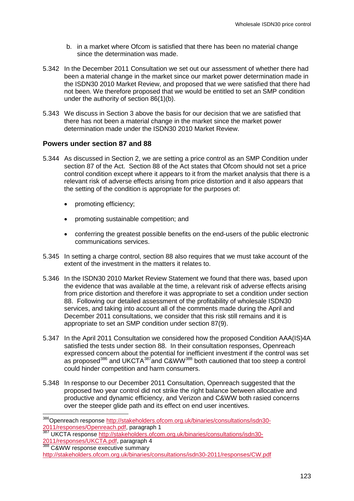- b. in a market where Ofcom is satisfied that there has been no material change since the determination was made.
- 5.342 In the December 2011 Consultation we set out our assessment of whether there had been a material change in the market since our market power determination made in the ISDN30 2010 Market Review, and proposed that we were satisfied that there had not been. We therefore proposed that we would be entitled to set an SMP condition under the authority of section 86(1)(b).
- 5.343 We discuss in Section 3 above the basis for our decision that we are satisfied that there has not been a material change in the market since the market power determination made under the ISDN30 2010 Market Review.

## **Powers under section 87 and 88**

- 5.344 As discussed in Section 2, we are setting a price control as an SMP Condition under section 87 of the Act. Section 88 of the Act states that Ofcom should not set a price control condition except where it appears to it from the market analysis that there is a relevant risk of adverse effects arising from price distortion and it also appears that the setting of the condition is appropriate for the purposes of:
	- promoting efficiency;
	- promoting sustainable competition; and
	- conferring the greatest possible benefits on the end-users of the public electronic communications services.
- 5.345 In setting a charge control, section 88 also requires that we must take account of the extent of the investment in the matters it relates to.
- 5.346 In the ISDN30 2010 Market Review Statement we found that there was, based upon the evidence that was available at the time, a relevant risk of adverse effects arising from price distortion and therefore it was appropriate to set a condition under section 88. Following our detailed assessment of the profitability of wholesale ISDN30 services, and taking into account all of the comments made during the April and December 2011 consultations, we consider that this risk still remains and it is appropriate to set an SMP condition under section 87(9).
- 5.347 In the April 2011 Consultation we considered how the proposed Condition AAA(IS)4A satisfied the tests under section 88. In their consultation responses, Openreach expressed concern about the potential for inefficient investment if the control was set as proposed<sup>[386](#page-124-0)</sup> and UKCTA<sup>[387](#page-125-0)</sup>and C&WW<sup>[388](#page-125-0)</sup> both cautioned that too steep a control could hinder competition and harm consumers.
- 5.348 In response to our December 2011 Consultation, Openreach suggested that the proposed two year control did not strike the right balance between allocative and productive and dynamic efficiency, and Verizon and C&WW both rasied concerns over the steeper glide path and its effect on end user incentives.

<span id="page-125-0"></span><sup>386</sup> Openreach response [http://stakeholders.ofcom.org.uk/binaries/consultations/isdn30-](http://stakeholders.ofcom.org.uk/binaries/consultations/isdn30-2011/responses/Openreach.pdf)

[<sup>2011/</sup>responses/Openreach.pdf,](http://stakeholders.ofcom.org.uk/binaries/consultations/isdn30-2011/responses/Openreach.pdf) paragraph 1<br>387 UKCTA response [http://stakeholders.ofcom.org.uk/binaries/consultations/isdn30-](http://stakeholders.ofcom.org.uk/binaries/consultations/isdn30-2011/responses/UKCTA.pdf)<br>2011/responses/UKCTA.pdf, paragraph 4

<span id="page-125-1"></span><sup>2011/100</sup>ponses/UKCHA.pdf<br>
288 C&WW response executive summary

<http://stakeholders.ofcom.org.uk/binaries/consultations/isdn30-2011/responses/CW.pdf>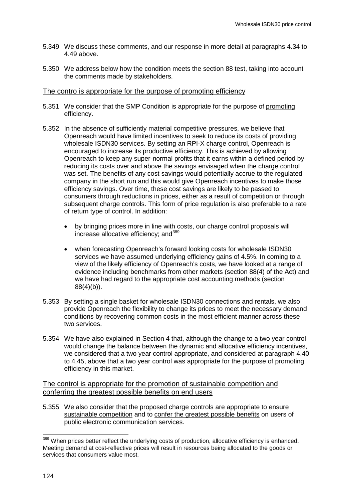- 5.349 We discuss these comments, and our response in more detail at paragraphs 4.34 to 4.49 above.
- 5.350 We address below how the condition meets the section 88 test, taking into account the comments made by stakeholders.

#### The contro is appropriate for the purpose of promoting efficiency

- 5.351 We consider that the SMP Condition is appropriate for the purpose of promoting efficiency.
- 5.352 In the absence of sufficiently material competitive pressures, we believe that Openreach would have limited incentives to seek to reduce its costs of providing wholesale ISDN30 services. By setting an RPI-X charge control, Openreach is encouraged to increase its productive efficiency. This is achieved by allowing Openreach to keep any super-normal profits that it earns within a defined period by reducing its costs over and above the savings envisaged when the charge control was set. The benefits of any cost savings would potentially accrue to the regulated company in the short run and this would give Openreach incentives to make those efficiency savings. Over time, these cost savings are likely to be passed to consumers through reductions in prices, either as a result of competition or through subsequent charge controls. This form of price regulation is also preferable to a rate of return type of control. In addition:
	- by bringing prices more in line with costs, our charge control proposals will increase allocative efficiency; and<sup>[389](#page-125-1)</sup>
	- when forecasting Openreach's forward looking costs for wholesale ISDN30 services we have assumed underlying efficiency gains of 4.5%. In coming to a view of the likely efficiency of Openreach's costs, we have looked at a range of evidence including benchmarks from other markets (section 88(4) of the Act) and we have had regard to the appropriate cost accounting methods (section  $88(4)(b)$ ).
- 5.353 By setting a single basket for wholesale ISDN30 connections and rentals, we also provide Openreach the flexibility to change its prices to meet the necessary demand conditions by recovering common costs in the most efficient manner across these two services.
- 5.354 We have also explained in Section 4 that, although the change to a two year control would change the balance between the dynamic and allocative efficiency incentives, we considered that a two year control appropriate, and considered at paragraph 4.40 to 4.45, above that a two year control was appropriate for the purpose of promoting efficiency in this market.

## The control is appropriate for the promotion of sustainable competition and conferring the greatest possible benefits on end users

5.355 We also consider that the proposed charge controls are appropriate to ensure sustainable competition and to confer the greatest possible benefits on users of public electronic communication services.

<span id="page-126-0"></span><sup>389</sup> When prices better reflect the underlying costs of production, allocative efficiency is enhanced. Meeting demand at cost-reflective prices will result in resources being allocated to the goods or services that consumers value most.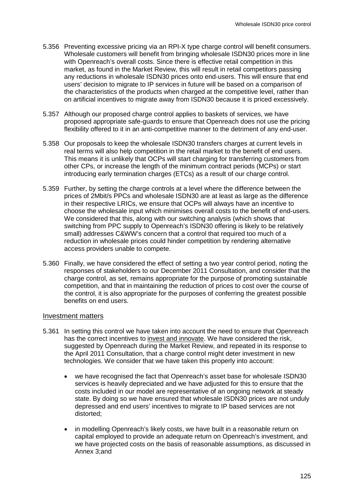- 5.356 Preventing excessive pricing via an RPI-X type charge control will benefit consumers. Wholesale customers will benefit from bringing wholesale ISDN30 prices more in line with Openreach's overall costs. Since there is effective retail competition in this market, as found in the Market Review, this will result in retail competitors passing any reductions in wholesale ISDN30 prices onto end-users. This will ensure that end users' decision to migrate to IP services in future will be based on a comparison of the characteristics of the products when charged at the competitive level, rather than on artificial incentives to migrate away from ISDN30 because it is priced excessively.
- 5.357 Although our proposed charge control applies to baskets of services, we have proposed appropriate safe-guards to ensure that Openreach does not use the pricing flexibility offered to it in an anti-competitive manner to the detriment of any end-user.
- 5.358 Our proposals to keep the wholesale ISDN30 transfers charges at current levels in real terms will also help competition in the retail market to the benefit of end users. This means it is unlikely that OCPs will start charging for transferring customers from other CPs, or increase the length of the minimum contract periods (MCPs) or start introducing early termination charges (ETCs) as a result of our charge control.
- 5.359 Further, by setting the charge controls at a level where the difference between the prices of 2Mbit/s PPCs and wholesale ISDN30 are at least as large as the difference in their respective LRICs, we ensure that OCPs will always have an incentive to choose the wholesale input which minimises overall costs to the benefit of end-users. We considered that this, along with our switching analysis (which shows that switching from PPC supply to Openreach's ISDN30 offering is likely to be relatively small) addresses C&WW's concern that a control that required too much of a reduction in wholesale prices could hinder competition by rendering alternative access providers unable to compete.
- 5.360 Finally, we have considered the effect of setting a two year control period, noting the responses of stakeholders to our December 2011 Consultation, and consider that the charge control, as set, remains appropriate for the purpose of promoting sustainable competition, and that in maintaining the reduction of prices to cost over the course of the control, it is also appropriate for the purposes of conferring the greatest possible benefits on end users.

#### Investment matters

- 5.361 In setting this control we have taken into account the need to ensure that Openreach has the correct incentives to invest and innovate. We have considered the risk, suggested by Openreach during the Market Review, and repeated in its response to the April 2011 Consultation, that a charge control might deter investment in new technologies. We consider that we have taken this properly into account:
	- we have recognised the fact that Openreach's asset base for wholesale ISDN30 services is heavily depreciated and we have adjusted for this to ensure that the costs included in our model are representative of an ongoing network at steady state. By doing so we have ensured that wholesale ISDN30 prices are not unduly depressed and end users' incentives to migrate to IP based services are not distorted;
	- in modelling Openreach's likely costs, we have built in a reasonable return on capital employed to provide an adequate return on Openreach's investment, and we have projected costs on the basis of reasonable assumptions, as discussed in Annex 3;and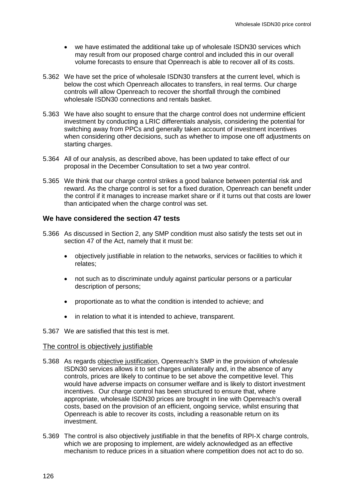- we have estimated the additional take up of wholesale ISDN30 services which may result from our proposed charge control and included this in our overall volume forecasts to ensure that Openreach is able to recover all of its costs.
- 5.362 We have set the price of wholesale ISDN30 transfers at the current level, which is below the cost which Openreach allocates to transfers, in real terms. Our charge controls will allow Openreach to recover the shortfall through the combined wholesale ISDN30 connections and rentals basket.
- 5.363 We have also sought to ensure that the charge control does not undermine efficient investment by conducting a LRIC differentials analysis, considering the potential for switching away from PPCs and generally taken account of investment incentives when considering other decisions, such as whether to impose one off adjustments on starting charges.
- 5.364 All of our analysis, as described above, has been updated to take effect of our proposal in the December Consultation to set a two year control.
- 5.365 We think that our charge control strikes a good balance between potential risk and reward. As the charge control is set for a fixed duration, Openreach can benefit under the control if it manages to increase market share or if it turns out that costs are lower than anticipated when the charge control was set.

## **We have considered the section 47 tests**

- 5.366 As discussed in Section 2, any SMP condition must also satisfy the tests set out in section 47 of the Act, namely that it must be:
	- objectively justifiable in relation to the networks, services or facilities to which it relates;
	- not such as to discriminate unduly against particular persons or a particular description of persons;
	- proportionate as to what the condition is intended to achieve; and
	- in relation to what it is intended to achieve, transparent.
- 5.367 We are satisfied that this test is met.

## The control is objectively justifiable

- 5.368 As regards objective justification, Openreach's SMP in the provision of wholesale ISDN30 services allows it to set charges unilaterally and, in the absence of any controls, prices are likely to continue to be set above the competitive level. This would have adverse impacts on consumer welfare and is likely to distort investment incentives. Our charge control has been structured to ensure that, where appropriate, wholesale ISDN30 prices are brought in line with Openreach's overall costs, based on the provision of an efficient, ongoing service, whilst ensuring that Openreach is able to recover its costs, including a reasonable return on its investment.
- 5.369 The control is also objectively justifiable in that the benefits of RPI-X charge controls, which we are proposing to implement, are widely acknowledged as an effective mechanism to reduce prices in a situation where competition does not act to do so.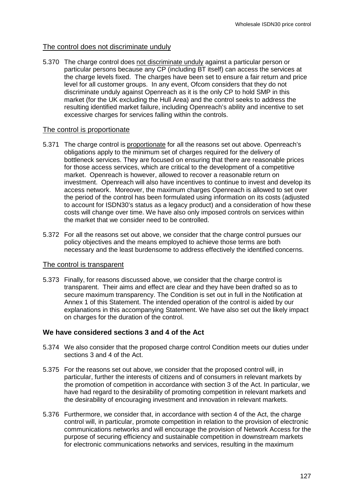## The control does not discriminate unduly

5.370 The charge control does not discriminate unduly against a particular person or particular persons because any CP (including BT itself) can access the services at the charge levels fixed. The charges have been set to ensure a fair return and price level for all customer groups. In any event, Ofcom considers that they do not discriminate unduly against Openreach as it is the only CP to hold SMP in this market (for the UK excluding the Hull Area) and the control seeks to address the resulting identified market failure, including Openreach's ability and incentive to set excessive charges for services falling within the controls.

#### The control is proportionate

- 5.371 The charge control is proportionate for all the reasons set out above. Openreach's obligations apply to the minimum set of charges required for the delivery of bottleneck services. They are focused on ensuring that there are reasonable prices for those access services, which are critical to the development of a competitive market. Openreach is however, allowed to recover a reasonable return on investment. Openreach will also have incentives to continue to invest and develop its access network. Moreover, the maximum charges Openreach is allowed to set over the period of the control has been formulated using information on its costs (adjusted to account for ISDN30's status as a legacy product) and a consideration of how these costs will change over time. We have also only imposed controls on services within the market that we consider need to be controlled.
- 5.372 For all the reasons set out above, we consider that the charge control pursues our policy objectives and the means employed to achieve those terms are both necessary and the least burdensome to address effectively the identified concerns.

## The control is transparent

5.373 Finally, for reasons discussed above, we consider that the charge control is transparent. Their aims and effect are clear and they have been drafted so as to secure maximum transparency. The Condition is set out in full in the Notification at Annex 1 of this Statement. The intended operation of the control is aided by our explanations in this accompanying Statement. We have also set out the likely impact on charges for the duration of the control.

## **We have considered sections 3 and 4 of the Act**

- 5.374 We also consider that the proposed charge control Condition meets our duties under sections 3 and 4 of the Act.
- 5.375 For the reasons set out above, we consider that the proposed control will, in particular, further the interests of citizens and of consumers in relevant markets by the promotion of competition in accordance with section 3 of the Act. In particular, we have had regard to the desirability of promoting competition in relevant markets and the desirability of encouraging investment and innovation in relevant markets.
- 5.376 Furthermore, we consider that, in accordance with section 4 of the Act, the charge control will, in particular, promote competition in relation to the provision of electronic communications networks and will encourage the provision of Network Access for the purpose of securing efficiency and sustainable competition in downstream markets for electronic communications networks and services, resulting in the maximum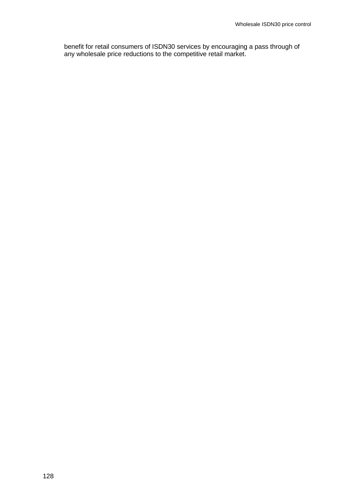benefit for retail consumers of ISDN30 services by encouraging a pass through of any wholesale price reductions to the competitive retail market.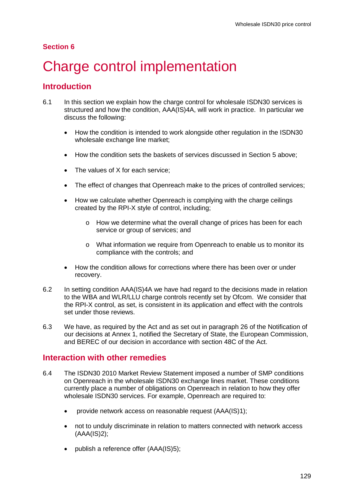# **Section 6**

# Charge control implementation

# **Introduction**

- 6.1 In this section we explain how the charge control for wholesale ISDN30 services is structured and how the condition, AAA(IS)4A, will work in practice. In particular we discuss the following:
	- How the condition is intended to work alongside other regulation in the ISDN30 wholesale exchange line market;
	- How the condition sets the baskets of services discussed in Section 5 above;
	- The values of X for each service:
	- The effect of changes that Openreach make to the prices of controlled services;
	- How we calculate whether Openreach is complying with the charge ceilings created by the RPI-X style of control, including;
		- o How we determine what the overall change of prices has been for each service or group of services; and
		- o What information we require from Openreach to enable us to monitor its compliance with the controls; and
	- How the condition allows for corrections where there has been over or under recovery.
- 6.2 In setting condition AAA(IS)4A we have had regard to the decisions made in relation to the WBA and WLR/LLU charge controls recently set by Ofcom. We consider that the RPI-X control, as set, is consistent in its application and effect with the controls set under those reviews.
- 6.3 We have, as required by the Act and as set out in paragraph 26 of the Notification of our decisions at Annex 1, notified the Secretary of State, the European Commission, and BEREC of our decision in accordance with section 48C of the Act.

# **Interaction with other remedies**

- 6.4 The ISDN30 2010 Market Review Statement imposed a number of SMP conditions on Openreach in the wholesale ISDN30 exchange lines market. These conditions currently place a number of obligations on Openreach in relation to how they offer wholesale ISDN30 services. For example, Openreach are required to:
	- provide network access on reasonable request (AAA(IS)1);
	- not to unduly discriminate in relation to matters connected with network access (AAA(IS)2);
	- publish a reference offer (AAA(IS)5);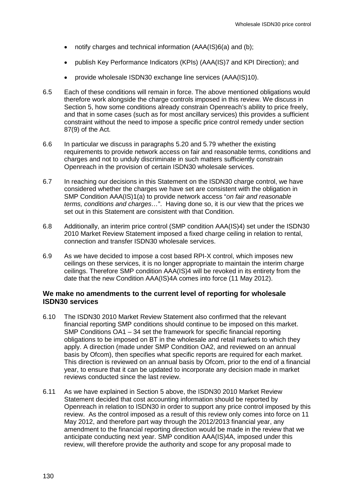- notify charges and technical information (AAA(IS)6(a) and (b);
- publish Key Performance Indicators (KPIs) (AAA(IS)7 and KPI Direction); and
- provide wholesale ISDN30 exchange line services (AAA(IS)10).
- 6.5 Each of these conditions will remain in force. The above mentioned obligations would therefore work alongside the charge controls imposed in this review. We discuss in Section 5, how some conditions already constrain Openreach's ability to price freely, and that in some cases (such as for most ancillary services) this provides a sufficient constraint without the need to impose a specific price control remedy under section 87(9) of the Act.
- 6.6 In particular we discuss in paragraphs 5.20 and 5.79 whether the existing requirements to provide network access on fair and reasonable terms, conditions and charges and not to unduly discriminate in such matters sufficiently constrain Openreach in the provision of certain ISDN30 wholesale services.
- 6.7 In reaching our decisions in this Statement on the ISDN30 charge control, we have considered whether the charges we have set are consistent with the obligation in SMP Condition AAA(IS)1(a) to provide network access "*on fair and reasonable terms, conditions and charges…*". Having done so, it is our view that the prices we set out in this Statement are consistent with that Condition.
- 6.8 Additionally, an interim price control (SMP condition AAA(IS)4) set under the ISDN30 2010 Market Review Statement imposed a fixed charge ceiling in relation to rental, connection and transfer ISDN30 wholesale services.
- 6.9 As we have decided to impose a cost based RPI-X control, which imposes new ceilings on these services, it is no longer appropriate to maintain the interim charge ceilings. Therefore SMP condition AAA(IS)4 will be revoked in its entirety from the date that the new Condition AAA(IS)4A comes into force (11 May 2012).

## **We make no amendments to the current level of reporting for wholesale ISDN30 services**

- 6.10 The ISDN30 2010 Market Review Statement also confirmed that the relevant financial reporting SMP conditions should continue to be imposed on this market. SMP Conditions OA1 – 34 set the framework for specific financial reporting obligations to be imposed on BT in the wholesale and retail markets to which they apply. A direction (made under SMP Condition OA2, and reviewed on an annual basis by Ofcom), then specifies what specific reports are required for each market. This direction is reviewed on an annual basis by Ofcom, prior to the end of a financial year, to ensure that it can be updated to incorporate any decision made in market reviews conducted since the last review.
- 6.11 As we have explained in Section 5 above, the ISDN30 2010 Market Review Statement decided that cost accounting information should be reported by Openreach in relation to ISDN30 in order to support any price control imposed by this review. As the control imposed as a result of this review only comes into force on 11 May 2012, and therefore part way through the 2012/2013 financial year, any amendment to the financial reporting direction would be made in the review that we anticipate conducting next year. SMP condition AAA(IS)4A, imposed under this review, will therefore provide the authority and scope for any proposal made to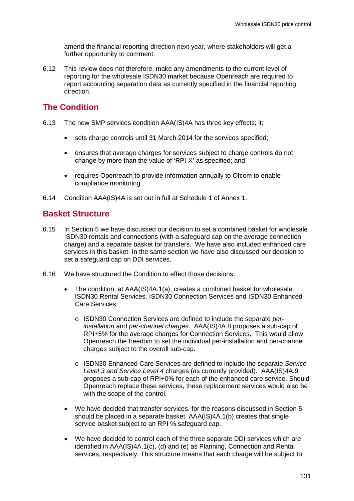amend the financial reporting direction next year, where stakeholders will get a further opportunity to comment.

6.12 This review does not therefore, make any amendments to the current level of reporting for the wholesale ISDN30 market because Openreach are required to report accounting separation data as currently specified in the financial reporting direction.

# **The Condition**

- 6.13 The new SMP services condition AAA(IS)4A has three key effects; it:
	- sets charge controls until 31 March 2014 for the services specified;
	- ensures that average charges for services subject to charge controls do not change by more than the value of 'RPI-X' as specified; and
	- requires Openreach to provide information annually to Ofcom to enable compliance monitoring.
- 6.14 Condition AAA(IS)4A is set out in full at Schedule 1 of Annex 1.

# **Basket Structure**

- 6.15 In Section 5 we have discussed our decision to set a combined basket for wholesale ISDN30 rentals and connections (with a safeguard cap on the average connection charge) and a separate basket for transfers. We have also included enhanced care services in this basket. In the same section we have also discussed our decision to set a safeguard cap on DDI services.
- 6.16 We have structured the Condition to effect those decisions:
	- The condition, at AAA(IS)4A.1(a), creates a combined basket for wholesale ISDN30 Rental Services, ISDN30 Connection Services and ISDN30 Enhanced Care Services:
		- o ISDN30 Connection Services are defined to include the separate *perinstallation* and *per-channel charges*. AAA(IS)4A.8 proposes a sub-cap of RPI+5% for the average charges for Connection Services. This would allow Openreach the freedom to set the individual per-installation and per-channel charges subject to the overall sub-cap.
		- o ISDN30 Enhanced Care Services are defined to include the separate *Service Level 3 and Service Level 4* charges (as currently provided). AAA(IS)4A.9 proposes a sub-cap of RPI+0% for each of the enhanced care service. Should Openreach replace these services, these replacement services would also be with the scope of the control.
	- We have decided that transfer services, for the reasons discussed in Section 5, should be placed in a separate basket. AAA(IS)4A.1(b) creates that single service basket subject to an RPI % safeguard cap.
	- We have decided to control each of the three separate DDI services which are identified in AAA(IS)4A.1(c), (d) and (e) as Planning, Connection and Rental services, respectively. This structure means that each charge will be subject to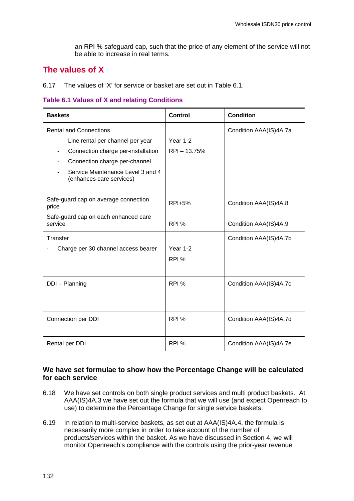an RPI % safeguard cap, such that the price of any element of the service will not be able to increase in real terms.

# **The values of X**

6.17 The values of 'X' for service or basket are set out in Table 6.1.

## **Table 6.1 Values of X and relating Conditions**

| <b>Baskets</b>                                                                                                                                                                                                                                | Control                           | <b>Condition</b>                               |
|-----------------------------------------------------------------------------------------------------------------------------------------------------------------------------------------------------------------------------------------------|-----------------------------------|------------------------------------------------|
| <b>Rental and Connections</b><br>Line rental per channel per year<br>$\blacksquare$<br>Connection charge per-installation<br>$\blacksquare$<br>Connection charge per-channel<br>Service Maintenance Level 3 and 4<br>(enhances care services) | Year 1-2<br>RPI-13.75%            | Condition AAA(IS)4A.7a                         |
| Safe-guard cap on average connection<br>price<br>Safe-guard cap on each enhanced care<br>service                                                                                                                                              | <b>RPI+5%</b><br>RPI <sub>%</sub> | Condition AAA(IS)4A.8<br>Condition AAA(IS)4A.9 |
| Transfer<br>Charge per 30 channel access bearer                                                                                                                                                                                               | Year 1-2<br>RPI <sub>%</sub>      | Condition AAA(IS)4A.7b                         |
| DDI - Planning                                                                                                                                                                                                                                | RPI %                             | Condition AAA(IS)4A.7c                         |
| Connection per DDI                                                                                                                                                                                                                            | RPI <sub>%</sub>                  | Condition AAA(IS)4A.7d                         |
| Rental per DDI                                                                                                                                                                                                                                | RPI %                             | Condition AAA(IS)4A.7e                         |

## **We have set formulae to show how the Percentage Change will be calculated for each service**

- 6.18 We have set controls on both single product services and multi product baskets. At AAA(IS)4A.3 we have set out the formula that we will use (and expect Openreach to use) to determine the Percentage Change for single service baskets.
- 6.19 In relation to multi-service baskets, as set out at AAA(IS)4A.4, the formula is necessarily more complex in order to take account of the number of products/services within the basket. As we have discussed in Section 4, we will monitor Openreach's compliance with the controls using the prior-year revenue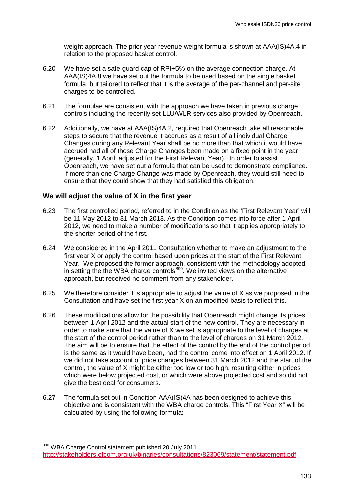weight approach. The prior year revenue weight formula is shown at AAA(IS)4A.4 in relation to the proposed basket control.

- 6.20 We have set a safe-guard cap of RPI+5% on the average connection charge. At AAA(IS)4A.8 we have set out the formula to be used based on the single basket formula, but tailored to reflect that it is the average of the per-channel and per-site charges to be controlled.
- 6.21 The formulae are consistent with the approach we have taken in previous charge controls including the recently set LLU/WLR services also provided by Openreach.
- 6.22 Additionally, we have at AAA(IS)4A.2, required that Openreach take all reasonable steps to secure that the revenue it accrues as a result of all individual Charge Changes during any Relevant Year shall be no more than that which it would have accrued had all of those Charge Changes been made on a fixed point in the year (generally, 1 April; adjusted for the First Relevant Year). In order to assist Openreach, we have set out a formula that can be used to demonstrate compliance. If more than one Charge Change was made by Openreach, they would still need to ensure that they could show that they had satisfied this obligation.

## **We will adjust the value of X in the first year**

- 6.23 The first controlled period, referred to in the Condition as the 'First Relevant Year' will be 11 May 2012 to 31 March 2013. As the Condition comes into force after 1 April 2012, we need to make a number of modifications so that it applies appropriately to the shorter period of the first.
- 6.24 We considered in the April 2011 Consultation whether to make an adjustment to the first year X or apply the control based upon prices at the start of the First Relevant Year. We proposed the former approach, consistent with the methodology adopted in setting the the WBA charge controls<sup>[390](#page-126-0)</sup>. We invited views on the alternative approach, but received no comment from any stakeholder.
- 6.25 We therefore consider it is appropriate to adjust the value of X as we proposed in the Consultation and have set the first year X on an modified basis to reflect this.
- 6.26 These modifications allow for the possibility that Openreach might change its prices between 1 April 2012 and the actual start of the new control. They are necessary in order to make sure that the value of X we set is appropriate to the level of charges at the start of the control period rather than to the level of charges on 31 March 2012. The aim will be to ensure that the effect of the control by the end of the control period is the same as it would have been, had the control come into effect on 1 April 2012. If we did not take account of price changes between 31 March 2012 and the start of the control, the value of X might be either too low or too high, resulting either in prices which were below projected cost, or which were above projected cost and so did not give the best deal for consumers.
- 6.27 The formula set out in Condition AAA(IS)4A has been designed to achieve this objective and is consistent with the WBA charge controls. This "First Year X" will be calculated by using the following formula:

 <sup>390</sup> WBA Charge Control statement published 20 July 2011 <http://stakeholders.ofcom.org.uk/binaries/consultations/823069/statement/statement.pdf>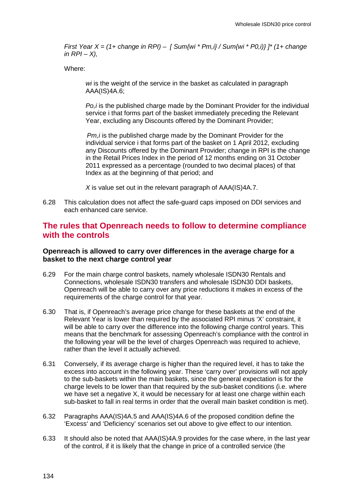*First Year X = (1+ change in RPI) – [ Sum{wi \* Pm,i} / Sum{wi \* P0,i)} ]\* (1+ change in RPI – X),* 

Where:

*wi* is the weight of the service in the basket as calculated in paragraph AAA(IS)4A.6;

*Po,i* is the published charge made by the Dominant Provider for the individual service i that forms part of the basket immediately preceding the Relevant Year, excluding any Discounts offered by the Dominant Provider;

*Pm,i* is the published charge made by the Dominant Provider for the individual service i that forms part of the basket on 1 April 2012, excluding any Discounts offered by the Dominant Provider; change in RPI is the change in the Retail Prices Index in the period of 12 months ending on 31 October 2011 expressed as a percentage (rounded to two decimal places) of that Index as at the beginning of that period; and

*X* is value set out in the relevant paragraph of AAA(IS)4A.7.

6.28 This calculation does not affect the safe-guard caps imposed on DDI services and each enhanced care service.

# **The rules that Openreach needs to follow to determine compliance with the controls**

## **Openreach is allowed to carry over differences in the average charge for a basket to the next charge control year**

- 6.29 For the main charge control baskets, namely wholesale ISDN30 Rentals and Connections, wholesale ISDN30 transfers and wholesale ISDN30 DDI baskets, Openreach will be able to carry over any price reductions it makes in excess of the requirements of the charge control for that year.
- 6.30 That is, if Openreach's average price change for these baskets at the end of the Relevant Year is lower than required by the associated RPI minus 'X' constraint, it will be able to carry over the difference into the following charge control years. This means that the benchmark for assessing Openreach's compliance with the control in the following year will be the level of charges Openreach was required to achieve, rather than the level it actually achieved.
- 6.31 Conversely, if its average charge is higher than the required level, it has to take the excess into account in the following year. These 'carry over' provisions will not apply to the sub-baskets within the main baskets, since the general expectation is for the charge levels to be lower than that required by the sub-basket conditions (i.e. where we have set a negative X, it would be necessary for at least one charge within each sub-basket to fall in real terms in order that the overall main basket condition is met).
- 6.32 Paragraphs AAA(IS)4A.5 and AAA(IS)4A.6 of the proposed condition define the 'Excess' and 'Deficiency' scenarios set out above to give effect to our intention.
- 6.33 It should also be noted that AAA(IS)4A.9 provides for the case where, in the last year of the control, if it is likely that the change in price of a controlled service (the